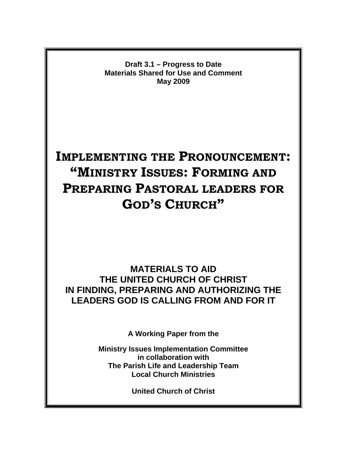**Draft 3.1 – Progress to Date Materials Shared for Use and Comment May 2009** 

# **IMPLEMENTING THE PRONOUNCEMENT: "MINISTRY ISSUES: FORMING AND PREPARING PASTORAL LEADERS FOR GOD'S CHURCH"**

**MATERIALS TO AID THE UNITED CHURCH OF CHRIST IN FINDING, PREPARING AND AUTHORIZING THE LEADERS GOD IS CALLING FROM AND FOR IT** 

**A Working Paper from the** 

**Ministry Issues Implementation Committee in collaboration with The Parish Life and Leadership Team Local Church Ministries** 

**United Church of Christ**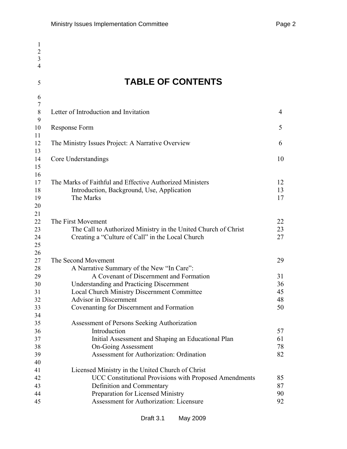| $\mathbf{1}$   |                                                                     |                |
|----------------|---------------------------------------------------------------------|----------------|
| $\overline{2}$ |                                                                     |                |
| $\overline{3}$ |                                                                     |                |
| $\overline{4}$ |                                                                     |                |
| 5              | <b>TABLE OF CONTENTS</b>                                            |                |
| 6              |                                                                     |                |
| $\tau$         |                                                                     |                |
| 8              | Letter of Introduction and Invitation                               | $\overline{4}$ |
| 9              |                                                                     |                |
| 10             | Response Form                                                       | 5              |
| 11             |                                                                     |                |
| 12             | The Ministry Issues Project: A Narrative Overview                   | 6              |
| 13<br>14       | Core Understandings                                                 | 10             |
| 15             |                                                                     |                |
| 16             |                                                                     |                |
| 17             | The Marks of Faithful and Effective Authorized Ministers            | 12             |
| 18             | Introduction, Background, Use, Application                          | 13             |
| 19             | The Marks                                                           | 17             |
| 20             |                                                                     |                |
| 21             |                                                                     |                |
| 22             | The First Movement                                                  | 22             |
| 23             | The Call to Authorized Ministry in the United Church of Christ      | 23             |
| 24             | Creating a "Culture of Call" in the Local Church                    | 27             |
| 25             |                                                                     |                |
| 26             |                                                                     |                |
| 27             | The Second Movement                                                 | 29             |
| 28             | A Narrative Summary of the New "In Care":                           |                |
| 29             | A Covenant of Discernment and Formation                             | 31             |
| 30             | <b>Understanding and Practicing Discernment</b>                     | 36             |
| 31             | <b>Local Church Ministry Discernment Committee</b>                  | 45             |
| 32             | Advisor in Discernment<br>Covenanting for Discernment and Formation | 48<br>50       |
| 33<br>34       |                                                                     |                |
| 35             | Assessment of Persons Seeking Authorization                         |                |
| 36             | Introduction                                                        | 57             |
| 37             | Initial Assessment and Shaping an Educational Plan                  | 61             |
| 38             | <b>On-Going Assessment</b>                                          | 78             |
| 39             | Assessment for Authorization: Ordination                            | 82             |
| 40             |                                                                     |                |
| 41             | Licensed Ministry in the United Church of Christ                    |                |
| 42             | UCC Constitutional Provisions with Proposed Amendments              | 85             |
| 43             | Definition and Commentary                                           | 87             |
| 44             | Preparation for Licensed Ministry                                   | 90             |
| 45             | Assessment for Authorization: Licensure                             | 92             |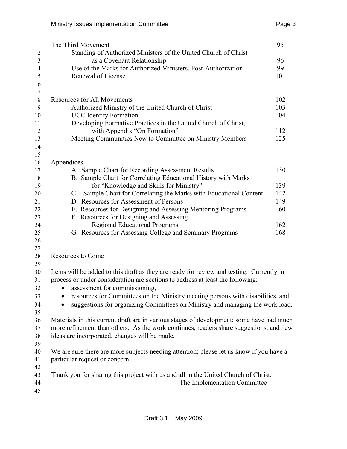| $\mathbf{1}$   | The Third Movement                                                                       | 95  |
|----------------|------------------------------------------------------------------------------------------|-----|
| $\overline{2}$ | Standing of Authorized Ministers of the United Church of Christ                          |     |
| 3              | as a Covenant Relationship                                                               | 96  |
| $\overline{4}$ | Use of the Marks for Authorized Ministers, Post-Authorization                            | 99  |
| 5              | Renewal of License                                                                       | 101 |
| 6              |                                                                                          |     |
| $\sqrt{ }$     |                                                                                          |     |
| $\,8\,$        | <b>Resources for All Movements</b>                                                       | 102 |
| 9              | Authorized Ministry of the United Church of Christ                                       | 103 |
| 10             | <b>UCC</b> Identity Formation                                                            | 104 |
| 11             | Developing Formative Practices in the United Church of Christ,                           |     |
| 12             | with Appendix "On Formation"                                                             | 112 |
| 13             | Meeting Communities New to Committee on Ministry Members                                 | 125 |
| 14<br>15       |                                                                                          |     |
| 16             | Appendices                                                                               |     |
| 17             | A. Sample Chart for Recording Assessment Results                                         | 130 |
| 18             | B. Sample Chart for Correlating Educational History with Marks                           |     |
| 19             | for "Knowledge and Skills for Ministry"                                                  | 139 |
| 20             | C. Sample Chart for Correlating the Marks with Educational Content                       | 142 |
| 21             | D. Resources for Assessment of Persons                                                   | 149 |
| 22             | E. Resources for Designing and Assessing Mentoring Programs                              | 160 |
| 23             | F. Resources for Designing and Assessing                                                 |     |
| 24             | <b>Regional Educational Programs</b>                                                     | 162 |
| 25             | G. Resources for Assessing College and Seminary Programs                                 | 168 |
| 26             |                                                                                          |     |
| 27             |                                                                                          |     |
| 28             | <b>Resources to Come</b>                                                                 |     |
| 29             |                                                                                          |     |
| 30             | Items will be added to this draft as they are ready for review and testing. Currently in |     |
| 31             | process or under consideration are sections to address at least the following:           |     |
| 32             | assessment for commissioning,<br>٠                                                       |     |
| 33             | resources for Committees on the Ministry meeting persons with disabilities, and          |     |
| 34             | suggestions for organizing Committees on Ministry and managing the work load.            |     |
| 35             |                                                                                          |     |
| 36             | Materials in this current draft are in various stages of development; some have had much |     |
| 37             | more refinement than others. As the work continues, readers share suggestions, and new   |     |
| 38             | ideas are incorporated, changes will be made.                                            |     |
| 39             |                                                                                          |     |
| 40             | We are sure there are more subjects needing attention; please let us know if you have a  |     |
| 41             | particular request or concern.                                                           |     |
| 42             |                                                                                          |     |
| 43             | Thank you for sharing this project with us and all in the United Church of Christ.       |     |
| 44             | -- The Implementation Committee                                                          |     |
| 45             |                                                                                          |     |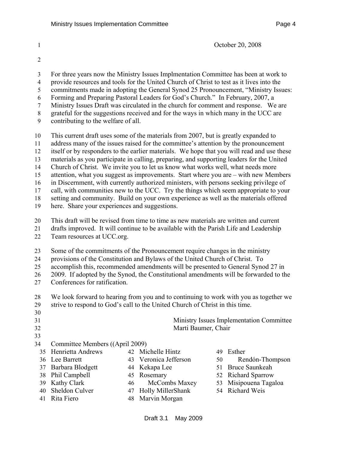1 October 20, 2008

- 
- 2
- 3 For three years now the Ministry Issues Implmentation Committee has been at work to
- 4 provide resources and tools for the United Church of Christ to test as it lives into the
- 5 commitments made in adopting the General Synod 25 Pronouncement, "Ministry Issues:
- 6 Forming and Preparing Pastoral Leaders for God's Church." In February, 2007, a 7 Ministry Issues Draft was circulated in the church for comment and response. We are
- 8 grateful for the suggestions received and for the ways in which many in the UCC are
- 
- 9 contributing to the welfare of all.

10 This current draft uses some of the materials from 2007, but is greatly expanded to 11 address many of the issues raised for the committee's attention by the pronouncement

12 itself or by responders to the earlier materials. We hope that you will read and use these

13 materials as you participate in calling, preparing, and supporting leaders for the United

14 Church of Christ. We invite you to let us know what works well, what needs more

15 attention, what you suggest as improvements. Start where you are – with new Members

16 in Discernment, with currently authorized ministers, with persons seeking privilege of

17 call, with communities new to the UCC. Try the things which seem appropriate to your

18 setting and community. Build on your own experience as well as the materials offered

19 here. Share your experiences and suggestions.

20 This draft will be revised from time to time as new materials are written and current

21 drafts improved. It will continue to be available with the Parish Life and Leadership 22 Team resources at UCC.org.

23 Some of the commitments of the Pronouncement require changes in the ministry

24 provisions of the Constitution and Bylaws of the United Church of Christ. To

25 accomplish this, recommended amendments will be presented to General Synod 27 in

26 2009. If adopted by the Synod, the Constitutional amendments will be forwarded to the

27 Conferences for ratification.

28 We look forward to hearing from you and to continuing to work with you as together we 29 strive to respond to God's call to the United Church of Christ in this time.

- 30
	-
	- 33

31 Ministry Issues Implementation Committee 32 Marti Baumer, Chair

- 34 Committee Members ((April 2009)
	- 35 Henrietta Andrews 36 Lee Barrett 37 Barbara Blodgett 38 Phil Campbell 39 Kathy Clark 40 Sheldon Culver 41 Rita Fiero 42 Michelle Hintz 43 Veronica Jefferson 44 Kekapa Lee 45 Rosemary 46 McCombs Maxey 47 Holly MillerShank 48 Marvin Morgan 49 Esther 50 Rendón-Thompson 51 Bruce Saunkeah 52 Richard Sparrow 53 Misipouena Tagaloa 54 Richard Weis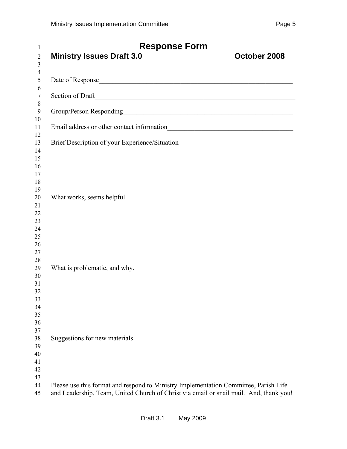| 1<br>$\overline{2}$<br>3                           | <b>Response Form</b><br><b>Ministry Issues Draft 3.0</b><br>October 2008                                                                                                       |
|----------------------------------------------------|--------------------------------------------------------------------------------------------------------------------------------------------------------------------------------|
| $\overline{4}$<br>5                                |                                                                                                                                                                                |
| 6<br>$\tau$                                        |                                                                                                                                                                                |
| $8\,$<br>$\boldsymbol{9}$                          | Group/Person Responding<br><u>Croup</u> /Person Responding                                                                                                                     |
| 10<br>11                                           |                                                                                                                                                                                |
| 12<br>13<br>14<br>15<br>16<br>17<br>18             | Brief Description of your Experience/Situation                                                                                                                                 |
| 19<br>20<br>21<br>22<br>23<br>24<br>25<br>26<br>27 | What works, seems helpful                                                                                                                                                      |
| 28<br>29<br>30<br>31<br>32<br>33<br>34<br>35<br>36 | What is problematic, and why.                                                                                                                                                  |
| 37<br>38<br>39<br>40<br>41<br>42<br>43             | Suggestions for new materials                                                                                                                                                  |
| 44<br>45                                           | Please use this format and respond to Ministry Implementation Committee, Parish Life<br>and Leadership, Team, United Church of Christ via email or snail mail. And, thank you! |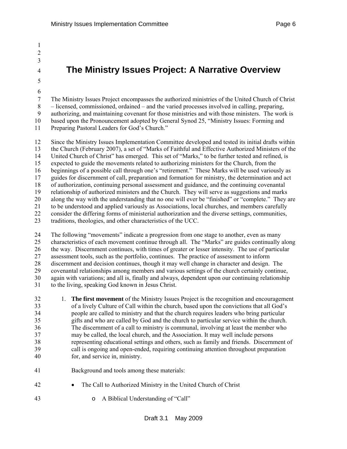1 2 3

5 6

# <sup>4</sup>**The Ministry Issues Project: A Narrative Overview**

7 The Ministry Issues Project encompasses the authorized ministries of the United Church of Christ 8 – licensed, commissioned, ordained – and the varied processes involved in calling, preparing, 9 authorizing, and maintaining covenant for those ministries and with those ministers. The work is 10 based upon the Pronouncement adopted by General Synod 25, "Ministry Issues: Forming and

11 Preparing Pastoral Leaders for God's Church."

12 Since the Ministry Issues Implementation Committee developed and tested its initial drafts within 13 the Church (February 2007), a set of "Marks of Faithful and Effective Authorized Ministers of the 14 United Church of Christ" has emerged. This set of "Marks," to be further tested and refined, is 15 expected to guide the movements related to authorizing ministers for the Church, from the 16 beginnings of a possible call through one's "retirement." These Marks will be used variously as 17 guides for discernment of call, preparation and formation for ministry, the determination and act 18 of authorization, continuing personal assessment and guidance, and the continuing covenantal 19 relationship of authorized ministers and the Church. They will serve as suggestions and marks 20 along the way with the understanding that no one will ever be "finished" or "complete." They are<br>21 to be understood and applied variously as Associations, local churches, and members carefully 21 to be understood and applied variously as Associations, local churches, and members carefully 22 consider the differing forms of ministerial authorization and the diverse settings, communities, 23 traditions, theologies, and other characteristics of the UCC.

24 The following "movements" indicate a progression from one stage to another, even as many 25 characteristics of each movement continue through all. The "Marks" are guides continually along 26 the way. Discernment continues, with times of greater or lesser intensity. The use of particular 27 assessment tools, such as the portfolio, continues. The practice of assessment to inform 28 discernment and decision continues, though it may well change in character and design. The 29 covenantal relationships among members and various settings of the church certainly continue, 30 again with variations; and all is, finally and always, dependent upon our continuing relationship 31 to the living, speaking God known in Jesus Christ.

32 1. **The first movement** of the Ministry Issues Project is the recognition and encouragement 33 of a lively Culture of Call within the church, based upon the convictions that all God's 34 people are called to ministry and that the church requires leaders who bring particular 35 gifts and who are called by God and the church to particular service within the church. 36 The discernment of a call to ministry is communal, involving at least the member who 37 may be called, the local church, and the Association. It may well include persons 38 representing educational settings and others, such as family and friends. Discernment of 39 call is ongoing and open-ended, requiring continuing attention throughout preparation 40 for, and service in, ministry.

- 41 Background and tools among these materials:
- 42 The Call to Authorized Ministry in the United Church of Christ
- 43 o A Biblical Understanding of "Call"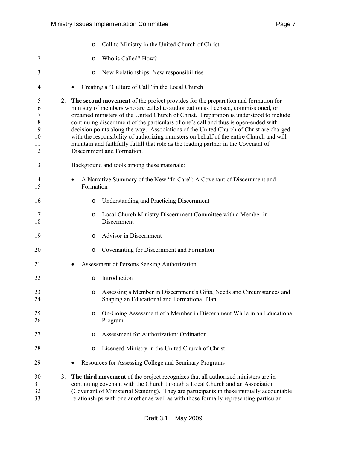| $\mathbf{1}$                                |    | Call to Ministry in the United Church of Christ<br>O                                                                                                                                                                                                                                                                                                                                                                                                                                                                                                                                                                                                                |
|---------------------------------------------|----|---------------------------------------------------------------------------------------------------------------------------------------------------------------------------------------------------------------------------------------------------------------------------------------------------------------------------------------------------------------------------------------------------------------------------------------------------------------------------------------------------------------------------------------------------------------------------------------------------------------------------------------------------------------------|
| $\overline{2}$                              |    | Who is Called? How?<br>O                                                                                                                                                                                                                                                                                                                                                                                                                                                                                                                                                                                                                                            |
| 3                                           |    | New Relationships, New responsibilities<br>O                                                                                                                                                                                                                                                                                                                                                                                                                                                                                                                                                                                                                        |
| 4                                           |    | Creating a "Culture of Call" in the Local Church                                                                                                                                                                                                                                                                                                                                                                                                                                                                                                                                                                                                                    |
| 5<br>6<br>7<br>$8\,$<br>9<br>10<br>11<br>12 | 2. | The second movement of the project provides for the preparation and formation for<br>ministry of members who are called to authorization as licensed, commissioned, or<br>ordained ministers of the United Church of Christ. Preparation is understood to include<br>continuing discernment of the particulars of one's call and thus is open-ended with<br>decision points along the way. Associations of the United Church of Christ are charged<br>with the responsibility of authorizing ministers on behalf of the entire Church and will<br>maintain and faithfully fulfill that role as the leading partner in the Covenant of<br>Discernment and Formation. |
| 13                                          |    | Background and tools among these materials:                                                                                                                                                                                                                                                                                                                                                                                                                                                                                                                                                                                                                         |
| 14<br>15                                    |    | A Narrative Summary of the New "In Care": A Covenant of Discernment and<br>Formation                                                                                                                                                                                                                                                                                                                                                                                                                                                                                                                                                                                |
| 16                                          |    | <b>Understanding and Practicing Discernment</b><br>$\circ$                                                                                                                                                                                                                                                                                                                                                                                                                                                                                                                                                                                                          |
| 17<br>18                                    |    | Local Church Ministry Discernment Committee with a Member in<br>O<br>Discernment                                                                                                                                                                                                                                                                                                                                                                                                                                                                                                                                                                                    |
| 19                                          |    | Advisor in Discernment<br>$\circ$                                                                                                                                                                                                                                                                                                                                                                                                                                                                                                                                                                                                                                   |
| 20                                          |    | Covenanting for Discernment and Formation<br>O                                                                                                                                                                                                                                                                                                                                                                                                                                                                                                                                                                                                                      |
| 21                                          |    | Assessment of Persons Seeking Authorization                                                                                                                                                                                                                                                                                                                                                                                                                                                                                                                                                                                                                         |
| 22                                          |    | Introduction<br>$\circ$                                                                                                                                                                                                                                                                                                                                                                                                                                                                                                                                                                                                                                             |
| 23<br>24                                    |    | Assessing a Member in Discernment's Gifts, Needs and Circumstances and<br>O<br>Shaping an Educational and Formational Plan                                                                                                                                                                                                                                                                                                                                                                                                                                                                                                                                          |
| 25<br>26                                    |    | On-Going Assessment of a Member in Discernment While in an Educational<br>O<br>Program                                                                                                                                                                                                                                                                                                                                                                                                                                                                                                                                                                              |
| 27                                          |    | Assessment for Authorization: Ordination<br>O                                                                                                                                                                                                                                                                                                                                                                                                                                                                                                                                                                                                                       |
| 28                                          |    | Licensed Ministry in the United Church of Christ<br>O                                                                                                                                                                                                                                                                                                                                                                                                                                                                                                                                                                                                               |
| 29                                          |    | Resources for Assessing College and Seminary Programs                                                                                                                                                                                                                                                                                                                                                                                                                                                                                                                                                                                                               |
| 30<br>31<br>32<br>33                        | 3. | The third movement of the project recognizes that all authorized ministers are in<br>continuing covenant with the Church through a Local Church and an Association<br>(Covenant of Ministerial Standing). They are participants in these mutually accountable<br>relationships with one another as well as with those formally representing particular                                                                                                                                                                                                                                                                                                              |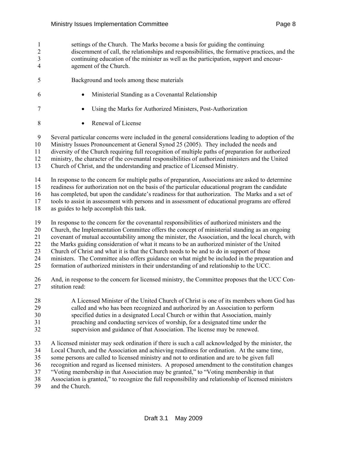- 1 settings of the Church. The Marks become a basis for guiding the continuing 2 discernment of call, the relationships and responsibilities, the formative practices, and the 3 continuing education of the minister as well as the participation, support and encour-4 agement of the Church.
- 5 Background and tools among these materials
- 6 Ministerial Standing as a Covenantal Relationship
- 7 Using the Marks for Authorized Ministers, Post-Authorization
- 8 Renewal of License

9 Several particular concerns were included in the general considerations leading to adoption of the 10 Ministry Issues Pronouncement at General Synod 25 (2005). They included the needs and 11 diversity of the Church requiring full recognition of multiple paths of preparation for authorized

12 ministry, the character of the covenantal responsibilities of authorized ministers and the United 13 Church of Christ, and the understanding and practice of Licensed Ministry.

14 In response to the concern for multiple paths of preparation, Associations are asked to determine 15 readiness for authorization not on the basis of the particular educational program the candidate

16 has completed, but upon the candidate's readiness for that authorization. The Marks and a set of

17 tools to assist in assessment with persons and in assessment of educational programs are offered

- 18 as guides to help accomplish this task.
- 19 In response to the concern for the covenantal responsibilities of authorized ministers and the
- 20 Church, the Implementation Committee offers the concept of ministerial standing as an ongoing
- 21 covenant of mutual accountability among the minister, the Association, and the local church, with
- 22 the Marks guiding consideration of what it means to be an authorized minister of the United

23 Church of Christ and what it is that the Church needs to be and to do in support of those

24 ministers. The Committee also offers guidance on what might be included in the preparation and

25 formation of authorized ministers in their understanding of and relationship to the UCC.

- 26 And, in response to the concern for licensed ministry, the Committee proposes that the UCC Con-27 stitution read:
- 28 A Licensed Minister of the United Church of Christ is one of its members whom God has
- 29 called and who has been recognized and authorized by an Association to perform
- 30 specified duties in a designated Local Church or within that Association, mainly
- 31 preaching and conducting services of worship, for a designated time under the
- 32 supervision and guidance of that Association. The license may be renewed.

33 A licensed minister may seek ordination if there is such a call acknowledged by the minister, the

- 34 Local Church, and the Association and achieving readiness for ordination. At the same time,
- 35 some persons are called to licensed ministry and not to ordination and are to be given full
- 36 recognition and regard as licensed ministers. A proposed amendment to the constitution changes
- 37 "Voting membership in that Association may be granted," to "Voting membership in that

38 Association is granted," to recognize the full responsibility and relationship of licensed ministers

39 and the Church.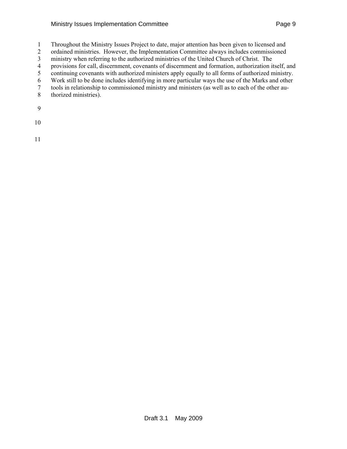#### Ministry Issues Implementation Committee **Page 9** Page 9

- 1 Throughout the Ministry Issues Project to date, major attention has been given to licensed and
- 2 ordained ministries. However, the Implementation Committee always includes commissioned
- 3 ministry when referring to the authorized ministries of the United Church of Christ. The
- 4 provisions for call, discernment, covenants of discernment and formation, authorization itself, and
- 5 continuing covenants with authorized ministers apply equally to all forms of authorized ministry.
- 6 Work still to be done includes identifying in more particular ways the use of the Marks and other
- 7 tools in relationship to commissioned ministry and ministers (as well as to each of the other au-8 thorized ministries).
- 
- 9
- 10
- 11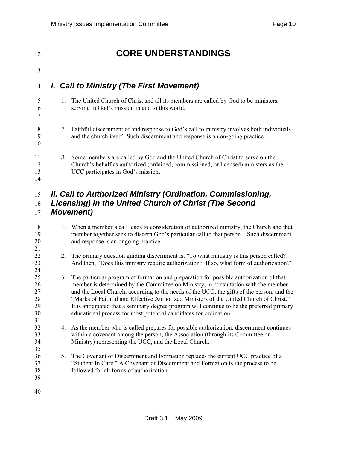| 1<br>2               | <b>CORE UNDERSTANDINGS</b>                                                                                                                                                                                      |
|----------------------|-----------------------------------------------------------------------------------------------------------------------------------------------------------------------------------------------------------------|
| 3                    |                                                                                                                                                                                                                 |
| 4                    | I. Call to Ministry (The First Movement)                                                                                                                                                                        |
| 5<br>6<br>7          | The United Church of Christ and all its members are called by God to be ministers,<br>$\mathbf{1}$<br>serving in God's mission in and to this world.                                                            |
| 8<br>9<br>10         | Faithful discernment of and response to God's call to ministry involves both individuals<br>2.<br>and the church itself. Such discernment and response is an on-going practice.                                 |
| 11<br>12<br>13<br>14 | 3. Some members are called by God and the United Church of Christ to serve on the<br>Church's behalf as authorized (ordained, commissioned, or licensed) ministers as the<br>UCC participates in God's mission. |
| 15<br>16<br>17       | II. Call to Authorized Ministry (Ordination, Commissioning,<br>Licensing) in the United Church of Christ (The Second<br><b>Movement</b> )                                                                       |

- 18 18 1. When a member's call leads to consideration of authorized ministry, the Church and that 19 member together seek to discern God's particular call to that person. Such discernment 20 and response is an ongoing practice.
- 22 2. The primary question guiding discernment is, "To what ministry is this person called?" 23 And then, "Does this ministry require authorization? If so, what form of authorization?"
- 25 3. The particular program of formation and preparation for possible authorization of that 26 member is determined by the Committee on Ministry, in consultation with the member 27 and the Local Church, according to the needs of the UCC, the gifts of the person, and the 28 "Marks of Faithful and Effective Authorized Ministers of the United Church of Christ." 29 It is anticipated that a seminary degree program will continue to be the preferred primary 30 educational process for most potential candidates for ordination.
- 32 4. As the member who is called prepares for possible authorization, discernment continues 33 within a covenant among the person, the Association (through its Committee on 34 Ministry) representing the UCC, and the Local Church.
- 36 5. The Covenant of Discernment and Formation replaces the current UCC practice of a 37 "Student In Care." A Covenant of Discernment and Formation is the process to be 38 followed for all forms of authorization.
- 40

39

21

24

31

35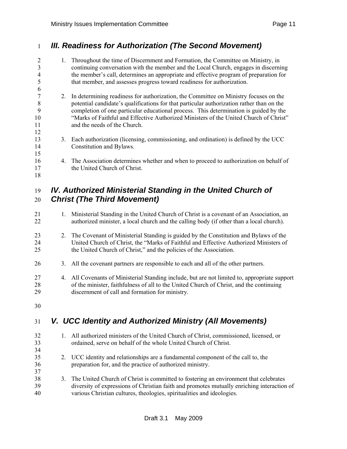## 1 *III. Readiness for Authorization (The Second Movement)*

2 1. Throughout the time of Discernment and Formation, the Committee on Ministry, in 3 continuing conversation with the member and the Local Church, engages in discerning 4 the member's call, determines an appropriate and effective program of preparation for 5 that member, and assesses progress toward readiness for authorization. 6 7 2. In determining readiness for authorization, the Committee on Ministry focuses on the 8 potential candidate's qualifications for that particular authorization rather than on the 9 completion of one particular educational process. This determination is guided by the 10 "Marks of Faithful and Effective Authorized Ministers of the United Church of Christ" 11 and the needs of the Church. 12 13 3. Each authorization (licensing, commissioning, and ordination) is defined by the UCC 14 Constitution and Bylaws. 15 16 4. The Association determines whether and when to proceed to authorization on behalf of 17 the United Church of Christ. 18

## 19 *IV. Authorized Ministerial Standing in the United Church of*  20 *Christ (The Third Movement)*

- 21 1. Ministerial Standing in the United Church of Christ is a covenant of an Association, an 22 authorized minister, a local church and the calling body (if other than a local church).
- 23 23 2. The Covenant of Ministerial Standing is guided by the Constitution and Bylaws of the 24 United Church of Christ, the "Marks of Faithful and Effective Authorized Ministers of 25 the United Church of Christ," and the policies of the Association.
- 26 3. All the covenant partners are responsible to each and all of the other partners.
- 27 4. All Covenants of Ministerial Standing include, but are not limited to, appropriate support 28 of the minister, faithfulness of all to the United Church of Christ, and the continuing 29 discernment of call and formation for ministry.
- 30

# 31 *V. UCC Identity and Authorized Ministry (All Movements)*

| 32<br>33<br>34 | 1. All authorized ministers of the United Church of Christ, commissioned, licensed, or<br>ordained, serve on behalf of the whole United Church of Christ.                                                                                                       |
|----------------|-----------------------------------------------------------------------------------------------------------------------------------------------------------------------------------------------------------------------------------------------------------------|
| 35<br>36<br>37 | 2. UCC identity and relationships are a fundamental component of the call to, the<br>preparation for, and the practice of authorized ministry.                                                                                                                  |
| 38<br>39<br>40 | 3. The United Church of Christ is committed to fostering an environment that celebrates<br>diversity of expressions of Christian faith and promotes mutually enriching interaction of<br>various Christian cultures, theologies, spiritualities and ideologies. |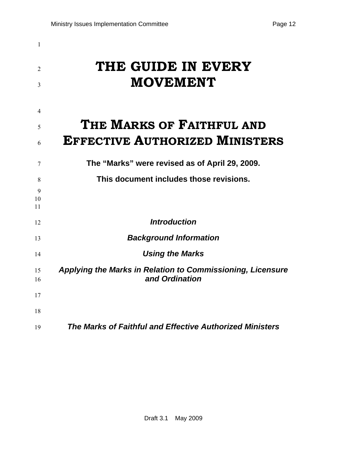| 1<br>2<br>3   | THE GUIDE IN EVERY<br><b>MOVEMENT</b>                                        |
|---------------|------------------------------------------------------------------------------|
| 4             | THE MARKS OF FAITHFUL AND                                                    |
| 5<br>6        | <b>EFFECTIVE AUTHORIZED MINISTERS</b>                                        |
| 7             | The "Marks" were revised as of April 29, 2009.                               |
| 8             | This document includes those revisions.                                      |
| 9<br>10<br>11 |                                                                              |
| 12            | <b>Introduction</b>                                                          |
| 13            | <b>Background Information</b>                                                |
| 14            | <b>Using the Marks</b>                                                       |
| 15<br>16      | Applying the Marks in Relation to Commissioning, Licensure<br>and Ordination |
| 17            |                                                                              |
| 18            |                                                                              |
| 19            | The Marks of Faithful and Effective Authorized Ministers                     |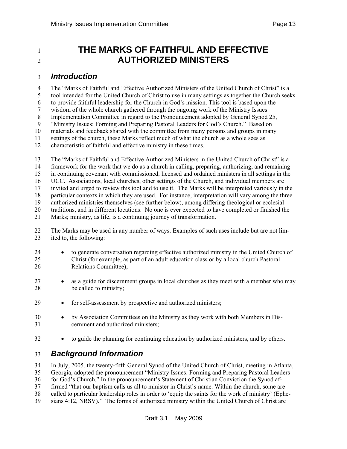# <sup>1</sup>**THE MARKS OF FAITHFUL AND EFFECTIVE**  <sup>2</sup>**AUTHORIZED MINISTERS**

### 3 *Introduction*

4 The "Marks of Faithful and Effective Authorized Ministers of the United Church of Christ" is a

5 tool intended for the United Church of Christ to use in many settings as together the Church seeks

6 to provide faithful leadership for the Church in God's mission. This tool is based upon the

7 wisdom of the whole church gathered through the ongoing work of the Ministry Issues 8 Implementation Committee in regard to the Pronouncement adopted by General Synod 25,

9 "Ministry Issues: Forming and Preparing Pastoral Leaders for God's Church." Based on

10 materials and feedback shared with the committee from many persons and groups in many

11 settings of the church, these Marks reflect much of what the church as a whole sees as

12 characteristic of faithful and effective ministry in these times.

13 The "Marks of Faithful and Effective Authorized Ministers in the United Church of Christ" is a 14 framework for the work that we do as a church in calling, preparing, authorizing, and remaining 15 in continuing covenant with commissioned, licensed and ordained ministers in all settings in the 16 UCC. Associations, local churches, other settings of the Church, and individual members are 17 invited and urged to review this tool and to use it. The Marks will be interpreted variously in the 18 particular contexts in which they are used. For instance, interpretation will vary among the three 19 authorized ministries themselves (see further below), among differing theological or ecclesial 20 traditions, and in different locations. No one is ever expected to have completed or finished the 21 Marks; ministry, as life, is a continuing journey of transformation.

- 22 The Marks may be used in any number of ways. Examples of such uses include but are not lim-<br>23 ited to the following: ited to, the following:
- 24 to generate conversation regarding effective authorized ministry in the United Church of 25 Christ (for example, as part of an adult education class or by a local church Pastoral 26 Relations Committee);
- 27 as a guide for discernment groups in local churches as they meet with a member who may 28 be called to ministry;
- 29 for self-assessment by prospective and authorized ministers;
- 30 by Association Committees on the Ministry as they work with both Members in Dis-31 cernment and authorized ministers;
- 32 to guide the planning for continuing education by authorized ministers, and by others.

## 33 *Background Information*

34 In July, 2005, the twenty-fifth General Synod of the United Church of Christ, meeting in Atlanta, 35 Georgia, adopted the pronouncement "Ministry Issues: Forming and Preparing Pastoral Leaders 36 for God's Church." In the pronouncement's Statement of Christian Conviction the Synod af-37 firmed "that our baptism calls us all to minister in Christ's name. Within the church, some are 38 called to particular leadership roles in order to 'equip the saints for the work of ministry' (Ephe-39 sians 4:12, NRSV)." The forms of authorized ministry within the United Church of Christ are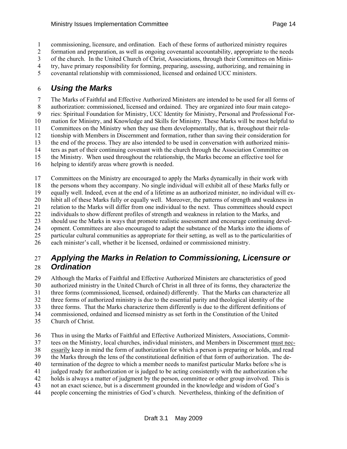1 commissioning, licensure, and ordination.Each of these forms of authorized ministry requires

2 formation and preparation, as well as ongoing covenantal accountability, appropriate to the needs

3 of the church. In the United Church of Christ, Associations, through their Committees on Minis-4 try, have primary responsibility for forming, preparing, assessing, authorizing, and remaining in

5 covenantal relationship with commissioned, licensed and ordained UCC ministers.

## 6 *Using the Marks*

7 The Marks of Faithful and Effective Authorized Ministers are intended to be used for all forms of 8 authorization: commissioned, licensed and ordained. They are organized into four main catego-9 ries: Spiritual Foundation for Ministry, UCC Identity for Ministry, Personal and Professional For-10 mation for Ministry, and Knowledge and Skills for Ministry. These Marks will be most helpful to 11 Committees on the Ministry when they use them developmentally, that is, throughout their rela-12 tionship with Members in Discernment and formation, rather than saving their consideration for 13 the end of the process. They are also intended to be used in conversation with authorized minis-14 ters as part of their continuing covenant with the church through the Association Committee on 15 the Ministry. When used throughout the relationship, the Marks become an effective tool for 16 helping to identify areas where growth is needed.

17 Committees on the Ministry are encouraged to apply the Marks dynamically in their work with 18 the persons whom they accompany. No single individual will exhibit all of these Marks fully or 19 equally well. Indeed, even at the end of a lifetime as an authorized minister, no individual will ex-20 hibit all of these Marks fully or equally well. Moreover, the patterns of strength and weakness in<br>21 relation to the Marks will differ from one individual to the next. Thus committees should expect 21 relation to the Marks will differ from one individual to the next. Thus committees should expect 22 individuals to show different profiles of strength and weakness in relation to the Marks, and 23 should use the Marks in ways that promote realistic assessment and encourage continuing devel-24 opment. Committees are also encouraged to adapt the substance of the Marks into the idioms of 25 particular cultural communities as appropriate for their setting, as well as to the particularities of 26 each minister's call, whether it be licensed, ordained or commissioned ministry.

## 27 *Applying the Marks in Relation to Commissioning, Licensure or*  28 *Ordination*

29 Although the Marks of Faithful and Effective Authorized Ministers are characteristics of good 30 authorized ministry in the United Church of Christ in all three of its forms, they characterize the 31 three forms (commissioned, licensed, ordained) differently. That the Marks can characterize all 32 three forms of authorized ministry is due to the essential parity and theological identity of the 33 three forms. That the Marks characterize them differently is due to the different definitions of 34 commissioned, ordained and licensed ministry as set forth in the Constitution of the United 35 Church of Christ.

36 Thus in using the Marks of Faithful and Effective Authorized Ministers, Associations, Commit-37 tees on the Ministry, local churches, individual ministers, and Members in Discernment must nec-38 essarily keep in mind the form of authorization for which a person is preparing or holds, and read 39 the Marks through the lens of the constitutional definition of that form of authorization. The de-40 termination of the degree to which a member needs to manifest particular Marks before s/he is 41 judged ready for authorization or is judged to be acting consistently with the authorization s/he 42 holds is always a matter of judgment by the person, committee or other group involved. This is 43 not an exact science, but is a discernment grounded in the knowledge and wisdom of God's 44 people concerning the ministries of God's church. Nevertheless, thinking of the definition of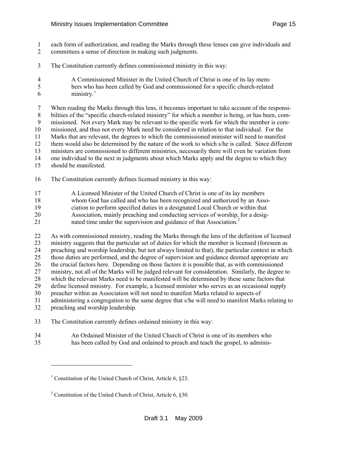- <span id="page-14-0"></span>1 each form of authorization, and reading the Marks through these lenses can give individuals and
- 2 committees a sense of direction in making such judgments.
- 3 The Constitution currently defines commissioned ministry in this way:
- 4 A Commissioned Minister in the United Church of Christ is one of its lay mem-5 bers who has been called by God and commissioned for a specific church-related  $6 \qquad \qquad \text{ministry.}^1$  $6 \qquad \qquad \text{ministry.}^1$

7 When reading the Marks through this lens, it becomes important to take account of the responsi-8 bilities of the "specific church-related ministry" for which a member is being, or has been, com-9 missioned. Not every Mark may be relevant to the specific work for which the member is com-10 missioned, and thus not every Mark need be considered in relation to that individual. For the 11 Marks that are relevant, the degrees to which the commissioned minister will need to manifest 12 them would also be determined by the nature of the work to which s/he is called. Since different 13 ministers are commissioned to different ministries, necessarily there will even be variation from 14 one individual to the next in judgments about which Marks apply and the degree to which they 15 should be manifested.

- 16 The Constitution currently defines licensed ministry in this way:
- 17 A Licensed Minister of the United Church of Christ is one of its lay members
- 18 whom God has called and who has been recognized and authorized by an Asso-
- 19 ciation to perform specified duties in a designated Local Church or within that
- 20 Association, mainly preaching and conducting services of worship, for a desig-
- [2](#page-14-0)1 nated time under the supervision and guidance of that Association.<sup>2</sup>

22 As with commissioned ministry, reading the Marks through the lens of the definition of licensed 23 ministry suggests that the particular set of duties for which the member is licensed (foreseen as 24 preaching and worship leadership, but not always limited to that), the particular context in which 25 those duties are performed, and the degree of supervision and guidance deemed appropriate are 26 the crucial factors here. Depending on those factors it is possible that, as with commissioned 27 ministry, not all of the Marks will be judged relevant for consideration. Similarly, the degree to 28 which the relevant Marks need to be manifested will be determined by these same factors that 29 define licensed ministry. For example, a licensed minister who serves as an occasional supply 30 preacher within an Association will not need to manifest Marks related to aspects of 31 administering a congregation to the same degree that s/he will need to manifest Marks relating to 32 preaching and worship leadership.

- 33 The Constitution currently defines ordained ministry in this way:
- 34 An Ordained Minister of the United Church of Christ is one of its members who 35 has been called by God and ordained to preach and teach the gospel, to adminis-

l

<sup>&</sup>lt;sup>1</sup> Constitution of the United Church of Christ, Article 6, §23.

<sup>&</sup>lt;sup>2</sup> Constitution of the United Church of Christ, Article 6, §30.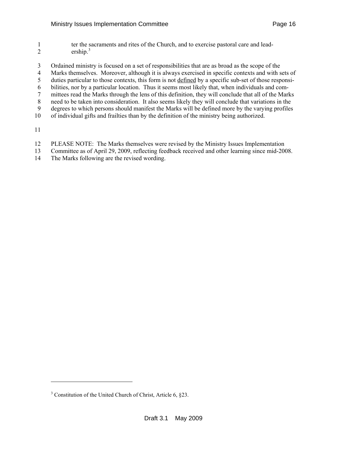- <span id="page-15-0"></span>1 ter the sacraments and rites of the Church, and to exercise pastoral care and lead-2 ership. $3 \cdot$  $3 \cdot$
- 3 Ordained ministry is focused on a set of responsibilities that are as broad as the scope of the
- 4 Marks themselves. Moreover, although it is always exercised in specific contexts and with sets of
- 5 duties particular to those contexts, this form is not defined by a specific sub-set of those responsi-
- 6 bilities, nor by a particular location. Thus it seems most likely that, when individuals and com-
- 7 mittees read the Marks through the lens of this definition, they will conclude that all of the Marks
- 8 need to be taken into consideration. It also seems likely they will conclude that variations in the 9 degrees to which persons should manifest the Marks will be defined more by the varying profiles
- 10 of individual gifts and frailties than by the definition of the ministry being authorized.
- 11

-

- 12 PLEASE NOTE: The Marks themselves were revised by the Ministry Issues Implementation
- 13 Committee as of April 29, 2009, reflecting feedback received and other learning since mid-2008.
- 14 The Marks following are the revised wording.

<sup>&</sup>lt;sup>3</sup> Constitution of the United Church of Christ, Article 6, §23.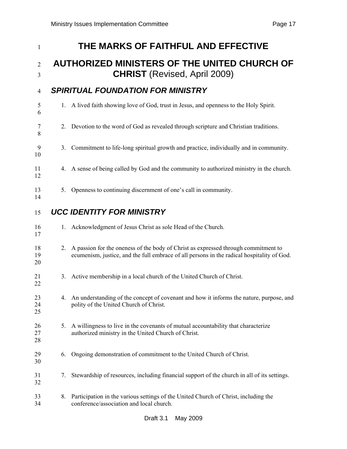| 1                   |    | THE MARKS OF FAITHFUL AND EFFECTIVE                                                                                                                                              |
|---------------------|----|----------------------------------------------------------------------------------------------------------------------------------------------------------------------------------|
| $\overline{2}$<br>3 |    | <b>AUTHORIZED MINISTERS OF THE UNITED CHURCH OF</b><br><b>CHRIST</b> (Revised, April 2009)                                                                                       |
| 4                   |    | <b>SPIRITUAL FOUNDATION FOR MINISTRY</b>                                                                                                                                         |
| 5<br>6              |    | 1. A lived faith showing love of God, trust in Jesus, and openness to the Holy Spirit.                                                                                           |
| 7<br>8              | 2. | Devotion to the word of God as revealed through scripture and Christian traditions.                                                                                              |
| 9<br>10             | 3. | Commitment to life-long spiritual growth and practice, individually and in community.                                                                                            |
| 11<br>12            | 4. | A sense of being called by God and the community to authorized ministry in the church.                                                                                           |
| 13<br>14            | 5. | Openness to continuing discernment of one's call in community.                                                                                                                   |
| 15                  |    | <b>UCC IDENTITY FOR MINISTRY</b>                                                                                                                                                 |
| 16<br>17            | 1. | Acknowledgment of Jesus Christ as sole Head of the Church.                                                                                                                       |
| 18<br>19<br>20      | 2. | A passion for the oneness of the body of Christ as expressed through commitment to<br>ecumenism, justice, and the full embrace of all persons in the radical hospitality of God. |
| 21<br>22            | 3. | Active membership in a local church of the United Church of Christ.                                                                                                              |
| 23<br>24<br>25      | 4. | An understanding of the concept of covenant and how it informs the nature, purpose, and<br>polity of the United Church of Christ.                                                |
| 26<br>27<br>28      | 5. | A willingness to live in the covenants of mutual accountability that characterize<br>authorized ministry in the United Church of Christ.                                         |
| 29<br>30            | 6. | Ongoing demonstration of commitment to the United Church of Christ.                                                                                                              |
| 31<br>32            | 7. | Stewardship of resources, including financial support of the church in all of its settings.                                                                                      |
| 33<br>34            | 8. | Participation in the various settings of the United Church of Christ, including the<br>conference/association and local church.                                                  |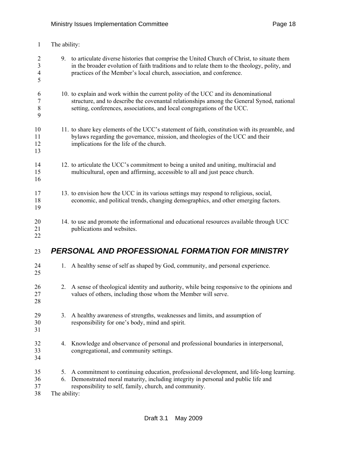| $\mathbf{1}$                                            | The ability:             |                                                                                                                                                                                                                                                                       |
|---------------------------------------------------------|--------------------------|-----------------------------------------------------------------------------------------------------------------------------------------------------------------------------------------------------------------------------------------------------------------------|
| $\overline{2}$<br>$\mathfrak{Z}$<br>$\overline{4}$<br>5 |                          | 9. to articulate diverse histories that comprise the United Church of Christ, to situate them<br>in the broader evolution of faith traditions and to relate them to the theology, polity, and<br>practices of the Member's local church, association, and conference. |
| 6<br>7<br>$8\,$<br>9                                    |                          | 10. to explain and work within the current polity of the UCC and its denominational<br>structure, and to describe the covenantal relationships among the General Synod, national<br>setting, conferences, associations, and local congregations of the UCC.           |
| 10<br>11<br>12<br>13                                    |                          | 11. to share key elements of the UCC's statement of faith, constitution with its preamble, and<br>bylaws regarding the governance, mission, and theologies of the UCC and their<br>implications for the life of the church.                                           |
| 14<br>15<br>16                                          |                          | 12. to articulate the UCC's commitment to being a united and uniting, multiracial and<br>multicultural, open and affirming, accessible to all and just peace church.                                                                                                  |
| 17<br>18<br>19                                          |                          | 13. to envision how the UCC in its various settings may respond to religious, social,<br>economic, and political trends, changing demographics, and other emerging factors.                                                                                           |
| 20<br>21<br>22                                          |                          | 14. to use and promote the informational and educational resources available through UCC<br>publications and websites.                                                                                                                                                |
| 23                                                      |                          | PERSONAL AND PROFESSIONAL FORMATION FOR MINISTRY                                                                                                                                                                                                                      |
| 24<br>25                                                | 1.                       | A healthy sense of self as shaped by God, community, and personal experience.                                                                                                                                                                                         |
| 26<br>27<br>28                                          | 2.                       | A sense of theological identity and authority, while being responsive to the opinions and<br>values of others, including those whom the Member will serve.                                                                                                            |
| 29<br>30<br>31                                          | 3.                       | A healthy awareness of strengths, weaknesses and limits, and assumption of<br>responsibility for one's body, mind and spirit.                                                                                                                                         |
| 32<br>33<br>34                                          | 4.                       | Knowledge and observance of personal and professional boundaries in interpersonal,<br>congregational, and community settings.                                                                                                                                         |
| 35<br>36<br>37<br>38                                    | 5.<br>6.<br>The ability: | A commitment to continuing education, professional development, and life-long learning.<br>Demonstrated moral maturity, including integrity in personal and public life and<br>responsibility to self, family, church, and community.                                 |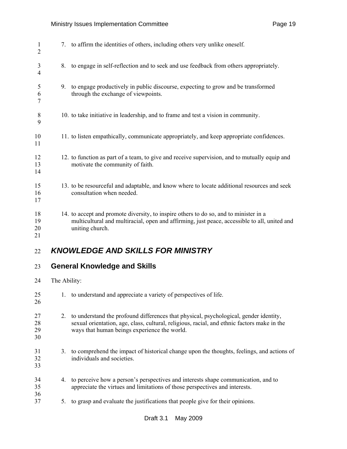### Ministry Issues Implementation Committee **Page 19** Page 19

| 1<br>$\overline{2}$  |              | 7. to affirm the identities of others, including others very unlike oneself.                                                                                                                                                         |
|----------------------|--------------|--------------------------------------------------------------------------------------------------------------------------------------------------------------------------------------------------------------------------------------|
| 3<br>4               | 8.           | to engage in self-reflection and to seek and use feedback from others appropriately.                                                                                                                                                 |
| 5<br>6<br>7          | 9.           | to engage productively in public discourse, expecting to grow and be transformed<br>through the exchange of viewpoints.                                                                                                              |
| 8<br>9               |              | 10. to take initiative in leadership, and to frame and test a vision in community.                                                                                                                                                   |
| 10<br>11             |              | 11. to listen empathically, communicate appropriately, and keep appropriate confidences.                                                                                                                                             |
| 12<br>13<br>14       |              | 12. to function as part of a team, to give and receive supervision, and to mutually equip and<br>motivate the community of faith.                                                                                                    |
| 15<br>16<br>17       |              | 13. to be resourceful and adaptable, and know where to locate additional resources and seek<br>consultation when needed.                                                                                                             |
| 18<br>19<br>20<br>21 |              | 14. to accept and promote diversity, to inspire others to do so, and to minister in a<br>multicultural and multiracial, open and affirming, just peace, accessible to all, united and<br>uniting church.                             |
| 22                   |              | <b>KNOWLEDGE AND SKILLS FOR MINISTRY</b>                                                                                                                                                                                             |
| 23                   |              | <b>General Knowledge and Skills</b>                                                                                                                                                                                                  |
| 24                   | The Ability: |                                                                                                                                                                                                                                      |
| 25<br>26             |              | to understand and appreciate a variety of perspectives of life.                                                                                                                                                                      |
| 27<br>28<br>29<br>30 | 2.           | to understand the profound differences that physical, psychological, gender identity,<br>sexual orientation, age, class, cultural, religious, racial, and ethnic factors make in the<br>ways that human beings experience the world. |
| 31<br>32<br>33       | 3.           | to comprehend the impact of historical change upon the thoughts, feelings, and actions of<br>individuals and societies.                                                                                                              |

- 34 4. to perceive how a person's perspectives and interests shape communication, and to 35 appreciate the virtues and limitations of those perspectives and interests.
- 36<br>37 5. to grasp and evaluate the justifications that people give for their opinions.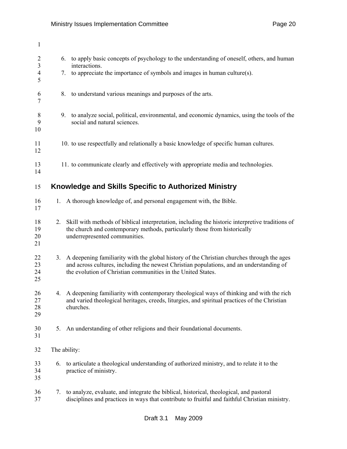| $\mathbf{1}$                                            |    |                                                                                                                                                                                                                                                        |
|---------------------------------------------------------|----|--------------------------------------------------------------------------------------------------------------------------------------------------------------------------------------------------------------------------------------------------------|
| $\overline{2}$<br>$\overline{3}$<br>$\overline{4}$<br>5 |    | to apply basic concepts of psychology to the understanding of oneself, others, and human<br>6.<br>interactions.<br>to appreciate the importance of symbols and images in human culture(s).<br>7.                                                       |
| 6<br>$\tau$                                             |    | 8.<br>to understand various meanings and purposes of the arts.                                                                                                                                                                                         |
| 8<br>9<br>10                                            |    | to analyze social, political, environmental, and economic dynamics, using the tools of the<br>9.<br>social and natural sciences.                                                                                                                       |
| 11<br>12                                                |    | 10. to use respectfully and relationally a basic knowledge of specific human cultures.                                                                                                                                                                 |
| 13<br>14                                                |    | 11. to communicate clearly and effectively with appropriate media and technologies.                                                                                                                                                                    |
| 15                                                      |    | Knowledge and Skills Specific to Authorized Ministry                                                                                                                                                                                                   |
| 16<br>17                                                | 1. | A thorough knowledge of, and personal engagement with, the Bible.                                                                                                                                                                                      |
| 18<br>19<br>20<br>21                                    | 2. | Skill with methods of biblical interpretation, including the historic interpretive traditions of<br>the church and contemporary methods, particularly those from historically<br>underrepresented communities.                                         |
| 22<br>23<br>24<br>25                                    | 3. | A deepening familiarity with the global history of the Christian churches through the ages<br>and across cultures, including the newest Christian populations, and an understanding of<br>the evolution of Christian communities in the United States. |
| 26<br>27<br>28<br>29                                    |    | 4. A deepening familiarity with contemporary theological ways of thinking and with the rich<br>and varied theological heritages, creeds, liturgies, and spiritual practices of the Christian<br>churches.                                              |
| 30<br>31                                                | 5. | An understanding of other religions and their foundational documents.                                                                                                                                                                                  |
| 32                                                      |    | The ability:                                                                                                                                                                                                                                           |
| 33<br>34<br>35                                          | 6. | to articulate a theological understanding of authorized ministry, and to relate it to the<br>practice of ministry.                                                                                                                                     |
| 36<br>37                                                | 7. | to analyze, evaluate, and integrate the biblical, historical, theological, and pastoral<br>disciplines and practices in ways that contribute to fruitful and faithful Christian ministry.                                                              |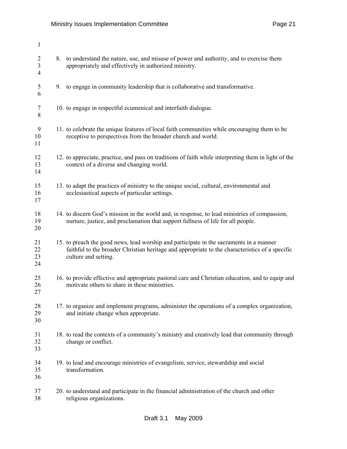| $\mathbf{1}$                                       |                                                                                                                                                                                                                    |
|----------------------------------------------------|--------------------------------------------------------------------------------------------------------------------------------------------------------------------------------------------------------------------|
| $\overline{2}$<br>$\overline{3}$<br>$\overline{4}$ | 8. to understand the nature, use, and misuse of power and authority, and to exercise them<br>appropriately and effectively in authorized ministry.                                                                 |
| 5<br>6                                             | 9. to engage in community leadership that is collaborative and transformative.                                                                                                                                     |
| 7<br>8                                             | 10. to engage in respectful ecumenical and interfaith dialogue.                                                                                                                                                    |
| 9<br>10<br>11                                      | 11. to celebrate the unique features of local faith communities while encouraging them to be<br>receptive to perspectives from the broader church and world.                                                       |
| 12<br>13<br>14                                     | 12. to appreciate, practice, and pass on traditions of faith while interpreting them in light of the<br>context of a diverse and changing world.                                                                   |
| 15<br>16<br>17                                     | 13. to adapt the practices of ministry to the unique social, cultural, environmental and<br>ecclesiastical aspects of particular settings.                                                                         |
| 18<br>19<br>20                                     | 14. to discern God's mission in the world and, in response, to lead ministries of compassion,<br>nurture, justice, and proclamation that support fullness of life for all people.                                  |
| 21<br>22<br>23<br>24                               | 15. to preach the good news, lead worship and participate in the sacraments in a manner<br>faithful to the broader Christian heritage and appropriate to the characteristics of a specific<br>culture and setting. |
| 25<br>26<br>27                                     | 16. to provide effective and appropriate pastoral care and Christian education, and to equip and<br>motivate others to share in these ministries.                                                                  |
| 28<br>29<br>30                                     | 17. to organize and implement programs, administer the operations of a complex organization,<br>and initiate change when appropriate.                                                                              |
| 31<br>32<br>33                                     | 18. to read the contexts of a community's ministry and creatively lead that community through<br>change or conflict.                                                                                               |
| 34<br>35<br>36                                     | 19. to lead and encourage ministries of evangelism, service, stewardship and social<br>transformation.                                                                                                             |
| 37<br>38                                           | 20. to understand and participate in the financial administration of the church and other<br>religious organizations.                                                                                              |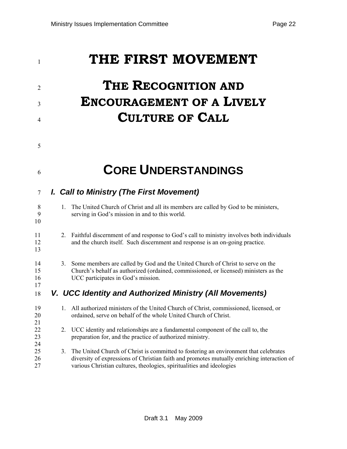| 1              | THE FIRST MOVEMENT                                                                                                                                   |
|----------------|------------------------------------------------------------------------------------------------------------------------------------------------------|
| $\overline{2}$ | THE RECOGNITION AND                                                                                                                                  |
| 3              | <b>ENCOURAGEMENT OF A LIVELY</b>                                                                                                                     |
| 4              | <b>CULTURE OF CALL</b>                                                                                                                               |
| 5              |                                                                                                                                                      |
| 6              | <b>CORE UNDERSTANDINGS</b>                                                                                                                           |
| 7              | I. Call to Ministry (The First Movement)                                                                                                             |
| 8<br>9<br>10   | The United Church of Christ and all its members are called by God to be ministers,<br>$\mathbf{1}$<br>serving in God's mission in and to this world. |
| 11             | $\Gamma$ , $11.2.1$ , $11.1$ , $11.1$ , $11.1$ , $11.1$ , $11.1$ , $11.1$ , $11.1$ , $11.1$ , $11.1$ , $11.1$ , $11.1$                               |

- 11 2. Faithful discernment of and response to God's call to ministry involves both individuals 12 and the church itself. Such discernment and response is an on-going practice. 13
- 14 3. Some members are called by God and the United Church of Christ to serve on the 15 Church's behalf as authorized (ordained, commissioned, or licensed) ministers as the 16 UCC participates in God's mission. 17
- 18 *V. UCC Identity and Authorized Ministry (All Movements)*

| 19<br>20 | $\mathbf{L}$ | All authorized ministers of the United Church of Christ, commissioned, licensed, or<br>ordained, serve on behalf of the whole United Church of Christ. |
|----------|--------------|--------------------------------------------------------------------------------------------------------------------------------------------------------|
| 21       |              |                                                                                                                                                        |
| 22       |              | 2. UCC identity and relationships are a fundamental component of the call to, the                                                                      |
| 23       |              | preparation for, and the practice of authorized ministry.                                                                                              |
| 24       |              |                                                                                                                                                        |
| 25       |              | 3. The United Church of Christ is committed to fostering an environment that celebrates                                                                |
| 26       |              | diversity of expressions of Christian faith and promotes mutually enriching interaction of                                                             |
| 27       |              | various Christian cultures, theologies, spiritualities and ideologies                                                                                  |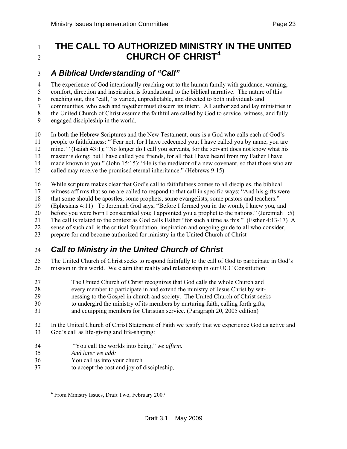#### <span id="page-22-0"></span><sup>1</sup>**THE CALL TO AUTHORIZED MINISTRY IN THE UNITED CHURCH OF CHRIST[4](#page-22-0)**  $\mathcal{L}$

## 3 *A Biblical Understanding of "Call"*

4 The experience of God intentionally reaching out to the human family with guidance, warning, 5 comfort, direction and inspiration is foundational to the biblical narrative. The nature of this 6 reaching out, this "call," is varied, unpredictable, and directed to both individuals and 7 communities, who each and together must discern its intent. All authorized and lay ministries in 8 the United Church of Christ assume the faithful are called by God to service, witness, and fully 9 engaged discipleship in the world.

10 In both the Hebrew Scriptures and the New Testament, ours is a God who calls each of God's 11 people to faithfulness: "'Fear not, for I have redeemed you; I have called you by name, you are 12 mine.'" (Isaiah 43:1); "No longer do I call you servants, for the servant does not know what his 13 master is doing; but I have called you friends, for all that I have heard from my Father I have 14 made known to you." (John 15:15); "He is the mediator of a new covenant, so that those who are 15 called may receive the promised eternal inheritance." (Hebrews 9:15).

16 While scripture makes clear that God's call to faithfulness comes to all disciples, the biblical

17 witness affirms that some are called to respond to that call in specific ways: "And his gifts were

18 that some should be apostles, some prophets, some evangelists, some pastors and teachers."

19 (Ephesians 4:11) To Jeremiah God says, "Before I formed you in the womb, I knew you, and

20 before you were born I consecrated you; I appointed you a prophet to the nations." (Jeremiah 1:5)

21 The call is related to the context as God calls Esther "for such a time as this." (Esther 4:13-17) A

22 sense of such call is the critical foundation, inspiration and ongoing guide to all who consider,

23 prepare for and become authorized for ministry in the United Church of Christ

## 24 *Call to Ministry in the United Church of Christ*

25 The United Church of Christ seeks to respond faithfully to the call of God to participate in God's 26 mission in this world. We claim that reality and relationship in our UCC Constitution:

- 27 The United Church of Christ recognizes that God calls the whole Church and
- 28 every member to participate in and extend the ministry of Jesus Christ by wit-<br>29 every messing to the Gospel in church and society. The United Church of Christ seek
- nessing to the Gospel in church and society. The United Church of Christ seeks
- 30 to undergird the ministry of its members by nurturing faith, calling forth gifts,
- 31 and equipping members for Christian service. (Paragraph 20, 2005 edition)
- 32 In the United Church of Christ Statement of Faith we testify that we experience God as active and 33 God's call as life-giving and life-shaping:
- 34 "You call the worlds into being," *we affirm.*
- 35 *And later we add:*

l

- 36 You call us into your church
- 37 to accept the cost and joy of discipleship,

<sup>&</sup>lt;sup>4</sup> From Ministry Issues, Draft Two, February 2007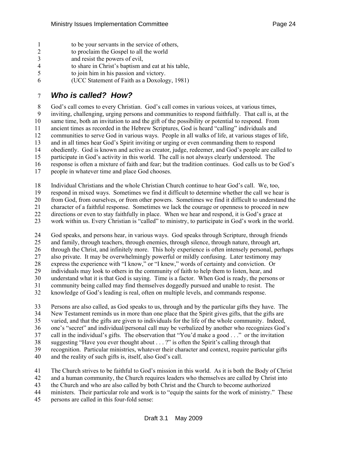- 1 to be your servants in the service of others,
- 2 to proclaim the Gospel to all the world
- 3 and resist the powers of evil,
- 4 to share in Christ's baptism and eat at his table,
- 5 to join him in his passion and victory.
- 6 (UCC Statement of Faith as a Doxology, 1981)

# 7 *Who is called? How?*

8 God's call comes to every Christian. God's call comes in various voices, at various times, 9 inviting, challenging, urging persons and communities to respond faithfully. That call is, at the 10 same time, both an invitation to and the gift of the possibility or potential to respond. From 11 ancient times as recorded in the Hebrew Scriptures, God is heard "calling" individuals and 12 communities to serve God in various ways. People in all walks of life, at various stages of life, 13 and in all times hear God's Spirit inviting or urging or even commanding them to respond 14 obediently. God is known and active as creator, judge, redeemer, and God's people are called to 15 participate in God's activity in this world. The call is not always clearly understood. The 16 response is often a mixture of faith and fear; but the tradition continues. God calls us to be God's 17 people in whatever time and place God chooses.

18 Individual Christians and the whole Christian Church continue to hear God's call. We, too,

19 respond in mixed ways. Sometimes we find it difficult to determine whether the call we hear is

20 from God, from ourselves, or from other powers. Sometimes we find it difficult to understand the character of a faithful response. Sometimes we lack the courage or openness to proceed in new

21 character of a faithful response. Sometimes we lack the courage or openness to proceed in new

22 directions or even to stay faithfully in place. When we hear and respond, it is God's grace at

23 work within us. Every Christian is "called" to ministry, to participate in God's work in the world.

24 God speaks, and persons hear, in various ways. God speaks through Scripture, through friends 25 and family, through teachers, through enemies, through silence, through nature, through art, 26 through the Christ, and infinitely more. This holy experience is often intensely personal, perhaps 27 also private. It may be overwhelmingly powerful or mildly confusing. Later testimony may 28 express the experience with "I know," or "I knew," words of certainty and conviction. Or 29 individuals may look to others in the community of faith to help them to listen, hear, and 30 understand what it is that God is saying. Time is a factor. When God is ready, the persons or

31 community being called may find themselves doggedly pursued and unable to resist. The

32 knowledge of God's leading is real, often on multiple levels, and commands response.

33 Persons are also called, as God speaks to us, through and by the particular gifts they have. The 34 New Testament reminds us in more than one place that the Spirit gives gifts, that the gifts are 35 varied, and that the gifts are given to individuals for the life of the whole community. Indeed, 36 one's "secret" and individual/personal call may be verbalized by another who recognizes God's 37 call in the individual's gifts. The observation that "You'd make a good . . ." or the invitation 38 suggesting "Have you ever thought about . . . ?" is often the Spirit's calling through that 39 recognition. Particular ministries, whatever their character and context, require particular gifts 40 and the reality of such gifts is, itself, also God's call.

41 The Church strives to be faithful to God's mission in this world. As it is both the Body of Christ 42 and a human community, the Church requires leaders who themselves are called by Christ into

43 the Church and who are also called by both Christ and the Church to become authorized

44 ministers. Their particular role and work is to "equip the saints for the work of ministry." These

45 persons are called in this four-fold sense: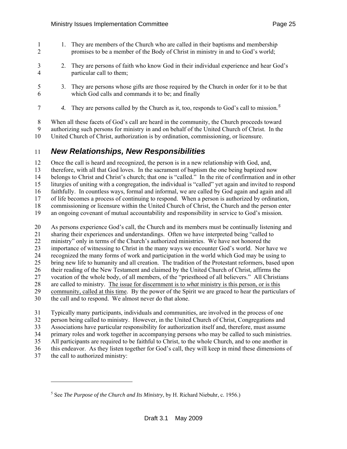- <span id="page-24-0"></span>1 1. They are members of the Church who are called in their baptisms and membership 2 promises to be a member of the Body of Christ in ministry in and to God's world; 3 2. They are persons of faith who know God in their individual experience and hear God's 4 particular call to them;
- 

l

5 3. They are persons whose gifts are those required by the Church in order for it to be that 6 which God calls and commands it to be; and finally

*4.* They are persons called by the Church as it, too, responds to God's call to mission*. [5](#page-24-0)* 7

8 When all these facets of God's call are heard in the community, the Church proceeds toward

9 authorizing such persons for ministry in and on behalf of the United Church of Christ. In the

10 United Church of Christ, authorization is by ordination, commissioning, or licensure.

## 11 *New Relationships, New Responsibilities*

12 Once the call is heard and recognized, the person is in a new relationship with God, and, 13 therefore, with all that God loves. In the sacrament of baptism the one being baptized now 14 belongs to Christ and Christ's church; that one is "called." In the rite of confirmation and in other 15 liturgies of uniting with a congregation, the individual is "called" yet again and invited to respond 16 faithfully. In countless ways, formal and informal, we are called by God again and again and all 17 of life becomes a process of continuing to respond. When a person is authorized by ordination, 18 commissioning or licensure within the United Church of Christ, the Church and the person enter 19 an ongoing covenant of mutual accountability and responsibility in service to God's mission*.*  20 As persons experience God's call, the Church and its members must be continually listening and

21 sharing their experiences and understandings. Often we have interpreted being "called to 22 ministry" only in terms of the Church's authorized ministries. We have not honored the 23 importance of witnessing to Christ in the many ways we encounter God's world. Nor have we 24 recognized the many forms of work and participation in the world which God may be using to 25 bring new life to humanity and all creation. The tradition of the Protestant reformers, based upon 26 their reading of the New Testament and claimed by the United Church of Christ, affirms the 27 vocation of the whole body, of all members, of the "priesthood of all believers." All Christians 28 are called to ministry. The issue for discernment is to *what* ministry is this person, or is this 29 community, called at this time. By the power of the Spirit we are graced to hear the particulars of 30 the call and to respond. We almost never do that alone.

31 Typically many participants, individuals and communities, are involved in the process of one 32 person being called to ministry. However, in the United Church of Christ, Congregations and 33 Associations have particular responsibility for authorization itself and, therefore, must assume 34 primary roles and work together in accompanying persons who may be called to such ministries. 35 All participants are required to be faithful to Christ, to the whole Church, and to one another in 36 this endeavor. As they listen together for God's call, they will keep in mind these dimensions of 37 the call to authorized ministry:

<sup>5</sup> See *The Purpose of the Church and Its Ministry*, by H. Richard Niebuhr, c. 1956.)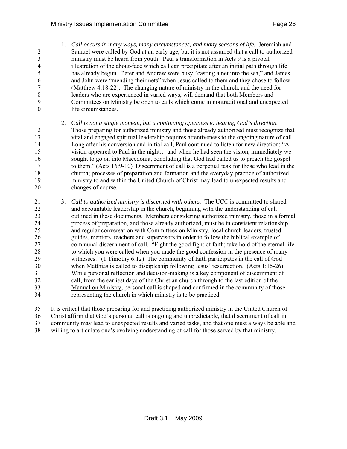1 1. *Call occurs in many ways, many circumstances, and many seasons of life.* Jeremiah and 2 Samuel were called by God at an early age, but it is not assumed that a call to authorized 3 ministry must be heard from youth. Paul's transformation in Acts 9 is a pivotal 4 illustration of the about-face which call can precipitate after an initial path through life 5 has already begun. Peter and Andrew were busy "casting a net into the sea," and James 6 and John were "mending their nets" when Jesus called to them and they chose to follow. 7 (Matthew 4:18-22). The changing nature of ministry in the church, and the need for 8 leaders who are experienced in varied ways, will demand that both Members and 9 Committees on Ministry be open to calls which come in nontraditional and unexpected 10 life circumstances.

- 11 2. C*all is not a single moment, but a continuing openness to hearing God's direction.*  12 Those preparing for authorized ministry and those already authorized must recognize that 13 vital and engaged spiritual leadership requires attentiveness to the ongoing nature of call. 14 Long after his conversion and initial call, Paul continued to listen for new direction: "A 15 vision appeared to Paul in the night… and when he had seen the vision, immediately we 16 sought to go on into Macedonia, concluding that God had called us to preach the gospel 17 to them." (Acts 16:9-10) Discernment of call is a perpetual task for those who lead in the 18 church; processes of preparation and formation and the everyday practice of authorized 19 ministry to and within the United Church of Christ may lead to unexpected results and 20 changes of course.
- 21 3. *Call to authorized ministry is discerned with others.* The UCC is committed to shared 22 and accountable leadership in the church, beginning with the understanding of call 23 outlined in these documents. Members considering authorized ministry, those in a formal 24 process of preparation, and those already authorized, must be in consistent relationship 25 and regular conversation with Committees on Ministry, local church leaders, trusted 26 guides, mentors, teachers and supervisors in order to follow the biblical example of 27 communal discernment of call. "Fight the good fight of faith; take hold of the eternal life 28 to which you were called when you made the good confession in the presence of many 29 witnesses." (1 Timothy 6:12) The community of faith participates in the call of God 30 when Matthias is called to discipleship following Jesus' resurrection. (Acts 1:15-26) 31 While personal reflection and decision-making is a key component of discernment of 32 call, from the earliest days of the Christian church through to the last edition of the 33 Manual on Ministry, personal call is shaped and confirmed in the community of those 34 representing the church in which ministry is to be practiced.
- 35 It is critical that those preparing for and practicing authorized ministry in the United Church of

36 Christ affirm that God's personal call is ongoing and unpredictable, that discernment of call in

37 community may lead to unexpected results and varied tasks, and that one must always be able and

38 willing to articulate one's evolving understanding of call for those served by that ministry.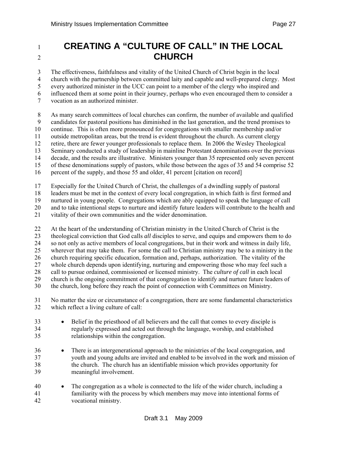# <sup>1</sup>**CREATING A "CULTURE OF CALL" IN THE LOCAL**  2<sup>2</sup>**CHURCH**

3 The effectiveness, faithfulness and vitality of the United Church of Christ begin in the local

4 church with the partnership between committed laity and capable and well-prepared clergy. Most

5 every authorized minister in the UCC can point to a member of the clergy who inspired and

6 influenced them at some point in their journey, perhaps who even encouraged them to consider a

7 vocation as an authorized minister.

8 As many search committees of local churches can confirm, the number of available and qualified

9 candidates for pastoral positions has diminished in the last generation, and the trend promises to

10 continue. This is often more pronounced for congregations with smaller membership and/or

11 outside metropolitan areas, but the trend is evident throughout the church. As current clergy

12 retire, there are fewer younger professionals to replace them. In 2006 the Wesley Theological

13 Seminary conducted a study of leadership in mainline Protestant denominations over the previous

14 decade, and the results are illustrative. Ministers younger than 35 represented only seven percent

15 of these denominations supply of pastors, while those between the ages of 35 and 54 comprise 52

16 percent of the supply, and those 55 and older, 41 percent [citation on record]

17 Especially for the United Church of Christ, the challenges of a dwindling supply of pastoral

18 leaders must be met in the context of every local congregation, in which faith is first formed and

19 nurtured in young people. Congregations which are ably equipped to speak the language of call<br>20 and to take intentional steps to nurture and identify future leaders will contribute to the health and

and to take intentional steps to nurture and identify future leaders will contribute to the health and

21 vitality of their own communities and the wider denomination.

22 At the heart of the understanding of Christian ministry in the United Church of Christ is the 23 theological conviction that God calls *all* disciples to serve, and equips and empowers them to do 24 so not only as active members of local congregations, but in their work and witness in daily life, 25 wherever that may take them. For some the call to Christian ministry may be to a ministry in the 26 church requiring specific education, formation and, perhaps, authorization. The vitality of the 27 whole church depends upon identifying, nurturing and empowering those who may feel such a 28 call to pursue ordained, commissioned or licensed ministry. The *culture of call* in each local 29 church is the ongoing commitment of that congregation to identify and nurture future leaders of 30 the church, long before they reach the point of connection with Committees on Ministry.

31 No matter the size or circumstance of a congregation, there are some fundamental characteristics 32 which reflect a living culture of call:

- 33 Belief in the priesthood of all believers and the call that comes to every disciple is 34 regularly expressed and acted out through the language, worship, and established 35 relationships within the congregation.
- 36 There is an intergenerational approach to the ministries of the local congregation, and 37 youth and young adults are invited and enabled to be involved in the work and mission of 38 the church. The church has an identifiable mission which provides opportunity for 39 meaningful involvement.
- 40 The congregation as a whole is connected to the life of the wider church, including a 41 familiarity with the process by which members may move into intentional forms of 42 vocational ministry.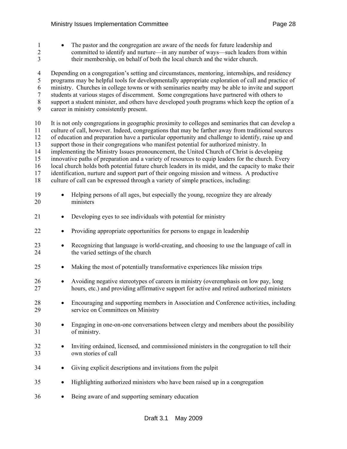1 • The pastor and the congregation are aware of the needs for future leadership and 2 committed to identify and nurture—in any number of ways—such leaders from within

3 their membership, on behalf of both the local church and the wider church. 4 Depending on a congregation's setting and circumstances, mentoring, internships, and residency 5 programs may be helpful tools for developmentally appropriate exploration of call and practice of 6 ministry. Churches in college towns or with seminaries nearby may be able to invite and support 7 students at various stages of discernment. Some congregations have partnered with others to 8 support a student minister, and others have developed youth programs which keep the option of a 9 career in ministry consistently present. 10 It is not only congregations in geographic proximity to colleges and seminaries that can develop a 11 culture of call, however. Indeed, congregations that may be farther away from traditional sources 12 of education and preparation have a particular opportunity and challenge to identify, raise up and 13 support those in their congregations who manifest potential for authorized ministry. In 14 implementing the Ministry Issues pronouncement, the United Church of Christ is developing 15 innovative paths of preparation and a variety of resources to equip leaders for the church. Every 16 local church holds both potential future church leaders in its midst, and the capacity to make their 17 identification, nurture and support part of their ongoing mission and witness. A productive 18 culture of call can be expressed through a variety of simple practices, including: 19 • Helping persons of all ages, but especially the young, recognize they are already 20 ministers 21 • Developing eyes to see individuals with potential for ministry 22 • Providing appropriate opportunities for persons to engage in leadership 23 • Recognizing that language is world-creating, and choosing to use the language of call in 24 the varied settings of the church 25 • Making the most of potentially transformative experiences like mission trips 26 • Avoiding negative stereotypes of careers in ministry (overemphasis on low pay, long 27 hours, etc.) and providing affirmative support for active and retired authorized ministers 28 • Encouraging and supporting members in Association and Conference activities, including 29 service on Committees on Ministry 30 • Engaging in one-on-one conversations between clergy and members about the possibility 31 of ministry. 32 • Inviting ordained, licensed, and commissioned ministers in the congregation to tell their 33 own stories of call 34 • Giving explicit descriptions and invitations from the pulpit 35 • Highlighting authorized ministers who have been raised up in a congregation 36 • Being aware of and supporting seminary education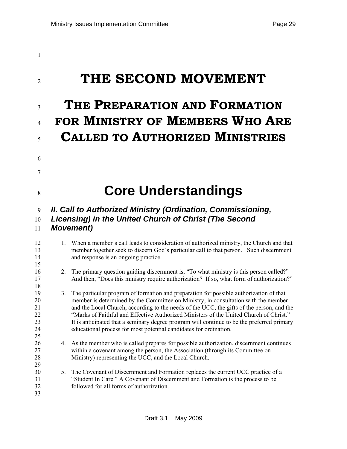# 1

# <sup>2</sup>**THE SECOND MOVEMENT**

6

7

15

18

29

# <sup>3</sup>**THE PREPARATION AND FORMATION**  <sup>4</sup>**FOR MINISTRY OF MEMBERS WHO ARE**  <sup>5</sup>**CALLED TO AUTHORIZED MINISTRIES**

# <sup>8</sup>**Core Understandings**

# 9 *II. Call to Authorized Ministry (Ordination, Commissioning,*  10 *Licensing) in the United Church of Christ (The Second*

### 11 *Movement)*

12 1. When a member's call leads to consideration of authorized ministry, the Church and that 13 member together seek to discern God's particular call to that person. Such discernment 14 and response is an ongoing practice.

### 16 2. The primary question guiding discernment is, "To what ministry is this person called?" 17 And then, "Does this ministry require authorization? If so, what form of authorization?"

- 19 3. The particular program of formation and preparation for possible authorization of that 20 member is determined by the Committee on Ministry, in consultation with the member 21 and the Local Church, according to the needs of the UCC, the gifts of the person, and the 22 "Marks of Faithful and Effective Authorized Ministers of the United Church of Christ." 23 It is anticipated that a seminary degree program will continue to be the preferred primary 24 educational process for most potential candidates for ordination. 25
- 26 4. As the member who is called prepares for possible authorization, discernment continues 27 within a covenant among the person, the Association (through its Committee on 28 Ministry) representing the UCC, and the Local Church.
- 30 5. The Covenant of Discernment and Formation replaces the current UCC practice of a 31 "Student In Care." A Covenant of Discernment and Formation is the process to be 32 followed for all forms of authorization. 33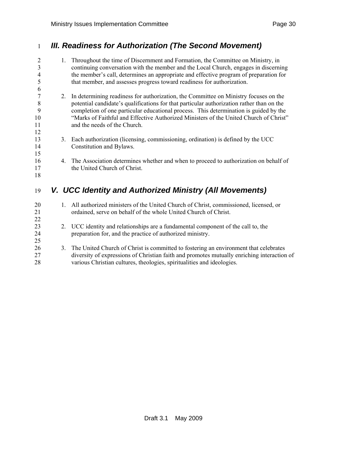# 1 *III. Readiness for Authorization (The Second Movement)*

| $\overline{2}$<br>$\mathfrak{Z}$<br>4<br>5 |    | 1. Throughout the time of Discernment and Formation, the Committee on Ministry, in<br>continuing conversation with the member and the Local Church, engages in discerning<br>the member's call, determines an appropriate and effective program of preparation for<br>that member, and assesses progress toward readiness for authorization. |
|--------------------------------------------|----|----------------------------------------------------------------------------------------------------------------------------------------------------------------------------------------------------------------------------------------------------------------------------------------------------------------------------------------------|
| 6                                          |    |                                                                                                                                                                                                                                                                                                                                              |
| $\boldsymbol{7}$<br>$8\,$                  | 2. | In determining readiness for authorization, the Committee on Ministry focuses on the<br>potential candidate's qualifications for that particular authorization rather than on the                                                                                                                                                            |
| 9                                          |    | completion of one particular educational process. This determination is guided by the                                                                                                                                                                                                                                                        |
| 10                                         |    | "Marks of Faithful and Effective Authorized Ministers of the United Church of Christ"                                                                                                                                                                                                                                                        |
| 11                                         |    | and the needs of the Church.                                                                                                                                                                                                                                                                                                                 |
| 12                                         |    |                                                                                                                                                                                                                                                                                                                                              |
| 13                                         | 3. | Each authorization (licensing, commissioning, ordination) is defined by the UCC                                                                                                                                                                                                                                                              |
| 14<br>15                                   |    | Constitution and Bylaws.                                                                                                                                                                                                                                                                                                                     |
| 16                                         |    | 4. The Association determines whether and when to proceed to authorization on behalf of                                                                                                                                                                                                                                                      |
| 17                                         |    | the United Church of Christ.                                                                                                                                                                                                                                                                                                                 |
| 18                                         |    |                                                                                                                                                                                                                                                                                                                                              |
|                                            |    |                                                                                                                                                                                                                                                                                                                                              |
| 19                                         |    | V. UCC Identity and Authorized Ministry (All Movements)                                                                                                                                                                                                                                                                                      |
| 20                                         | 1. | All authorized ministers of the United Church of Christ, commissioned, licensed, or                                                                                                                                                                                                                                                          |
| 21                                         |    | ordained, serve on behalf of the whole United Church of Christ.                                                                                                                                                                                                                                                                              |
| 22                                         |    |                                                                                                                                                                                                                                                                                                                                              |
| 23                                         | 2. | UCC identity and relationships are a fundamental component of the call to, the                                                                                                                                                                                                                                                               |
| 24                                         |    | preparation for, and the practice of authorized ministry.                                                                                                                                                                                                                                                                                    |
| 25                                         |    |                                                                                                                                                                                                                                                                                                                                              |
| 26                                         | 3. | The United Church of Christ is committed to fostering an environment that celebrates                                                                                                                                                                                                                                                         |
| 27                                         |    | diversity of expressions of Christian faith and promotes mutually enriching interaction of                                                                                                                                                                                                                                                   |
| 28                                         |    | various Christian cultures, theologies, spiritualities and ideologies.                                                                                                                                                                                                                                                                       |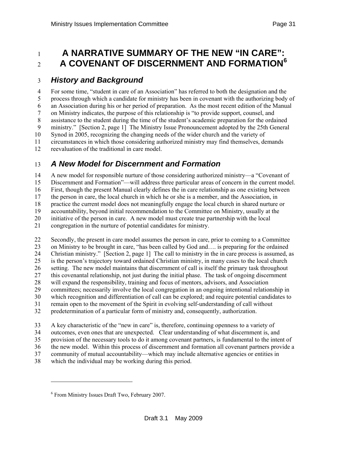# <span id="page-30-0"></span><sup>1</sup>**A NARRATIVE SUMMARY OF THE NEW "IN CARE": A COVENANT OF DISCERNMENT AND FORMATION[6](#page-30-0)** <sup>2</sup>

## 3 *History and Background*

4 For some time, "student in care of an Association" has referred to both the designation and the 5 process through which a candidate for ministry has been in covenant with the authorizing body of 6 an Association during his or her period of preparation. As the most recent edition of the Manual 7 on Ministry indicates, the purpose of this relationship is "to provide support, counsel, and 8 assistance to the student during the time of the student's academic preparation for the ordained 9 ministry." [Section 2, page 1] The Ministry Issue Pronouncement adopted by the 25th General 10 Synod in 2005, recognizing the changing needs of the wider church and the variety of 11 circumstances in which those considering authorized ministry may find themselves, demands 12 reevaluation of the traditional in care model.

## 13 *A New Model for Discernment and Formation*

14 A new model for responsible nurture of those considering authorized ministry—a "Covenant of 15 Discernment and Formation"—will address three particular areas of concern in the current model. 16 First, though the present Manual clearly defines the in care relationship as one existing between 17 the person in care, the local church in which he or she is a member, and the Association, in 18 practice the current model does not meaningfully engage the local church in shared nurture or 19 accountability, beyond initial recommendation to the Committee on Ministry, usually at the 20 initiative of the person in care. A new model must create true partnership with the local 21 congregation in the nurture of potential candidates for ministry.

22 Secondly, the present in care model assumes the person in care, prior to coming to a Committee 23 on Ministry to be brought in care, "has been called by God and…. is preparing for the ordained 24 Christian ministry." [Section 2, page 1] The call to ministry in the in care process is assumed, as 25 is the person's trajectory toward ordained Christian ministry, in many cases to the local church 26 setting. The new model maintains that discernment of call is itself the primary task throughout 27 this covenantal relationship, not just during the initial phase. The task of ongoing discernment 28 will expand the responsibility, training and focus of mentors, advisors, and Association 29 committees; necessarily involve the local congregation in an ongoing intentional relationship in 30 which recognition and differentiation of call can be explored; and require potential candidates to 31 remain open to the movement of the Spirit in evolving self-understanding of call without 32 predetermination of a particular form of ministry and, consequently, authorization.

33 A key characteristic of the "new in care" is, therefore, continuing openness to a variety of

34 outcomes, even ones that are unexpected. Clear understanding of what discernment is, and

35 provision of the necessary tools to do it among covenant partners, is fundamental to the intent of 36 the new model. Within this process of discernment and formation all covenant partners provide a

37 community of mutual accountability—which may include alternative agencies or entities in

38 which the individual may be working during this period.

l

<sup>6</sup> From Ministry Issues Draft Two, February 2007.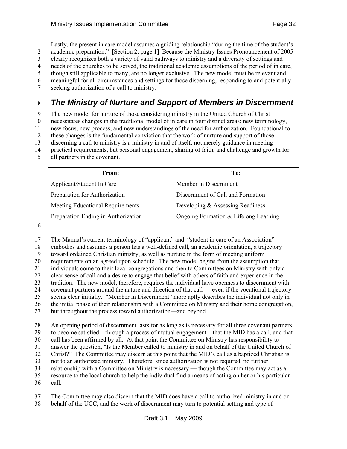1 Lastly, the present in care model assumes a guiding relationship "during the time of the student's

2 academic preparation." [Section 2, page 1] Because the Ministry Issues Pronouncement of 2005

3 clearly recognizes both a variety of valid pathways to ministry and a diversity of settings and

4 needs of the churches to be served, the traditional academic assumptions of the period of in care, 5 though still applicable to many, are no longer exclusive. The new model must be relevant and

6 meaningful for all circumstances and settings for those discerning, responding to and potentially

7 seeking authorization of a call to ministry.

# 8 *The Ministry of Nurture and Support of Members in Discernment*

9 The new model for nurture of those considering ministry in the United Church of Christ

10 necessitates changes in the traditional model of in care in four distinct areas: new terminology,

11 new focus, new process, and new understandings of the need for authorization. Foundational to

12 these changes is the fundamental conviction that the work of nurture and support of those

13 discerning a call to ministry is a ministry in and of itself; not merely guidance in meeting

- 14 practical requirements, but personal engagement, sharing of faith, and challenge and growth for
- 15 all partners in the covenant.

| From:                               | To:                                   |
|-------------------------------------|---------------------------------------|
| Applicant/Student In Care           | Member in Discernment                 |
| Preparation for Authorization       | Discernment of Call and Formation     |
| Meeting Educational Requirements    | Developing & Assessing Readiness      |
| Preparation Ending in Authorization | Ongoing Formation & Lifelong Learning |

16

17 The Manual's current terminology of "applicant" and "student in care of an Association"

18 embodies and assumes a person has a well-defined call, an academic orientation, a trajectory

19 toward ordained Christian ministry, as well as nurture in the form of meeting uniform

20 requirements on an agreed upon schedule. The new model begins from the assumption that

21 individuals come to their local congregations and then to Committees on Ministry with only a

22 clear sense of call and a desire to engage that belief with others of faith and experience in the

23 tradition. The new model, therefore, requires the individual have openness to discernment with 24 covenant partners around the nature and direction of that call — even if the vocational trajectory

25 seems clear initially. "Member in Discernment" more aptly describes the individual not only in

26 the initial phase of their relationship with a Committee on Ministry and their home congregation,

27 but throughout the process toward authorization—and beyond.

28 An opening period of discernment lasts for as long as is necessary for all three covenant partners

29 to become satisfied—through a process of mutual engagement—that the MID has a call, and that 30 call has been affirmed by all. At that point the Committee on Ministry has responsibility to

31 answer the question, "Is the Member called to ministry in and on behalf of the United Church of

32 Christ?" The Committee may discern at this point that the MID's call as a baptized Christian is

33 not to an authorized ministry. Therefore, since authorization is not required, no further

34 relationship with a Committee on Ministry is necessary — though the Committee may act as a

35 resource to the local church to help the individual find a means of acting on her or his particular 36 call.

- 37 The Committee may also discern that the MID does have a call to authorized ministry in and on
- 38 behalf of the UCC, and the work of discernment may turn to potential setting and type of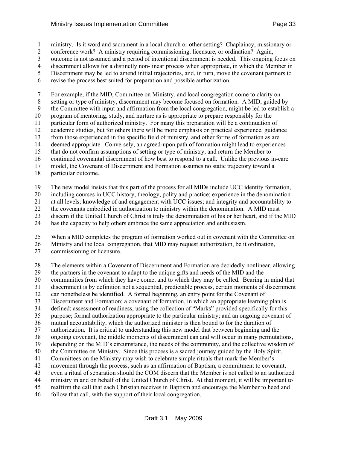1 ministry. Is it word and sacrament in a local church or other setting? Chaplaincy, missionary or

2 conference work? A ministry requiring commissioning. licensure, or ordination? Again,

3 outcome is not assumed and a period of intentional discernment is needed. This ongoing focus on

4 discernment allows for a distinctly non-linear process when appropriate, in which the Member in

5 Discernment may be led to amend initial trajectories, and, in turn, move the covenant partners to

6 revise the process best suited for preparation and possible authorization.

7 For example, if the MID, Committee on Ministry, and local congregation come to clarity on 8 setting or type of ministry, discernment may become focused on formation. A MID, guided by 9 the Committee with input and affirmation from the local congregation, might be led to establish a 10 program of mentoring, study, and nurture as is appropriate to prepare responsibly for the 11 particular form of authorized ministry. For many this preparation will be a continuation of 12 academic studies, but for others there will be more emphasis on practical experience, guidance 13 from those experienced in the specific field of ministry, and other forms of formation as are 14 deemed appropriate. Conversely, an agreed-upon path of formation might lead to experiences 15 that do not confirm assumptions of setting or type of ministry, and return the Member to 16 continued covenantal discernment of how best to respond to a call. Unlike the previous in-care 17 model, the Covenant of Discernment and Formation assumes no static trajectory toward a 18 particular outcome.

19 The new model insists that this part of the process for all MIDs include UCC identity formation,

20 including courses in UCC history, theology, polity and practice; experience in the denomination

21 at all levels; knowledge of and engagement with UCC issues; and integrity and accountability to

22 the covenants embodied in authorization to ministry within the denomination. A MID must

23 discern if the United Church of Christ is truly the denomination of his or her heart, and if the MID

24 has the capacity to help others embrace the same appreciation and enthusiasm.

25 When a MID completes the program of formation worked out in covenant with the Committee on

26 Ministry and the local congregation, that MID may request authorization, be it ordination,

27 commissioning or licensure.

28 The elements within a Covenant of Discernment and Formation are decidedly nonlinear, allowing 29 the partners in the covenant to adapt to the unique gifts and needs of the MID and the 30 communities from which they have come, and to which they may be called. Bearing in mind that 31 discernment is by definition not a sequential, predictable process, certain moments of discernment 32 can nonetheless be identified. A formal beginning, an entry point for the Covenant of 33 Discernment and Formation; a covenant of formation, in which an appropriate learning plan is 34 defined; assessment of readiness, using the collection of "Marks" provided specifically for this 35 purpose; formal authorization appropriate to the particular ministry; and an ongoing covenant of 36 mutual accountability, which the authorized minister is then bound to for the duration of 37 authorization. It is critical to understanding this new model that between beginning and the 38 ongoing covenant, the middle moments of discernment can and will occur in many permutations, 39 depending on the MID's circumstance, the needs of the community, and the collective wisdom of 40 the Committee on Ministry. Since this process is a sacred journey guided by the Holy Spirit, 41 Committees on the Ministry may wish to celebrate simple rituals that mark the Member's 42 movement through the process, such as an affirmation of Baptism, a commitment to covenant, 43 even a ritual of separation should the COM discern that the Member is not called to an authorized 44 ministry in and on behalf of the United Church of Christ. At that moment, it will be important to 45 reaffirm the call that each Christian receives in Baptism and encourage the Member to heed and 46 follow that call, with the support of their local congregation.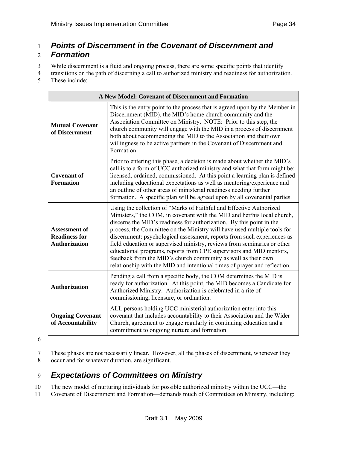# 1 *Points of Discernment in the Covenant of Discernment and*

## 2 *Formation*

3 While discernment is a fluid and ongoing process, there are some specific points that identify

4 transitions on the path of discerning a call to authorized ministry and readiness for authorization.

5 These include:

| A New Model: Covenant of Discernment and Formation                   |                                                                                                                                                                                                                                                                                                                                                                                                                                                                                                                                                                                                                                                                                |  |
|----------------------------------------------------------------------|--------------------------------------------------------------------------------------------------------------------------------------------------------------------------------------------------------------------------------------------------------------------------------------------------------------------------------------------------------------------------------------------------------------------------------------------------------------------------------------------------------------------------------------------------------------------------------------------------------------------------------------------------------------------------------|--|
| <b>Mutual Covenant</b><br>of Discernment                             | This is the entry point to the process that is agreed upon by the Member in<br>Discernment (MID), the MID's home church community and the<br>Association Committee on Ministry. NOTE: Prior to this step, the<br>church community will engage with the MID in a process of discernment<br>both about recommending the MID to the Association and their own<br>willingness to be active partners in the Covenant of Discernment and<br>Formation.                                                                                                                                                                                                                               |  |
| <b>Covenant of</b><br><b>Formation</b>                               | Prior to entering this phase, a decision is made about whether the MID's<br>call is to a form of UCC authorized ministry and what that form might be:<br>licensed, ordained, commissioned. At this point a learning plan is defined<br>including educational expectations as well as mentoring/experience and<br>an outline of other areas of ministerial readiness needing further<br>formation. A specific plan will be agreed upon by all covenantal parties.                                                                                                                                                                                                               |  |
| <b>Assessment of</b><br><b>Readiness for</b><br><b>Authorization</b> | Using the collection of "Marks of Faithful and Effective Authorized<br>Ministers," the COM, in covenant with the MID and her/his local church,<br>discerns the MID's readiness for authorization. By this point in the<br>process, the Committee on the Ministry will have used multiple tools for<br>discernment: psychological assessment, reports from such experiences as<br>field education or supervised ministry, reviews from seminaries or other<br>educational programs, reports from CPE supervisors and MID mentors,<br>feedback from the MID's church community as well as their own<br>relationship with the MID and intentional times of prayer and reflection. |  |
| <b>Authorization</b>                                                 | Pending a call from a specific body, the COM determines the MID is<br>ready for authorization. At this point, the MID becomes a Candidate for<br>Authorized Ministry. Authorization is celebrated in a rite of<br>commissioning, licensure, or ordination.                                                                                                                                                                                                                                                                                                                                                                                                                     |  |
| <b>Ongoing Covenant</b><br>of Accountability                         | ALL persons holding UCC ministerial authorization enter into this<br>covenant that includes accountability to their Association and the Wider<br>Church, agreement to engage regularly in continuing education and a<br>commitment to ongoing nurture and formation.                                                                                                                                                                                                                                                                                                                                                                                                           |  |

6

7 These phases are not necessarily linear. However, all the phases of discernment, whenever they 8 occur and for whatever duration, are significant.

# 9 *Expectations of Committees on Ministry*

10 The new model of nurturing individuals for possible authorized ministry within the UCC—the

11 Covenant of Discernment and Formation—demands much of Committees on Ministry, including: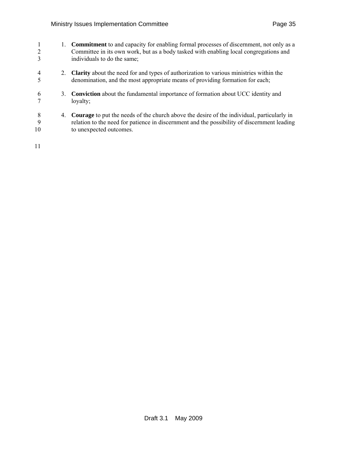| 2<br>3       | 1. | <b>Commitment</b> to and capacity for enabling formal processes of discernment, not only as a<br>Committee in its own work, but as a body tasked with enabling local congregations and<br>individuals to do the same;       |
|--------------|----|-----------------------------------------------------------------------------------------------------------------------------------------------------------------------------------------------------------------------------|
| 4            | 2. | <b>Clarity</b> about the need for and types of authorization to various ministries within the<br>denomination, and the most appropriate means of providing formation for each;                                              |
| 6            |    | 3. <b>Conviction</b> about the fundamental importance of formation about UCC identity and<br>loyalty;                                                                                                                       |
| 8<br>9<br>10 | 4. | <b>Courage</b> to put the needs of the church above the desire of the individual, particularly in<br>relation to the need for patience in discernment and the possibility of discernment leading<br>to unexpected outcomes. |

11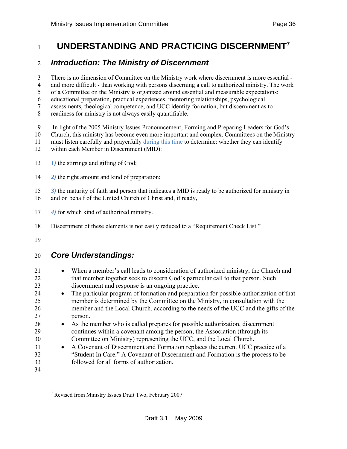# <span id="page-35-0"></span>**UNDERSTANDING AND PRACTICING DISCERNMENT[7](#page-35-0)** <sup>1</sup>

## 2 *Introduction: The Ministry of Discernment*

3 There is no dimension of Committee on the Ministry work where discernment is more essential -

4 and more difficult - than working with persons discerning a call to authorized ministry. The work

5 of a Committee on the Ministry is organized around essential and measurable expectations:

6 educational preparation, practical experiences, mentoring relationships, psychological 7 assessments, theological competence, and UCC identity formation, but discernment as to

8 readiness for ministry is not always easily quantifiable.

- 9 In light of the 2005 Ministry Issues Pronouncement, Forming and Preparing Leaders for God's
- 10 Church, this ministry has become even more important and complex. Committees on the Ministry
- 11 must listen carefully and prayerfully during this time to determine: whether they can identify
- 12 within each Member in Discernment (MID):
- 13 *1)* the stirrings and gifting of God;
- 14 *2)* the right amount and kind of preparation;
- 15 *3)* the maturity of faith and person that indicates a MID is ready to be authorized for ministry in
- 16 and on behalf of the United Church of Christ and, if ready,
- 17 *4)* for which kind of authorized ministry.
- 18 Discernment of these elements is not easily reduced to a "Requirement Check List."
- 19

l

## 20 *Core Understandings:*

21 • When a member's call leads to consideration of authorized ministry, the Church and 22 that member together seek to discern God's particular call to that person. Such 23 discernment and response is an ongoing practice. 24 • The particular program of formation and preparation for possible authorization of that 25 member is determined by the Committee on the Ministry, in consultation with the 26 member and the Local Church, according to the needs of the UCC and the gifts of the 27 person. 28 • As the member who is called prepares for possible authorization, discernment 29 continues within a covenant among the person, the Association (through its 30 Committee on Ministry) representing the UCC, and the Local Church. 31 • A Covenant of Discernment and Formation replaces the current UCC practice of a 32 "Student In Care." A Covenant of Discernment and Formation is the process to be 33 followed for all forms of authorization. 34

<sup>&</sup>lt;sup>7</sup> Revised from Ministry Issues Draft Two, February 2007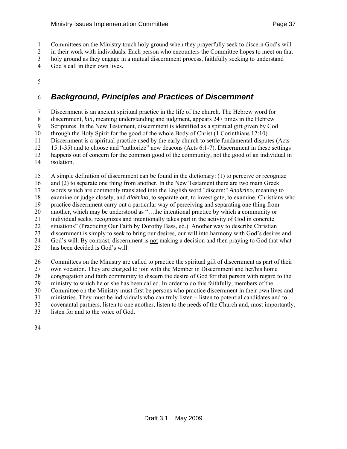1 Committees on the Ministry touch holy ground when they prayerfully seek to discern God's will

2 in their work with individuals. Each person who encounters the Committee hopes to meet on that

3 holy ground as they engage in a mutual discernment process, faithfully seeking to understand

4 God's call in their own lives.

5

## 6 *Background, Principles and Practices of Discernment*

7 Discernment is an ancient spiritual practice in the life of the church. The Hebrew word for

8 discernment, *bin*, meaning understanding and judgment, appears 247 times in the Hebrew

9 Scriptures. In the New Testament, discernment is identified as a spiritual gift given by God

10 through the Holy Spirit for the good of the whole Body of Christ (1 Corinthians 12:10).

11 Discernment is a spiritual practice used by the early church to settle fundamental disputes (Acts

12 15:1-35) and to choose and "authorize" new deacons (Acts 6:1-7). Discernment in these settings

13 happens out of concern for the common good of the community, not the good of an individual in

14 isolation.

15 A simple definition of discernment can be found in the dictionary: (1) to perceive or recognize

16 and (2) to separate one thing from another. In the New Testament there are two main Greek

17 words which are commonly translated into the English word "discern:" *Anakrino*, meaning to

18 examine or judge closely, and *diakrino*, to separate out, to investigate, to examine. Christians who

19 practice discernment carry out a particular way of perceiving and separating one thing from

20 another, which may be understood as "…the intentional practice by which a community or 21 individual seeks, recognizes and intentionally takes part in the activity of God in concrete

22 situations" (Practicing Our Faith by Dorothy Bass, ed.). Another way to describe Christian

23 discernment is simply to seek to bring our desires, our will into harmony with God's desires and

24 God's will. By contrast, discernment is not making a decision and then praying to God that what

25 has been decided is God's will.

26 Committees on the Ministry are called to practice the spiritual gift of discernment as part of their

27 own vocation. They are charged to join with the Member in Discernment and her/his home

28 congregation and faith community to discern the desire of God for that person with regard to the

29 ministry to which he or she has been called. In order to do this faithfully, members of the

30 Committee on the Ministry must first be persons who practice discernment in their own lives and

31 ministries. They must be individuals who can truly listen – listen to potential candidates and to

32 covenantal partners, listen to one another, listen to the needs of the Church and, most importantly,

33 listen for and to the voice of God.

34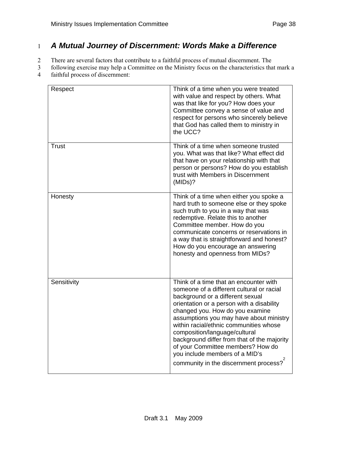## 1 *A Mutual Journey of Discernment: Words Make a Difference*

2 There are several factors that contribute to a faithful process of mutual discernment. The

3 following exercise may help a Committee on the Ministry focus on the characteristics that mark a 4 faithful process of discernment:

| Respect      | Think of a time when you were treated<br>with value and respect by others. What<br>was that like for you? How does your<br>Committee convey a sense of value and<br>respect for persons who sincerely believe<br>that God has called them to ministry in<br>the UCC?                                                                                                                                                                                                                         |
|--------------|----------------------------------------------------------------------------------------------------------------------------------------------------------------------------------------------------------------------------------------------------------------------------------------------------------------------------------------------------------------------------------------------------------------------------------------------------------------------------------------------|
| <b>Trust</b> | Think of a time when someone trusted<br>you. What was that like? What effect did<br>that have on your relationship with that<br>person or persons? How do you establish<br>trust with Members in Discernment<br>(MIDS)?                                                                                                                                                                                                                                                                      |
| Honesty      | Think of a time when either you spoke a<br>hard truth to someone else or they spoke<br>such truth to you in a way that was<br>redemptive. Relate this to another<br>Committee member. How do you<br>communicate concerns or reservations in<br>a way that is straightforward and honest?<br>How do you encourage an answering<br>honesty and openness from MIDs?                                                                                                                             |
| Sensitivity  | Think of a time that an encounter with<br>someone of a different cultural or racial<br>background or a different sexual<br>orientation or a person with a disability<br>changed you. How do you examine<br>assumptions you may have about ministry<br>within racial/ethnic communities whose<br>composition/language/cultural<br>background differ from that of the majority<br>of your Committee members? How do<br>you include members of a MID's<br>community in the discernment process? |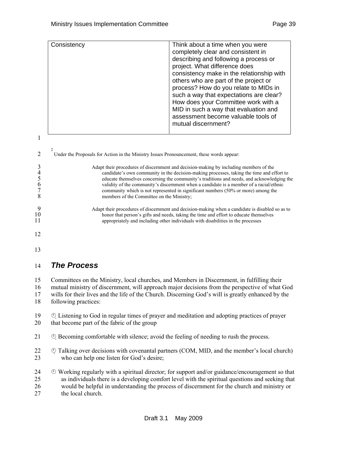|                                                          | Consistency                                                                                                                           | Think about a time when you were<br>completely clear and consistent in<br>describing and following a process or<br>project. What difference does<br>consistency make in the relationship with<br>others who are part of the project or<br>process? How do you relate to MIDs in<br>such a way that expectations are clear?<br>How does your Committee work with a<br>MID in such a way that evaluation and<br>assessment become valuable tools of<br>mutual discernment? |  |
|----------------------------------------------------------|---------------------------------------------------------------------------------------------------------------------------------------|--------------------------------------------------------------------------------------------------------------------------------------------------------------------------------------------------------------------------------------------------------------------------------------------------------------------------------------------------------------------------------------------------------------------------------------------------------------------------|--|
| 1<br>$\overline{2}$<br>3<br>4<br>5<br>$\frac{6}{7}$<br>8 | Under the Proposals for Action in the Ministry Issues Pronouncement, these words appear:<br>members of the Committee on the Ministry; | Adapt their procedures of discernment and decision-making by including members of the<br>candidate's own community in the decision-making processes, taking the time and effort to<br>educate themselves concerning the community's traditions and needs, and acknowledging the<br>validity of the community's discernment when a candidate is a member of a racial/ethnic<br>community which is not represented in significant numbers (50% or more) among the          |  |

- 9 Adapt their procedures of discernment and decision-making when a candidate is disabled so as to<br>honor that person's gifts and needs, taking the time and effort to educate themselves 10 honor that person's gifts and needs, taking the time and effort to educate themselves<br>11 appropriately and including other individuals with disabilities in the processes appropriately and including other individuals with disabilities in the processes
- 12
- 13

#### 14 *The Process*

15 Committees on the Ministry, local churches, and Members in Discernment, in fulfilling their

16 mutual ministry of discernment, will approach major decisions from the perspective of what God

17 wills for their lives and the life of the Church. Discerning God's will is greatly enhanced by the

18 following practices:

 $19 \quad \circled{e}$  Listening to God in regular times of prayer and meditation and adopting practices of prayer 20 that become part of the fabric of the group

21 \ \ Becoming comfortable with silence; avoid the feeling of needing to rush the process.

22  $\oplus$  Talking over decisions with covenantal partners (COM, MID, and the member's local church) 23 who can help one listen for God's desire;

24  $\otimes$  Working regularly with a spiritual director; for support and/or guidance/encouragement so that 25 as individuals there is a developing comfort level with the spiritual questions and seeking that 26 would be helpful in understanding the process of discernment for the church and ministry or 27 the local church.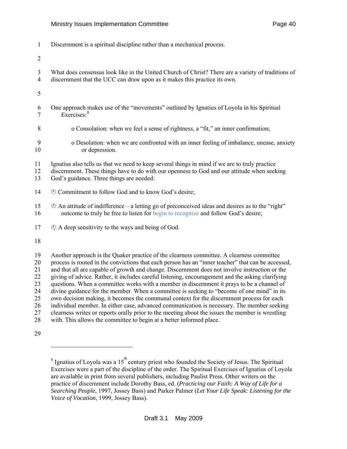<span id="page-39-0"></span>1 Discernment is a spiritual discipline rather than a mechanical process.

2

- 3 What does consensus look like in the United Church of Christ? There are a variety of traditions of 4 discernment that the UCC can draw upon as it makes this practice its own.
- 5
- 6 One approach makes use of the "movements" outlined by Ignatius of Loyola in his Spiritual 7 Exercises:<sup>[8](#page-39-0)</sup>
- 8 o Consolation: when we feel a sense of rightness, a "fit," an inner confirmation;
- 9 o Desolation: when we are confronted with an inner feeling of imbalance, unease, anxiety 10 or depression.
- 11 Ignatius also tells us that we need to keep several things in mind if we are to truly practice
- 12 discernment. These things have to do with our openness to God and our attitude when seeking
- 13 God's guidance. Three things are needed:
- 14  $\circledcirc$  Commitment to follow God and to know God's desire;
- 15  $\otimes$  An attitude of indifference a letting go of preconceived ideas and desires as to the "right" 16 outcome to truly be free to listen for begin to recognize and follow God's desire;
- $17 \quad \circled{S}$  A deep sensitivity to the ways and being of God.

18

19 Another approach is the Quaker practice of the clearness committee. A clearness committee 20 process is rooted in the convictions that each person has an "inner teacher" that can be accessed, 21 and that all are capable of growth and change. Discernment does not involve instruction or the 22 giving of advice. Rather, it includes careful listening, encouragement and the asking clarifying 23 questions. When a committee works with a member in discernment it prays to be a channel of 24 divine guidance for the member. When a committee is seeking to "become of one mind" in its 25 own decision making, it becomes the communal context for the discernment process for each 26 individual member. In either case, advanced communication is necessary. The member seeking 27 clearness writes or reports orally prior to the meeting about the issues the member is wrestling 28 with. This allows the committee to begin at a better informed place.

29

l

<sup>&</sup>lt;sup>8</sup> Ignatius of Loyola was a 15<sup>th</sup> century priest who founded the Society of Jesus. The Spiritual Exercises were a part of the discipline of the order. The Spiritual Exercises of Ignatius of Loyola are available in print from several publishers, including Paulist Press. Other writers on the practice of discernment include Dorothy Bass, ed. (*Practicing our Faith: A Way of Life for a Searching People*, 1997, Jossey Bass) and Parker Palmer (*Let Your Life Speak: Listening for the Voice of Vocation*, 1999, Jossey Bass).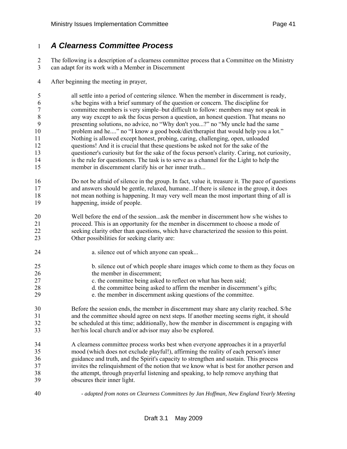#### 1 *A Clearness Committee Process*

2 The following is a description of a clearness committee process that a Committee on the Ministry

- 3 can adapt for its work with a Member in Discernment
- 4 After beginning the meeting in prayer,

5 all settle into a period of centering silence. When the member in discernment is ready, 6 s/he begins with a brief summary of the question or concern. The discipline for 7 committee members is very simple–but difficult to follow: members may not speak in 8 any way except to ask the focus person a question, an honest question. That means no 9 presenting solutions, no advice, no "Why don't you...?" no "My uncle had the same 10 problem and he...." no "I know a good book/diet/therapist that would help you a lot." 11 Nothing is allowed except honest, probing, caring, challenging, open, unloaded 12 questions! And it is crucial that these questions be asked not for the sake of the 13 questioner's curiosity but for the sake of the focus person's clarity. Caring, not curiosity, 14 is the rule for questioners. The task is to serve as a channel for the Light to help the 15 member in discernment clarify his or her inner truth...

- 16 Do not be afraid of silence in the group. In fact, value it, treasure it. The pace of questions 17 and answers should be gentle, relaxed, humane...If there is silence in the group, it does 18 not mean nothing is happening. It may very well mean the most important thing of all is 19 happening, inside of people.
- 20 Well before the end of the session...ask the member in discernment how s/he wishes to 21 proceed. This is an opportunity for the member in discernment to choose a mode of 22 seeking clarity other than questions, which have characterized the session to this point. 23 Other possibilities for seeking clarity are:
- 24 **a.** silence out of which anyone can speak...
- 25 b. silence out of which people share images which come to them as they focus on 26 the member in discernment:
- 27 c. the committee being asked to reflect on what has been said;
- 28 d. the committee being asked to affirm the member in discernment's gifts;
- 29 e. the member in discernment asking questions of the committee.
- 30 Before the session ends, the member in discernment may share any clarity reached. S/he 31 and the committee should agree on next steps. If another meeting seems right, it should 32 be scheduled at this time; additionally, how the member in discernment is engaging with 33 her/his local church and/or advisor may also be explored.
- 34 A clearness committee process works best when everyone approaches it in a prayerful 35 mood (which does not exclude playful!), affirming the reality of each person's inner 36 guidance and truth, and the Spirit's capacity to strengthen and sustain. This process 37 invites the relinquishment of the notion that we know what is best for another person and 38 the attempt, through prayerful listening and speaking, to help remove anything that 39 obscures their inner light.
- 

40 *- adapted from notes on Clearness Committees by Jan Hoffman, New England Yearly Meeting*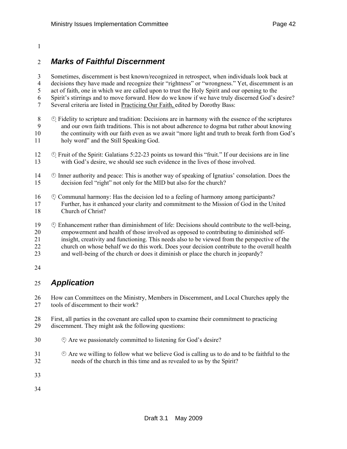#### 1

#### 2 *Marks of Faithful Discernment*

3 Sometimes, discernment is best known/recognized in retrospect, when individuals look back at 4 decisions they have made and recognize their "rightness" or "wrongness." Yet, discernment is an 5 act of faith, one in which we are called upon to trust the Holy Spirit and our opening to the 6 Spirit's stirrings and to move forward. How do we know if we have truly discerned God's desire? 7 Several criteria are listed in Practicing Our Faith, edited by Dorothy Bass:

- $8 \circ$  Fidelity to scripture and tradition: Decisions are in harmony with the essence of the scriptures 9 and our own faith traditions. This is not about adherence to dogma but rather about knowing 10 the continuity with our faith even as we await "more light and truth to break forth from God's 11 holy word" and the Still Speaking God.
- 12  $\circ$  Fruit of the Spirit: Galatians 5:22-23 points us toward this "fruit." If our decisions are in line 13 with God's desire, we should see such evidence in the lives of those involved.
- 14  $\circ$  Inner authority and peace: This is another way of speaking of Ignatius' consolation. Does the 15 decision feel "right" not only for the MID but also for the church?
- 16 \ \ Communal harmony: Has the decision led to a feeling of harmony among participants? 17 Further, has it enhanced your clarity and commitment to the Mission of God in the United 18 Church of Christ?
- 19  $\circ$  Enhancement rather than diminishment of life: Decisions should contribute to the well-being, 20 empowerment and health of those involved as opposed to contributing to diminished self-21 insight, creativity and functioning. This needs also to be viewed from the perspective of the 22 church on whose behalf we do this work. Does your decision contribute to the overall health 23 and well-being of the church or does it diminish or place the church in jeopardy?
- 24

### 25 *Application*

26 How can Committees on the Ministry, Members in Discernment, and Local Churches apply the 27 tools of discernment to their work?

- 28 First, all parties in the covenant are called upon to examine their commitment to practicing 29 discernment. They might ask the following questions:
- 30  $\Diamond$  Are we passionately committed to listening for God's desire?
- $31 \quad \circled{}$  Are we willing to follow what we believe God is calling us to do and to be faithful to the 32 needs of the church in this time and as revealed to us by the Spirit?
- 33
- 34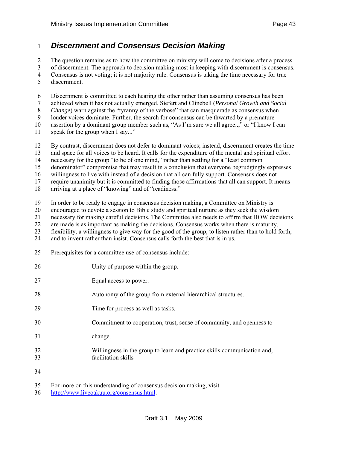#### 1 *Discernment and Consensus Decision Making*

2 The question remains as to how the committee on ministry will come to decisions after a process 3 of discernment. The approach to decision making most in keeping with discernment is consensus. 4 Consensus is not voting; it is not majority rule. Consensus is taking the time necessary for true

5 discernment.

6 Discernment is committed to each hearing the other rather than assuming consensus has been

7 achieved when it has not actually emerged. Siefert and Clinebell (*Personal Growth and Social* 

8 *Change*) warn against the "tyranny of the verbose" that can masquerade as consensus when

9 louder voices dominate. Further, the search for consensus can be thwarted by a premature

10 assertion by a dominant group member such as, "As I'm sure we all agree..," or "I know I can

11 speak for the group when I say..."

12 By contrast, discernment does not defer to dominant voices; instead, discernment creates the time

13 and space for all voices to be heard. It calls for the expenditure of the mental and spiritual effort

14 necessary for the group "to be of one mind," rather than settling for a "least common

15 denominator" compromise that may result in a conclusion that everyone begrudgingly expresses

16 willingness to live with instead of a decision that all can fully support. Consensus does not

17 require unanimity but it is committed to finding those affirmations that all can support. It means

18 arriving at a place of "knowing" and of "readiness."

19 In order to be ready to engage in consensus decision making, a Committee on Ministry is

20 encouraged to devote a session to Bible study and spiritual nurture as they seek the wisdom

21 necessary for making careful decisions. The Committee also needs to affirm that HOW decisions

22 are made is as important as making the decisions. Consensus works when there is maturity,

23 flexibility, a willingness to give way for the good of the group, to listen rather than to hold forth,

24 and to invent rather than insist. Consensus calls forth the best that is in us.

25 Prerequisites for a committee use of consensus include:

| 26       | Unity of purpose within the group.                                                              |
|----------|-------------------------------------------------------------------------------------------------|
| 27       | Equal access to power.                                                                          |
| 28       | Autonomy of the group from external hierarchical structures.                                    |
| 29       | Time for process as well as tasks.                                                              |
| 30       | Commitment to cooperation, trust, sense of community, and openness to                           |
| 31       | change.                                                                                         |
| 32<br>33 | Willingness in the group to learn and practice skills communication and,<br>facilitation skills |
| 34       |                                                                                                 |

35 For more on this understanding of consensus decision making, visit

36 <http://www.liveoakuu.org/consensus.html>.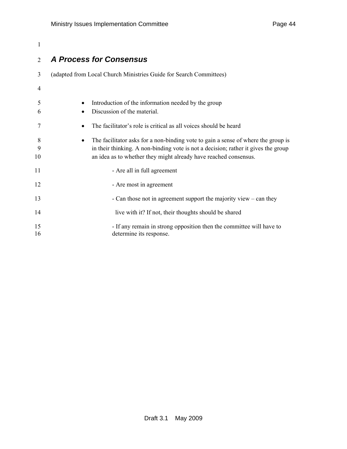# 1

## 2 *A Process for Consensus*

| 3            | (adapted from Local Church Ministries Guide for Search Committees)                                                                                                                                                                                       |
|--------------|----------------------------------------------------------------------------------------------------------------------------------------------------------------------------------------------------------------------------------------------------------|
| 4            |                                                                                                                                                                                                                                                          |
| 5<br>6       | Introduction of the information needed by the group<br>٠<br>Discussion of the material.<br>$\bullet$                                                                                                                                                     |
| 7            | The facilitator's role is critical as all voices should be heard<br>٠                                                                                                                                                                                    |
| 8<br>9<br>10 | The facilitator asks for a non-binding vote to gain a sense of where the group is<br>$\bullet$<br>in their thinking. A non-binding vote is not a decision; rather it gives the group<br>an idea as to whether they might already have reached consensus. |
| 11           | - Are all in full agreement                                                                                                                                                                                                                              |
| 12           | - Are most in agreement                                                                                                                                                                                                                                  |
| 13           | - Can those not in agreement support the majority view $-$ can they                                                                                                                                                                                      |
| 14           | live with it? If not, their thoughts should be shared                                                                                                                                                                                                    |
| 15<br>16     | - If any remain in strong opposition then the committee will have to<br>determine its response.                                                                                                                                                          |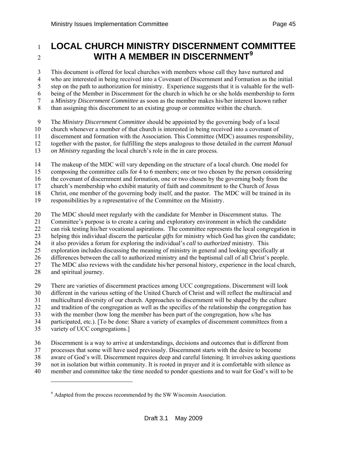# <span id="page-44-0"></span><sup>1</sup>**LOCAL CHURCH MINISTRY DISCERNMENT COMMITTEE WITH A MEMBER IN DISCERNMENT[9](#page-44-0)** <sup>2</sup>

3 This document is offered for local churches with members whose call they have nurtured and 4 who are interested in being received into a Covenant of Discernment and Formation as the initial 5 step on the path to authorization for ministry. Experience suggests that it is valuable for the well-6 being of the Member in Discernment for the church in which he or she holds membership to form 7 a *Ministry Discernment Committee* as soon as the member makes his/her interest known rather

- 8 than assigning this discernment to an existing group or committee within the church.
- 9 The *Ministry Discernment Committee* should be appointed by the governing body of a local
- 10 church whenever a member of that church is interested in being received into a covenant of
- 11 discernment and formation with the Association. This Committee (MDC) assumes responsibility,
- 12 together with the pastor, for fulfilling the steps analogous to those detailed in the current *Manual*
- 13 *on Ministry* regarding the local church's role in the in care process.
- 14 The makeup of the MDC will vary depending on the structure of a local church. One model for
- 15 composing the committee calls for 4 to 6 members; one or two chosen by the person considering

16 the covenant of discernment and formation, one or two chosen by the governing body from the

17 church's membership who exhibit maturity of faith and commitment to the Church of Jesus

18 Christ, one member of the governing body itself, and the pastor. The MDC will be trained in its

- 19 responsibilities by a representative of the Committee on the Ministry.
- 20 The MDC should meet regularly with the candidate for Member in Discernment status. The
- 21 Committee's purpose is to create a caring and exploratory environment in which the candidate
- 22 can risk testing his/her vocational aspirations. The committee represents the local congregation in
- 23 helping this individual discern the particular *gifts* for ministry which God has given the candidate;
- 24 it also provides a forum for exploring the individual's *call* to *authorized* ministry. This
- 25 exploration includes discussing the meaning of ministry in general and looking specifically at
- 26 differences between the call to authorized ministry and the baptismal call of all Christ's people.
- 27 The MDC also reviews with the candidate his/her personal history, experience in the local church,
- 28 and spiritual journey.

l

- 29 There are varieties of discernment practices among UCC congregations. Discernment will look
- 30 different in the various setting of the United Church of Christ and will reflect the multiracial and
- 31 multicultural diversity of our church. Approaches to discernment will be shaped by the culture
- 32 and tradition of the congregation as well as the specifics of the relationship the congregation has
- 33 with the member (how long the member has been part of the congregation, how s/he has
- 34 participated, etc.). [To be done: Share a variety of examples of discernment committees from a
- 35 variety of UCC congregations.]
- 36 Discernment is a way to arrive at understandings, decisions and outcomes that is different from
- 37 processes that some will have used previously. Discernment starts with the desire to become
- 38 aware of God's will. Discernment requires deep and careful listening. It involves asking questions
- 39 not in isolation but within community. It is rooted in prayer and it is comfortable with silence as
- 40 member and committee take the time needed to ponder questions and to wait for God's will to be

<sup>&</sup>lt;sup>9</sup> Adapted from the process recommended by the SW Wisconsin Association.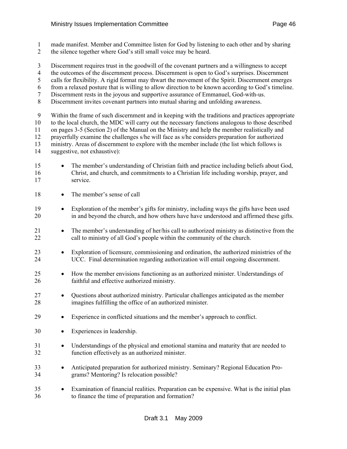1 made manifest. Member and Committee listen for God by listening to each other and by sharing 2 the silence together where God's still small voice may be heard.

- 3 Discernment requires trust in the goodwill of the covenant partners and a willingness to accept
- 4 the outcomes of the discernment process. Discernment is open to God's surprises. Discernment
- 5 calls for flexibility. A rigid format may thwart the movement of the Spirit. Discernment emerges
- 6 from a relaxed posture that is willing to allow direction to be known according to God's timeline.
- 7 Discernment rests in the joyous and supportive assurance of Emmanuel, God-with-us.
- 8 Discernment invites covenant partners into mutual sharing and unfolding awareness.

9 Within the frame of such discernment and in keeping with the traditions and practices appropriate

10 to the local church, the MDC will carry out the necessary functions analogous to those described 11 on pages 3-5 (Section 2) of the Manual on the Ministry and help the member realistically and

- 12 prayerfully examine the challenges s/he will face as s/he considers preparation for authorized
- 13 ministry. Areas of discernment to explore with the member include (the list which follows is
- 14 suggestive, not exhaustive):
- 15 The member's understanding of Christian faith and practice including beliefs about God, 16 Christ, and church, and commitments to a Christian life including worship, prayer, and 17 service.
- 18 The member's sense of call
- 19 Exploration of the member's gifts for ministry, including ways the gifts have been used 20 in and beyond the church, and how others have have understood and affirmed these gifts.
- 21 The member's understanding of her/his call to authorized ministry as distinctive from the 22 call to ministry of all God's people within the community of the church.
- 23 Exploration of licensure, commissioning and ordination, the authorized ministries of the 24 UCC. Final determination regarding authorization will entail ongoing discernment.
- 25 How the member envisions functioning as an authorized minister. Understandings of 26 faithful and effective authorized ministry.
- 27 Questions about authorized ministry. Particular challenges anticipated as the member 28 imagines fulfilling the office of an authorized minister.
- 29 Experience in conflicted situations and the member's approach to conflict.
- 30 Experiences in leadership.
- 31 Understandings of the physical and emotional stamina and maturity that are needed to 32 function effectively as an authorized minister.
- 33 Anticipated preparation for authorized ministry. Seminary? Regional Education Pro-34 grams? Mentoring? Is relocation possible?
- 35 Examination of financial realities. Preparation can be expensive. What is the initial plan 36 to finance the time of preparation and formation?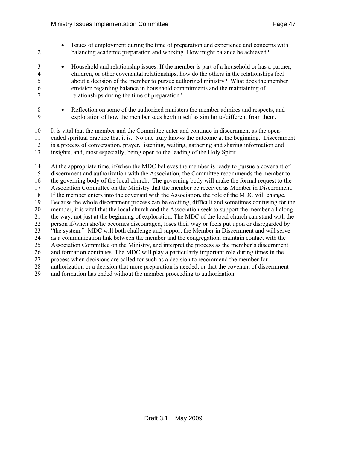- 1 Issues of employment during the time of preparation and experience and concerns with 2 balancing academic preparation and working. How might balance be achieved?
- 3 Household and relationship issues. If the member is part of a household or has a partner, 4 children, or other covenantal relationships, how do the others in the relationships feel 5 about a decision of the member to pursue authorized ministry? What does the member 6 envision regarding balance in household commitments and the maintaining of 7 relationships during the time of preparation?
- 8 Reflection on some of the authorized ministers the member admires and respects, and 9 exploration of how the member sees her/himself as similar to/different from them.
- 10 It is vital that the member and the Committee enter and continue in discernment as the open-11 ended spiritual practice that it is. No one truly knows the outcome at the beginning. Discernment 12 is a process of conversation, prayer, listening, waiting, gathering and sharing information and 13 insights, and, most especially, being open to the leading of the Holy Spirit.
- 14 At the appropriate time, if/when the MDC believes the member is ready to pursue a covenant of 15 discernment and authorization with the Association, the Committee recommends the member to 16 the governing body of the local church. The governing body will make the formal request to the 17 Association Committee on the Ministry that the member be received as Member in Discernment. 18 If the member enters into the covenant with the Association, the role of the MDC will change. 19 Because the whole discernment process can be exciting, difficult and sometimes confusing for the 20 member, it is vital that the local church and the Association seek to support the member all along 21 the way, not just at the beginning of exploration. The MDC of the local church can stand with the 22 person if/when she/he becomes discouraged, loses their way or feels put upon or disregarded by 23 "the system." MDC will both challenge and support the Member in Discernment and will serve 24 as a communication link between the member and the congregation, maintain contact with the 25 Association Committee on the Ministry, and interpret the process as the member's discernment 26 and formation continues. The MDC will play a particularly important role during times in the 27 process when decisions are called for such as a decision to recommend the member for 28 authorization or a decision that more preparation is needed, or that the covenant of discernment 29 and formation has ended without the member proceeding to authorization.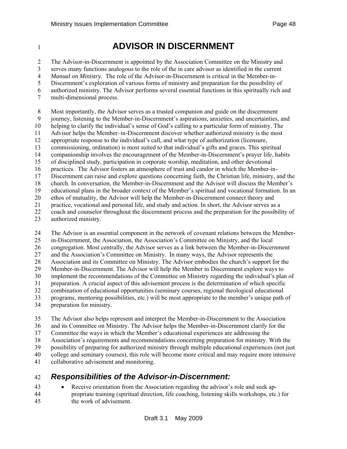# <sup>1</sup>**ADVISOR IN DISCERNMENT**

2 The Advisor-in-Discernment is appointed by the Association Committee on the Ministry and 3 serves many functions analogous to the role of the in care advisor as identified in the current 4 *Manual on Ministry.* The role of the Advisor-in-Discernment is critical in the Member-in-5 Discernment's exploration of various forms of ministry and preparation for the possibility of 6 authorized ministry. The Advisor performs several essential functions in this spiritually rich and 7 multi-dimensional process.

8 Most importantly, the Advisor serves as a trusted companion and guide on the discernment

9 journey, listening to the Member-in-Discernment's aspirations, anxieties, and uncertainties, and

10 helping to clarify the individual's sense of God's calling to a particular form of ministry. The

11 Advisor helps the Member–in-Discernment discover whether authorized ministry is the most

12 appropriate response to the individual's call, and what type of authorization (licensure,

13 commissioning, ordination) is most suited to that individual's gifts and graces. This spiritual 14 companionship involves the encouragement of the Member-in-Discernment's prayer life, habits

15 of disciplined study, participation in corporate worship, meditation, and other devotional

16 practices. The Advisor fosters an atmosphere of trust and candor in which the Member-in-

17 Discernment can raise and explore questions concerning faith, the Christian life, ministry, and the

18 church. In conversation, the Member-in-Discernment and the Advisor will discuss the Member's

19 educational plans in the broader context of the Member's spiritual and vocational formation. In an

20 ethos of mutuality, the Advisor will help the Member-in-Discernment connect theory and

- 21 practice, vocational and personal life, and study and action. In short, the Advisor serves as a
- 22 coach and counselor throughout the discernment process and the preparation for the possibility of
- 23 authorized ministry.

24 The Advisor is an essential component in the network of covenant relations between the Member-

25 in-Discernment, the Association, the Association's Committee on Ministry, and the local

26 congregation. Most centrally, the Advisor serves as a link between the Member-in-Discernment

27 and the Association's Committee on Ministry. In many ways, the Advisor represents the

28 Association and its Committee on Ministry. The Advisor embodies the church's support for the

29 Member-in-Discernment. The Advisor will help the Member in Discernment explore ways to

30 implement the recommendations of the Committee on Ministry regarding the individual's plan of

31 preparation. A crucial aspect of this advisement process is the determination of which specific

32 combination of educational opportunities (seminary courses, regional theological educational

33 programs, mentoring possibilities, etc.) will be most appropriate to the member's unique path of 34 preparation for ministry.

35 The Advisor also helps represent and interpret the Member-in-Discernment to the Association

36 and its Committee on Ministry. The Advisor helps the Member-in-Discernment clarify for the

37 Committee the ways in which the Member's educational experiences are addressing the

38 Association's requirements and recommendations concerning preparation for ministry. With the

39 possibility of preparing for authorized ministry through multiple educational experiences (not just

40 college and seminary courses), this role will become more critical and may require more intensive

41 collaborative advisement and monitoring.

# 42 *Responsibilities of the Advisor-in-Discernment:*

43 • Receive orientation from the Association regarding the advisor's role and seek ap-44 propriate training (spiritual direction, life coaching, listening skills workshops, etc.) for 45 the work of advisement.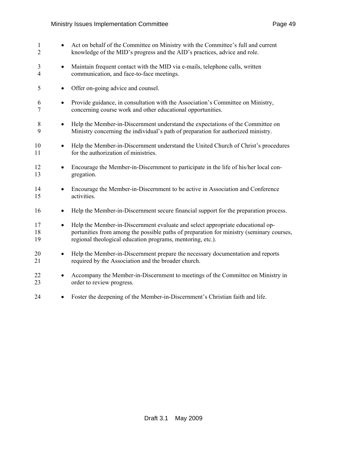| $\mathbf{1}$<br>$\overline{2}$ | $\bullet$ | Act on behalf of the Committee on Ministry with the Committee's full and current<br>knowledge of the MID's progress and the AID's practices, advice and role.                                                                            |
|--------------------------------|-----------|------------------------------------------------------------------------------------------------------------------------------------------------------------------------------------------------------------------------------------------|
| 3<br>4                         | $\bullet$ | Maintain frequent contact with the MID via e-mails, telephone calls, written<br>communication, and face-to-face meetings.                                                                                                                |
| 5                              | $\bullet$ | Offer on-going advice and counsel.                                                                                                                                                                                                       |
| 6<br>7                         | $\bullet$ | Provide guidance, in consultation with the Association's Committee on Ministry,<br>concerning course work and other educational opportunities.                                                                                           |
| 8<br>9                         | $\bullet$ | Help the Member-in-Discernment understand the expectations of the Committee on<br>Ministry concerning the individual's path of preparation for authorized ministry.                                                                      |
| 10<br>11                       |           | Help the Member-in-Discernment understand the United Church of Christ's procedures<br>for the authorization of ministries.                                                                                                               |
| 12<br>13                       | ٠         | Encourage the Member-in-Discernment to participate in the life of his/her local con-<br>gregation.                                                                                                                                       |
| 14<br>15                       | $\bullet$ | Encourage the Member-in-Discernment to be active in Association and Conference<br>activities.                                                                                                                                            |
| 16                             | $\bullet$ | Help the Member-in-Discernment secure financial support for the preparation process.                                                                                                                                                     |
| 17<br>18<br>19                 | $\bullet$ | Help the Member-in-Discernment evaluate and select appropriate educational op-<br>portunities from among the possible paths of preparation for ministry (seminary courses,<br>regional theological education programs, mentoring, etc.). |
| 20<br>21                       | ٠         | Help the Member-in-Discernment prepare the necessary documentation and reports<br>required by the Association and the broader church.                                                                                                    |
| 22<br>23                       |           | Accompany the Member-in-Discernment to meetings of the Committee on Ministry in<br>order to review progress.                                                                                                                             |
| 24                             | $\bullet$ | Foster the deepening of the Member-in-Discernment's Christian faith and life.                                                                                                                                                            |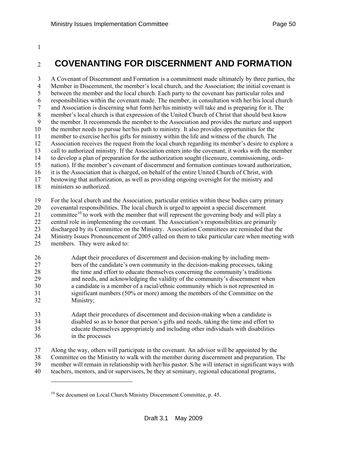#### <span id="page-49-0"></span>1

# <sup>2</sup>**COVENANTING FOR DISCERNMENT AND FORMATION**

3 A Covenant of Discernment and Formation is a commitment made ultimately by three parties, the 4 Member in Discernment, the member's local church, and the Association; the initial covenant is 5 between the member and the local church. Each party to the covenant has particular roles and 6 responsibilities within the covenant made. The member, in consultation with her/his local church 7 and Association is discerning what form her/his ministry will take and is preparing for it. The 8 member's local church is that expression of the United Church of Christ that should best know 9 the member. It recommends the member to the Association and provides the nurture and support 10 the member needs to pursue her/his path to ministry. It also provides opportunities for the 11 member to exercise her/his gifts for ministry within the life and witness of the church. The 12 Association receives the request from the local church regarding its member's desire to explore a 13 call to authorized ministry. If the Association enters into the covenant, it works with the member 14 to develop a plan of preparation for the authorization sought (licensure, commissioning, ordi-15 nation). If the member's covenant of discernment and formation continues toward authorization, 16 it is the Association that is charged, on behalf of the entire United Church of Christ, with 17 bestowing that authorization, as well as providing ongoing oversight for the ministry and 18 ministers so authorized. 19 For the local church and the Association, particular entities within these bodies carry primary

20 covenantal responsibilities. The local church is urged to appoint a special discernment

2[1](#page-49-0) committee<sup>10</sup> to work with the member that will represent the governing body and will play a

22 central role in implementing the covenant. The Association's responsibilities are primarily

23 discharged by its Committee on the Ministry. Association Committees are reminded that the

24 Ministry Issues Pronouncement of 2005 called on them to take particular care when meeting with

25 members. They were asked to:

-

#### 26 Adapt their procedures of discernment and decision-making by including mem-27 bers of the candidate's own community in the decision-making processes, taking 28 the time and effort to educate themselves concerning the community's traditions 29 and needs, and acknowledging the validity of the community's discernment when 30 a candidate is a member of a racial/ethnic community which is not represented in 31 significant numbers (50% or more) among the members of the Committee on the 32 Ministry;

33 Adapt their procedures of discernment and decision-making when a candidate is 34 disabled so as to honor that person's gifts and needs, taking the time and effort to 35 educate themselves appropriately and including other individuals with disabilities 36 in the processes

37 Along the way, others will participate in the covenant. An advisor will be appointed by the 38 Committee on the Ministry to walk with the member during discernment and preparation. The 39 member will remain in relationship with her/his pastor. S/he will interact in significant ways with 40 teachers, mentors, and/or supervisors, be they at seminary, regional educational programs,

<sup>&</sup>lt;sup>10</sup> See document on Local Church Ministry Discernment Committee, p. 45.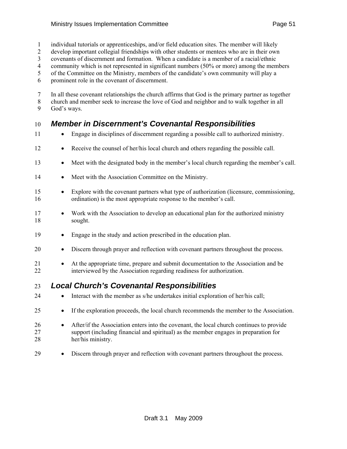- 1 individual tutorials or apprenticeships, and/or field education sites. The member will likely
- 2 develop important collegial friendships with other students or mentees who are in their own
- 3 covenants of discernment and formation. When a candidate is a member of a racial/ethnic
- 4 community which is not represented in significant numbers (50% or more) among the members
- 5 of the Committee on the Ministry, members of the candidate's own community will play a
- 6 prominent role in the covenant of discernment.
- 7 In all these covenant relationships the church affirms that God is the primary partner as together 8 church and member seek to increase the love of God and neighbor and to walk together in all
- 9 God's ways.

# 10 *Member in Discernment's Covenantal Responsibilities*

- 11 Engage in disciplines of discernment regarding a possible call to authorized ministry.
- 12 Receive the counsel of her/his local church and others regarding the possible call.
- 13 Meet with the designated body in the member's local church regarding the member's call.
- 14 Meet with the Association Committee on the Ministry.
- 15 Explore with the covenant partners what type of authorization (licensure, commissioning, 16 ordination) is the most appropriate response to the member's call.
- 17 Work with the Association to develop an educational plan for the authorized ministry 18 sought.
- 19 Engage in the study and action prescribed in the education plan.
- 20 Discern through prayer and reflection with covenant partners throughout the process.
- 21 At the appropriate time, prepare and submit documentation to the Association and be 22 interviewed by the Association regarding readiness for authorization.

## 23 *Local Church's Covenantal Responsibilities*

- 24 Interact with the member as s/he undertakes initial exploration of her/his call;
- 25 If the exploration proceeds, the local church recommends the member to the Association.
- 26 After/if the Association enters into the covenant, the local church continues to provide 27 support (including financial and spiritual) as the member engages in preparation for 28 her/his ministry.
- 29 Discern through prayer and reflection with covenant partners throughout the process.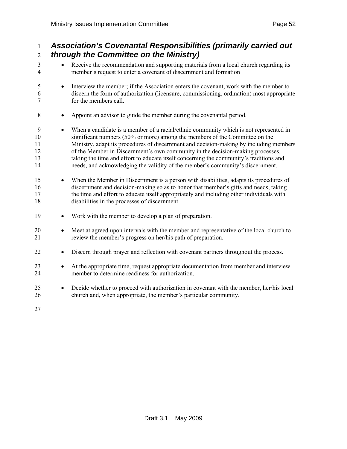## 1 *Association's Covenantal Responsibilities (primarily carried out*  2 *through the Committee on the Ministry)*  3 • Receive the recommendation and supporting materials from a local church regarding its 4 member's request to enter a covenant of discernment and formation 5 • Interview the member; if the Association enters the covenant, work with the member to 6 discern the form of authorization (licensure, commissioning, ordination) most appropriate 7 for the members call. 8 • Appoint an advisor to guide the member during the covenantal period. 9 • When a candidate is a member of a racial/ethnic community which is not represented in 10 significant numbers (50% or more) among the members of the Committee on the 11 Ministry, adapt its procedures of discernment and decision-making by including members 12 of the Member in Discernment's own community in the decision-making processes, 13 taking the time and effort to educate itself concerning the community's traditions and 14 needs, and acknowledging the validity of the member's community's discernment. 15 • When the Member in Discernment is a person with disabilities, adapts its procedures of 16 discernment and decision-making so as to honor that member's gifts and needs, taking 17 the time and effort to educate itself appropriately and including other individuals with 18 disabilities in the processes of discernment. 19 • Work with the member to develop a plan of preparation. 20 • Meet at agreed upon intervals with the member and representative of the local church to 21 review the member's progress on her/his path of preparation. 22 • Discern through prayer and reflection with covenant partners throughout the process. 23 • At the appropriate time, request appropriate documentation from member and interview 24 member to determine readiness for authorization. 25 • Decide whether to proceed with authorization in covenant with the member, her/his local 26 church and, when appropriate, the member's particular community. 27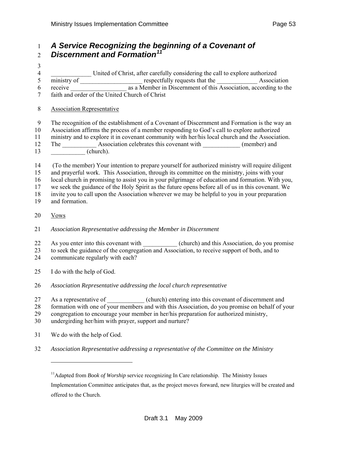## <span id="page-52-0"></span>1 *A Service Recognizing the beginning of a Covenant of Discernment and Formation[1](#page-52-0)1* <sup>2</sup>

- 3 4 \_\_\_\_\_\_\_\_\_\_\_\_\_ United of Christ, after carefully considering the call to explore authorized 5 ministry of <u>equests</u> respectfully requests that the **Equation** Association 6 receive \_\_\_\_\_\_\_\_\_\_\_\_\_\_\_\_\_\_ as a Member in Discernment of this Association, according to the 7 faith and order of the United Church of Christ
- 8 Association Representative
- 9 The recognition of the establishment of a Covenant of Discernment and Formation is the way an
- 10 Association affirms the process of a member responding to God's call to explore authorized
- 11 ministry and to explore it in covenant community with her/his local church and the Association. 12 The Association celebrates this covenant with (member) and
- 13 \_\_\_\_\_\_\_ (church).
- 14 (To the member) Your intention to prepare yourself for authorized ministry will require diligent
- 15 and prayerful work. This Association, through its committee on the ministry, joins with your
- 16 local church in promising to assist you in your pilgrimage of education and formation. With you,
- 17 we seek the guidance of the Holy Spirit as the future opens before all of us in this covenant. We
- 18 invite you to call upon the Association wherever we may be helpful to you in your preparation
- 19 and formation.
- 20 Vows

l

- 21 *Association Representative addressing the Member in Discernment*
- 22 As you enter into this covenant with (church) and this Association, do you promise
- 23 to seek the guidance of the congregation and Association, to receive support of both, and to
- 24 communicate regularly with each?
- 25 I do with the help of God.
- 26 *Association Representative addressing the local church representative*
- 27 As a representative of \_\_\_\_\_\_\_\_\_\_\_ (church) entering into this covenant of discernment and
- 28 formation with one of your members and with this Association, do you promise on behalf of your
- 29 congregation to encourage your member in her/his preparation for authorized ministry,
- 30 undergirding her/him with prayer, support and nurture?
- 31 We do with the help of God.
- 32 *Association Representative addressing a representative of the Committee on the Ministry*

<sup>&</sup>lt;sup>11</sup>Adapted from *Book of Worship* service recognizing In Care relationship. The Ministry Issues Implementation Committee anticipates that, as the project moves forward, new liturgies will be created and offered to the Church.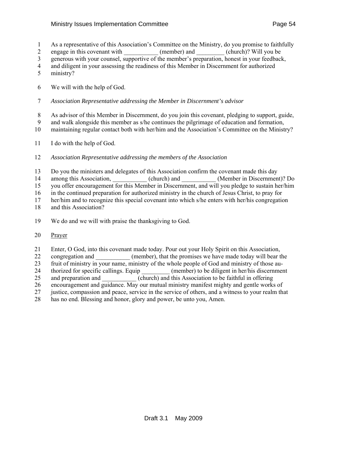- 1 As a representative of this Association's Committee on the Ministry, do you promise to faithfully
- 2 engage in this covenant with (member) and (church)? Will you be
- 3 generous with your counsel, supportive of the member's preparation, honest in your feedback,
- 4 and diligent in your assessing the readiness of this Member in Discernment for authorized
- 5 ministry?
- 6 We will with the help of God.
- 7 *Association Representative addressing the Member in Discernment's advisor*
- 8 As advisor of this Member in Discernment, do you join this covenant, pledging to support, guide,
- 9 and walk alongside this member as s/he continues the pilgrimage of education and formation,
- 10 maintaining regular contact both with her/him and the Association's Committee on the Ministry?
- 11 I do with the help of God.
- 12 *Association Representative addressing the members of the Association*
- 13 Do you the ministers and delegates of this Association confirm the covenant made this day
- 14 among this Association, (church) and (Member in Discernment)? Do
- 15 you offer encouragement for this Member in Discernment, and will you pledge to sustain her/him
- 16 in the continued preparation for authorized ministry in the church of Jesus Christ, to pray for
- 17 her/him and to recognize this special covenant into which s/he enters with her/his congregation
- 18 and this Association?
- 19 We do and we will with praise the thanksgiving to God.
- 20 Prayer
- 21 Enter, O God, into this covenant made today. Pour out your Holy Spirit on this Association,
- 22 congregation and (member), that the promises we have made today will bear the
- 23 fruit of ministry in your name, ministry of the whole people of God and ministry of those au-
- 24 thorized for specific callings. Equip (member) to be diligent in her/his discernment
- 25 and preparation and (church) and this Association to be faithful in offering
- 26 encouragement and guidance. May our mutual ministry manifest mighty and gentle works of
- 27 justice, compassion and peace, service in the service of others, and a witness to your realm that
- 28 has no end. Blessing and honor, glory and power, be unto you, Amen.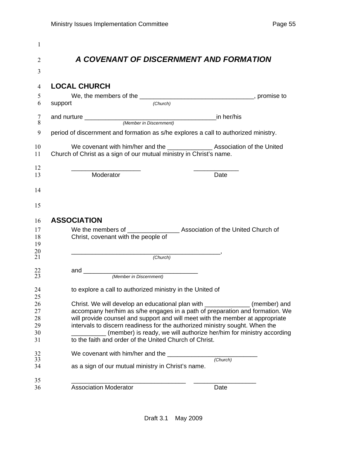|         |                                                                     | A COVENANT OF DISCERNMENT AND FORMATION                                             |
|---------|---------------------------------------------------------------------|-------------------------------------------------------------------------------------|
|         |                                                                     |                                                                                     |
|         | <b>LOCAL CHURCH</b>                                                 |                                                                                     |
|         |                                                                     |                                                                                     |
| support |                                                                     | (Church)                                                                            |
|         |                                                                     |                                                                                     |
|         |                                                                     |                                                                                     |
|         |                                                                     | period of discernment and formation as s/he explores a call to authorized ministry. |
|         |                                                                     | We covenant with him/her and the __________________ Association of the United       |
|         | Church of Christ as a sign of our mutual ministry in Christ's name. |                                                                                     |
|         | Moderator                                                           | Date                                                                                |
|         |                                                                     |                                                                                     |
|         |                                                                     |                                                                                     |
|         |                                                                     |                                                                                     |
|         | <b>ASSOCIATION</b>                                                  |                                                                                     |
|         |                                                                     | We the members of ______________________ Association of the United Church of        |
|         | Christ, covenant with the people of                                 |                                                                                     |
|         |                                                                     |                                                                                     |
|         | (Church)                                                            |                                                                                     |
|         |                                                                     |                                                                                     |
|         |                                                                     |                                                                                     |
|         | to explore a call to authorized ministry in the United of           |                                                                                     |
|         |                                                                     |                                                                                     |
|         |                                                                     | Christ. We will develop an educational plan with _____________<br>(member) and      |
|         |                                                                     | accompany her/him as s/he engages in a path of preparation and formation. We        |
|         |                                                                     | will provide counsel and support and will meet with the member at appropriate       |
|         |                                                                     | intervals to discern readiness for the authorized ministry sought. When the         |
|         | to the faith and order of the United Church of Christ.              | (member) is ready, we will authorize her/him for ministry according                 |
|         |                                                                     |                                                                                     |
|         | We covenant with him/her and the __                                 | (Church)                                                                            |
|         | as a sign of our mutual ministry in Christ's name.                  |                                                                                     |
|         |                                                                     |                                                                                     |
|         | <b>Association Moderator</b>                                        | Date                                                                                |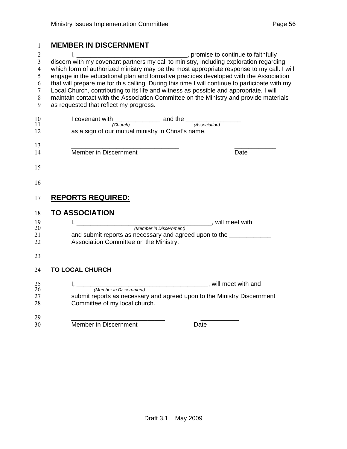## **MEMBER IN DISCERNMENT**

| $\overline{2}$ |                                                                                                |                       |
|----------------|------------------------------------------------------------------------------------------------|-----------------------|
| $\overline{3}$ | discern with my covenant partners my call to ministry, including exploration regarding         |                       |
| $\overline{4}$ | which form of authorized ministry may be the most appropriate response to my call. I will      |                       |
| 5              | engage in the educational plan and formative practices developed with the Association          |                       |
| 6              | that will prepare me for this calling. During this time I will continue to participate with my |                       |
| $\tau$         | Local Church, contributing to its life and witness as possible and appropriate. I will         |                       |
| 8              | maintain contact with the Association Committee on the Ministry and provide materials          |                       |
| 9              | as requested that reflect my progress.                                                         |                       |
|                |                                                                                                |                       |
| 10             |                                                                                                |                       |
| 11             | I covenant with (Church) and the (Association)                                                 |                       |
| 12             | as a sign of our mutual ministry in Christ's name.                                             |                       |
|                |                                                                                                |                       |
| 13             |                                                                                                |                       |
| 14             | Member in Discernment                                                                          | Date                  |
|                |                                                                                                |                       |
| 15             |                                                                                                |                       |
|                |                                                                                                |                       |
| 16             |                                                                                                |                       |
|                |                                                                                                |                       |
|                |                                                                                                |                       |
| 17             | <u>REPORTS REQUIRED:</u>                                                                       |                       |
|                | <b>TO ASSOCIATION</b>                                                                          |                       |
| 18             |                                                                                                |                       |
| 19             | <u>1, ___________________________________</u>                                                  | <b>will meet with</b> |
| 20             | (Member in Discernment)                                                                        |                       |
| 21             | and submit reports as necessary and agreed upon to the ____________                            |                       |
| 22             | Association Committee on the Ministry.                                                         |                       |
|                |                                                                                                |                       |
| 23             |                                                                                                |                       |
|                |                                                                                                |                       |
| 24             | <b>TO LOCAL CHURCH</b>                                                                         |                       |
|                |                                                                                                |                       |
| 25<br>26       |                                                                                                |                       |
| 27             | submit reports as necessary and agreed upon to the Ministry Discernment                        |                       |
|                |                                                                                                |                       |
| 28             | Committee of my local church.                                                                  |                       |
|                |                                                                                                |                       |
| 29             |                                                                                                |                       |
| 30             | Member in Discernment                                                                          | Date                  |
|                |                                                                                                |                       |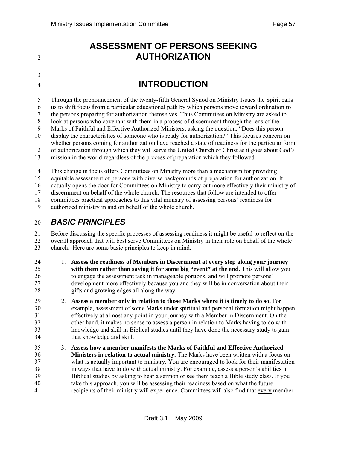<sup>1</sup>**ASSESSMENT OF PERSONS SEEKING**  2 **AUTHORIZATION** 3 <sup>4</sup>**INTRODUCTION**  5 Through the pronouncement of the twenty-fifth General Synod on Ministry Issues the Spirit calls 6 us to shift focus **from** a particular educational path by which persons move toward ordination **to** 7 the persons preparing for authorization themselves. Thus Committees on Ministry are asked to 8 look at persons who covenant with them in a process of discernment through the lens of the 9 Marks of Faithful and Effective Authorized Ministers, asking the question, "Does this person 10 display the characteristics of someone who is ready for authorization?" This focuses concern on 11 whether persons coming for authorization have reached a state of readiness for the particular form 12 of authorization through which they will serve the United Church of Christ as it goes about God's 13 mission in the world regardless of the process of preparation which they followed. 14 This change in focus offers Committees on Ministry more than a mechanism for providing 15 equitable assessment of persons with diverse backgrounds of preparation for authorization. It 16 actually opens the door for Committees on Ministry to carry out more effectively their ministry of 17 discernment on behalf of the whole church. The resources that follow are intended to offer

18 committees practical approaches to this vital ministry of assessing persons' readiness for

19 authorized ministry in and on behalf of the whole church.

## 20 *BASIC PRINCIPLES*

21 Before discussing the specific processes of assessing readiness it might be useful to reflect on the 22 overall approach that will best serve Committees on Ministry in their role on behalf of the whole 23 church. Here are some basic principles to keep in mind.

- 24 1. **Assess the readiness of Members in Discernment at every step along your journey**  25 **with them rather than saving it for some big "event" at the end.** This will allow you 26 to engage the assessment task in manageable portions, and will promote persons' 27 development more effectively because you and they will be in conversation about their 28 gifts and growing edges all along the way.
- 29 2. **Assess a member only in relation to those Marks where it is timely to do so.** For 30 example, assessment of some Marks under spiritual and personal formation might happen 31 effectively at almost any point in your journey with a Member in Discernment. On the 32 other hand, it makes no sense to assess a person in relation to Marks having to do with 33 knowledge and skill in Biblical studies until they have done the necessary study to gain 34 that knowledge and skill.
- 35 3. **Assess how a member manifests the Marks of Faithful and Effective Authorized**  36 **Ministers in relation to actual ministry.** The Marks have been written with a focus on 37 what is actually important to ministry. You are encouraged to look for their manifestation 38 in ways that have to do with actual ministry. For example, assess a person's abilities in 39 Biblical studies by asking to hear a sermon or see them teach a Bible study class. If you 40 take this approach, you will be assessing their readiness based on what the future 41 recipients of their ministry will experience. Committees will also find that every member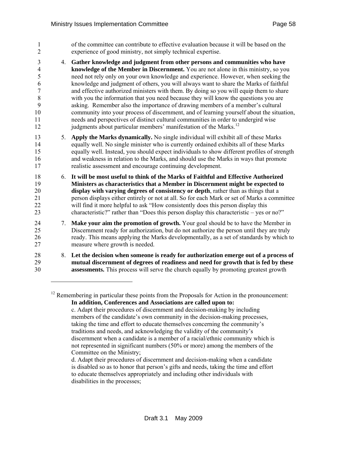<span id="page-57-0"></span>1 of the committee can contribute to effective evaluation because it will be based on the 2 experience of good ministry, not simply technical expertise. 3 4. **Gather knowledge and judgment from other persons and communities who have**  4 **knowledge of the Member in Discernment.** You are not alone in this ministry, so you 5 need not rely only on your own knowledge and experience. However, when seeking the 6 knowledge and judgment of others, you will always want to share the Marks of faithful 7 and effective authorized ministers with them. By doing so you will equip them to share 8 with you the information that you need because they will know the questions you are 9 asking. Remember also the importance of drawing members of a member's cultural 10 community into your process of discernment, and of learning yourself about the situation, 11 needs and perspectives of distinct cultural communities in order to undergird wise  $j$  iudgments about particular members' manifestation of the Marks.<sup>[12](#page-57-0)</sup> 13 5. **Apply the Marks dynamically.** No single individual will exhibit all of these Marks 14 equally well. No single minister who is currently ordained exhibits all of these Marks 15 equally well. Instead, you should expect individuals to show different profiles of strength 16 and weakness in relation to the Marks, and should use the Marks in ways that promote 17 realistic assessment and encourage continuing development. 18 6. **It will be most useful to think of the Marks of Faithful and Effective Authorized**  19 **Ministers as characteristics that a Member in Discernment might be expected to**  20 **display with varying degrees of consistency or depth**, rather than as things that a 21 person displays either entirely or not at all. So for each Mark or set of Marks a committee 22 will find it more helpful to ask "How consistently does this person display this 23 characteristic?" rather than "Does this person display this characteristic – yes or no?" 24 7. **Make your aim the promotion of growth.** Your goal should be to have the Member in 25 Discernment ready for authorization, but do not authorize the person until they are truly 26 ready. This means applying the Marks developmentally, as a set of standards by which to 27 measure where growth is needed. 28 8. **Let the decision when someone is ready for authorization emerge out of a process of**  29 **mutual discernment of degrees of readiness and need for growth that is fed by these**  30 **assessments.** This process will serve the church equally by promoting greatest growth l

 $12$  Remembering in particular these points from the Proposals for Action in the pronouncement: **In addition, Conferences and Associations are called upon to:**  c. Adapt their procedures of discernment and decision-making by including

members of the candidate's own community in the decision-making processes, taking the time and effort to educate themselves concerning the community's traditions and needs, and acknowledging the validity of the community's discernment when a candidate is a member of a racial/ethnic community which is not represented in significant numbers (50% or more) among the members of the Committee on the Ministry;

d. Adapt their procedures of discernment and decision-making when a candidate is disabled so as to honor that person's gifts and needs, taking the time and effort to educate themselves appropriately and including other individuals with disabilities in the processes;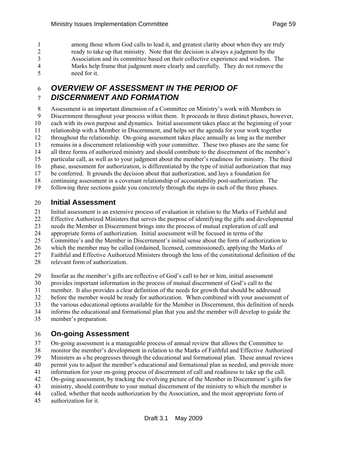1 among those whom God calls to lead it, and greatest clarity about when they are truly 2 ready to take up that ministry. Note that the decision is always a judgment by the 3 Association and its committee based on their collective experience and wisdom. The 4 Marks help frame that judgment more clearly and carefully. They do not remove the 5 need for it.

## 6 *OVERVIEW OF ASSESSMENT IN THE PERIOD OF*  7 *DISCERNMENT AND FORMATION*

8 Assessment is an important dimension of a Committee on Ministry's work with Members in 9 Discernment throughout your process within them. It proceeds in three distinct phases, however, 10 each with its own purpose and dynamics. Initial assessment takes place at the beginning of your 11 relationship with a Member in Discernment, and helps set the agenda for your work together 12 throughout the relationship. On-going assessment takes place annually as long as the member 13 remains in a discernment relationship with your committee. These two phases are the same for 14 all three forms of authorized ministry and should contribute to the discernment of the member's 15 particular call, as well as to your judgment about the member's readiness for ministry. The third 16 phase, assessment for authorization, is differentiated by the type of initial authorization that may 17 be conferred. It grounds the decision about that authorization, and lays a foundation for 18 continuing assessment in a covenant relationship of accountability post-authorization. The 19 following three sections guide you concretely through the steps in each of the three phases.

#### 20 **Initial Assessment**

21 Initial assessment is an extensive process of evaluation in relation to the Marks of Faithful and

22 Effective Authorized Ministers that serves the purpose of identifying the gifts and developmental

23 needs the Member in Discernment brings into the process of mutual exploration of call and

24 appropriate forms of authorization. Initial assessment will be focused in terms of the

25 Committee's and the Member in Discernment's initial sense about the form of authorization to

26 which the member may be called (ordained, licensed, commissioned), applying the Marks of

27 Faithful and Effective Authorized Ministers through the lens of the constitutional definition of the

28 relevant form of authorization.

29 Insofar as the member's gifts are reflective of God's call to her or him, initial assessment

30 provides important information in the process of mutual discernment of God's call to the

31 member. It also provides a clear definition of the needs for growth that should be addressed

32 before the member would be ready for authorization. When combined with your assessment of

33 the various educational options available for the Member in Discernment, this definition of needs

34 informs the educational and formational plan that you and the member will develop to guide the

35 member's preparation.

#### 36 **On-going Assessment**

37 On-going assessment is a manageable process of annual review that allows the Committee to 38 monitor the member's development in relation to the Marks of Faithful and Effective Authorized 39 Ministers as s/he progresses through the educational and formational plan. These annual reviews 40 permit you to adjust the member's educational and formational plan as needed, and provide more 41 information for your on-going process of discernment of call and readiness to take up the call. 42 On-going assessment, by tracking the evolving picture of the Member in Discernment's gifts for

43 ministry, should contribute to your mutual discernment of the ministry to which the member is

44 called, whether that needs authorization by the Association, and the most appropriate form of

45 authorization for it.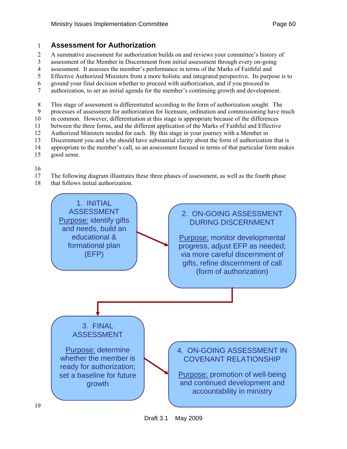#### 1 **Assessment for Authorization**

- 2 A summative assessment for authorization builds on and reviews your committee's history of
- 3 assessment of the Member in Discernment from initial assessment through every on-going
- 4 assessment. It assesses the member's performance in terms of the Marks of Faithful and
- 5 Effective Authorized Ministers from a more holistic and integrated perspective. Its purpose is to
- 6 ground your final decision whether to proceed with authorization, and if you proceed to
- 7 authorization, to set an initial agenda for the member's continuing growth and development.
- 8 This stage of assessment is differentiated according to the form of authorization sought. The
- 9 processes of assessment for authorization for licensure, ordination and commissioning have much
- 10 in common. However, differentiation at this stage is appropriate because of the differences
- 11 between the three forms, and the different application of the Marks of Faithful and Effective
- 12 Authorized Ministers needed for each. By this stage in your journey with a Member in
- 13 Discernment you and s/he should have substantial clarity about the form of authorization that is
- 14 appropriate to the member's call, so an assessment focused in terms of that particular form makes
- 15 good sense.

16

- 17 The following diagram illustrates these three phases of assessment, as well as the fourth phase
- 18 that follows initial authorization.

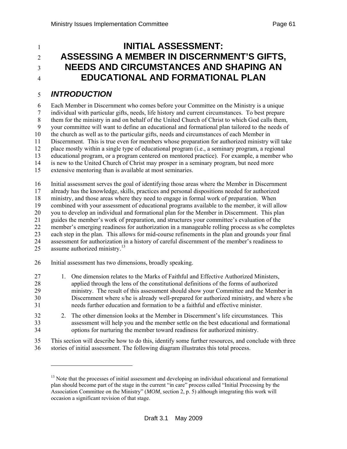# <span id="page-60-0"></span>**INITIAL ASSESSMENT:** <sup>2</sup>**ASSESSING A MEMBER IN DISCERNMENT'S GIFTS,**  <sup>3</sup>**NEEDS AND CIRCUMSTANCES AND SHAPING AN**  <sup>4</sup>**EDUCATIONAL AND FORMATIONAL PLAN**

### 5 *INTRODUCTION*

l

6 Each Member in Discernment who comes before your Committee on the Ministry is a unique 7 individual with particular gifts, needs, life history and current circumstances. To best prepare 8 them for the ministry in and on behalf of the United Church of Christ to which God calls them, 9 your committee will want to define an educational and formational plan tailored to the needs of 10 the church as well as to the particular gifts, needs and circumstances of each Member in 11 Discernment. This is true even for members whose preparation for authorized ministry will take 12 place mostly within a single type of educational program (i.e., a seminary program, a regional 13 educational program, or a program centered on mentored practice). For example, a member who 14 is new to the United Church of Christ may prosper in a seminary program, but need more 15 extensive mentoring than is available at most seminaries.

16 Initial assessment serves the goal of identifying those areas where the Member in Discernment 17 already has the knowledge, skills, practices and personal dispositions needed for authorized 18 ministry, and those areas where they need to engage in formal work of preparation. When 19 combined with your assessment of educational programs available to the member, it will allow<br>20 you to develop an individual and formational plan for the Member in Discernment. This plan you to develop an individual and formational plan for the Member in Discernment. This plan 21 guides the member's work of preparation, and structures your committee's evaluation of the 22 member's emerging readiness for authorization in a manageable rolling process as s/he completes 23 each step in the plan. This allows for mid-course refinements in the plan and grounds your final 24 assessment for authorization in a history of careful discernment of the member's readiness to 25 assume authorized ministry. $^{13}$  $^{13}$  $^{13}$ 

- 26 Initial assessment has two dimensions, broadly speaking.
- 27 1. One dimension relates to the Marks of Faithful and Effective Authorized Ministers, 28 applied through the lens of the constitutional definitions of the forms of authorized 29 ministry. The result of this assessment should show your Committee and the Member in 30 Discernment where s/he is already well-prepared for authorized ministry, and where s/he 31 needs further education and formation to be a faithful and effective minister.
- 32 2. The other dimension looks at the Member in Discernment's life circumstances. This 33 assessment will help you and the member settle on the best educational and formational 34 options for nurturing the member toward readiness for authorized ministry.
- 35 This section will describe how to do this, identify some further resources, and conclude with three 36 stories of initial assessment. The following diagram illustrates this total process.

 $<sup>13</sup>$  Note that the processes of initial assessment and developing an individual educational and formational</sup> plan should become part of the stage in the current "in care" process called "Initial Processing by the Association Committee on the Ministry" (*MOM*, section 2, p. 5) although integrating this work will occasion a significant revision of that stage.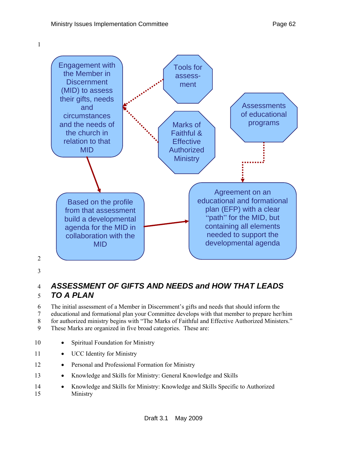



2

3

# 4 *ASSESSMENT OF GIFTS AND NEEDS and HOW THAT LEADS*  5 *TO A PLAN*

6 The initial assessment of a Member in Discernment's gifts and needs that should inform the 7 educational and formational plan your Committee develops with that member to prepare her/him 8 for authorized ministry begins with "The Marks of Faithful and Effective Authorized Ministers." 9 These Marks are organized in five broad categories. These are:

- 10 Spiritual Foundation for Ministry
- 11 UCC Identity for Ministry
- 12 Personal and Professional Formation for Ministry
- 13 Knowledge and Skills for Ministry: General Knowledge and Skills
- 14 Knowledge and Skills for Ministry: Knowledge and Skills Specific to Authorized 15 Ministry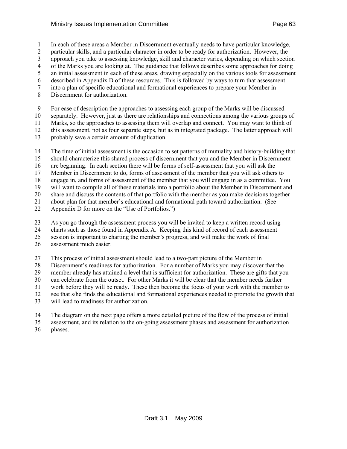1 In each of these areas a Member in Discernment eventually needs to have particular knowledge,

2 particular skills, and a particular character in order to be ready for authorization. However, the

3 approach you take to assessing knowledge, skill and character varies, depending on which section

4 of the Marks you are looking at. The guidance that follows describes some approaches for doing 5 an initial assessment in each of these areas, drawing especially on the various tools for assessment

6 described in Appendix D of these resources. This is followed by ways to turn that assessment

7 into a plan of specific educational and formational experiences to prepare your Member in

8 Discernment for authorization.

9 For ease of description the approaches to assessing each group of the Marks will be discussed

10 separately. However, just as there are relationships and connections among the various groups of

11 Marks, so the approaches to assessing them will overlap and connect. You may want to think of

12 this assessment, not as four separate steps, but as in integrated package. The latter approach will

13 probably save a certain amount of duplication.

14 The time of initial assessment is the occasion to set patterns of mutuality and history-building that

15 should characterize this shared process of discernment that you and the Member in Discernment

16 are beginning. In each section there will be forms of self-assessment that you will ask the

17 Member in Discernment to do, forms of assessment of the member that you will ask others to

18 engage in, and forms of assessment of the member that you will engage in as a committee. You 19 will want to compile all of these materials into a portfolio about the Member in Discernment and

20 share and discuss the contents of that portfolio with the member as you make decisions together

21 about plan for that member's educational and formational path toward authorization. (See

22 Appendix D for more on the "Use of Portfolios.")

23 As you go through the assessment process you will be invited to keep a written record using

24 charts such as those found in Appendix A. Keeping this kind of record of each assessment

25 session is important to charting the member's progress, and will make the work of final

26 assessment much easier.

27 This process of initial assessment should lead to a two-part picture of the Member in

28 Discernment's readiness for authorization. For a number of Marks you may discover that the

29 member already has attained a level that is sufficient for authorization. These are gifts that you 30 can celebrate from the outset. For other Marks it will be clear that the member needs further

31 work before they will be ready. These then become the focus of your work with the member to

32 see that s/he finds the educational and formational experiences needed to promote the growth that

33 will lead to readiness for authorization.

34 The diagram on the next page offers a more detailed picture of the flow of the process of initial

35 assessment, and its relation to the on-going assessment phases and assessment for authorization

36 phases.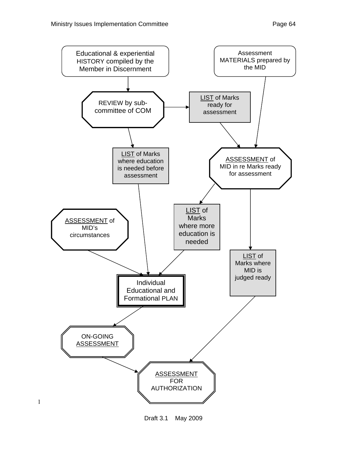



1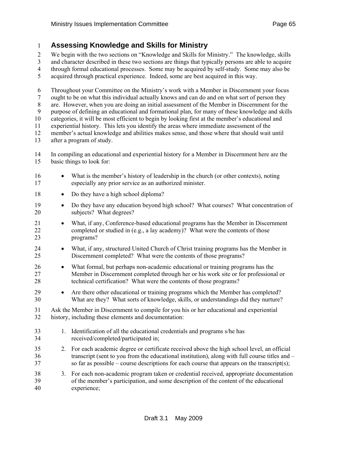#### 1 **Assessing Knowledge and Skills for Ministry**

2 We begin with the two sections on "Knowledge and Skills for Ministry." The knowledge, skills

3 and character described in these two sections are things that typically persons are able to acquire

4 through formal educational processes. Some may be acquired by self-study. Some may also be

5 acquired through practical experience. Indeed, some are best acquired in this way.

6 Throughout your Committee on the Ministry's work with a Member in Discernment your focus

7 ought to be on what this individual actually knows and can do and on what sort of person they

8 are. However, when you are doing an initial assessment of the Member in Discernment for the

9 purpose of defining an educational and formational plan, for many of these knowledge and skills

10 categories, it will be most efficient to begin by looking first at the member's educational and

11 experiential history. This lets you identify the areas where immediate assessment of the 12 member's actual knowledge and abilities makes sense, and those where that should wait until

- 13 after a program of study.
- 14 In compiling an educational and experiential history for a Member in Discernment here are the 15 basic things to look for:
- 16 What is the member's history of leadership in the church (or other contexts), noting 17 especially any prior service as an authorized minister.
- 18 Do they have a high school diploma?
- 19 Do they have any education beyond high school? What courses? What concentration of 20 subjects? What degrees?
- 21 What, if any, Conference-based educational programs has the Member in Discernment 22 completed or studied in (e.g., a lay academy)? What were the contents of those 23 programs?
- 24 What, if any, structured United Church of Christ training programs has the Member in 25 Discernment completed? What were the contents of those programs?
- 26 What formal, but perhaps non-academic educational or training programs has the 27 Member in Discernment completed through her or his work site or for professional or 28 technical certification? What were the contents of those programs?
- 29 Are there other educational or training programs which the Member has completed? 30 What are they? What sorts of knowledge, skills, or understandings did they nurture?
- 31 Ask the Member in Discernment to compile for you his or her educational and experiential 32 history, including these elements and documentation:
- 33 1. Identification of all the educational credentials and programs s/he has 34 received/completed/participated in;
- 35 2. For each academic degree or certificate received above the high school level, an official 36 transcript (sent to you from the educational institution), along with full course titles and – 37 so far as possible – course descriptions for each course that appears on the transcript(s);
- 38 3. For each non-academic program taken or credential received, appropriate documentation 39 of the member's participation, and some description of the content of the educational 40 experience;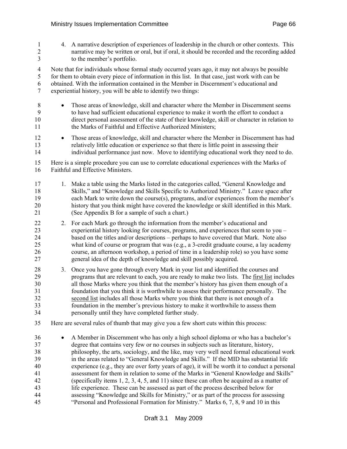1 4. A narrative description of experiences of leadership in the church or other contexts. This 2 narrative may be written or oral, but if oral, it should be recorded and the recording added 3 to the member's portfolio.

4 Note that for individuals whose formal study occurred years ago, it may not always be possible 5 for them to obtain every piece of information in this list. In that case, just work with can be 6 obtained. With the information contained in the Member in Discernment's educational and 7 experiential history, you will be able to identify two things:

- 
- 8 Those areas of knowledge, skill and character where the Member in Discernment seems 9 to have had sufficient educational experience to make it worth the effort to conduct a 10 direct personal assessment of the state of their knowledge, skill or character in relation to 11 the Marks of Faithful and Effective Authorized Ministers;
- 12 Those areas of knowledge, skill and character where the Member in Discernment has had 13 relatively little education or experience so that there is little point in assessing their 14 individual performance just now. Move to identifying educational work they need to do.

15 Here is a simple procedure you can use to correlate educational experiences with the Marks of 16 Faithful and Effective Ministers.

- 17 1. Make a table using the Marks listed in the categories called, "General Knowledge and 18 Skills," and "Knowledge and Skills Specific to Authorized Ministry." Leave space after 19 each Mark to write down the course(s), programs, and/or experiences from the member's 20 history that you think might have covered the knowledge or skill identified in this Mark. 21 (See Appendix B for a sample of such a chart.)
- 22 2. For each Mark go through the information from the member's educational and 23 experiential history looking for courses, programs, and experiences that seem to you – 24 based on the titles and/or descriptions – perhaps to have covered that Mark. Note also 25 what kind of course or program that was (e.g., a 3-credit graduate course, a lay academy 26 course, an afternoon workshop, a period of time in a leadership role) so you have some 27 general idea of the depth of knowledge and skill possibly acquired.
- 28 3. Once you have gone through every Mark in your list and identified the courses and 29 programs that are relevant to each, you are ready to make two lists. The first list includes 30 all those Marks where you think that the member's history has given them enough of a 31 foundation that you think it is worthwhile to assess their performance personally. The 32 second list includes all those Marks where you think that there is not enough of a 33 foundation in the member's previous history to make it worthwhile to assess them 34 personally until they have completed further study.
- 35 Here are several rules of thumb that may give you a few short cuts within this process:
- 36 A Member in Discernment who has only a high school diploma or who has a bachelor's 37 degree that contains very few or no courses in subjects such as literature, history, 38 philosophy, the arts, sociology, and the like, may very well need formal educational work 39 in the areas related to "General Knowledge and Skills." If the MID has substantial life 40 experience (e.g., they are over forty years of age), it will be worth it to conduct a personal 41 assessment for them in relation to some of the Marks in "General Knowledge and Skills" 42 (specifically items 1, 2, 3, 4, 5, and 11) since these can often be acquired as a matter of 43 life experience. These can be assessed as part of the process described below for 44 assessing "Knowledge and Skills for Ministry," or as part of the process for assessing 45 "Personal and Professional Formation for Ministry." Marks 6, 7, 8, 9 and 10 in this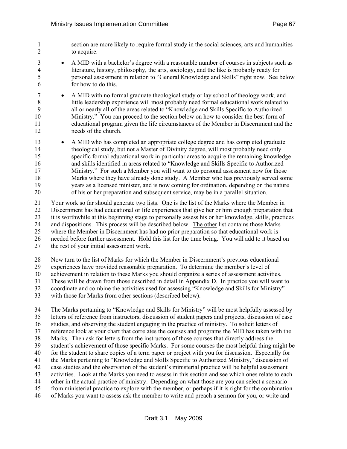- 1 section are more likely to require formal study in the social sciences, arts and humanities 2 to acquire.
- 3 A MID with a bachelor's degree with a reasonable number of courses in subjects such as 4 literature, history, philosophy, the arts, sociology, and the like is probably ready for 5 personal assessment in relation to "General Knowledge and Skills" right now. See below 6 for how to do this.
- 7 A MID with no formal graduate theological study or lay school of theology work, and 8 little leadership experience will most probably need formal educational work related to 9 all or nearly all of the areas related to "Knowledge and Skills Specific to Authorized 10 Ministry." You can proceed to the section below on how to consider the best form of 11 educational program given the life circumstances of the Member in Discernment and the 12 needs of the church.
- 13 A MID who has completed an appropriate college degree and has completed graduate 14 theological study, but not a Master of Divinity degree, will most probably need only 15 specific formal educational work in particular areas to acquire the remaining knowledge 16 and skills identified in areas related to "Knowledge and Skills Specific to Authorized 17 Ministry." For such a Member you will want to do personal assessment now for those 18 Marks where they have already done study. A Member who has previously served some 19 years as a licensed minister, and is now coming for ordination, depending on the nature<br>20 of his or her preparation and subsequent service, may be in a parallel situation. 20 of his or her preparation and subsequent service, may be in a parallel situation.

21 Your work so far should generate two lists. One is the list of the Marks where the Member in 22 Discernment has had educational or life experiences that give her or him enough preparation that 23 it is worthwhile at this beginning stage to personally assess his or her knowledge, skills, practices 24 and dispositions. This process will be described below. The other list contains those Marks 25 where the Member in Discernment has had no prior preparation so that educational work is 26 needed before further assessment. Hold this list for the time being. You will add to it based on 27 the rest of your initial assessment work.

28 Now turn to the list of Marks for which the Member in Discernment's previous educational

- 29 experiences have provided reasonable preparation. To determine the member's level of
- 30 achievement in relation to these Marks you should organize a series of assessment activities.
- 31 These will be drawn from those described in detail in Appendix D. In practice you will want to
- 32 coordinate and combine the activities used for assessing "Knowledge and Skills for Ministry"
- 33 with those for Marks from other sections (described below).

34 The Marks pertaining to "Knowledge and Skills for Ministry" will be most helpfully assessed by 35 letters of reference from instructors, discussion of student papers and projects, discussion of case 36 studies, and observing the student engaging in the practice of ministry. To solicit letters of 37 reference look at your chart that correlates the courses and programs the MID has taken with the 38 Marks. Then ask for letters from the instructors of those courses that directly address the 39 student's achievement of those specific Marks. For some courses the most helpful thing might be 40 for the student to share copies of a term paper or project with you for discussion. Especially for 41 the Marks pertaining to "Knowledge and Skills Specific to Authorized Ministry," discussion of 42 case studies and the observation of the student's ministerial practice will be helpful assessment 43 activities. Look at the Marks you need to assess in this section and see which ones relate to each 44 other in the actual practice of ministry. Depending on what those are you can select a scenario 45 from ministerial practice to explore with the member, or perhaps if it is right for the combination 46 of Marks you want to assess ask the member to write and preach a sermon for you, or write and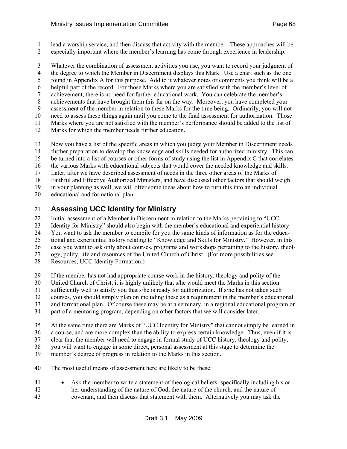- 1 lead a worship service, and then discuss that activity with the member. These approaches will be
- 2 especially important where the member's learning has come through experience in leadership.
- 3 Whatever the combination of assessment activities you use, you want to record your judgment of
- 4 the degree to which the Member in Discernment displays this Mark. Use a chart such as the one
- 5 found in Appendix A for this purpose. Add to it whatever notes or comments you think will be a
- 6 helpful part of the record. For those Marks where you are satisfied with the member's level of
- 7 achievement, there is no need for further educational work. You can celebrate the member's
- 8 achievements that have brought them this far on the way. Moreover, you have completed your
- 9 assessment of the member in relation to these Marks for the time being. Ordinarily, you will not 10 need to assess these things again until you come to the final assessment for authorization. Those
- 11 Marks where you are not satisfied with the member's performance should be added to the list of
- 12 Marks for which the member needs further education.
- 13 Now you have a list of the specific areas in which you judge your Member in Discernment needs
- 14 further preparation to develop the knowledge and skills needed for authorized ministry. This can
- 15 be turned into a list of courses or other forms of study using the list in Appendix C that correlates
- 16 the various Marks with educational subjects that would cover the needed knowledge and skills.
- 17 Later, after we have described assessment of needs in the three other areas of the Marks of
- 18 Faithful and Effective Authorized Ministers, and have discussed other factors that should weigh
- 19 in your planning as well, we will offer some ideas about how to turn this into an individual
- 20 educational and formational plan.

## 21 **Assessing UCC Identity for Ministry**

- 22 Initial assessment of a Member in Discernment in relation to the Marks pertaining to "UCC
- 23 Identity for Ministry" should also begin with the member's educational and experiential history.
- 24 You want to ask the member to compile for you the same kinds of information as for the educa-
- 25 tional and experiential history relating to "Knowledge and Skills for Ministry." However, in this
- 26 case you want to ask only about courses, programs and workshops pertaining to the history, theol-
- 27 ogy, polity, life and resources of the United Church of Christ. (For more possibilities see
- 28 Resources, UCC Identity Formation.)
- 29 If the member has not had appropriate course work in the history, theology and polity of the
- 30 United Church of Christ, it is highly unlikely that s/he would meet the Marks in this section
- 31 sufficiently well to satisfy you that s/he is ready for authorization. If s/he has not taken such
- 32 courses, you should simply plan on including these as a requirement in the member's educational
- 33 and formational plan. Of course these may be at a seminary, in a regional educational program or
- 34 part of a mentoring program, depending on other factors that we will consider later.
- 35 At the same time there are Marks of "UCC Identity for Ministry" that cannot simply be learned in
- 36 a course, and are more complex than the ability to express certain knowledge. Thus, even if it is
- 37 clear that the member will need to engage in formal study of UCC history, theology and polity,
- 38 you will want to engage in some direct, personal assessment at this stage to determine the
- 39 member's degree of progress in relation to the Marks in this section.
- 40 The most useful means of assessment here are likely to be these:
- 41 Ask the member to write a statement of theological beliefs: specifically including his or 42 her understanding of the nature of God, the nature of the church, and the nature of 43 covenant, and then discuss that statement with them. Alternatively you may ask the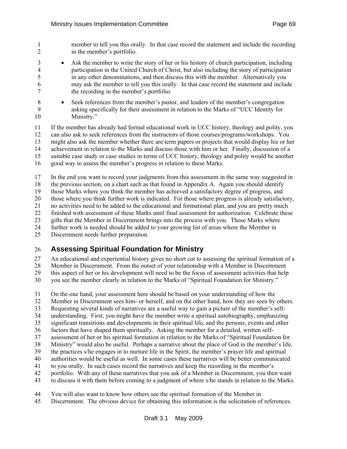1 member to tell you this orally. In that case record the statement and include the recording 2 in the member's portfolio.

- 3 Ask the member to write the story of her or his history of church participation, including 4 participation in the United Church of Christ, but also including the story of participation 5 in any other denominations, and then discuss this with the member. Alternatively you 6 may ask the member to tell you this orally. In that case record the statement and include 7 the recording in the member's portfolio.
- 8 Seek references from the member's pastor, and leaders of the member's congregation 9 asking specifically for their assessment in relation to the Marks of "UCC Identity for 10 Ministry."

11 If the member has already had formal educational work in UCC history, theology and polity, you 12 can also ask to seek references from the instructors of those courses/programs/workshops. You 13 might also ask the member whether there are term papers or projects that would display his or her 14 achievement in relation to the Marks and discuss those with him or her. Finally, discussion of a

15 suitable case study or case studies in terms of UCC history, theology and polity would be another

16 good way to assess the member's progress in relation to these Marks.

17 In the end you want to record your judgments from this assessment in the same way suggested in 18 the previous section, on a chart such as that found in Appendix A. Again you should identify

19 those Marks where you think the member has achieved a satisfactory degree of progress, and

20 those where you think further work is indicated. For those where progress is already satisfactory,

21 no activities need to be added to the educational and formational plan, and you are pretty much

22 finished with assessment of these Marks until final assessment for authorization. Celebrate these

23 gifts that the Member in Discernment brings into the process with you. Those Marks where

24 further work is needed should be added to your growing list of areas where the Member in

25 Discernment needs further preparation.

## 26 **Assessing Spiritual Foundation for Ministry**

27 An educational and experiential history gives no short cut to assessing the spiritual formation of a

28 Member in Discernment. From the outset of your relationship with a Member in Discernment

29 this aspect of her or his development will need to be the focus of assessment activities that help

30 you see the member clearly in relation to the Marks of "Spiritual Foundation for Ministry."

31 On the one hand, your assessment here should be based on your understanding of how the

32 Member in Discernment sees him- or herself, and on the other hand, how they are seen by others.

33 Requesting several kinds of narratives are a useful way to gain a picture of the member's self-

34 understanding. First, you might have the member write a spiritual autobiography, emphasizing

35 significant transitions and developments in their spiritual life, and the persons, events and other

36 factors that have shaped them spiritually. Asking the member for a detailed, written self-

37 assessment of her or his spiritual formation in relation to the Marks of "Spiritual Foundation for

38 Ministry" would also be useful. Perhaps a narrative about the place of God in the member's life,

- 39 the practices s/he engages in to nurture life in the Spirit, the member's prayer life and spiritual
- 40 authorities would be useful as well. In some cases these narratives will be better communicated
- 41 to you orally. In such cases record the narratives and keep the recording in the member's

42 portfolio. With any of these narratives that you ask of a Member in Discernment, you then want

43 to discuss it with them before coming to a judgment of where s/he stands in relation to the Marks.

- 44 You will also want to know how others see the spiritual formation of the Member in
- 45 Discernment. The obvious device for obtaining this information is the solicitation of references.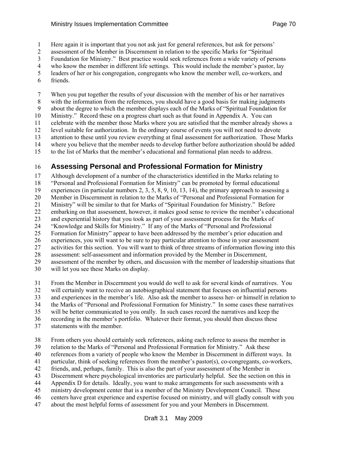1 Here again it is important that you not ask just for general references, but ask for persons'

2 assessment of the Member in Discernment in relation to the specific Marks for "Spiritual

3 Foundation for Ministry." Best practice would seek references from a wide variety of persons

4 who know the member in different life settings. This would include the member's pastor, lay

5 leaders of her or his congregation, congregants who know the member well, co-workers, and 6 friends.

7 When you put together the results of your discussion with the member of his or her narratives 8 with the information from the references, you should have a good basis for making judgments 9 about the degree to which the member displays each of the Marks of "Spiritual Foundation for 10 Ministry." Record these on a progress chart such as that found in Appendix A. You can 11 celebrate with the member those Marks where you are satisfied that the member already shows a 12 level suitable for authorization. In the ordinary course of events you will not need to devote 13 attention to these until you review everything at final assessment for authorization. Those Marks 14 where you believe that the member needs to develop further before authorization should be added 15 to the list of Marks that the member's educational and formational plan needs to address.

## 16 **Assessing Personal and Professional Formation for Ministry**

17 Although development of a number of the characteristics identified in the Marks relating to 18 "Personal and Professional Formation for Ministry" can be promoted by formal educational 19 experiences (in particular numbers 2, 3, 5, 8, 9, 10, 13, 14), the primary approach to assessing a 20 Member in Discernment in relation to the Marks of "Personal and Professional Formation for 21 Ministry" will be similar to that for Marks of "Spiritual Foundation for Ministry." Before 22 embarking on that assessment, however, it makes good sense to review the member's educational 23 and experiential history that you took as part of your assessment process for the Marks of 24 "Knowledge and Skills for Ministry." If any of the Marks of "Personal and Professional 25 Formation for Ministry" appear to have been addressed by the member's prior education and 26 experiences, you will want to be sure to pay particular attention to those in your assessment 27 activities for this section. You will want to think of three streams of information flowing into this 28 assessment: self-assessment and information provided by the Member in Discernment, 29 assessment of the member by others, and discussion with the member of leadership situations that

30 will let you see these Marks on display.

31 From the Member in Discernment you would do well to ask for several kinds of narratives. You

32 will certainly want to receive an autobiographical statement that focuses on influential persons

33 and experiences in the member's life. Also ask the member to assess her- or himself in relation to

34 the Marks of "Personal and Professional Formation for Ministry." In some cases these narratives

35 will be better communicated to you orally. In such cases record the narratives and keep the

- 36 recording in the member's portfolio. Whatever their format, you should then discuss these
- 37 statements with the member.

38 From others you should certainly seek references, asking each referee to assess the member in

39 relation to the Marks of "Personal and Professional Formation for Ministry." Ask these

40 references from a variety of people who know the Member in Discernment in different ways. In

41 particular, think of seeking references from the member's pastor(s), co-congregants, co-workers,

42 friends, and, perhaps, family. This is also the part of your assessment of the Member in

43 Discernment where psychological inventories are particularly helpful. See the section on this in

44 Appendix D for details. Ideally, you want to make arrangements for such assessments with a

45 ministry development center that is a member of the Ministry Development Council. These

- 46 centers have great experience and expertise focused on ministry, and will gladly consult with you
- 47 about the most helpful forms of assessment for you and your Members in Discernment.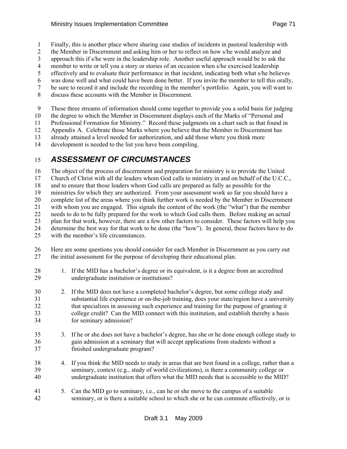- 1 Finally, this is another place where sharing case studies of incidents in pastoral leadership with
- 2 the Member in Discernment and asking him or her to reflect on how s/he would analyze and
- 3 approach this if s/he were in the leadership role. Another useful approach would be to ask the
- 4 member to write or tell you a story or stories of an occasion when s/he exercised leadership
- 5 effectively and to evaluate their performance in that incident, indicating both what s/he believes
- 6 was done well and what could have been done better. If you invite the member to tell this orally, 7 be sure to record it and include the recording in the member's portfolio. Again, you will want to
- 
- 8 discuss these accounts with the Member in Discernment.

9 These three streams of information should come together to provide you a solid basis for judging

10 the degree to which the Member in Discernment displays each of the Marks of "Personal and

11 Professional Formation for Ministry." Record these judgments on a chart such as that found in

12 Appendix A. Celebrate those Marks where you believe that the Member in Discernment has

13 already attained a level needed for authorization, and add those where you think more

14 development is needed to the list you have been compiling.

## 15 *ASSESSMENT OF CIRCUMSTANCES*

16 The object of the process of discernment and preparation for ministry is to provide the United

17 Church of Christ with all the leaders whom God calls to ministry in and on behalf of the U.C.C.,

18 and to ensure that those leaders whom God calls are prepared as fully as possible for the

19 ministries for which they are authorized. From your assessment work so far you should have a

20 complete list of the areas where you think further work is needed by the Member in Discernment<br>21 with whom you are engaged. This signals the content of the work (the "what") that the member

with whom you are engaged. This signals the content of the work (the "what") that the member

22 needs to do to be fully prepared for the work to which God calls them. Before making an actual

23 plan for that work, however, there are a few other factors to consider. These factors will help you 24 determine the best way for that work to be done (the "how"). In general, these factors have to do

25 with the member's life circumstances.

26 Here are some questions you should consider for each Member in Discernment as you carry out 27 the initial assessment for the purpose of developing their educational plan.

- 28 1. If the MID has a bachelor's degree or its equivalent, is it a degree from an accredited 29 undergraduate institution or institutions? 30 2. If the MID does not have a completed bachelor's degree, but some college study and 31 substantial life experience or on-the-job training, does your state/region have a university 32 that specializes in assessing such experience and training for the purpose of granting it 33 college credit? Can the MID connect with this institution, and establish thereby a basis 34 for seminary admission? 35 3. If he or she does not have a bachelor's degree, has she or he done enough college study to 36 gain admission at a seminary that will accept applications from students without a 37 finished undergraduate program?
- 38 4. If you think the MID needs to study in areas that are best found in a college, rather than a 39 seminary, context (e.g., study of world civilizations), is there a community college or 40 undergraduate institution that offers what the MID needs that is accessible to the MID?
- 41 5. Can the MID go to seminary, i.e., can he or she move to the campus of a suitable 42 seminary, or is there a suitable school to which she or he can commute effectively, or is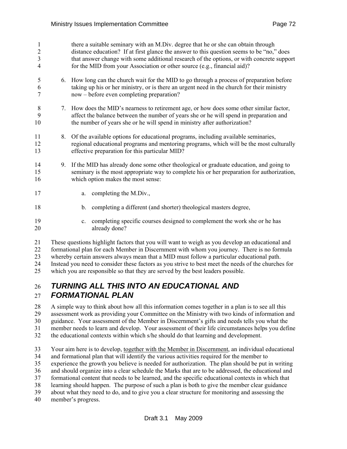| 1<br>$\overline{2}$<br>3<br>4 |    | there a suitable seminary with an M.Div. degree that he or she can obtain through<br>distance education? If at first glance the answer to this question seems to be "no," does<br>that answer change with some additional research of the options, or with concrete support<br>for the MID from your Association or other source (e.g., financial aid)? |  |
|-------------------------------|----|---------------------------------------------------------------------------------------------------------------------------------------------------------------------------------------------------------------------------------------------------------------------------------------------------------------------------------------------------------|--|
| 5<br>6<br>7                   | 6. | How long can the church wait for the MID to go through a process of preparation before<br>taking up his or her ministry, or is there an urgent need in the church for their ministry<br>now – before even completing preparation?                                                                                                                       |  |
| 8<br>9<br>10                  | 7. | How does the MID's nearness to retirement age, or how does some other similar factor,<br>affect the balance between the number of years she or he will spend in preparation and<br>the number of years she or he will spend in ministry after authorization?                                                                                            |  |
| 11<br>12<br>13                | 8. | Of the available options for educational programs, including available seminaries,<br>regional educational programs and mentoring programs, which will be the most culturally<br>effective preparation for this particular MID?                                                                                                                         |  |
| 14<br>15<br>16                | 9. | If the MID has already done some other theological or graduate education, and going to<br>seminary is the most appropriate way to complete his or her preparation for authorization,<br>which option makes the most sense:                                                                                                                              |  |
| 17                            |    | completing the M.Div.,<br>a.                                                                                                                                                                                                                                                                                                                            |  |
| 18                            |    | completing a different (and shorter) theological masters degree,<br>b.                                                                                                                                                                                                                                                                                  |  |
| 19<br>20                      |    | completing specific courses designed to complement the work she or he has<br>$c_{\cdot}$<br>already done?                                                                                                                                                                                                                                               |  |

21 These questions highlight factors that you will want to weigh as you develop an educational and 22 formational plan for each Member in Discernment with whom you journey. There is no formula 23 whereby certain answers always mean that a MID must follow a particular educational path. 24 Instead you need to consider these factors as you strive to best meet the needs of the churches for 25 which you are responsible so that they are served by the best leaders possible.

## 26 *TURNING ALL THIS INTO AN EDUCATIONAL AND*  27 *FORMATIONAL PLAN*

28 A simple way to think about how all this information comes together in a plan is to see all this 29 assessment work as providing your Committee on the Ministry with two kinds of information and 30 guidance. Your assessment of the Member in Discernment's gifts and needs tells you what the 31 member needs to learn and develop. Your assessment of their life circumstances helps you define 32 the educational contexts within which s/he should do that learning and development.

33 Your aim here is to develop, together with the Member in Discernment, an individual educational 34 and formational plan that will identify the various activities required for the member to 35 experience the growth you believe is needed for authorization. The plan should be put in writing 36 and should organize into a clear schedule the Marks that are to be addressed, the educational and 37 formational content that needs to be learned, and the specific educational contexts in which that 38 learning should happen. The purpose of such a plan is both to give the member clear guidance 39 about what they need to do, and to give you a clear structure for monitoring and assessing the 40 member's progress.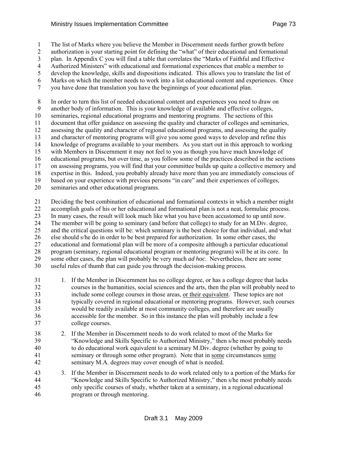1 The list of Marks where you believe the Member in Discernment needs further growth before

2 authorization is your starting point for defining the "what" of their educational and formational

3 plan. In Appendix C you will find a table that correlates the "Marks of Faithful and Effective

4 Authorized Ministers" with educational and formational experiences that enable a member to 5 develop the knowledge, skills and dispositions indicated. This allows you to translate the list of

6 Marks on which the member needs to work into a list educational content and experiences. Once

7 you have done that translation you have the beginnings of your educational plan.

8 In order to turn this list of needed educational content and experiences you need to draw on 9 another body of information. This is your knowledge of available and effective colleges,

10 seminaries, regional educational programs and mentoring programs. The sections of this

11 document that offer guidance on assessing the quality and character of colleges and seminaries,

12 assessing the quality and character of regional educational programs, and assessing the quality

13 and character of mentoring programs will give you some good ways to develop and refine this

14 knowledge of programs available to your members. As you start out in this approach to working

15 with Members in Discernment it may not feel to you as though you have much knowledge of

16 educational programs, but over time, as you follow some of the practices described in the sections

17 on assessing programs, you will find that your committee builds up quite a collective memory and

18 expertise in this. Indeed, you probably already have more than you are immediately conscious of 19 based on your experience with previous persons "in care" and their experiences of colleges,

20 seminaries and other educational programs.

21 Deciding the best combination of educational and formational contexts in which a member might 22 accomplish goals of his or her educational and formational plan is not a neat, formulaic process. 23 In many cases, the result will look much like what you have been accustomed to up until now. 24 The member will be going to seminary (and before that college) to study for an M.Div. degree, 25 and the critical questions will be: which seminary is the best choice for that individual, and what 26 else should s/he do in order to be best prepared for authorization. In some other cases, the 27 educational and formational plan will be more of a composite although a particular educational 28 program (seminary, regional educational program or mentoring program) will be at its core. In 29 some other cases, the plan will probably be very much *ad hoc*. Nevertheless, there are some 30 useful rules of thumb that can guide you through the decision-making process.

- 31 1. If the Member in Discernment has no college degree, or has a college degree that lacks 32 courses in the humanities, social sciences and the arts, then the plan will probably need to 33 include some college courses in those areas, or their equivalent. These topics are not 34 typically covered in regional educational or mentoring programs. However, such courses 35 would be readily available at most community colleges, and therefore are usually 36 accessible for the member. So in this instance the plan will probably include a few 37 college courses.
- 38 2. If the Member in Discernment needs to do work related to most of the Marks for 39 "Knowledge and Skills Specific to Authorized Ministry," then s/he most probably needs 40 to do educational work equivalent to a seminary M.Div. degree (whether by going to 41 seminary or through some other program). Note that in some circumstances some 42 seminary M.A. degrees may cover enough of what is needed.
- 43 3. If the Member in Discernment needs to do work related only to a portion of the Marks for 44 "Knowledge and Skills Specific to Authorized Ministry," then s/he most probably needs 45 only specific courses of study, whether taken at a seminary, in a regional educational 46 program or through mentoring.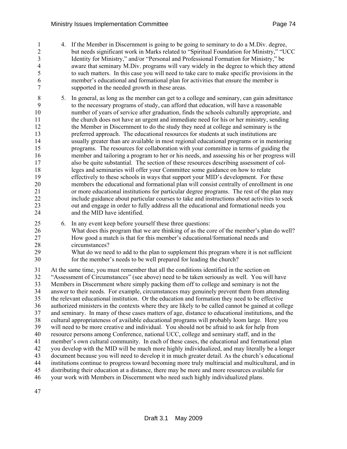- 1 4. If the Member in Discernment is going to be going to seminary to do a M.Div. degree, 2 but needs significant work in Marks related to "Spiritual Foundation for Ministry," "UCC 3 Identity for Ministry," and/or "Personal and Professional Formation for Ministry," be 4 aware that seminary M.Div. programs will vary widely in the degree to which they attend 5 to such matters. In this case you will need to take care to make specific provisions in the 6 member's educational and formational plan for activities that ensure the member is 7 supported in the needed growth in these areas.
- 8 5. In general, as long as the member can get to a college and seminary, can gain admittance 9 to the necessary programs of study, can afford that education, will have a reasonable 10 number of years of service after graduation, finds the schools culturally appropriate, and 11 the church does not have an urgent and immediate need for his or her ministry, sending 12 the Member in Discernment to do the study they need at college and seminary is the 13 preferred approach. The educational resources for students at such institutions are 14 usually greater than are available in most regional educational programs or in mentoring 15 programs. The resources for collaboration with your committee in terms of guiding the 16 member and tailoring a program to her or his needs, and assessing his or her progress will 17 also be quite substantial. The section of these resources describing assessment of col-18 leges and seminaries will offer your Committee some guidance on how to relate 19 effectively to these schools in ways that support your MID's development. For these 20 members the educational and formational plan will consist centrally of enrollment in one 21 or more educational institutions for particular degree programs. The rest of the plan may 22 include guidance about particular courses to take and instructions about activities to seek 23 out and engage in order to fully address all the educational and formational needs you 24 and the MID have identified.
- 25 6. In any event keep before yourself these three questions:
- 26 What does this program that we are thinking of as the core of the member's plan do well? 27 How good a match is that for this member's educational/formational needs and 28 circumstances?
- 29 What do we need to add to the plan to supplement this program where it is not sufficient 30 for the member's needs to be well prepared for leading the church?

31 At the same time, you must remember that all the conditions identified in the section on 32 "Assessment of Circumstances" (see above) need to be taken seriously as well. You will have 33 Members in Discernment where simply packing them off to college and seminary is not the 34 answer to their needs. For example, circumstances may genuinely prevent them from attending 35 the relevant educational institution. Or the education and formation they need to be effective 36 authorized ministers in the contexts where they are likely to be called cannot be gained at college 37 and seminary. In many of these cases matters of age, distance to educational institutions, and the 38 cultural appropriateness of available educational programs will probably loom large. Here you 39 will need to be more creative and individual. You should not be afraid to ask for help from 40 resource persons among Conference, national UCC, college and seminary staff, and in the 41 member's own cultural community. In each of these cases, the educational and formational plan 42 you develop with the MID will be much more highly individualized, and may literally be a longer 43 document because you will need to develop it in much greater detail. As the church's educational 44 institutions continue to progress toward becoming more truly multiracial and multicultural, and in 45 distributing their education at a distance, there may be more and more resources available for 46 your work with Members in Discernment who need such highly individualized plans.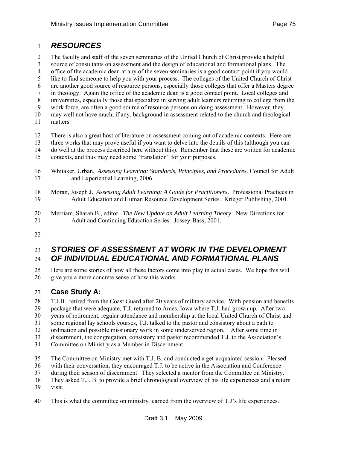### 1 *RESOURCES*

2 The faculty and staff of the seven seminaries of the United Church of Christ provide a helpful 3 source of consultants on assessment and the design of educational and formational plans. The 4 office of the academic dean at any of the seven seminaries is a good contact point if you would 5 like to find someone to help you with your process. The colleges of the United Church of Christ 6 are another good source of resource persons, especially those colleges that offer a Masters degree 7 in theology. Again the office of the academic dean is a good contact point. Local colleges and 8 universities, especially those that specialize in serving adult learners returning to college from the 9 work force, are often a good source of resource persons on doing assessment. However, they 10 may well not have much, if any, background in assessment related to the church and theological 11 matters. 12 There is also a great host of literature on assessment coming out of academic contexts. Here are

- 13 three works that may prove useful if you want to delve into the details of this (although you can 14 do well at the process described here without this). Remember that these are written for academic 15 contexts, and thus may need some "translation" for your purposes.
- 16 Whitaker, Urban. *Assessing Learning: Standards, Principles, and Procedures.* Council for Adult 17 and Experiential Learning, 2006.
- 18 Moran, Joseph J. *Assessing Adult Learning: A Guide for Practitioners*. Professional Practices in 19 Adult Education and Human Resource Development Series. Krieger Publishing, 2001.
- 20 Merriam, Sharan B., editor. *The New Update on Adult Learning Theory*. New Directions for 21 Adult and Continuing Education Series. Jossey-Bass, 2001.
- 22

### 23 *STORIES OF ASSESSMENT AT WORK IN THE DEVELOPMENT*  24 *OF INDIVIDUAL EDUCATIONAL AND FORMATIONAL PLANS*

25 Here are some stories of how all these factors come into play in actual cases. We hope this will 26 give you a more concrete sense of how this works.

### 27 **Case Study A:**

28 T.J.B. retired from the Coast Guard after 20 years of military service. With pension and benefits 29 package that were adequate, T.J. returned to Ames, Iowa where T.J. had grown up. After two 30 years of retirement, regular attendance and membership at the local United Church of Christ and 31 some regional lay schools courses, T.J. talked to the pastor and consistory about a path to 32 ordination and possible missionary work in some underserved region. After some time in

- 33 discernment, the congregation, consistory and pastor recommended T.J. to the Association's
- 
- 34 Committee on Ministry as a Member in Discernment.
- 35 The Committee on Ministry met with T.J. B. and conducted a get-acquainted session. Pleased
- 36 with their conversation, they encouraged T.J. to be active in the Association and Conference
- 37 during their season of discernment. They selected a mentor from the Committee on Ministry.
- 38 They asked T.J. B. to provide a brief chronological overview of his life experiences and a return
- 39 visit.
- 40 This is what the committee on ministry learned from the overview of T.J's life experiences.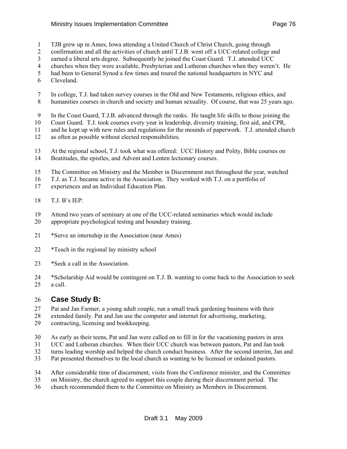- 1 TJB grew up in Ames, Iowa attending a United Church of Christ Church, going through
- 2 confirmation and all the activities of church until T.J.B. went off a UCC-related college and
- 3 earned a liberal arts degree. Subsequently he joined the Coast Guard. T.J. attended UCC
- 4 churches when they were available, Presbyterian and Lutheran churches when they weren't. He
- 5 had been to General Synod a few times and toured the national headquarters in NYC and
- 6 Cleveland.
- 7 In college, T.J. had taken survey courses in the Old and New Testaments, religious ethics, and 8 humanities courses in church and society and human sexuality. Of course, that was 25 years ago.
- 9 In the Coast Guard, T.J.B. advanced through the ranks. He taught life skills to those joining the
- 10 Coast Guard. T.J. took courses every year in leadership, diversity training, first aid, and CPR,
- 11 and he kept up with new rules and regulations for the mounds of paperwork. T.J. attended church
- 12 as often as possible without elected responsibilities.
- 13 At the regional school, T.J. took what was offered: UCC History and Polity, Bible courses on 14 Beatitudes, the epistles, and Advent and Lenten lectionary courses.
- 15 The Committee on Ministry and the Member in Discernment met throughout the year, watched
- 16 T.J. as T.J. became active in the Association. They worked with T.J. on a portfolio of
- 17 experiences and an Individual Education Plan.
- 18 T.J. B's IEP:
- 19 Attend two years of seminary at one of the UCC-related seminaries which would include
- 20 appropriate psychological testing and boundary training.
- 21 \*Serve an internship in the Association (near Ames)
- 22 \*Teach in the regional lay ministry school
- 23 \*Seek a call in the Association.
- 24 \*Scholarship Aid would be contingent on T.J. B. wanting to come back to the Association to seek 25 a call.

### 26 **Case Study B:**

- 27 Pat and Jan Farmer, a young adult couple, run a small truck gardening business with their
- 28 extended family. Pat and Jan use the computer and internet for advertising, marketing,
- 29 contracting, licensing and bookkeeping.
- 30 As early as their teens, Pat and Jan were called on to fill in for the vacationing pastors in area
- 31 UCC and Lutheran churches. When their UCC church was between pastors, Pat and Jan took
- 32 turns leading worship and helped the church conduct business. After the second interim, Jan and
- 33 Pat presented themselves to the local church as wanting to be licensed or ordained pastors.
- 34 After considerable time of discernment, visits from the Conference minister, and the Committee
- 35 on Ministry, the church agreed to support this couple during their discernment period. The
- 36 church recommended them to the Committee on Ministry as Members in Discernment.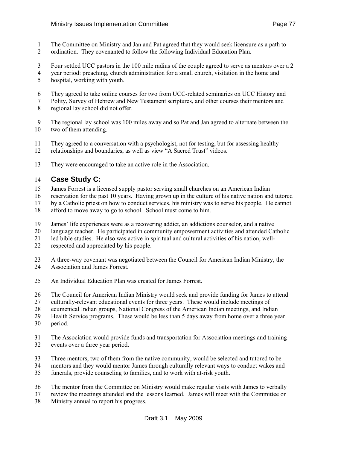- 1 The Committee on Ministry and Jan and Pat agreed that they would seek licensure as a path to
- 2 ordination. They covenanted to follow the following Individual Education Plan.
- 3 Four settled UCC pastors in the 100 mile radius of the couple agreed to serve as mentors over a 2
- 4 year period: preaching, church administration for a small church, visitation in the home and
- 5 hospital, working with youth.
- 6 They agreed to take online courses for two from UCC-related seminaries on UCC History and
- 7 Polity, Survey of Hebrew and New Testament scriptures, and other courses their mentors and 8 regional lay school did not offer.
- 9 The regional lay school was 100 miles away and so Pat and Jan agreed to alternate between the 10 two of them attending.
- 11 They agreed to a conversation with a psychologist, not for testing, but for assessing healthy
- 12 relationships and boundaries, as well as view "A Sacred Trust" videos.
- 13 They were encouraged to take an active role in the Association.

### 14 **Case Study C:**

- 15 James Forrest is a licensed supply pastor serving small churches on an American Indian
- 16 reservation for the past 10 years. Having grown up in the culture of his native nation and tutored
- 17 by a Catholic priest on how to conduct services, his ministry was to serve his people. He cannot
- 18 afford to move away to go to school. School must come to him.
- 19 James' life experiences were as a recovering addict, an addictions counselor, and a native
- 20 language teacher. He participated in community empowerment activities and attended Catholic
- 21 led bible studies. He also was active in spiritual and cultural activities of his nation, well-
- 22 respected and appreciated by his people.
- 23 A three-way covenant was negotiated between the Council for American Indian Ministry, the
- 24 Association and James Forrest.
- 25 An Individual Education Plan was created for James Forrest.
- 26 The Council for American Indian Ministry would seek and provide funding for James to attend
- 27 culturally-relevant educational events for three years. These would include meetings of
- 28 ecumenical Indian groups, National Congress of the American Indian meetings, and Indian
- 29 Health Service programs. These would be less than 5 days away from home over a three year
- 30 period.
- 31 The Association would provide funds and transportation for Association meetings and training 32 events over a three year period.
- 33 Three mentors, two of them from the native community, would be selected and tutored to be
- 34 mentors and they would mentor James through culturally relevant ways to conduct wakes and
- 35 funerals, provide counseling to families, and to work with at-risk youth.
- 36 The mentor from the Committee on Ministry would make regular visits with James to verbally
- 37 review the meetings attended and the lessons learned. James will meet with the Committee on
- 38 Ministry annual to report his progress.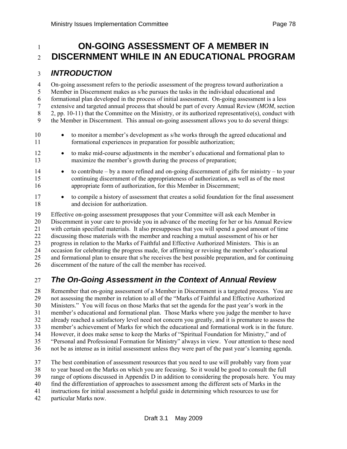### 1 **ON-GOING ASSESSMENT OF A MEMBER IN** <sup>2</sup>**DISCERNMENT WHILE IN AN EDUCATIONAL PROGRAM**

### 3 *INTRODUCTION*

4 On-going assessment refers to the periodic assessment of the progress toward authorization a 5 Member in Discernment makes as s/he pursues the tasks in the individual educational and 6 formational plan developed in the process of initial assessment. On-going assessment is a less 7 extensive and targeted annual process that should be part of every Annual Review (*MOM*, section 8 2, pp. 10-11) that the Committee on the Ministry, or its authorized representative(s), conduct with 9 the Member in Discernment. This annual on-going assessment allows you to do several things:

- 10 to monitor a member's development as s/he works through the agreed educational and 11 formational experiences in preparation for possible authorization;
- 12 to make mid-course adjustments in the member's educational and formational plan to 13 maximize the member's growth during the process of preparation;
- 14 to contribute by a more refined and on-going discernment of gifts for ministry to your 15 continuing discernment of the appropriateness of authorization, as well as of the most 16 appropriate form of authorization, for this Member in Discernment;
- 17 to compile a history of assessment that creates a solid foundation for the final assessment 18 and decision for authorization.

19 Effective on-going assessment presupposes that your Committee will ask each Member in 20 Discernment in your care to provide you in advance of the meeting for her or his Annual Review 21 with certain specified materials. It also presupposes that you will spend a good amount of time 22 discussing those materials with the member and reaching a mutual assessment of his or her 23 progress in relation to the Marks of Faithful and Effective Authorized Ministers. This is an 24 occasion for celebrating the progress made, for affirming or revising the member's educational 25 and formational plan to ensure that s/he receives the best possible preparation, and for continuing 26 discernment of the nature of the call the member has received.

## 27 *The On-Going Assessment in the Context of Annual Review*

28 Remember that on-going assessment of a Member in Discernment is a targeted process. You are 29 not assessing the member in relation to all of the "Marks of Faithful and Effective Authorized 30 Ministers." You will focus on those Marks that set the agenda for the past year's work in the 31 member's educational and formational plan. Those Marks where you judge the member to have 32 already reached a satisfactory level need not concern you greatly, and it is premature to assess the 33 member's achievement of Marks for which the educational and formational work is in the future. 34 However, it does make sense to keep the Marks of "Spiritual Foundation for Ministry," and of 35 "Personal and Professional Formation for Ministry" always in view. Your attention to these need 36 not be as intense as in initial assessment unless they were part of the past year's learning agenda.

- 37 The best combination of assessment resources that you need to use will probably vary from year
- 38 to year based on the Marks on which you are focusing. So it would be good to consult the full
- 39 range of options discussed in Appendix D in addition to considering the proposals here. You may
- 40 find the differentiation of approaches to assessment among the different sets of Marks in the
- 41 instructions for initial assessment a helpful guide in determining which resources to use for
- 42 particular Marks now.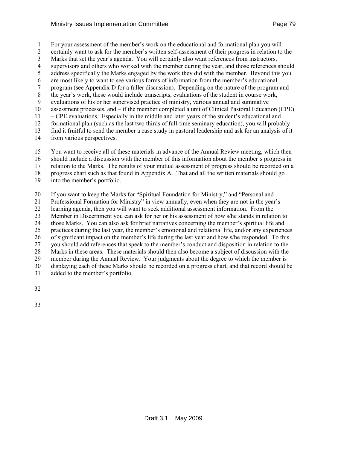1 For your assessment of the member's work on the educational and formational plan you will 2 certainly want to ask for the member's written self-assessment of their progress in relation to the 3 Marks that set the year's agenda. You will certainly also want references from instructors, 4 supervisors and others who worked with the member during the year, and those references should 5 address specifically the Marks engaged by the work they did with the member. Beyond this you 6 are most likely to want to see various forms of information from the member's educational 7 program (see Appendix D for a fuller discussion). Depending on the nature of the program and 8 the year's work, these would include transcripts, evaluations of the student in course work, 9 evaluations of his or her supervised practice of ministry, various annual and summative 10 assessment processes, and – if the member completed a unit of Clinical Pastoral Education (CPE) 11 – CPE evaluations. Especially in the middle and later years of the student's educational and 12 formational plan (such as the last two thirds of full-time seminary education), you will probably 13 find it fruitful to send the member a case study in pastoral leadership and ask for an analysis of it

- 14 from various perspectives.
- 15 You want to receive all of these materials in advance of the Annual Review meeting, which then
- 16 should include a discussion with the member of this information about the member's progress in
- 17 relation to the Marks. The results of your mutual assessment of progress should be recorded on a
- 18 progress chart such as that found in Appendix A. That and all the written materials should go
- 19 into the member's portfolio.
- 20 If you want to keep the Marks for "Spiritual Foundation for Ministry," and "Personal and
- 21 Professional Formation for Ministry" in view annually, even when they are not in the year's
- 22 learning agenda, then you will want to seek additional assessment information. From the
- 23 Member in Discernment you can ask for her or his assessment of how s/he stands in relation to
- 24 those Marks. You can also ask for brief narratives concerning the member's spiritual life and
- 25 practices during the last year, the member's emotional and relational life, and/or any experiences
- 26 of significant impact on the member's life during the last year and how s/he responded. To this
- 27 you should add references that speak to the member's conduct and disposition in relation to the
- 28 Marks in these areas. These materials should then also become a subject of discussion with the 29 member during the Annual Review. Your judgments about the degree to which the member is
- 30 displaying each of these Marks should be recorded on a progress chart, and that record should be
- 31 added to the member's portfolio.
- 32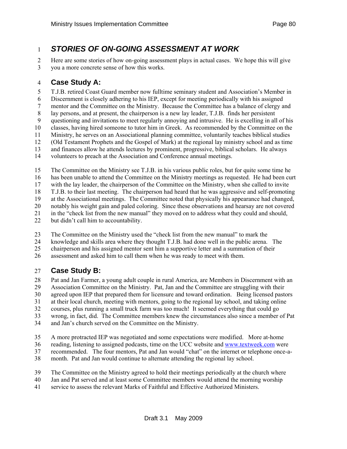## 1 *STORIES OF ON-GOING ASSESSMENT AT WORK*

2 Here are some stories of how on-going assessment plays in actual cases. We hope this will give 3 you a more concrete sense of how this works.

### 4 **Case Study A:**

5 T.J.B. retired Coast Guard member now fulltime seminary student and Association's Member in

6 Discernment is closely adhering to his IEP, except for meeting periodically with his assigned

7 mentor and the Committee on the Ministry. Because the Committee has a balance of clergy and

8 lay persons, and at present, the chairperson is a new lay leader, T.J.B. finds her persistent 9 questioning and invitations to meet regularly annoying and intrusive. He is excelling in all of his

10 classes, having hired someone to tutor him in Greek. As recommended by the Committee on the

11 Ministry, he serves on an Associational planning committee, voluntarily teaches biblical studies

12 (Old Testament Prophets and the Gospel of Mark) at the regional lay ministry school and as time

13 and finances allow he attends lectures by prominent, progressive, biblical scholars. He always

14 volunteers to preach at the Association and Conference annual meetings.

15 The Committee on the Ministry see T.J.B. in his various public roles, but for quite some time he

16 has been unable to attend the Committee on the Ministry meetings as requested. He had been curt

17 with the lay leader, the chairperson of the Committee on the Ministry, when she called to invite

18 T.J.B. to their last meeting. The chairperson had heard that he was aggressive and self-promoting

19 at the Associational meetings. The Committee noted that physically his appearance had changed,

20 notably his weight gain and paled coloring. Since these observations and hearsay are not covered 21 in the "check list from the new manual" they moved on to address what they could and should,

22 but didn't call him to accountability.

23 The Committee on the Ministry used the "check list from the new manual" to mark the

24 knowledge and skills area where they thought T.J.B. had done well in the public arena. The

25 chairperson and his assigned mentor sent him a supportive letter and a summation of their

26 assessment and asked him to call them when he was ready to meet with them.

### 27 **Case Study B:**

28 Pat and Jan Farmer, a young adult couple in rural America, are Members in Discernment with an

29 Association Committee on the Ministry. Pat, Jan and the Committee are struggling with their

30 agreed upon IEP that prepared them for licensure and toward ordination. Being licensed pastors

31 at their local church, meeting with mentors, going to the regional lay school, and taking online

32 courses, plus running a small truck farm was too much! It seemed everything that could go

33 wrong, in fact, did. The Committee members knew the circumstances also since a member of Pat

34 and Jan's church served on the Committee on the Ministry.

35 A more protracted IEP was negotiated and some expectations were modified. More at-home

36 reading, listening to assigned podcasts, time on the UCC website and [www.textweek.com](http://www.textweek.com/) were

37 recommended. The four mentors, Pat and Jan would "chat" on the internet or telephone once-a-

38 month. Pat and Jan would continue to alternate attending the regional lay school.

39 The Committee on the Ministry agreed to hold their meetings periodically at the church where

40 Jan and Pat served and at least some Committee members would attend the morning worship

41 service to assess the relevant Marks of Faithful and Effective Authorized Ministers.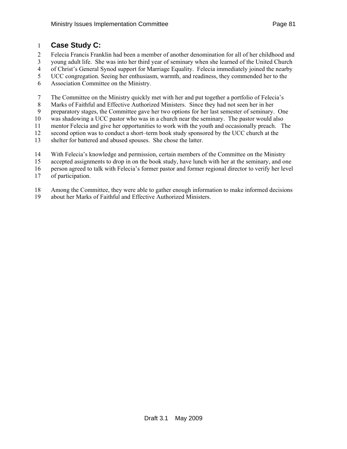### 1 **Case Study C:**

- 2 Felecia Francis Franklin had been a member of another denomination for all of her childhood and
- 3 young adult life. She was into her third year of seminary when she learned of the United Church
- 4 of Christ's General Synod support for Marriage Equality. Felecia immediately joined the nearby
- 5 UCC congregation. Seeing her enthusiasm, warmth, and readiness, they commended her to the
- 6 Association Committee on the Ministry.

7 The Committee on the Ministry quickly met with her and put together a portfolio of Felecia's

8 Marks of Faithful and Effective Authorized Ministers. Since they had not seen her in her

9 preparatory stages, the Committee gave her two options for her last semester of seminary. One

10 was shadowing a UCC pastor who was in a church near the seminary. The pastor would also

11 mentor Felecia and give her opportunities to work with the youth and occasionally preach. The

12 second option was to conduct a short–term book study sponsored by the UCC church at the

- 13 shelter for battered and abused spouses. She chose the latter.
- 14 With Felecia's knowledge and permission, certain members of the Committee on the Ministry
- 15 accepted assignments to drop in on the book study, have lunch with her at the seminary, and one
- 16 person agreed to talk with Felecia's former pastor and former regional director to verify her level
- 17 of participation.
- 18 Among the Committee, they were able to gather enough information to make informed decisions
- 19 about her Marks of Faithful and Effective Authorized Ministers.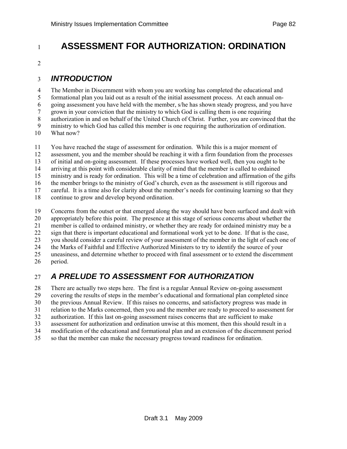# <sup>1</sup>**ASSESSMENT FOR AUTHORIZATION: ORDINATION**

2

## 3 *INTRODUCTION*

4 The Member in Discernment with whom you are working has completed the educational and 5 formational plan you laid out as a result of the initial assessment process. At each annual on-6 going assessment you have held with the member, s/he has shown steady progress, and you have 7 grown in your conviction that the ministry to which God is calling them is one requiring 8 authorization in and on behalf of the United Church of Christ. Further, you are convinced that the 9 ministry to which God has called this member is one requiring the authorization of ordination. 10 What now?

11 You have reached the stage of assessment for ordination. While this is a major moment of 12 assessment, you and the member should be reaching it with a firm foundation from the processes 13 of initial and on-going assessment. If these processes have worked well, then you ought to be 14 arriving at this point with considerable clarity of mind that the member is called to ordained 15 ministry and is ready for ordination. This will be a time of celebration and affirmation of the gifts 16 the member brings to the ministry of God's church, even as the assessment is still rigorous and

17 careful. It is a time also for clarity about the member's needs for continuing learning so that they

18 continue to grow and develop beyond ordination.

19 Concerns from the outset or that emerged along the way should have been surfaced and dealt with 20 appropriately before this point. The presence at this stage of serious concerns about whether the 21 member is called to ordained ministry, or whether they are ready for ordained ministry may be a 22 sign that there is important educational and formational work yet to be done. If that is the case, 23 you should consider a careful review of your assessment of the member in the light of each one of 24 the Marks of Faithful and Effective Authorized Ministers to try to identify the source of your 25 uneasiness, and determine whether to proceed with final assessment or to extend the discernment 26 period.

## 27 *A PRELUDE TO ASSESSMENT FOR AUTHORIZATION*

28 There are actually two steps here. The first is a regular Annual Review on-going assessment 29 covering the results of steps in the member's educational and formational plan completed since 30 the previous Annual Review. If this raises no concerns, and satisfactory progress was made in 31 relation to the Marks concerned, then you and the member are ready to proceed to assessment for 32 authorization. If this last on-going assessment raises concerns that are sufficient to make 33 assessment for authorization and ordination unwise at this moment, then this should result in a 34 modification of the educational and formational plan and an extension of the discernment period 35 so that the member can make the necessary progress toward readiness for ordination.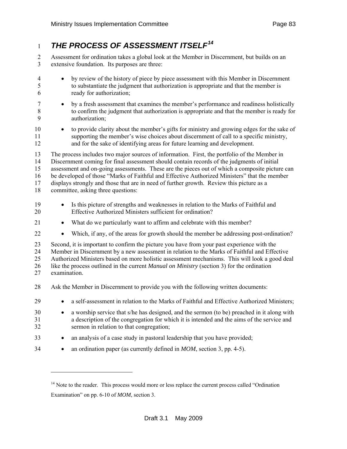## <span id="page-82-0"></span>*THE PROCESS OF ASSESSMENT ITSELF[14](#page-82-0)* <sup>1</sup>

2 Assessment for ordination takes a global look at the Member in Discernment, but builds on an 3 extensive foundation. Its purposes are three:

| $\overline{4}$<br>5<br>6         | by review of the history of piece by piece assessment with this Member in Discernment<br>$\bullet$<br>to substantiate the judgment that authorization is appropriate and that the member is<br>ready for authorization;                                                                                                                                                                                                                                                                                                        |  |  |
|----------------------------------|--------------------------------------------------------------------------------------------------------------------------------------------------------------------------------------------------------------------------------------------------------------------------------------------------------------------------------------------------------------------------------------------------------------------------------------------------------------------------------------------------------------------------------|--|--|
| $\tau$<br>$8\,$<br>9             | by a fresh assessment that examines the member's performance and readiness holistically<br>$\bullet$<br>to confirm the judgment that authorization is appropriate and that the member is ready for<br>authorization;                                                                                                                                                                                                                                                                                                           |  |  |
| 10<br>11<br>12                   | to provide clarity about the member's gifts for ministry and growing edges for the sake of<br>$\bullet$<br>supporting the member's wise choices about discernment of call to a specific ministry,<br>and for the sake of identifying areas for future learning and development.                                                                                                                                                                                                                                                |  |  |
| 13<br>14<br>15<br>16<br>17<br>18 | The process includes two major sources of information. First, the portfolio of the Member in<br>Discernment coming for final assessment should contain records of the judgments of initial<br>assessment and on-going assessments. These are the pieces out of which a composite picture can<br>be developed of those "Marks of Faithful and Effective Authorized Ministers" that the member<br>displays strongly and those that are in need of further growth. Review this picture as a<br>committee, asking three questions: |  |  |
| 19<br>20                         | Is this picture of strengths and weaknesses in relation to the Marks of Faithful and<br>Effective Authorized Ministers sufficient for ordination?                                                                                                                                                                                                                                                                                                                                                                              |  |  |
| 21                               | What do we particularly want to affirm and celebrate with this member?<br>$\bullet$                                                                                                                                                                                                                                                                                                                                                                                                                                            |  |  |
| 22                               | Which, if any, of the areas for growth should the member be addressing post-ordination?<br>$\bullet$                                                                                                                                                                                                                                                                                                                                                                                                                           |  |  |
| 23<br>24<br>25<br>26<br>27       | Second, it is important to confirm the picture you have from your past experience with the<br>Member in Discernment by a new assessment in relation to the Marks of Faithful and Effective<br>Authorized Ministers based on more holistic assessment mechanisms. This will look a good deal<br>like the process outlined in the current <i>Manual on Ministry</i> (section 3) for the ordination<br>examination.                                                                                                               |  |  |
| 28                               | Ask the Member in Discernment to provide you with the following written documents:                                                                                                                                                                                                                                                                                                                                                                                                                                             |  |  |
| 29                               | a self-assessment in relation to the Marks of Faithful and Effective Authorized Ministers;<br>$\bullet$                                                                                                                                                                                                                                                                                                                                                                                                                        |  |  |
| 30<br>31<br>32                   | a worship service that s/he has designed, and the sermon (to be) preached in it along with<br>$\bullet$<br>a description of the congregation for which it is intended and the aims of the service and<br>sermon in relation to that congregation;                                                                                                                                                                                                                                                                              |  |  |
| 33                               | an analysis of a case study in pastoral leadership that you have provided;<br>$\bullet$                                                                                                                                                                                                                                                                                                                                                                                                                                        |  |  |
| 34                               | an ordination paper (as currently defined in $MOM$ , section 3, pp. 4-5).<br>$\bullet$                                                                                                                                                                                                                                                                                                                                                                                                                                         |  |  |
|                                  |                                                                                                                                                                                                                                                                                                                                                                                                                                                                                                                                |  |  |

<sup>&</sup>lt;sup>14</sup> Note to the reader. This process would more or less replace the current process called "Ordination" Examination" on pp. 6-10 of *MOM*, section 3.

l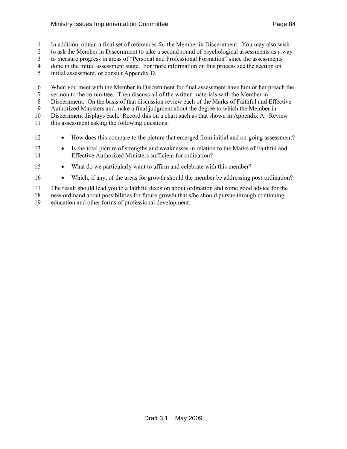#### Ministry Issues Implementation Committee **Page 84** Page 84

1 In addition, obtain a final set of references for the Member in Discernment. You may also wish

2 to ask the Member in Discernment to take a second round of psychological assessments as a way

3 to measure progress in areas of "Personal and Professional Formation" since the assessments

4 done in the initial assessment stage. For more information on this process see the section on

5 initial assessment, or consult Appendix D.

6 When you meet with the Member in Discernment for final assessment have him or her preach the 7 sermon to the committee. Then discuss all of the written materials with the Member in

8 Discernment. On the basis of that discussion review each of the Marks of Faithful and Effective

9 Authorized Ministers and make a final judgment about the degree to which the Member in 10 Discernment displays each. Record this on a chart such as that shown in Appendix A. Review

11 this assessment asking the following questions:

- 12 How does this compare to the picture that emerged from initial and on-going assessment?
- 13 Is the total picture of strengths and weaknesses in relation to the Marks of Faithful and 14 Effective Authorized Ministers sufficient for ordination?
- 15 What do we particularly want to affirm and celebrate with this member?
- 16 Which, if any, of the areas for growth should the member be addressing post-ordination?

17 The result should lead you to a faithful decision about ordination and some good advice for the

18 new ordinand about possibilities for future growth that s/he should pursue through continuing

19 education and other forms of professional development.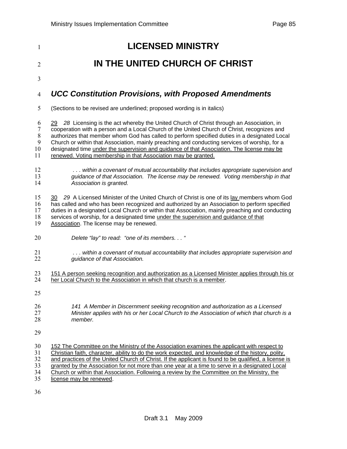| $\mathbf{1}$                                                     | <b>LICENSED MINISTRY</b>                                                                                                                                                                                                                                                                                                                                                                                                                                                                                                                                  |
|------------------------------------------------------------------|-----------------------------------------------------------------------------------------------------------------------------------------------------------------------------------------------------------------------------------------------------------------------------------------------------------------------------------------------------------------------------------------------------------------------------------------------------------------------------------------------------------------------------------------------------------|
| 2                                                                | IN THE UNITED CHURCH OF CHRIST                                                                                                                                                                                                                                                                                                                                                                                                                                                                                                                            |
| 3                                                                |                                                                                                                                                                                                                                                                                                                                                                                                                                                                                                                                                           |
| $\overline{4}$                                                   | <b>UCC Constitution Provisions, with Proposed Amendments</b>                                                                                                                                                                                                                                                                                                                                                                                                                                                                                              |
| 5                                                                | (Sections to be revised are underlined; proposed wording is in italics)                                                                                                                                                                                                                                                                                                                                                                                                                                                                                   |
| 6<br>$\boldsymbol{7}$<br>$\,8\,$<br>$\boldsymbol{9}$<br>10<br>11 | 29 28 Licensing is the act whereby the United Church of Christ through an Association, in<br>cooperation with a person and a Local Church of the United Church of Christ, recognizes and<br>authorizes that member whom God has called to perform specified duties in a designated Local<br>Church or within that Association, mainly preaching and conducting services of worship, for a<br>designated time under the supervision and guidance of that Association. The license may be<br>renewed. Voting membership in that Association may be granted. |
| 12<br>13<br>14                                                   | within a covenant of mutual accountability that includes appropriate supervision and<br>guidance of that Association. The license may be renewed. Voting membership in that<br>Association is granted.                                                                                                                                                                                                                                                                                                                                                    |
| 15<br>16<br>17<br>18<br>19                                       | 29 A Licensed Minister of the United Church of Christ is one of its lay members whom God<br>30.<br>has called and who has been recognized and authorized by an Association to perform specified<br>duties in a designated Local Church or within that Association, mainly preaching and conducting<br>services of worship, for a designated time under the supervision and guidance of that<br>Association. The license may be renewed.                                                                                                                   |
| 20                                                               | Delete "lay" to read: "one of its members. "                                                                                                                                                                                                                                                                                                                                                                                                                                                                                                              |
| 21<br>22                                                         | within a covenant of mutual accountability that includes appropriate supervision and<br>guidance of that Association.                                                                                                                                                                                                                                                                                                                                                                                                                                     |
| 23<br>24                                                         | 151 A person seeking recognition and authorization as a Licensed Minister applies through his or<br>her Local Church to the Association in which that church is a member.                                                                                                                                                                                                                                                                                                                                                                                 |
| 25                                                               |                                                                                                                                                                                                                                                                                                                                                                                                                                                                                                                                                           |
| 26<br>27<br>28                                                   | 141 A Member in Discernment seeking recognition and authorization as a Licensed<br>Minister applies with his or her Local Church to the Association of which that church is a<br>member.                                                                                                                                                                                                                                                                                                                                                                  |
| 29                                                               |                                                                                                                                                                                                                                                                                                                                                                                                                                                                                                                                                           |
| 30<br>31<br>32<br>33<br>34<br>35                                 | 152 The Committee on the Ministry of the Association examines the applicant with respect to<br>Christian faith, character, ability to do the work expected, and knowledge of the history, polity,<br>and practices of the United Church of Christ. If the applicant is found to be qualified, a license is<br>granted by the Association for not more than one year at a time to serve in a designated Local<br>Church or within that Association. Following a review by the Committee on the Ministry, the<br>license may be renewed.                    |
|                                                                  |                                                                                                                                                                                                                                                                                                                                                                                                                                                                                                                                                           |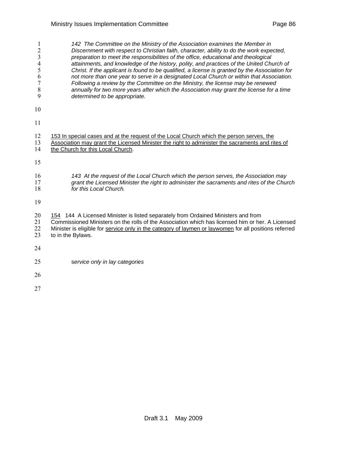| 1<br>$\overline{c}$<br>3<br>$\overline{4}$<br>5<br>6<br>$\overline{7}$<br>$\,$ $\,$<br>9 | 142 The Committee on the Ministry of the Association examines the Member in<br>Discernment with respect to Christian faith, character, ability to do the work expected,<br>preparation to meet the responsibilities of the office, educational and theological<br>attainments, and knowledge of the history, polity, and practices of the United Church of<br>Christ. If the applicant is found to be qualified, a license is granted by the Association for<br>not more than one year to serve in a designated Local Church or within that Association.<br>Following a review by the Committee on the Ministry, the license may be renewed<br>annually for two more years after which the Association may grant the license for a time<br>determined to be appropriate. |
|------------------------------------------------------------------------------------------|--------------------------------------------------------------------------------------------------------------------------------------------------------------------------------------------------------------------------------------------------------------------------------------------------------------------------------------------------------------------------------------------------------------------------------------------------------------------------------------------------------------------------------------------------------------------------------------------------------------------------------------------------------------------------------------------------------------------------------------------------------------------------|
| 10                                                                                       |                                                                                                                                                                                                                                                                                                                                                                                                                                                                                                                                                                                                                                                                                                                                                                          |
| 11                                                                                       |                                                                                                                                                                                                                                                                                                                                                                                                                                                                                                                                                                                                                                                                                                                                                                          |
| 12<br>13<br>14                                                                           | 153 In special cases and at the request of the Local Church which the person serves, the<br>Association may grant the Licensed Minister the right to administer the sacraments and rites of<br>the Church for this Local Church.                                                                                                                                                                                                                                                                                                                                                                                                                                                                                                                                         |
| 15                                                                                       |                                                                                                                                                                                                                                                                                                                                                                                                                                                                                                                                                                                                                                                                                                                                                                          |
| 16<br>17<br>18                                                                           | 143 At the request of the Local Church which the person serves, the Association may<br>grant the Licensed Minister the right to administer the sacraments and rites of the Church<br>for this Local Church.                                                                                                                                                                                                                                                                                                                                                                                                                                                                                                                                                              |
| 19                                                                                       |                                                                                                                                                                                                                                                                                                                                                                                                                                                                                                                                                                                                                                                                                                                                                                          |
| 20<br>21<br>22<br>23                                                                     | 154 144 A Licensed Minister is listed separately from Ordained Ministers and from<br>Commissioned Ministers on the rolls of the Association which has licensed him or her. A Licensed<br>Minister is eligible for service only in the category of laymen or laywomen for all positions referred<br>to in the Bylaws.                                                                                                                                                                                                                                                                                                                                                                                                                                                     |
| 24                                                                                       |                                                                                                                                                                                                                                                                                                                                                                                                                                                                                                                                                                                                                                                                                                                                                                          |
| 25                                                                                       | service only in lay categories                                                                                                                                                                                                                                                                                                                                                                                                                                                                                                                                                                                                                                                                                                                                           |
| 26                                                                                       |                                                                                                                                                                                                                                                                                                                                                                                                                                                                                                                                                                                                                                                                                                                                                                          |
| 27                                                                                       |                                                                                                                                                                                                                                                                                                                                                                                                                                                                                                                                                                                                                                                                                                                                                                          |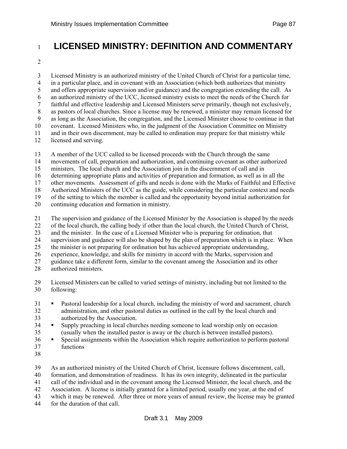## <sup>1</sup>**LICENSED MINISTRY: DEFINITION AND COMMENTARY**

2

3 Licensed Ministry is an authorized ministry of the United Church of Christ for a particular time, 4 in a particular place, and in covenant with an Association (which both authorizes that ministry 5 and offers appropriate supervision and/or guidance) and the congregation extending the call. As 6 an authorized ministry of the UCC, licensed ministry exists to meet the needs of the Church for 7 faithful and effective leadership and Licensed Ministers serve primarily, though not exclusively, 8 as pastors of local churches. Since a license may be renewed, a minister may remain licensed for 9 as long as the Association, the congregation, and the Licensed Minister choose to continue in that 10 covenant. Licensed Ministers who, in the judgment of the Association Committee on Ministry 11 and in their own discernment, may be called to ordination may prepare for that ministry while 12 licensed and serving.

13 A member of the UCC called to be licensed proceeds with the Church through the same

14 movements of call, preparation and authorization, and continuing covenant as other authorized

15 ministers. The local church and the Association join in the discernment of call and in

16 determining appropriate plans and activities of preparation and formation, as well as in all the

17 other movements. Assessment of gifts and needs is done with the Marks of Faithful and Effective 18 Authorized Ministers of the UCC as the guide, while considering the particular context and needs

19 of the setting to which the member is called and the opportunity beyond initial authorization for

20 continuing education and formation in ministry.

21 The supervision and guidance of the Licensed Minister by the Association is shaped by the needs

22 of the local church, the calling body if other than the local church, the United Church of Christ,

23 and the minister. In the case of a Licensed Minister who is preparing for ordination, that

24 supervision and guidance will also be shaped by the plan of preparation which is in place. When

25 the minister is not preparing for ordination but has achieved appropriate understanding,

26 experience, knowledge, and skills for ministry in accord with the Marks, supervision and

27 guidance take a different form, similar to the covenant among the Association and its other

- 28 authorized ministers.
- 29 Licensed Ministers can be called to varied settings of ministry, including but not limited to the 30 following:
- 31 Pastoral leadership for a local church, including the ministry of word and sacrament, church 32 administration, and other pastoral duties as outlined in the call by the local church and 33 authorized by the Association.
- 34 Supply preaching in local churches needing someone to lead worship only on occasion 35 (usually when the installed pastor is away or the church is between installed pastors).
- 36 Special assignments within the Association which require authorization to perform pastoral 37 functions
- 38
- 39 As an authorized ministry of the United Church of Christ, licensure follows discernment, call,

40 formation, and demonstration of readiness. It has its own integrity, delineated in the particular

41 call of the individual and in the covenant among the Licensed Minister, the local church, and the

42 Association. A license is initially granted for a limited period, usually one year, at the end of

43 which it may be renewed. After three or more years of annual review, the license may be granted

44 for the duration of that call.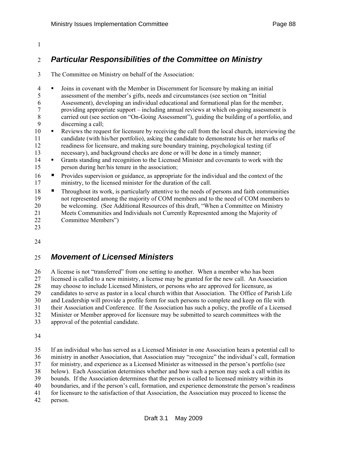#### 1

### 2 *Particular Responsibilities of the Committee on Ministry*

3 The Committee on Ministry on behalf of the Association:

4 Joins in covenant with the Member in Discernment for licensure by making an initial 5 assessment of the member's gifts, needs and circumstances (see section on "Initial 6 Assessment), developing an individual educational and formational plan for the member, 7 providing appropriate support – including annual reviews at which on-going assessment is 8 carried out (see section on "On-Going Assessment"), guiding the building of a portfolio, and 9 discerning a call;

- 10 Reviews the request for licensure by receiving the call from the local church, interviewing the 11 candidate (with his/her portfolio), asking the candidate to demonstrate his or her marks of 12 readiness for licensure, and making sure boundary training, psychological testing (if 13 necessary), and background checks are done or will be done in a timely manner;
- 14 Grants standing and recognition to the Licensed Minister and covenants to work with the 15 person during her/his tenure in the association;
- 16 Provides supervision or guidance, as appropriate for the individual and the context of the 17 ministry, to the licensed minister for the duration of the call.
- 18 Throughout its work, is particularly attentive to the needs of persons and faith communities 19 not represented among the majority of COM members and to the need of COM members to 20 be welcoming. (See Additional Resources of this draft, "When a Committee on Ministry 21 Meets Communities and Individuals not Currently Represented among the Majority of 22 Committee Members")
- 23

24

## 25 *Movement of Licensed Ministers*

26 A license is not "transferred" from one setting to another. When a member who has been 27 licensed is called to a new ministry, a license may be granted for the new call. An Association 28 may choose to include Licensed Ministers, or persons who are approved for licensure, as 29 candidates to serve as pastor in a local church within that Association. The Office of Parish Life 30 and Leadership will provide a profile form for such persons to complete and keep on file with 31 their Association and Conference. If the Association has such a policy, the profile of a Licensed 32 Minister or Member approved for licensure may be submitted to search committees with the 33 approval of the potential candidate.

34

35 If an individual who has served as a Licensed Minister in one Association hears a potential call to 36 ministry in another Association, that Association may "recognize" the individual's call, formation 37 for ministry, and experience as a Licensed Minister as witnessed in the person's portfolio (see 38 below). Each Association determines whether and how such a person may seek a call within its 39 bounds. If the Association determines that the person is called to licensed ministry within its 40 boundaries, and if the person's call, formation, and experience demonstrate the person's readiness 41 for licensure to the satisfaction of that Association, the Association may proceed to license the 42 person.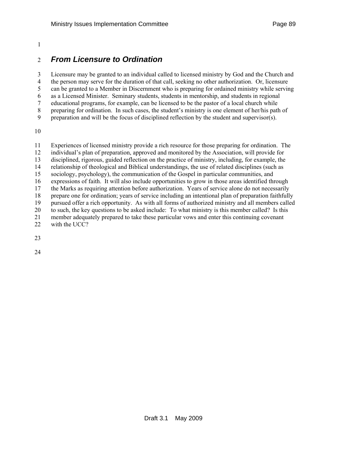#### 1

### 2 *From Licensure to Ordination*

3 Licensure may be granted to an individual called to licensed ministry by God and the Church and 4 the person may serve for the duration of that call, seeking no other authorization. Or, licensure 5 can be granted to a Member in Discernment who is preparing for ordained ministry while serving 6 as a Licensed Minister. Seminary students, students in mentorship, and students in regional 7 educational programs, for example, can be licensed to be the pastor of a local church while 8 preparing for ordination. In such cases, the student's ministry is one element of her/his path of 9 preparation and will be the focus of disciplined reflection by the student and supervisor(s).

10

11 Experiences of licensed ministry provide a rich resource for those preparing for ordination. The 12 individual's plan of preparation, approved and monitored by the Association, will provide for 13 disciplined, rigorous, guided reflection on the practice of ministry, including, for example, the 14 relationship of theological and Biblical understandings, the use of related disciplines (such as 15 sociology, psychology), the communication of the Gospel in particular communities, and 16 expressions of faith. It will also include opportunities to grow in those areas identified through 17 the Marks as requiring attention before authorization. Years of service alone do not necessarily 18 prepare one for ordination; years of service including an intentional plan of preparation faithfully 19 pursued offer a rich opportunity. As with all forms of authorized ministry and all members called 20 to such, the key questions to be asked include: To what ministry is this member called? Is this 21 member adequately prepared to take these particular vows and enter this continuing covenant 22 with the UCC?

23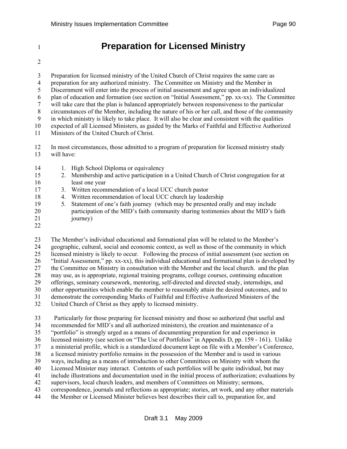# <sup>1</sup>**Preparation for Licensed Ministry**

2

3 Preparation for licensed ministry of the United Church of Christ requires the same care as 4 preparation for any authorized ministry. The Committee on Ministry and the Member in 5 Discernment will enter into the process of initial assessment and agree upon an individualized 6 plan of education and formation (see section on "Initial Assessment," pp. xx-xx). The Committee 7 will take care that the plan is balanced appropriately between responsiveness to the particular 8 circumstances of the Member, including the nature of his or her call, and those of the community 9 in which ministry is likely to take place. It will also be clear and consistent with the qualities 10 expected of all Licensed Ministers, as guided by the Marks of Faithful and Effective Authorized 11 Ministers of the United Church of Christ.

- 12 In most circumstances, those admitted to a program of preparation for licensed ministry study 13 will have:
- 14 1. High School Diploma or equivalency
- 15 2. Membership and active participation in a United Church of Christ congregation for at 16 least one year
- 17 3. Written recommendation of a local UCC church pastor
- 18 4. Written recommendation of local UCC church lay leadership
- 19 5. Statement of one's faith journey (which may be presented orally and may include 20 participation of the MID's faith community sharing testimonies about the MID's faith 21 journey)
- 22

23 The Member's individual educational and formational plan will be related to the Member's 24 geographic, cultural, social and economic context, as well as those of the community in which 25 licensed ministry is likely to occur. Following the process of initial assessment (see section on 26 "Initial Assessment," pp. xx-xx), this individual educational and formational plan is developed by 27 the Committee on Ministry in consultation with the Member and the local church. and the plan 28 may use, as is appropriate, regional training programs, college courses, continuing education 29 offerings, seminary coursework, mentoring, self-directed and directed study, internships, and 30 other opportunities which enable the member to reasonably attain the desired outcomes, and to 31 demonstrate the corresponding Marks of Faithful and Effective Authorized Ministers of the 32 United Church of Christ as they apply to licensed ministry.

33 Particularly for those preparing for licensed ministry and those so authorized (but useful and 34 recommended for MID's and all authorized ministers), the creation and maintenance of a 35 "portfolio" is strongly urged as a means of documenting preparation for and experience in 36 licensed ministry (see section on "The Use of Portfolios" in Appendix D, pp. 159 - 161). Unlike 37 a ministerial profile, which is a standardized document kept on file with a Member's Conference, 38 a licensed ministry portfolio remains in the possession of the Member and is used in various 39 ways, including as a means of introduction to other Committees on Ministry with whom the 40 Licensed Minister may interact. Contents of such portfolios will be quite individual, but may 41 include illustrations and documentation used in the initial process of authorization; evaluations by 42 supervisors, local church leaders, and members of Committees on Ministry; sermons, 43 correspondence, journals and reflections as appropriate; stories, art work, and any other materials 44 the Member or Licensed Minister believes best describes their call to, preparation for, and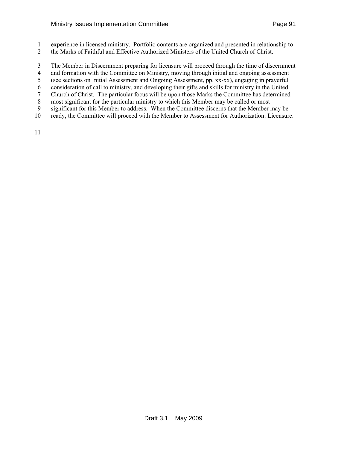#### Ministry Issues Implementation Committee **Page 91** American Ministry Page 91

- 1 experience in licensed ministry. Portfolio contents are organized and presented in relationship to
- 2 the Marks of Faithful and Effective Authorized Ministers of the United Church of Christ.
- 3 The Member in Discernment preparing for licensure will proceed through the time of discernment
- 4 and formation with the Committee on Ministry, moving through initial and ongoing assessment
- 5 (see sections on Initial Assessment and Ongoing Assessment, pp. xx-xx), engaging in prayerful
- 6 consideration of call to ministry, and developing their gifts and skills for ministry in the United
- 7 Church of Christ. The particular focus will be upon those Marks the Committee has determined
- 8 most significant for the particular ministry to which this Member may be called or most 9 significant for this Member to address. When the Committee discerns that the Member may be
- 10 ready, the Committee will proceed with the Member to Assessment for Authorization: Licensure.
- 11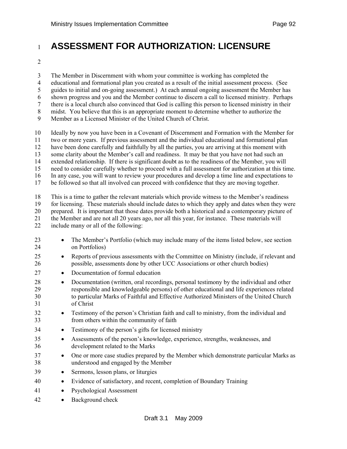# <sup>1</sup>**ASSESSMENT FOR AUTHORIZATION: LICENSURE**

2

3 The Member in Discernment with whom your committee is working has completed the

4 educational and formational plan you created as a result of the initial assessment process. (See

5 guides to initial and on-going assessment.) At each annual ongoing assessment the Member has

6 shown progress and you and the Member continue to discern a call to licensed ministry. Perhaps

7 there is a local church also convinced that God is calling this person to licensed ministry in their

8 midst. You believe that this is an appropriate moment to determine whether to authorize the

9 Member as a Licensed Minister of the United Church of Christ.

10 Ideally by now you have been in a Covenant of Discernment and Formation with the Member for

11 two or more years. If previous assessment and the individual educational and formational plan

12 have been done carefully and faithfully by all the parties, you are arriving at this moment with

13 some clarity about the Member's call and readiness. It may be that you have not had such an

14 extended relationship. If there is significant doubt as to the readiness of the Member, you will

15 need to consider carefully whether to proceed with a full assessment for authorization at this time. 16 In any case, you will want to review your procedures and develop a time line and expectations to

17 be followed so that all involved can proceed with confidence that they are moving together.

18 This is a time to gather the relevant materials which provide witness to the Member's readiness

19 for licensing. These materials should include dates to which they apply and dates when they were 20 prepared. It is important that those dates provide both a historical and a contemporary picture of

21 the Member and are not all 20 years ago, nor all this year, for instance. These materials will

22 include many or all of the following:

- 23 The Member's Portfolio (which may include many of the items listed below, see section 24 on Portfolios)
- 25 Reports of previous assessments with the Committee on Ministry (include, if relevant and 26 possible, assessments done by other UCC Associations or other church bodies)
- 27 Documentation of formal education
- 28 Documentation (written, oral recordings, personal testimony by the individual and other 29 responsible and knowledgeable persons) of other educational and life experiences related 30 to particular Marks of Faithful and Effective Authorized Ministers of the United Church 31 of Christ
- 32 Testimony of the person's Christian faith and call to ministry, from the individual and 33 from others within the community of faith
- 34 Testimony of the person's gifts for licensed ministry
- 35 Assessments of the person's knowledge, experience, strengths, weaknesses, and 36 development related to the Marks
- 37 One or more case studies prepared by the Member which demonstrate particular Marks as 38 understood and engaged by the Member
- 39 Sermons, lesson plans, or liturgies
- 40 Evidence of satisfactory, and recent, completion of Boundary Training
- 41 Psychological Assessment
- 42 Background check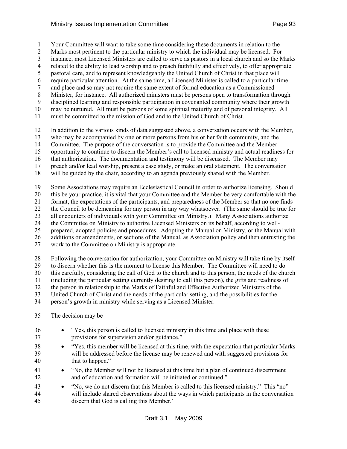1 Your Committee will want to take some time considering these documents in relation to the

2 Marks most pertinent to the particular ministry to which the individual may be licensed. For

3 instance, most Licensed Ministers are called to serve as pastors in a local church and so the Marks 4 related to the ability to lead worship and to preach faithfully and effectively, to offer appropriate

5 pastoral care, and to represent knowledgeably the United Church of Christ in that place will

6 require particular attention. At the same time, a Licensed Minister is called to a particular time

7 and place and so may not require the same extent of formal education as a Commissioned

8 Minister, for instance. All authorized ministers must be persons open to transformation through

9 disciplined learning and responsible participation in covenanted community where their growth

10 may be nurtured. All must be persons of some spiritual maturity and of personal integrity. All

11 must be committed to the mission of God and to the United Church of Christ.

12 In addition to the various kinds of data suggested above, a conversation occurs with the Member,

13 who may be accompanied by one or more persons from his or her faith community, and the

14 Committee. The purpose of the conversation is to provide the Committee and the Member

15 opportunity to continue to discern the Member's call to licensed ministry and actual readiness for

16 that authorization. The documentation and testimony will be discussed. The Member may

17 preach and/or lead worship, present a case study, or make an oral statement. The conversation

18 will be guided by the chair, according to an agenda previously shared with the Member.

19 Some Associations may require an Ecclesiastical Council in order to authorize licensing. Should

20 this be your practice, it is vital that your Committee and the Member be very comfortable with the

21 format, the expectations of the participants, and preparedness of the Member so that no one finds

22 the Council to be demeaning for any person in any way whatsoever. (The same should be true for

23 all encounters of individuals with your Committee on Ministry.) Many Associations authorize

24 the Committee on Ministry to authorize Licensed Ministers on its behalf, according to well-

25 prepared, adopted policies and procedures. Adopting the Manual on Ministry, or the Manual with

26 additions or amendments, or sections of the Manual, as Association policy and then entrusting the

27 work to the Committee on Ministry is appropriate.

28 Following the conversation for authorization, your Committee on Ministry will take time by itself

29 to discern whether this is the moment to license this Member. The Committee will need to do

30 this carefully, considering the call of God to the church and to this person, the needs of the church

31 (including the particular setting currently desiring to call this person), the gifts and readiness of

32 the person in relationship to the Marks of Faithful and Effective Authorized Ministers of the

33 United Church of Christ and the needs of the particular setting, and the possibilities for the

34 person's growth in ministry while serving as a Licensed Minister.

### 35 The decision may be

- 36 "Yes, this person is called to licensed ministry in this time and place with these 37 provisions for supervision and/or guidance," 38 • "Yes, this member will be licensed at this time, with the expectation that particular Marks
- 39 will be addressed before the license may be renewed and with suggested provisions for 40 that to happen."
- 41 "No, the Member will not be licensed at this time but a plan of continued discernment 42 and of education and formation will be initiated or continued."
- 43 "No, we do not discern that this Member is called to this licensed ministry." This "no" 44 will include shared observations about the ways in which participants in the conversation 45 discern that God is calling this Member."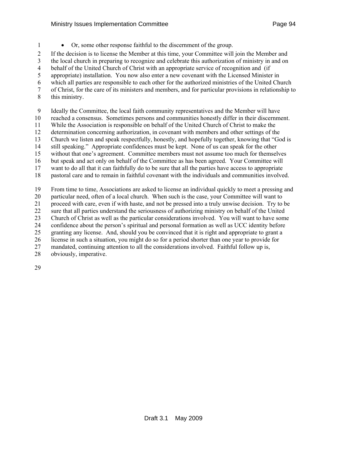1 • Or, some other response faithful to the discernment of the group.

2 If the decision is to license the Member at this time, your Committee will join the Member and

3 the local church in preparing to recognize and celebrate this authorization of ministry in and on

4 behalf of the United Church of Christ with an appropriate service of recognition and (if

5 appropriate) installation. You now also enter a new covenant with the Licensed Minister in

6 which all parties are responsible to each other for the authorized ministries of the United Church

7 of Christ, for the care of its ministers and members, and for particular provisions in relationship to

8 this ministry.

9 Ideally the Committee, the local faith community representatives and the Member will have

10 reached a consensus. Sometimes persons and communities honestly differ in their discernment.

11 While the Association is responsible on behalf of the United Church of Christ to make the

12 determination concerning authorization, in covenant with members and other settings of the

13 Church we listen and speak respectfully, honestly, and hopefully together, knowing that "God is

14 still speaking." Appropriate confidences must be kept. None of us can speak for the other

15 without that one's agreement. Committee members must not assume too much for themselves

16 but speak and act only on behalf of the Committee as has been agreed. Your Committee will

17 want to do all that it can faithfully do to be sure that all the parties have access to appropriate 18 pastoral care and to remain in faithful covenant with the individuals and communities involved.

19 From time to time, Associations are asked to license an individual quickly to meet a pressing and 20 particular need, often of a local church. When such is the case, your Committee will want to 21 proceed with care, even if with haste, and not be pressed into a truly unwise decision. Try to be 22 sure that all parties understand the seriousness of authorizing ministry on behalf of the United 23 Church of Christ as well as the particular considerations involved. You will want to have some 24 confidence about the person's spiritual and personal formation as well as UCC identity before 25 granting any license. And, should you be convinced that it is right and appropriate to grant a 26 license in such a situation, you might do so for a period shorter than one year to provide for 27 mandated, continuing attention to all the considerations involved. Faithful follow up is,

28 obviously, imperative.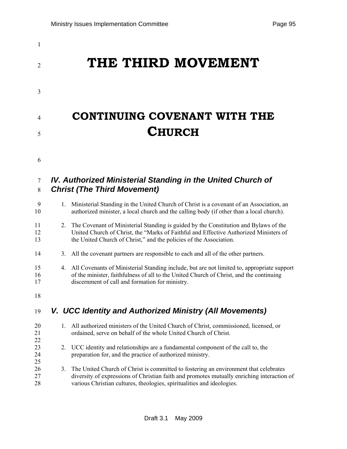| $\mathbf{1}$        |    |                                                                                                                                                                                                                                                              |
|---------------------|----|--------------------------------------------------------------------------------------------------------------------------------------------------------------------------------------------------------------------------------------------------------------|
| $\overline{2}$      |    | THE THIRD MOVEMENT                                                                                                                                                                                                                                           |
| 3                   |    |                                                                                                                                                                                                                                                              |
| 4                   |    | <b>CONTINUING COVENANT WITH THE</b>                                                                                                                                                                                                                          |
| 5                   |    | <b>CHURCH</b>                                                                                                                                                                                                                                                |
| 6                   |    |                                                                                                                                                                                                                                                              |
| $\overline{7}$<br>8 |    | IV. Authorized Ministerial Standing in the United Church of<br><b>Christ (The Third Movement)</b>                                                                                                                                                            |
| 9<br>10             | 1. | Ministerial Standing in the United Church of Christ is a covenant of an Association, an<br>authorized minister, a local church and the calling body (if other than a local church).                                                                          |
| 11<br>12<br>13      |    | 2. The Covenant of Ministerial Standing is guided by the Constitution and Bylaws of the<br>United Church of Christ, the "Marks of Faithful and Effective Authorized Ministers of<br>the United Church of Christ," and the policies of the Association.       |
| 14                  | 3. | All the covenant partners are responsible to each and all of the other partners.                                                                                                                                                                             |
| 15<br>16<br>17      |    | 4. All Covenants of Ministerial Standing include, but are not limited to, appropriate support<br>of the minister, faithfulness of all to the United Church of Christ, and the continuing<br>discernment of call and formation for ministry.                  |
| 18                  |    |                                                                                                                                                                                                                                                              |
| 19                  |    | V. UCC Identity and Authorized Ministry (All Movements)                                                                                                                                                                                                      |
| 20<br>21<br>22      | 1. | All authorized ministers of the United Church of Christ, commissioned, licensed, or<br>ordained, serve on behalf of the whole United Church of Christ.                                                                                                       |
| 23<br>24<br>25      | 2. | UCC identity and relationships are a fundamental component of the call to, the<br>preparation for, and the practice of authorized ministry.                                                                                                                  |
| 26<br>27<br>28      | 3. | The United Church of Christ is committed to fostering an environment that celebrates<br>diversity of expressions of Christian faith and promotes mutually enriching interaction of<br>various Christian cultures, theologies, spiritualities and ideologies. |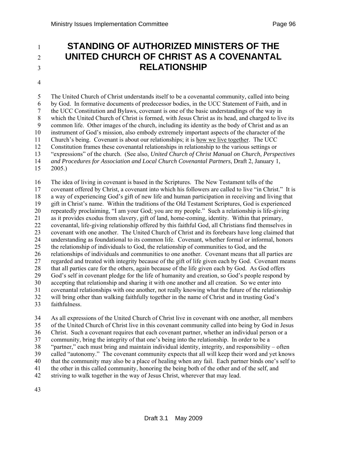## <sup>1</sup>**STANDING OF AUTHORIZED MINISTERS OF THE**  <sup>2</sup>**UNITED CHURCH OF CHRIST AS A COVENANTAL**  <sup>3</sup>**RELATIONSHIP**

4

5 The United Church of Christ understands itself to be a covenantal community, called into being 6 by God. In formative documents of predecessor bodies, in the UCC Statement of Faith, and in 7 the UCC Constitution and Bylaws, covenant is one of the basic understandings of the way in 8 which the United Church of Christ is formed, with Jesus Christ as its head, and charged to live its 9 common life. Other images of the church, including its identity as the body of Christ and as an 10 instrument of God's mission, also embody extremely important aspects of the character of the 11 Church's being. Covenant is about our relationships; it is how we live together. The UCC 12 Constitution frames these covenantal relationships in relationship to the various settings or 13 "expressions" of the church. (See also, *United Church of Christ Manual on Church, Perspectives*  14 *and Procedures for Association and Local Church Covenantal Partners*, Draft 2, January 1, 15 2005.)

16 The idea of living in covenant is based in the Scriptures. The New Testament tells of the 17 covenant offered by Christ, a covenant into which his followers are called to live "in Christ." It is 18 a way of experiencing God's gift of new life and human participation in receiving and living that 19 gift in Christ's name. Within the traditions of the Old Testament Scriptures, God is experienced 20 repeatedly proclaiming, "I am your God; you are my people." Such a relationship is life-giving 21 as it provides exodus from slavery, gift of land, home-coming, identity. Within that primary, 22 covenantal, life-giving relationship offered by this faithful God, all Christians find themselves in 23 covenant with one another. The United Church of Christ and its forebears have long claimed that 24 understanding as foundational to its common life. Covenant, whether formal or informal, honors 25 the relationship of individuals to God, the relationship of communities to God, and the 26 relationships of individuals and communities to one another. Covenant means that all parties are 27 regarded and treated with integrity because of the gift of life given each by God. Covenant means 28 that all parties care for the others, again because of the life given each by God. As God offers 29 God's self in covenant pledge for the life of humanity and creation, so God's people respond by 30 accepting that relationship and sharing it with one another and all creation. So we enter into 31 covenantal relationships with one another, not really knowing what the future of the relationship 32 will bring other than walking faithfully together in the name of Christ and in trusting God's

33 faithfulness.

34 As all expressions of the United Church of Christ live in covenant with one another, all members 35 of the United Church of Christ live in this covenant community called into being by God in Jesus 36 Christ. Such a covenant requires that each covenant partner, whether an individual person or a 37 community, bring the integrity of that one's being into the relationship. In order to be a 38 "partner," each must bring and maintain individual identity, integrity, and responsibility – often 39 called "autonomy." The covenant community expects that all will keep their word and yet knows 40 that the community may also be a place of healing when any fail. Each partner binds one's self to 41 the other in this called community, honoring the being both of the other and of the self, and 42 striving to walk together in the way of Jesus Christ, wherever that may lead.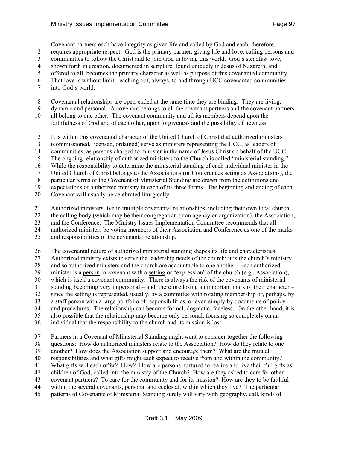#### Ministry Issues Implementation Committee **Page 97** Ninistry Issues Page 97

- 1 Covenant partners each have integrity as given life and called by God and each, therefore,
- 2 requires appropriate respect. God is the primary partner, giving life and love, calling persons and
- 3 communities to follow the Christ and to join God in loving this world. God's steadfast love,
- 4 shown forth in creation, documented in scripture, found uniquely in Jesus of Nazareth, and
- 5 offered to all, becomes the primary character as well as purpose of this covenanted community.
- 6 That love is without limit, reaching out, always, to and through UCC covenanted communities
- 7 into God's world.
- 8 Covenantal relationships are open-ended at the same time they are binding. They are living,
- 9 dynamic and personal. A covenant belongs to all the covenant partners and the covenant partners
- 10 all belong to one other. The covenant community and all its members depend upon the
- 11 faithfulness of God and of each other, upon forgiveness and the possibility of newness.
- 12 It is within this covenantal character of the United Church of Christ that authorized ministers
- 13 (commissioned, licensed, ordained) serve as ministers representing the UCC, as leaders of
- 14 communities, as persons charged to minister in the name of Jesus Christ on behalf of the UCC.
- 15 The ongoing relationship of authorized ministers to the Church is called "ministerial standing."
- 16 While the responsibility to determine the ministerial standing of each individual minister in the
- 17 United Church of Christ belongs to the Associations (or Conferences acting as Associations), the
- 18 particular terms of the Covenant of Ministerial Standing are drawn from the definitions and
- 19 expectations of authorized ministry in each of its three forms. The beginning and ending of each
- 20 Covenant will usually be celebrated liturgically.
- 21 Authorized ministers live in multiple covenantal relationships, including their own local church,
- 22 the calling body (which may be their congregation or an agency or organization), the Association,
- 23 and the Conference. The Ministry Issues Implementation Committee recommends that all
- 24 authorized ministers be voting members of their Association and Conference as one of the marks
- 25 and responsibilities of the covenantal relationship.
- 26 The covenantal nature of authorized ministerial standing shapes its life and characteristics.
- 27 Authorized ministry exists to serve the leadership needs of the church; it is the church's ministry,
- 28 and so authorized ministers and the church are accountable to one another. Each authorized
- 29 minister is a person in covenant with a setting or "expression" of the church (e.g., Association),
- 30 which is itself a covenant community. There is always the risk of the covenants of ministerial
- 31 standing becoming very impersonal and, therefore losing an important mark of their character –
- 32 since the setting is represented, usually, by a committee with rotating membership or, perhaps, by
- 33 a staff person with a large portfolio of responsibilities, or even simply by documents of policy 34 and procedures. The relationship can become formal, dogmatic, faceless. On the other hand, it is
- 35 also possible that the relationship may become only personal, focusing so completely on an
- 36 individual that the responsibility to the church and its mission is lost.
- 37 Partners in a Covenant of Ministerial Standing might want to consider together the following 38 questions: How do authorized ministers relate to the Association? How do they relate to one 39 another? How does the Association support and encourage them? What are the mutual
- 40 responsibilities and what gifts might each expect to receive from and within the community?
- 41 What gifts will each offer? How? How are persons nurtured to realize and live their full gifts as
- 42 children of God, called into the ministry of the Church? How are they asked to care for other
- 43 covenant partners? To care for the community and for its mission? How are they to be faithful
- 44 within the several covenants, personal and ecclesial, within which they live? The particular
- 45 patterns of Covenants of Ministerial Standing surely will vary with geography, call, kinds of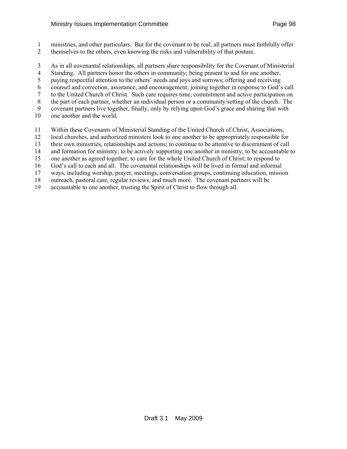- 1 ministries, and other particulars. But for the covenant to be real, all partners must faithfully offer 2 themselves to the others, even knowing the risks and vulnerability of that posture.
- 3 As in all covenantal relationships, all partners share responsibility for the Covenant of Ministerial
- 4 Standing. All partners honor the others in community; being present to and for one another,
- 5 paying respectful attention to the others' needs and joys and sorrows; offering and receiving
- 6 counsel and correction, assistance, and encouragement; joining together in response to God's call
- 7 to the United Church of Christ. Such care requires time, commitment and active participation on
- 8 the part of each partner, whether an individual person or a community/setting of the church. The
- 9 covenant partners live together, finally, only by relying upon God's grace and sharing that with
- 10 one another and the world.
- 11 Within these Covenants of Ministerial Standing of the United Church of Christ, Associations,
- 12 local churches, and authorized ministers look to one another to be appropriately responsible for
- 13 their own ministries, relationships and actions; to continue to be attentive to discernment of call
- 14 and formation for ministry; to be actively supporting one another in ministry; to be accountable to
- 15 one another as agreed together; to care for the whole United Church of Christ; to respond to
- 16 God's call to each and all. The covenantal relationships will be lived in formal and informal
- 17 ways, including worship, prayer, meetings, conversation groups, continuing education, mission
- 18 outreach, pastoral care, regular reviews, and much more. The covenant partners will be
- 19 accountable to one another, trusting the Spirit of Christ to flow through all.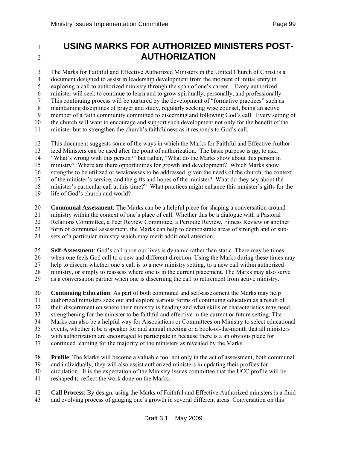# 1 **USING MARKS FOR AUTHORIZED MINISTERS POST-**2 **AUTHORIZATION**

3 The Marks for Faithful and Effective Authorized Ministers in the United Church of Christ is a 4 document designed to assist in leadership development from the moment of initial entry in 5 exploring a call to authorized ministry through the span of one's career. Every authorized 6 minister will seek to continue to learn and to grow spiritually, personally, and professionally. 7 This continuing process will be nurtured by the development of "formative practices" such as 8 maintaining disciplines of prayer and study, regularly seeking wise counsel, being an active 9 member of a faith community committed to discerning and following God's call. Every setting of 10 the church will want to encourage and support such development not only for the benefit of the 11 minister but to strengthen the church's faithfulness as it responds to God's call.

12 This document suggests some of the ways in which the Marks for Faithful and Effective Author-

13 ized Ministers can be used after the point of authorization. The basic purpose is not to ask,

14 "What's wrong with this person?" but rather, "What do the Marks show about this person in

15 ministry? Where are there opportunities for growth and development? Which Marks show

16 strengths to be utilized or weaknesses to be addressed, given the needs of the church, the context

17 of the minister's service, and the gifts and hopes of the minister? What do they say about the

18 minister's particular call at this time?" What practices might enhance this minister's gifts for the

19 life of God's church and world?

20 **Communal Assessment**: The Marks can be a helpful piece for shaping a conversation around

21 ministry within the context of one's place of call. Whether this be a dialogue with a Pastoral

22 Relations Committee, a Peer Review Committee, a Periodic Review, Fitness Review or another

23 form of communal assessment, the Marks can help to demonstrate areas of strength and or sub-

24 sets of a particular ministry which may merit additional attention.

25 **Self-Assessment**: God's call upon our lives is dynamic rather than static. There may be times 26 when one feels God call to a new and different direction. Using the Marks during these times may 27 help to discern whether one's call is to a new ministry setting, to a new call within authorized 28 ministry, or simply to reassess where one is in the current placement. The Marks may also serve 29 as a conversation partner when one is discerning the call to retirement from active ministry.

30 **Continuing Education**: As part of both communal and self-assessment the Marks may help 31 authorized ministers seek out and explore various forms of continuing education as a result of 32 their discernment on where their ministry is heading and what skills or characteristics may need 33 strengthening for the minister to be faithful and effective in the current or future setting. The 34 Marks can also be a helpful way for Associations or Committees on Ministry to select educational 35 events, whether it be a speaker for and annual meeting or a book-of-the-month that all ministers 36 with authorization are encouraged to participate in because there is a an obvious place for

37 continued learning for the majority of the ministers as revealed by the Marks.

38 **Profile**: The Marks will become a valuable tool not only in the act of assessment, both communal

39 and individually, they will also assist authorized ministers in updating their profiles for

40 circulation. It is the expectation of the Ministry Issues committee that the UCC profile will be

41 reshaped to reflect the work done on the Marks.

42 **Call Process**: By design, using the Marks of Faithful and Effective Authorized ministers is a fluid 43 and evolving process of gauging one's growth in several different areas. Conversation on this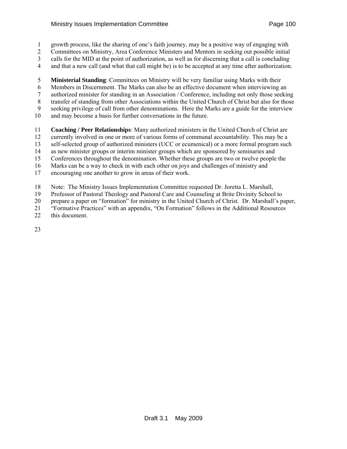- 1 growth process, like the sharing of one's faith journey, may be a positive way of engaging with
- 2 Committees on Ministry, Area Conference Ministers and Mentors in seeking out possible initial
- 3 calls for the MID at the point of authorization, as well as for discerning that a call is concluding
- 4 and that a new call (and what that call might be) is to be accepted at any time after authorization.
- 5 **Ministerial Standing**: Committees on Ministry will be very familiar using Marks with their
- 6 Members in Discernment. The Marks can also be an effective document when interviewing an
- 7 authorized minister for standing in an Association / Conference, including not only those seeking
- 8 transfer of standing from other Associations within the United Church of Christ but also for those
- 9 seeking privilege of call from other denominations. Here the Marks are a guide for the interview
- 10 and may become a basis for further conversations in the future.
- 11 **Coaching / Peer Relationships**: Many authorized ministers in the United Church of Christ are
- 12 currently involved in one or more of various forms of communal accountability. This may be a
- 13 self-selected group of authorized ministers (UCC or ecumenical) or a more formal program such
- 14 as new minister groups or interim minister groups which are sponsored by seminaries and
- 15 Conferences throughout the denomination. Whether these groups are two or twelve people the
- 16 Marks can be a way to check in with each other on joys and challenges of ministry and
- 17 encouraging one another to grow in areas of their work.
- 18 Note: The Ministry Issues Implementation Committee requested Dr. Joretta L. Marshall,
- 19 Professor of Pastoral Theology and Pastoral Care and Counseling at Brite Divinity School to
- 20 prepare a paper on "formation" for ministry in the United Church of Christ. Dr. Marshall's paper,
- 21 "Formative Practices" with an appendix, "On Formation" follows in the Additional Resources
- 22 this document.
- 23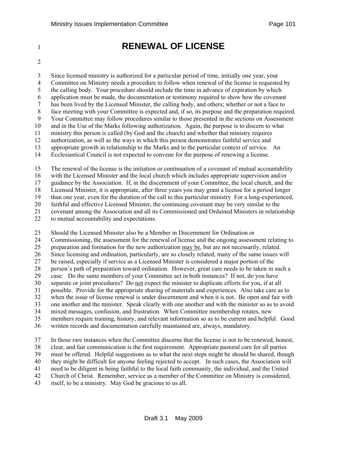# 1 **RENEWAL OF LICENSE**

2

3 Since licensed ministry is authorized for a particular period of time, initially one year, your 4 Committee on Ministry needs a procedure to follow when renewal of the license is requested by 5 the calling body. Your procedure should include the time in advance of expiration by which 6 application must be made, the documentation or testimony required to show how the covenant 7 has been lived by the Licensed Minister, the calling body, and others; whether or not a face to 8 face meeting with your Committee is expected and, if so, its purpose and the preparation required. 9 Your Committee may follow procedures similar to those presented in the sections on Assessment 10 and in the Use of the Marks following authorization. Again, the purpose is to discern to what 11 ministry this person is called (by God and the church) and whether that ministry requires 12 authorization, as well as the ways in which this person demonstrates faithful service and 13 appropriate growth in relationship to the Marks and to the particular context of service. An 14 Ecclesiastical Council is not expected to convene for the purpose of renewing a license.

15 The renewal of the license is the initiation or continuation of a covenant of mutual accountability

16 with the Licensed Minister and the local church which includes appropriate supervision and/or

17 guidance by the Association. If, in the discernment of your Committee, the local church, and the

18 Licensed Minister, it is appropriate, after three years you may grant a license for a period longer

19 than one year, even for the duration of the call to this particular ministry For a long-experienced,

20 faithful and effective Licensed Minister, the continuing covenant may be very similar to the

21 covenant among the Association and all its Commissioned and Ordained Ministers in relationship<br>22 to mutual accountability and expectations. to mutual accountability and expectations.

23 Should the Licensed Minister also be a Member in Discernment for Ordination or

24 Commissioning, the assessment for the renewal of license and the ongoing assessment relating to

25 preparation and formation for the new authorization may be, but are not necessarily, related.

26 Since licensing and ordination, particularly, are so closely related, many of the same issues will

27 be raised, especially if service as a Licensed Minister is considered a major portion of the

28 person's path of preparation toward ordination. However, great care needs to be taken in such a<br>29 case. Do the same members of your Committee act in both instances? If not, do you have

case. Do the same members of your Committee act in both instances? If not, do you have

30 separate or joint procedures? Do not expect the minister to duplicate efforts for you, if at all

31 possible. Provide for the appropriate sharing of materials and experiences. Also take care as to 32 when the issue of license renewal is under discernment and when it is not. Be open and fair with

33 one another and the minister. Speak clearly with one another and with the minister so as to avoid

34 mixed messages, confusion, and frustration. When Committee membership rotates, new

35 members require training, history, and relevant information so as to be current and helpful. Good

36 written records and documentation carefully maintained are, always, mandatory.

37 In those rare instances when the Committee discerns that the license is not to be renewed, honest, 38 clear, and fair communication is the first requirement. Appropriate pastoral care for all parties 39 must be offered. Helpful suggestions as to what the next steps might be should be shared, though 40 they might be difficult for anyone feeling rejected to accept. In such cases, the Association will 41 need to be diligent in being faithful to the local faith community, the individual, and the United 42 Church of Christ. Remember, service as a member of the Committee on Ministry is considered, 43 itself, to be a ministry. May God be gracious to us all.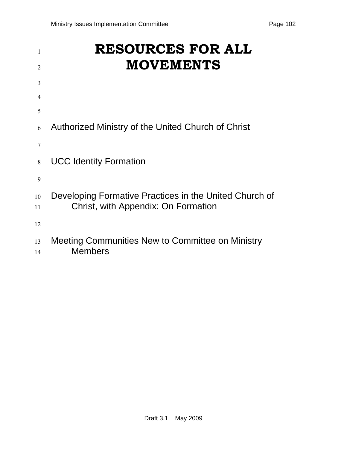| 1        | <b>RESOURCES FOR ALL</b>                                           |
|----------|--------------------------------------------------------------------|
| 2        | <b>MOVEMENTS</b>                                                   |
| 3        |                                                                    |
| 4        |                                                                    |
| 5        |                                                                    |
| 6        | Authorized Ministry of the United Church of Christ                 |
| 7        |                                                                    |
| 8        | <b>UCC Identity Formation</b>                                      |
| 9        |                                                                    |
| 10       | Developing Formative Practices in the United Church of             |
| 11       | Christ, with Appendix: On Formation                                |
| 12       |                                                                    |
| 13<br>14 | Meeting Communities New to Committee on Ministry<br><b>Members</b> |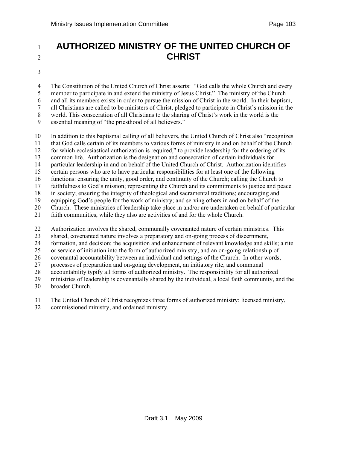# <sup>1</sup>**AUTHORIZED MINISTRY OF THE UNITED CHURCH OF**  <sup>2</sup>**CHRIST**

3

4 The Constitution of the United Church of Christ asserts: "God calls the whole Church and every 5 member to participate in and extend the ministry of Jesus Christ." The ministry of the Church 6 and all its members exists in order to pursue the mission of Christ in the world. In their baptism, 7 all Christians are called to be ministers of Christ, pledged to participate in Christ's mission in the 8 world. This consecration of all Christians to the sharing of Christ's work in the world is the 9 essential meaning of "the priesthood of all believers."

10 In addition to this baptismal calling of all believers, the United Church of Christ also "recognizes 11 that God calls certain of its members to various forms of ministry in and on behalf of the Church 12 for which ecclesiastical authorization is required," to provide leadership for the ordering of its 13 common life. Authorization is the designation and consecration of certain individuals for 14 particular leadership in and on behalf of the United Church of Christ. Authorization identifies 15 certain persons who are to have particular responsibilities for at least one of the following 16 functions: ensuring the unity, good order, and continuity of the Church; calling the Church to 17 faithfulness to God's mission; representing the Church and its commitments to justice and peace 18 in society; ensuring the integrity of theological and sacramental traditions; encouraging and 19 equipping God's people for the work of ministry; and serving others in and on behalf of the 20 Church. These ministries of leadership take place in and/or are undertaken on behalf of particular 21 faith communities, while they also are activities of and for the whole Church.

22 Authorization involves the shared, communally covenanted nature of certain ministries. This

23 shared, covenanted nature involves a preparatory and on-going process of discernment,

24 formation, and decision; the acquisition and enhancement of relevant knowledge and skills; a rite

25 or service of initiation into the form of authorized ministry; and an on-going relationship of

26 covenantal accountability between an individual and settings of the Church. In other words,

27 processes of preparation and on-going development, an initiatory rite, and communal

28 accountability typify all forms of authorized ministry. The responsibility for all authorized

29 ministries of leadership is covenantally shared by the individual, a local faith community, and the

30 broader Church.

31 The United Church of Christ recognizes three forms of authorized ministry: licensed ministry,

32 commissioned ministry, and ordained ministry.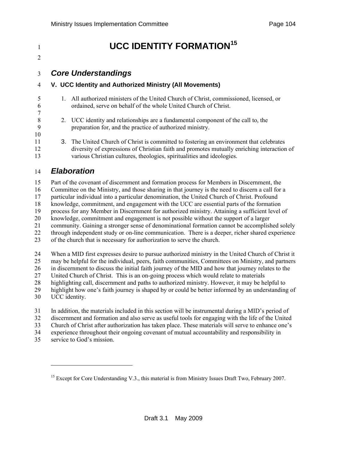$\mathcal{L}$ 

7

10

# <span id="page-103-0"></span>**UCC IDENTITY FORMATION<sup>[15](#page-103-0)</sup>**

### 3 *Core Understandings*

### 4 **V. UCC Identity and Authorized Ministry (All Movements)**

- 5 1. All authorized ministers of the United Church of Christ, commissioned, licensed, or 6 ordained, serve on behalf of the whole United Church of Christ.
- 8 2. UCC identity and relationships are a fundamental component of the call to, the 9 preparation for, and the practice of authorized ministry.
- 11 3. The United Church of Christ is committed to fostering an environment that celebrates 12 diversity of expressions of Christian faith and promotes mutually enriching interaction of 13 various Christian cultures, theologies, spiritualities and ideologies.

### 14 *Elaboration*

15 Part of the covenant of discernment and formation process for Members in Discernment, the 16 Committee on the Ministry, and those sharing in that journey is the need to discern a call for a 17 particular individual into a particular denomination, the United Church of Christ. Profound 18 knowledge, commitment, and engagement with the UCC are essential parts of the formation 19 process for any Member in Discernment for authorized ministry. Attaining a sufficient level of 20 knowledge, commitment and engagement is not possible without the support of a larger 21 community. Gaining a stronger sense of denominational formation cannot be accomplished solely 22 through independent study or on-line communication. There is a deeper, richer shared experience 23 of the church that is necessary for authorization to serve the church. 24 When a MID first expresses desire to pursue authorized ministry in the United Church of Christ it

25 may be helpful for the individual, peers, faith communities, Committees on Ministry, and partners

26 in discernment to discuss the initial faith journey of the MID and how that journey relates to the 27 United Church of Christ. This is an on-going process which would relate to materials

28 highlighting call, discernment and paths to authorized ministry. However, it may be helpful to

29 highlight how one's faith journey is shaped by or could be better informed by an understanding of

30 UCC identity.

 $\overline{a}$ 

31 In addition, the materials included in this section will be instrumental during a MID's period of

32 discernment and formation and also serve as useful tools for engaging with the life of the United

33 Church of Christ after authorization has taken place. These materials will serve to enhance one's

- 34 experience throughout their ongoing covenant of mutual accountability and responsibility in
- 35 service to God's mission.

<sup>&</sup>lt;sup>15</sup> Except for Core Understanding V.3., this material is from Ministry Issues Draft Two, February 2007.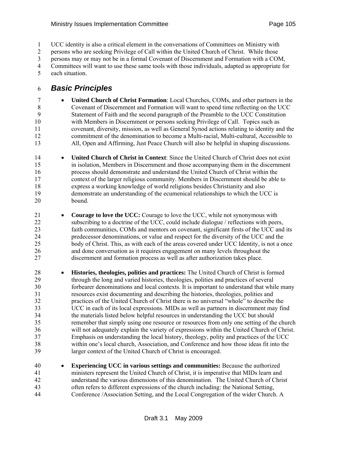1 UCC identity is also a critical element in the conversations of Committees on Ministry with

2 persons who are seeking Privilege of Call within the United Church of Christ. While those

3 persons may or may not be in a formal Covenant of Discernment and Formation with a COM,

4 Committees will want to use these same tools with those individuals, adapted as appropriate for 5 each situation.

### 6 *Basic Principles*

- 7 **United Church of Christ Formation**: Local Churches, COMs, and other partners in the 8 Covenant of Discernment and Formation will want to spend time reflecting on the UCC 9 Statement of Faith and the second paragraph of the Preamble to the UCC Constitution 10 with Members in Discernment or persons seeking Privilege of Call. Topics such as 11 covenant, diversity, mission, as well as General Synod actions relating to identity and the 12 commitment of the denomination to become a Multi-racial, Multi-cultural, Accessible to 13 All, Open and Affirming, Just Peace Church will also be helpful in shaping discussions.
- 14 **United Church of Christ in Context**: Since the United Church of Christ does not exist 15 in isolation, Members in Discernment and those accompanying them in the discernment 16 process should demonstrate and understand the United Church of Christ within the 17 context of the larger religious community. Members in Discernment should be able to 18 express a working knowledge of world religions besides Christianity and also 19 demonstrate an understanding of the ecumenical relationships to which the UCC is 20 bound.
- 21 **Courage to love the UCC:** Courage to love the UCC, while not synonymous with 22 subscribing to a doctrine of the UCC, could include dialogue / reflections with peers, 23 faith communities, COMs and mentors on covenant, significant firsts of the UCC and its 24 predecessor denominations, or value and respect for the diversity of the UCC and the 25 body of Christ. This, as with each of the areas covered under UCC Identity, is not a once 26 and done conversation as it requires engagement on many levels throughout the 27 discernment and formation process as well as after authorization takes place.
- 28 **Histories, theologies, polities and practices:** The United Church of Christ is formed 29 through the long and varied histories, theologies, polities and practices of several 30 forbearer denominations and local contexts. It is important to understand that while many 31 resources exist documenting and describing the histories, theologies, polities and 32 practices of the United Church of Christ there is no universal "whole" to describe the 33 UCC in each of its local expressions. MIDs as well as partners in discernment may find 34 the materials listed below helpful resources in understanding the UCC but should 35 remember that simply using one resource or resources from only one setting of the church 36 will not adequately explain the variety of expressions within the United Church of Christ. 37 Emphasis on understanding the local history, theology, polity and practices of the UCC 38 within one's local church, Association, and Conference and how those ideas fit into the 39 larger context of the United Church of Christ is encouraged.
- 40 **Experiencing UCC in various settings and communities:** Because the authorized 41 ministers represent the United Church of Christ, it is imperative that MIDs learn and 42 understand the various dimensions of this denomination. The United Church of Christ 43 often refers to different expressions of the church including: the National Setting, 44 Conference /Association Setting, and the Local Congregation of the wider Church. A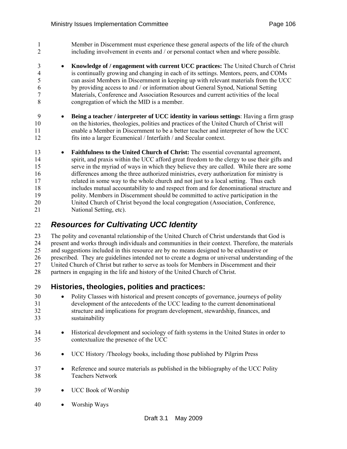1 Member in Discernment must experience these general aspects of the life of the church 2 including involvement in events and / or personal contact when and where possible.

- 3 **Knowledge of / engagement with current UCC practices:** The United Church of Christ 4 is continually growing and changing in each of its settings. Mentors, peers, and COMs 5 can assist Members in Discernment in keeping up with relevant materials from the UCC 6 by providing access to and / or information about General Synod, National Setting 7 Materials, Conference and Association Resources and current activities of the local 8 congregation of which the MID is a member.
- 9 **Being a teacher / interpreter of UCC identity in various settings**: Having a firm grasp 10 on the histories, theologies, polities and practices of the United Church of Christ will 11 enable a Member in Discernment to be a better teacher and interpreter of how the UCC 12 fits into a larger Ecumenical / Interfaith / and Secular context.
- 13 **Faithfulness to the United Church of Christ:** The essential covenantal agreement, 14 spirit, and praxis within the UCC afford great freedom to the clergy to use their gifts and 15 serve in the myriad of ways in which they believe they are called. While there are some 16 differences among the three authorized ministries, every authorization for ministry is 17 related in some way to the whole church and not just to a local setting. Thus each 18 includes mutual accountability to and respect from and for denominational structure and 19 polity. Members in Discernment should be committed to active participation in the 20 United Church of Christ beyond the local congregation (Association, Conference, 21 National Setting, etc).

## 22 *Resources for Cultivating UCC Identity*

23 The polity and covenantal relationship of the United Church of Christ understands that God is 24 present and works through individuals and communities in their context. Therefore, the materials 25 and suggestions included in this resource are by no means designed to be exhaustive or 26 prescribed. They are guidelines intended not to create a dogma or universal understanding of the 27 United Church of Christ but rather to serve as tools for Members in Discernment and their 28 partners in engaging in the life and history of the United Church of Christ.

### 29 **Histories, theologies, polities and practices:**

- 30 Polity Classes with historical and present concepts of governance, journeys of polity 31 development of the antecedents of the UCC leading to the current denominational 32 structure and implications for program development, stewardship, finances, and 33 sustainability
- 34 Historical development and sociology of faith systems in the United States in order to 35 contextualize the presence of the UCC
- 36 UCC History /Theology books, including those published by Pilgrim Press
- 37 Reference and source materials as published in the bibliography of the UCC Polity 38 Teachers Network
- 39 UCC Book of Worship
- 40 Worship Ways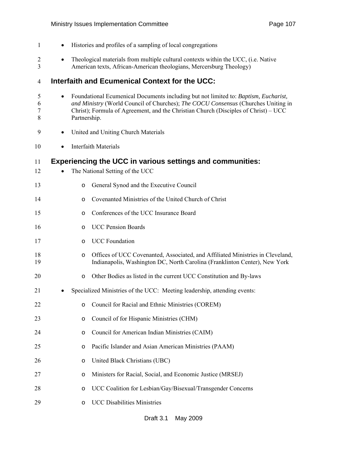| $\mathbf{1}$        | $\bullet$                                                                                                                                                              | Histories and profiles of a sampling of local congregations                                                                                                                                                                                                                     |  |  |  |  |
|---------------------|------------------------------------------------------------------------------------------------------------------------------------------------------------------------|---------------------------------------------------------------------------------------------------------------------------------------------------------------------------------------------------------------------------------------------------------------------------------|--|--|--|--|
| $\overline{2}$<br>3 | Theological materials from multiple cultural contexts within the UCC, (i.e. Native<br>$\bullet$<br>American texts, African-American theologians, Mercersburg Theology) |                                                                                                                                                                                                                                                                                 |  |  |  |  |
| 4                   | <b>Interfaith and Ecumenical Context for the UCC:</b>                                                                                                                  |                                                                                                                                                                                                                                                                                 |  |  |  |  |
| 5<br>6<br>7<br>8    | $\bullet$                                                                                                                                                              | Foundational Ecumenical Documents including but not limited to: Baptism, Eucharist,<br>and Ministry (World Council of Churches); The COCU Consensus (Churches Uniting in<br>Christ); Formula of Agreement, and the Christian Church (Disciples of Christ) – UCC<br>Partnership. |  |  |  |  |
| 9                   | $\bullet$                                                                                                                                                              | United and Uniting Church Materials                                                                                                                                                                                                                                             |  |  |  |  |
| 10                  |                                                                                                                                                                        | <b>Interfaith Materials</b>                                                                                                                                                                                                                                                     |  |  |  |  |
| 11<br>12            |                                                                                                                                                                        | <b>Experiencing the UCC in various settings and communities:</b><br>The National Setting of the UCC                                                                                                                                                                             |  |  |  |  |
| 13                  | $\circ$                                                                                                                                                                | General Synod and the Executive Council                                                                                                                                                                                                                                         |  |  |  |  |
| 14                  | $\circ$                                                                                                                                                                | Covenanted Ministries of the United Church of Christ                                                                                                                                                                                                                            |  |  |  |  |
| 15                  | $\circ$                                                                                                                                                                | Conferences of the UCC Insurance Board                                                                                                                                                                                                                                          |  |  |  |  |
| 16                  | $\circ$                                                                                                                                                                | <b>UCC Pension Boards</b>                                                                                                                                                                                                                                                       |  |  |  |  |
| 17                  | $\circ$                                                                                                                                                                | <b>UCC</b> Foundation                                                                                                                                                                                                                                                           |  |  |  |  |
| 18<br>19            | $\circ$                                                                                                                                                                | Offices of UCC Covenanted, Associated, and Affiliated Ministries in Cleveland,<br>Indianapolis, Washington DC, North Carolina (Franklinton Center), New York                                                                                                                    |  |  |  |  |
| 20                  | $\circ$                                                                                                                                                                | Other Bodies as listed in the current UCC Constitution and By-laws                                                                                                                                                                                                              |  |  |  |  |
| 21                  |                                                                                                                                                                        | Specialized Ministries of the UCC: Meeting leadership, attending events:                                                                                                                                                                                                        |  |  |  |  |
| 22                  | O                                                                                                                                                                      | Council for Racial and Ethnic Ministries (COREM)                                                                                                                                                                                                                                |  |  |  |  |
| 23                  | O                                                                                                                                                                      | Council of for Hispanic Ministries (CHM)                                                                                                                                                                                                                                        |  |  |  |  |
| 24                  | O                                                                                                                                                                      | Council for American Indian Ministries (CAIM)                                                                                                                                                                                                                                   |  |  |  |  |
| 25                  | O                                                                                                                                                                      | Pacific Islander and Asian American Ministries (PAAM)                                                                                                                                                                                                                           |  |  |  |  |
| 26                  | O                                                                                                                                                                      | United Black Christians (UBC)                                                                                                                                                                                                                                                   |  |  |  |  |
| 27                  | O                                                                                                                                                                      | Ministers for Racial, Social, and Economic Justice (MRSEJ)                                                                                                                                                                                                                      |  |  |  |  |
| 28                  | O                                                                                                                                                                      | UCC Coalition for Lesbian/Gay/Bisexual/Transgender Concerns                                                                                                                                                                                                                     |  |  |  |  |
| 29                  | $\circ$                                                                                                                                                                | <b>UCC Disabilities Ministries</b>                                                                                                                                                                                                                                              |  |  |  |  |
|                     |                                                                                                                                                                        |                                                                                                                                                                                                                                                                                 |  |  |  |  |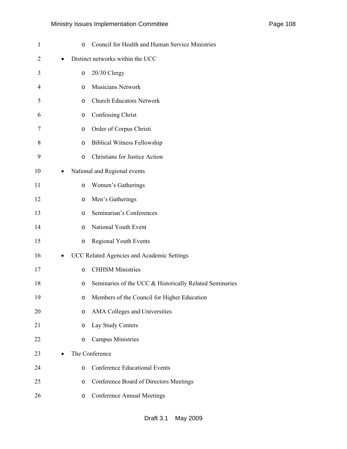| $\mathbf{1}$   |   | $\circ$ | Council for Health and Human Service Ministries         |
|----------------|---|---------|---------------------------------------------------------|
| $\overline{2}$ | ٠ |         | Distinct networks within the UCC                        |
| 3              |   | O       | 20/30 Clergy                                            |
| 4              |   | $\circ$ | <b>Musicians Network</b>                                |
| 5              |   | $\circ$ | <b>Church Educators Network</b>                         |
| 6              |   | O       | <b>Confessing Christ</b>                                |
| 7              |   | O       | Order of Corpus Christi                                 |
| 8              |   | O       | <b>Biblical Witness Fellowship</b>                      |
| 9              |   | O       | Christians for Justice Action                           |
| 10             | ٠ |         | National and Regional events                            |
| 11             |   | $\circ$ | Women's Gatherings                                      |
| 12             |   | O       | Men's Gatherings                                        |
| 13             |   | O       | Seminarian's Conferences                                |
| 14             |   | $\circ$ | National Youth Event                                    |
| 15             |   | $\circ$ | <b>Regional Youth Events</b>                            |
| 16             |   |         | UCC Related Agencies and Academic Settings              |
| 17             |   | O       | <b>CHHSM Ministries</b>                                 |
| 18             |   | O       | Seminaries of the UCC & Historically Related Seminaries |
| 19             |   | O       | Members of the Council for Higher Education             |
| 20             |   | O       | AMA Colleges and Universities                           |
| 21             |   | O       | Lay Study Centers                                       |
| 22             |   | O       | <b>Campus Ministries</b>                                |
| 23             |   |         | The Conference                                          |
| 24             |   | O       | <b>Conference Educational Events</b>                    |
| 25             |   | O       | Conference Board of Directors Meetings                  |
| 26             |   | $\circ$ | <b>Conference Annual Meetings</b>                       |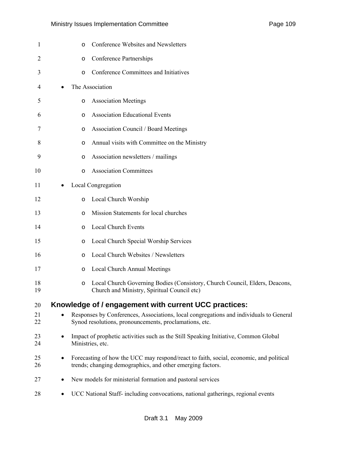| Page 109 |  |
|----------|--|
|          |  |

| 1        | Conference Websites and Newsletters<br>O                                                                                                                  |
|----------|-----------------------------------------------------------------------------------------------------------------------------------------------------------|
| 2        | <b>Conference Partnerships</b><br>O                                                                                                                       |
| 3        | Conference Committees and Initiatives<br>$\circ$                                                                                                          |
| 4        | The Association                                                                                                                                           |
| 5        | <b>Association Meetings</b><br>O                                                                                                                          |
| 6        | <b>Association Educational Events</b><br>$\circ$                                                                                                          |
| 7        | <b>Association Council / Board Meetings</b><br>O                                                                                                          |
| 8        | Annual visits with Committee on the Ministry<br>$\circ$                                                                                                   |
| 9        | Association newsletters / mailings<br>O                                                                                                                   |
| 10       | <b>Association Committees</b><br>$\circ$                                                                                                                  |
| 11       | Local Congregation<br>٠                                                                                                                                   |
| 12       | Local Church Worship<br>$\circ$                                                                                                                           |
| 13       | Mission Statements for local churches<br>$\circ$                                                                                                          |
| 14       | <b>Local Church Events</b><br>$\circ$                                                                                                                     |
| 15       | Local Church Special Worship Services<br>O                                                                                                                |
| 16       | Local Church Websites / Newsletters<br>$\circ$                                                                                                            |
| 17       | <b>Local Church Annual Meetings</b><br>O                                                                                                                  |
| 18<br>19 | Local Church Governing Bodies (Consistory, Church Council, Elders, Deacons,<br>O<br>Church and Ministry, Spiritual Council etc)                           |
| 20       | Knowledge of / engagement with current UCC practices:                                                                                                     |
| 21<br>22 | Responses by Conferences, Associations, local congregations and individuals to General<br>Synod resolutions, pronouncements, proclamations, etc.          |
| 23<br>24 | Impact of prophetic activities such as the Still Speaking Initiative, Common Global<br>$\bullet$<br>Ministries, etc.                                      |
| 25<br>26 | Forecasting of how the UCC may respond/react to faith, social, economic, and political<br>٠<br>trends; changing demographics, and other emerging factors. |
| 27       | New models for ministerial formation and pastoral services                                                                                                |
| 28       | UCC National Staff- including convocations, national gatherings, regional events<br>٠                                                                     |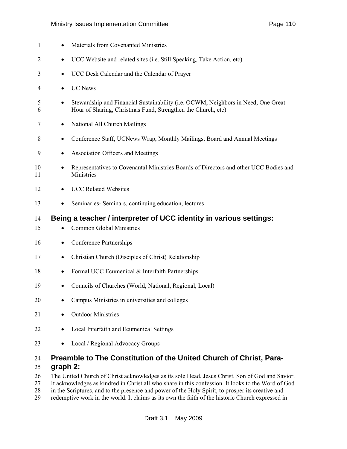#### Ministry Issues Implementation Committee **Page 110** Page 110

| 1              | Materials from Covenanted Ministries<br>٠                                                                                                                                                            |
|----------------|------------------------------------------------------------------------------------------------------------------------------------------------------------------------------------------------------|
| $\overline{2}$ | UCC Website and related sites (i.e. Still Speaking, Take Action, etc)<br>$\bullet$                                                                                                                   |
| 3              | UCC Desk Calendar and the Calendar of Prayer<br>$\bullet$                                                                                                                                            |
| 4              | <b>UC</b> News<br>$\bullet$                                                                                                                                                                          |
| 5<br>6         | Stewardship and Financial Sustainability (i.e. OCWM, Neighbors in Need, One Great<br>$\bullet$<br>Hour of Sharing, Christmas Fund, Strengthen the Church, etc)                                       |
| 7              | National All Church Mailings<br>$\bullet$                                                                                                                                                            |
| 8              | Conference Staff, UCNews Wrap, Monthly Mailings, Board and Annual Meetings<br>٠                                                                                                                      |
| 9              | Association Officers and Meetings<br>$\bullet$                                                                                                                                                       |
| 10<br>11       | Representatives to Covenantal Ministries Boards of Directors and other UCC Bodies and<br>$\bullet$<br>Ministries                                                                                     |
| 12             | <b>UCC Related Websites</b><br>$\bullet$                                                                                                                                                             |
| 13             | Seminaries-Seminars, continuing education, lectures<br>$\bullet$                                                                                                                                     |
| 14             | Being a teacher / interpreter of UCC identity in various settings:                                                                                                                                   |
| 15             | <b>Common Global Ministries</b><br>٠                                                                                                                                                                 |
| 16             | <b>Conference Partnerships</b><br>٠                                                                                                                                                                  |
| 17             | Christian Church (Disciples of Christ) Relationship<br>$\bullet$                                                                                                                                     |
| 18             | Formal UCC Ecumenical & Interfaith Partnerships<br>$\bullet$                                                                                                                                         |
| 19             | Councils of Churches (World, National, Regional, Local)<br>٠                                                                                                                                         |
| 20             | Campus Ministries in universities and colleges                                                                                                                                                       |
| 21             | <b>Outdoor Ministries</b>                                                                                                                                                                            |
| 22             | Local Interfaith and Ecumenical Settings                                                                                                                                                             |
| 23             | Local / Regional Advocacy Groups<br>$\bullet$                                                                                                                                                        |
| 24<br>25<br>26 | Preamble to The Constitution of the United Church of Christ, Para-<br>graph 2:<br>The United Church of Christ acknowledges as its sole Head, Jesus Christ, Son of God and Savior.                    |
| 27<br>28       | It acknowledges as kindred in Christ all who share in this confession. It looks to the Word of God<br>in the Scriptures and to the presence and power of the Holy Spirit to prosper its creative and |

28 in the Scriptures, and to the presence and power of the Holy Spirit, to prosper its creative and redemptive work in the world. It claims as its own the faith of the historic Church expressed in redemptive work in the world. It claims as its own the faith of the historic Church expressed in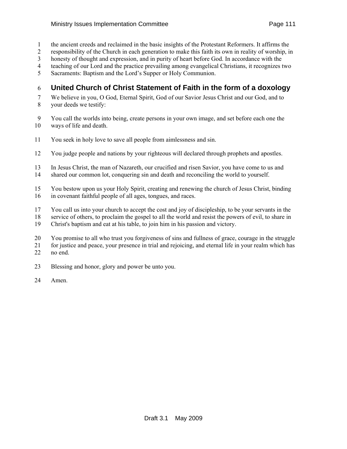- 1 the ancient creeds and reclaimed in the basic insights of the Protestant Reformers. It affirms the
- 2 responsibility of the Church in each generation to make this faith its own in reality of worship, in
- 3 honesty of thought and expression, and in purity of heart before God. In accordance with the
- 4 teaching of our Lord and the practice prevailing among evangelical Christians, it recognizes two
- 5 Sacraments: Baptism and the Lord's Supper or Holy Communion.

#### 6 **United Church of Christ Statement of Faith in the form of a doxology**

7 We believe in you, O God, Eternal Spirit, God of our Savior Jesus Christ and our God, and to

- 8 your deeds we testify:
- 9 You call the worlds into being, create persons in your own image, and set before each one the 10 ways of life and death.
- 11 You seek in holy love to save all people from aimlessness and sin.
- 12 You judge people and nations by your righteous will declared through prophets and apostles.
- 13 In Jesus Christ, the man of Nazareth, our crucified and risen Savior, you have come to us and
- 14 shared our common lot, conquering sin and death and reconciling the world to yourself.
- 15 You bestow upon us your Holy Spirit, creating and renewing the church of Jesus Christ, binding 16 in covenant faithful people of all ages, tongues, and races.
- 17 You call us into your church to accept the cost and joy of discipleship, to be your servants in the
- 18 service of others, to proclaim the gospel to all the world and resist the powers of evil, to share in
- 19 Christ's baptism and eat at his table, to join him in his passion and victory.
- 20 You promise to all who trust you forgiveness of sins and fullness of grace, courage in the struggle
- 21 for justice and peace, your presence in trial and rejoicing, and eternal life in your realm which has
- 22 no end.
- 23 Blessing and honor, glory and power be unto you.
- 24 Amen.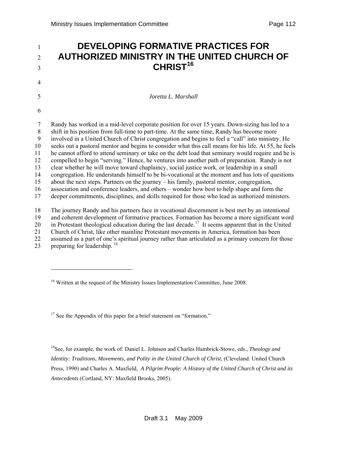#### <span id="page-111-0"></span><sup>1</sup>**DEVELOPING FORMATIVE PRACTICES FOR**  <sup>2</sup>**AUTHORIZED MINISTRY IN THE UNITED CHURCH OF CHRIST[16](#page-111-0)** <sup>3</sup> 4 5 *Joretta L. Marshall*  6 7 Randy has worked in a mid-level corporate position for over 15 years. Down-sizing has led to a 8 shift in his position from full-time to part-time. At the same time, Randy has become more 9 involved in a United Church of Christ congregation and begins to feel a "call" into ministry. He 10 seeks out a pastoral mentor and begins to consider what this call means for his life. At 55, he feels 11 he cannot afford to attend seminary or take on the debt load that seminary would require and he is 12 compelled to begin "serving." Hence, he ventures into another path of preparation. Randy is not 13 clear whether he will move toward chaplaincy, social justice work, or leadership in a small 14 congregation. He understands himself to be bi-vocational at the moment and has lots of questions 15 about the next steps. Partners on the journey – his family, pastoral mentor, congregation, 16 association and conference leaders, and others – wonder how best to help shape and form the 17 deeper commitments, disciplines, and skills required for those who lead as authorized ministers. 18 The journey Randy and his partners face in vocational discernment is best met by an intentional 19 and coherent development of formative practices. Formation has become a more significant word 20 in Protestant theological education during the last decade.<sup>[1](#page-111-0)7</sup> It seems apparent that in the United 21 Church of Christ, like other mainline Protestant movements in America, formation has been

- 22 assumed as a part of one's spiritual journey rather than articulated as a primary concern for those
- 23 preparing for leadership. <sup>[1](#page-111-0)8</sup>

-

 $17$  See the Appendix of this paper for a brief statement on "formation."

18See, for example, the work of: Daniel L. Johnson and Charles Hambrick-Stowe, eds., *Theology and Identity: Traditions, Movements, and Polity in the United Church of Christ*, (Cleveland: United Church Press, 1990) and Charles A. Maxfield, *A Pilgrim People: A History of the United Church of Christ and its Antecedents* (Cortland, NY: Maxfield Brooks, 2005).

<sup>&</sup>lt;sup>16</sup> Written at the request of the Ministry Issues Implementation Committee, June 2008.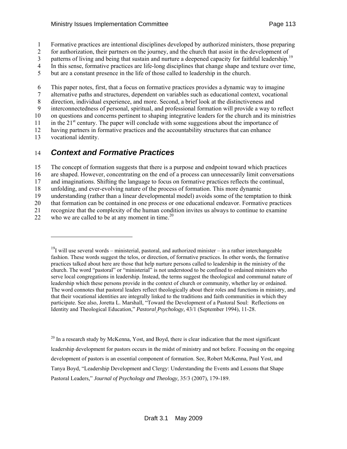- <span id="page-112-0"></span>1 Formative practices are intentional disciplines developed by authorized ministers, those preparing
- 2 for authorization, their partners on the journey, and the church that assist in the development of
- 3 patterns of living and being that sustain and nurture a deepened capacity for faithful leadership.<sup>[1](#page-112-0)9</sup> 4 In this sense, formative practices are life-long disciplines that change shape and texture over time,
- 
- 5 but are a constant presence in the life of those called to leadership in the church.

6 This paper notes, first, that a focus on formative practices provides a dynamic way to imagine

7 alternative paths and structures, dependent on variables such as educational context, vocational

8 direction, individual experience, and more. Second, a brief look at the distinctiveness and

9 interconnectedness of personal, spiritual, and professional formation will provide a way to reflect

10 on questions and concerns pertinent to shaping integrative leaders for the church and its ministries

11 in the  $21<sup>st</sup>$  century. The paper will conclude with some suggestions about the importance of

12 having partners in formative practices and the accountability structures that can enhance

13 vocational identity.

1

## 14 *Context and Formative Practices*

15 The concept of formation suggests that there is a purpose and endpoint toward which practices

16 are shaped. However, concentrating on the end of a process can unnecessarily limit conversations

17 and imaginations. Shifting the language to focus on formative practices reflects the continual,

18 unfolding, and ever-evolving nature of the process of formation. This more dynamic

19 understanding (rather than a linear developmental model) avoids some of the temptation to think

20 that formation can be contained in one process or one educational endeavor. Formative practices

21 recognize that the complexity of the human condition invites us always to continue to examine

22 who we are called to be at any moment in time.<sup>[20](#page-112-0)</sup>

 $20$  In a research study by McKenna, Yost, and Boyd, there is clear indication that the most significant leadership development for pastors occurs in the midst of ministry and not before. Focusing on the ongoing development of pastors is an essential component of formation. See, Robert McKenna, Paul Yost, and Tanya Boyd, "Leadership Development and Clergy: Understanding the Events and Lessons that Shape Pastoral Leaders*,*" *Journal of Psychology and Theology,* 35/3 (2007), 179-189.

 $19$ I will use several words – ministerial, pastoral, and authorized minister – in a rather interchangeable fashion. These words suggest the telos, or direction, of formative practices. In other words, the formative practices talked about here are those that help nurture persons called to leadership in the ministry of the church. The word "pastoral" or "ministerial" is not understood to be confined to ordained ministers who serve local congregations in leadership. Instead, the terms suggest the theological and communal nature of leadership which these persons provide in the context of church or community, whether lay or ordained. The word connotes that pastoral leaders reflect theologically about their roles and functions in ministry, and that their vocational identities are integrally linked to the traditions and faith communities in which they participate. See also, Joretta L. Marshall, "Toward the Development of a Pastoral Soul: Reflections on Identity and Theological Education," *Pastoral Psychology,* 43/1 (September 1994), 11-28.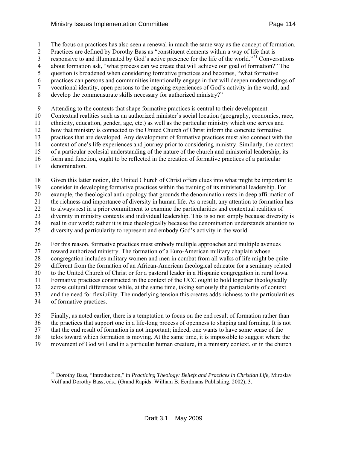<span id="page-113-0"></span>1 The focus on practices has also seen a renewal in much the same way as the concept of formation.

2 Practices are defined by Dorothy Bass as "constituent elements within a way of life that is

3 responsive to and illuminated by God's active presence for the life of the world."<sup>[21](#page-113-0)</sup> Conversations

4 about formation ask, "what process can we create that will achieve our goal of formation?" The 5 question is broadened when considering formative practices and becomes, "what formative

6 practices can persons and communities intentionally engage in that will deepen understandings of

7 vocational identity, open persons to the ongoing experiences of God's activity in the world, and

8 develop the commensurate skills necessary for authorized ministry?"

9 Attending to the contexts that shape formative practices is central to their development.

10 Contextual realities such as an authorized minister's social location (geography, economics, race,

11 ethnicity, education, gender, age, etc.) as well as the particular ministry which one serves and

12 how that ministry is connected to the United Church of Christ inform the concrete formative

13 practices that are developed. Any development of formative practices must also connect with the

14 context of one's life experiences and journey prior to considering ministry. Similarly, the context

15 of a particular ecclesial understanding of the nature of the church and ministerial leadership, its

16 form and function, ought to be reflected in the creation of formative practices of a particular

17 denomination.

l

18 Given this latter notion, the United Church of Christ offers clues into what might be important to

19 consider in developing formative practices within the training of its ministerial leadership. For

20 example, the theological anthropology that grounds the denomination rests in deep affirmation of

21 the richness and importance of diversity in human life. As a result, any attention to formation has

22 to always rest in a prior commitment to examine the particularities and contextual realities of

23 diversity in ministry contexts and individual leadership. This is so not simply because diversity is

24 real in our world; rather it is true theologically because the denomination understands attention to

25 diversity and particularity to represent and embody God's activity in the world.

26 For this reason, formative practices must embody multiple approaches and multiple avenues 27 toward authorized ministry. The formation of a Euro-American military chaplain whose 28 congregation includes military women and men in combat from all walks of life might be quite 29 different from the formation of an African-American theological educator for a seminary related 30 to the United Church of Christ or for a pastoral leader in a Hispanic congregation in rural Iowa. 31 Formative practices constructed in the context of the UCC ought to hold together theologically 32 across cultural differences while, at the same time, taking seriously the particularity of context 33 and the need for flexibility. The underlying tension this creates adds richness to the particularities 34 of formative practices.

35 Finally, as noted earlier, there is a temptation to focus on the end result of formation rather than 36 the practices that support one in a life-long process of openness to shaping and forming. It is not

37 that the end result of formation is not important; indeed, one wants to have some sense of the

38 telos toward which formation is moving. At the same time, it is impossible to suggest where the 39 movement of God will end in a particular human creature, in a ministry context, or in the church

<sup>&</sup>lt;sup>21</sup> Dorothy Bass, "Introduction," in *Practicing Theology: Beliefs and Practices in Christian Life*, Miroslav Volf and Dorothy Bass, eds., (Grand Rapids: William B. Eerdmans Publishing, 2002), 3.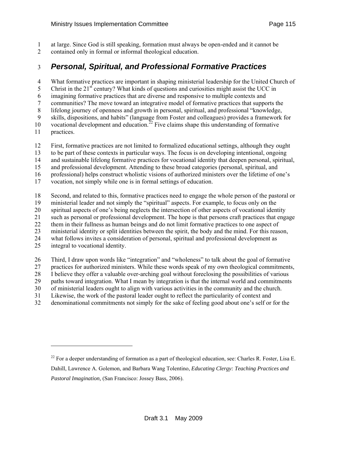- <span id="page-114-0"></span>1 at large. Since God is still speaking, formation must always be open-ended and it cannot be
- 2 contained only in formal or informal theological education.

#### 3 *Personal, Spiritual, and Professional Formative Practices*

4 What formative practices are important in shaping ministerial leadership for the United Church of

5 Christ in the  $21<sup>st</sup>$  century? What kinds of questions and curiosities might assist the UCC in

6 imagining formative practices that are diverse and responsive to multiple contexts and

7 communities? The move toward an integrative model of formative practices that supports the

8 lifelong journey of openness and growth in personal, spiritual, and professional "knowledge,

9 skills, dispositions, and habits" (language from Foster and colleagues) provides a framework for

10 vocational development and education.<sup>[2](#page-114-0)2</sup> Five claims shape this understanding of formative

11 practices.

 $\overline{a}$ 

12 First, formative practices are not limited to formalized educational settings, although they ought

13 to be part of these contexts in particular ways. The focus is on developing intentional, ongoing

14 and sustainable lifelong formative practices for vocational identity that deepen personal, spiritual,

15 and professional development. Attending to these broad categories (personal, spiritual, and

16 professional) helps construct wholistic visions of authorized ministers over the lifetime of one's

17 vocation, not simply while one is in formal settings of education.

18 Second, and related to this, formative practices need to engage the whole person of the pastoral or

19 ministerial leader and not simply the "spiritual" aspects. For example, to focus only on the

20 spiritual aspects of one's being neglects the intersection of other aspects of vocational identity

21 such as personal or professional development. The hope is that persons craft practices that engage

22 them in their fullness as human beings and do not limit formative practices to one aspect of

23 ministerial identity or split identities between the spirit, the body and the mind. For this reason, 24 what follows invites a consideration of personal, spiritual and professional development as

25 integral to vocational identity.

26 Third, I draw upon words like "integration" and "wholeness" to talk about the goal of formative

27 practices for authorized ministers. While these words speak of my own theological commitments,

28 I believe they offer a valuable over-arching goal without foreclosing the possibilities of various

29 paths toward integration. What I mean by integration is that the internal world and commitments

30 of ministerial leaders ought to align with various activities in the community and the church.

31 Likewise, the work of the pastoral leader ought to reflect the particularity of context and

32 denominational commitments not simply for the sake of feeling good about one's self or for the

<sup>&</sup>lt;sup>22</sup> For a deeper understanding of formation as a part of theological education, see: Charles R. Foster, Lisa E. Dahill, Lawrence A. Golemon, and Barbara Wang Tolentino, *Educating Clergy: Teaching Practices and Pastoral Imagination,* (San Francisco: Jossey Bass, 2006).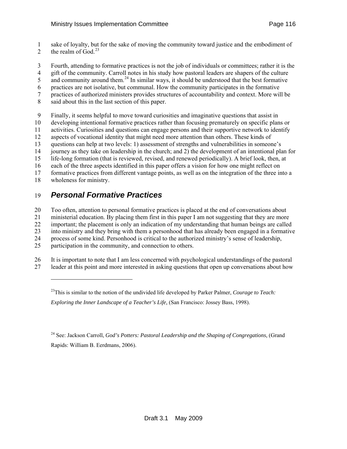<span id="page-115-0"></span>1 sake of loyalty, but for the sake of moving the community toward justice and the embodiment of

- 2 the realm of God.<sup>[23](#page-115-0)</sup>
- 3 Fourth, attending to formative practices is not the job of individuals or committees; rather it is the

4 gift of the community. Carroll notes in his study how pastoral leaders are shapers of the culture

 $\frac{1}{2}$  and community around them.<sup>[24](#page-115-0)</sup> In similar ways, it should be understood that the best formative

6 practices are not isolative, but communal. How the community participates in the formative

- 7 practices of authorized ministers provides structures of accountability and context. More will be
- 8 said about this in the last section of this paper.

9 Finally, it seems helpful to move toward curiosities and imaginative questions that assist in

10 developing intentional formative practices rather than focusing prematurely on specific plans or

11 activities. Curiosities and questions can engage persons and their supportive network to identify

12 aspects of vocational identity that might need more attention than others. These kinds of

13 questions can help at two levels: 1) assessment of strengths and vulnerabilities in someone's

14 journey as they take on leadership in the church; and 2) the development of an intentional plan for

15 life-long formation (that is reviewed, revised, and renewed periodically). A brief look, then, at

16 each of the three aspects identified in this paper offers a vision for how one might reflect on

17 formative practices from different vantage points, as well as on the integration of the three into a

18 wholeness for ministry.

 $\overline{a}$ 

# 19 *Personal Formative Practices*

20 Too often, attention to personal formative practices is placed at the end of conversations about

21 ministerial education. By placing them first in this paper I am not suggesting that they are more

22 important; the placement is only an indication of my understanding that human beings are called

23 into ministry and they bring with them a personhood that has already been engaged in a formative

24 process of some kind. Personhood is critical to the authorized ministry's sense of leadership,

25 participation in the community, and connection to others.

26 It is important to note that I am less concerned with psychological understandings of the pastoral

27 leader at this point and more interested in asking questions that open up conversations about how

*Exploring the Inner Landscape of a Teacher's Life,* (San Francisco: Jossey Bass, 1998).

24 See: Jackson Carroll, *God's Potters: Pastoral Leadership and the Shaping of Congregations,* (Grand Rapids: William B. Eerdmans, 2006).

<sup>23</sup>This is similar to the notion of the undivided life developed by Parker Palmer, *Courage to Teach:*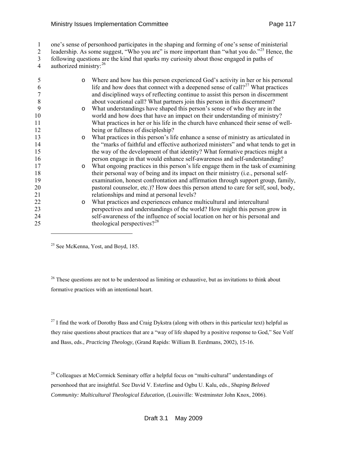#### <span id="page-116-0"></span>Ministry Issues Implementation Committee **Page 117** Page 117

1 one's sense of personhood participates in the shaping and forming of one's sense of ministerial

[2](#page-116-0) leadership. As some suggest, "Who you are" is more important than "what you do."<sup>25</sup> Hence, the

3 following questions are the kind that sparks my curiosity about those engaged in paths of

4 authorized ministry: <sup>[26](#page-116-0)</sup>

| 5  | $\circ$ | Where and how has this person experienced God's activity in her or his personal            |
|----|---------|--------------------------------------------------------------------------------------------|
| 6  |         | life and how does that connect with a deepened sense of call? <sup>27</sup> What practices |
|    |         | and disciplined ways of reflecting continue to assist this person in discernment           |
| 8  |         | about vocational call? What partners join this person in this discernment?                 |
| 9  | $\circ$ | What understandings have shaped this person's sense of who they are in the                 |
| 10 |         | world and how does that have an impact on their understanding of ministry?                 |
| 11 |         | What practices in her or his life in the church have enhanced their sense of well-         |
| 12 |         | being or fullness of discipleship?                                                         |
| 13 | $\circ$ | What practices in this person's life enhance a sense of ministry as articulated in         |
| 14 |         | the "marks of faithful and effective authorized ministers" and what tends to get in        |
| 15 |         | the way of the development of that identity? What formative practices might a              |
| 16 |         | person engage in that would enhance self-awareness and self-understanding?                 |
| 17 | $\circ$ | What ongoing practices in this person's life engage them in the task of examining          |
| 18 |         | their personal way of being and its impact on their ministry (i.e., personal self-         |
| 19 |         | examination, honest confrontation and affirmation through support group, family,           |
| 20 |         | pastoral counselor, etc.)? How does this person attend to care for self, soul, body,       |
| 21 |         | relationships and mind at personal levels?                                                 |
| 22 | $\circ$ | What practices and experiences enhance multicultural and intercultural                     |
| 23 |         | perspectives and understandings of the world? How might this person grow in                |
| 24 |         | self-awareness of the influence of social location on her or his personal and              |
| 25 |         | theological perspectives? $2^{28}$                                                         |
|    |         |                                                                                            |

<sup>25</sup> See McKenna, Yost, and Boyd, 185.

 $\overline{a}$ 

 $26$  These questions are not to be understood as limiting or exhaustive, but as invitations to think about formative practices with an intentional heart.

 $^{27}$  I find the work of Dorothy Bass and Craig Dykstra (along with others in this particular text) helpful as they raise questions about practices that are a "way of life shaped by a positive response to God," See Volf and Bass, eds., *Practicing Theology,* (Grand Rapids: William B. Eerdmans, 2002), 15-16.

 $28$  Colleagues at McCormick Seminary offer a helpful focus on "multi-cultural" understandings of personhood that are insightful. See David V. Esterline and Ogbu U. Kalu, eds., *Shaping Beloved Community: Multicultural Theological Education,* (Louisville: Westminster John Knox, 2006).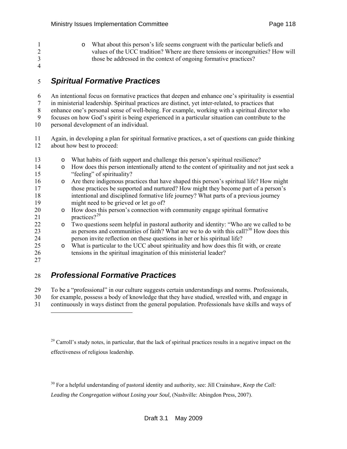<span id="page-117-0"></span>1 o What about this person's life seems congruent with the particular beliefs and values of the UCC tradition? Where are there tensions or incongruities? How 2 values of the UCC tradition? Where are there tensions or incongruities? How will 3 those be addressed in the context of ongoing formative practices? 4

#### 5 *Spiritual Formative Practices*

6 An intentional focus on formative practices that deepen and enhance one's spirituality is essential

7 in ministerial leadership. Spiritual practices are distinct, yet inter-related, to practices that

8 enhance one's personal sense of well-being. For example, working with a spiritual director who

9 focuses on how God's spirit is being experienced in a particular situation can contribute to the

10 personal development of an individual.

11 Again, in developing a plan for spiritual formative practices, a set of questions can guide thinking 12 about how best to proceed:

| 13 | $\circ$ | What habits of faith support and challenge this person's spiritual resilience?                     |
|----|---------|----------------------------------------------------------------------------------------------------|
| 14 | $\circ$ | How does this person intentionally attend to the content of spirituality and not just seek a       |
| 15 |         | "feeling" of spirituality?                                                                         |
| 16 | $\circ$ | Are there indigenous practices that have shaped this person's spiritual life? How might            |
| 17 |         | those practices be supported and nurtured? How might they become part of a person's                |
| 18 |         | intentional and disciplined formative life journey? What parts of a previous journey               |
| 19 |         | might need to be grieved or let go of?                                                             |
| 20 | $\circ$ | How does this person's connection with community engage spiritual formative                        |
| 21 |         | practices? <sup>29</sup>                                                                           |
| 22 | $\circ$ | Two questions seem helpful in pastoral authority and identity: "Who are we called to be            |
| 23 |         | as persons and communities of faith? What are we to do with this call? <sup>30</sup> How does this |
| 24 |         | person invite reflection on these questions in her or his spiritual life?                          |
| 25 | $\circ$ | What is particular to the UCC about spirituality and how does this fit with, or create             |
| 26 |         | tensions in the spiritual imagination of this ministerial leader?                                  |
| 27 |         |                                                                                                    |
|    |         |                                                                                                    |

### 28 *Professional Formative Practices*

l

29 To be a "professional" in our culture suggests certain understandings and norms. Professionals, 30 for example, possess a body of knowledge that they have studied, wrestled with, and engage in 31 continuously in ways distinct from the general population. Professionals have skills and ways of

<sup>29</sup> Carroll's study notes, in particular, that the lack of spiritual practices results in a negative impact on the effectiveness of religious leadership.

30 For a helpful understanding of pastoral identity and authority, see: Jill Crainshaw, *Keep the Call: Leading the Congregation without Losing your Soul,* (Nashville: Abingdon Press, 2007).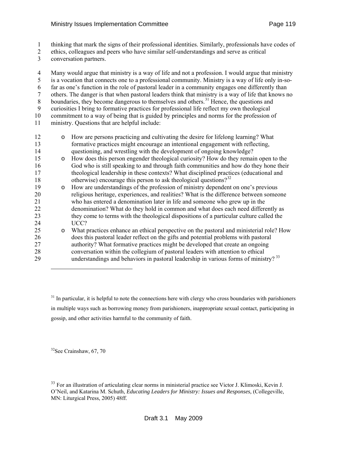- <span id="page-118-0"></span>1 thinking that mark the signs of their professional identities. Similarly, professionals have codes of
- 2 ethics, colleagues and peers who have similar self-understandings and serve as critical
- 3 conversation partners.

4 Many would argue that ministry is a way of life and not a profession. I would argue that ministry 5 is a vocation that connects one to a professional community. Ministry is a way of life only in-so-6 far as one's function in the role of pastoral leader in a community engages one differently than 7 others. The danger is that when pastoral leaders think that ministry is a way of life that knows no 8 boundaries, they become dangerous to themselves and others.<sup>[31](#page-118-0)</sup> Hence, the questions and 9 curiosities I bring to formative practices for professional life reflect my own theological 10 commitment to a way of being that is guided by principles and norms for the profession of 11 ministry. Questions that are helpful include: 12 o How are persons practicing and cultivating the desire for lifelong learning? What 13 formative practices might encourage an intentional engagement with reflecting, 14 questioning, and wrestling with the development of ongoing knowledge? 15 o How does this person engender theological curiosity? How do they remain open to the 16 God who is still speaking to and through faith communities and how do they hone their 17 theological leadership in these contexts? What disciplined practices (educational and 18 otherwise) encourage this person to ask theological questions?<sup>[32](#page-118-0)</sup> 19 o How are understandings of the profession of ministry dependent on one's previous 20 religious heritage, experiences, and realities? What is the difference between someone 21 who has entered a denomination later in life and someone who grew up in the 22 denomination? What do they hold in common and what does each need differently as 23 they come to terms with the theological dispositions of a particular culture called the 24 UCC? 25 o What practices enhance an ethical perspective on the pastoral and ministerial role? How does this pastoral leader reflect on the gifts and potential problems with pastoral 26 does this pastoral leader reflect on the gifts and potential problems with pastoral 27 authority? What formative practices might be developed that create an ongoing 28 conversation within the collegium of pastoral leaders with attention to ethical

29 understandings and behaviors in pastoral leadership in various forms of ministry?<sup>[3](#page-118-0)3</sup>

 $31$  In particular, it is helpful to note the connections here with clergy who cross boundaries with parishioners in multiple ways such as borrowing money from parishioners, inappropriate sexual contact, participating in gossip, and other activities harmful to the community of faith.

 $32$ See Crainshaw, 67, 70

-

<sup>33</sup> For an illustration of articulating clear norms in ministerial practice see Victor J. Klimoski, Kevin J. O'Neil, and Katarina M. Schuth, *Educating Leaders for Ministry: Issues and Responses,* (Collegeville, MN: Liturgical Press, 2005) 48ff.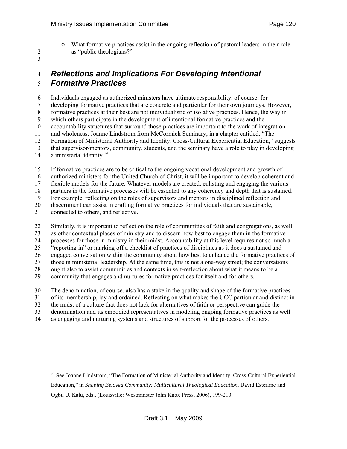- 
- <span id="page-119-0"></span>1 o What formative practices assist in the ongoing reflection of pastoral leaders in their role<br>2 as "public theologians?" as "public theologians?"
- 3

#### 4 *Reflections and Implications For Developing Intentional*  5 *Formative Practices*

6 Individuals engaged as authorized ministers have ultimate responsibility, of course, for

7 developing formative practices that are concrete and particular for their own journeys. However,

8 formative practices at their best are not individualistic or isolative practices. Hence, the way in

9 which others participate in the development of intentional formative practices and the

10 accountability structures that surround those practices are important to the work of integration

11 and wholeness. Joanne Lindstrom from McCormick Seminary, in a chapter entitled, "The

12 Formation of Ministerial Authority and Identity: Cross-Cultural Experiential Education," suggests 13 that supervisor/mentors, community, students, and the seminary have a role to play in developing

14 a ministerial identity.<sup>[34](#page-119-0)</sup>

l

15 If formative practices are to be critical to the ongoing vocational development and growth of

16 authorized ministers for the United Church of Christ, it will be important to develop coherent and

17 flexible models for the future. Whatever models are created, enlisting and engaging the various

18 partners in the formative processes will be essential to any coherency and depth that is sustained.

19 For example, reflecting on the roles of supervisors and mentors in disciplined reflection and

20 discernment can assist in crafting formative practices for individuals that are sustainable,

21 connected to others, and reflective.

22 Similarly, it is important to reflect on the role of communities of faith and congregations, as well 23 as other contextual places of ministry and to discern how best to engage them in the formative 24 processes for those in ministry in their midst. Accountability at this level requires not so much a 25 "reporting in" or marking off a checklist of practices of disciplines as it does a sustained and 26 engaged conversation within the community about how best to enhance the formative practices of 27 those in ministerial leadership. At the same time, this is not a one-way street; the conversations 28 ought also to assist communities and contexts in self-reflection about what it means to be a 29 community that engages and nurtures formative practices for itself and for others.

30 The denomination, of course, also has a stake in the quality and shape of the formative practices

31 of its membership, lay and ordained. Reflecting on what makes the UCC particular and distinct in

32 the midst of a culture that does not lack for alternatives of faith or perspective can guide the

33 denomination and its embodied representatives in modeling ongoing formative practices as well

34 as engaging and nurturing systems and structures of support for the processes of others.

<sup>34</sup> See Joanne Lindstrom, "The Formation of Ministerial Authority and Identity: Cross-Cultural Experiential Education," in *Shaping Beloved Community: Multicultural Theological Education*, David Esterline and Ogbu U. Kalu, eds., (Louisville: Westminster John Knox Press, 2006), 199-210.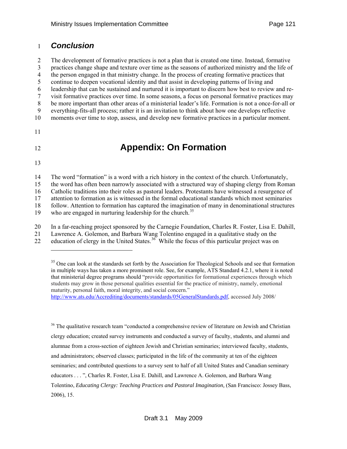#### <span id="page-120-0"></span>1 *Conclusion*

2 The development of formative practices is not a plan that is created one time. Instead, formative 3 practices change shape and texture over time as the seasons of authorized ministry and the life of 4 the person engaged in that ministry change. In the process of creating formative practices that 5 continue to deepen vocational identity and that assist in developing patterns of living and 6 leadership that can be sustained and nurtured it is important to discern how best to review and re-7 visit formative practices over time. In some seasons, a focus on personal formative practices may 8 be more important than other areas of a ministerial leader's life. Formation is not a once-for-all or 9 everything-fits-all process; rather it is an invitation to think about how one develops reflective 10 moments over time to stop, assess, and develop new formative practices in a particular moment.

11

# 12 **Appendix: On Formation**

13

-

14 The word "formation" is a word with a rich history in the context of the church. Unfortunately, 15 the word has often been narrowly associated with a structured way of shaping clergy from Roman 16 Catholic traditions into their roles as pastoral leaders. Protestants have witnessed a resurgence of 17 attention to formation as is witnessed in the formal educational standards which most seminaries 18 follow. Attention to formation has captured the imagination of many in denominational structures 19 who are engaged in nurturing leadership for the church.<sup>[35](#page-120-0)</sup>

20 In a far-reaching project sponsored by the Carnegie Foundation, Charles R. Foster, Lisa E. Dahill, 21 Lawrence A. Golemon, and Barbara Wang Tolentino engaged in a qualitative study on the

22 education of clergy in the United States.<sup>[36](#page-120-0)</sup> While the focus of this particular project was on

<sup>36</sup> The qualitative research team "conducted a comprehensive review of literature on Jewish and Christian clergy education; created survey instruments and conducted a survey of faculty, students, and alumni and alumnae from a cross-section of eighteen Jewish and Christian seminaries; interviewed faculty, students, and administrators; observed classes; participated in the life of the community at ten of the eighteen seminaries; and contributed questions to a survey sent to half of all United States and Canadian seminary educators . . . ", Charles R. Foster, Lisa E. Dahill, and Lawrence A. Golemon, and Barbara Wang Tolentino, *Educating Clergy: Teaching Practices and Pastoral Imagination,* (San Francisco: Jossey Bass, 2006), 15.

<sup>&</sup>lt;sup>35</sup> One can look at the standards set forth by the Association for Theological Schools and see that formation in multiple ways has taken a more prominent role. See, for example, ATS Standard 4.2.1, where it is noted that ministerial degree programs should "provide opportunities for formational experiences through which students may grow in those personal qualities essential for the practice of ministry, namely, emotional maturity, personal faith, moral integrity, and social concern."

http://www.ats.edu/Accrediting/documents/standards/05GeneralStandards.pdf, accessed July 2008/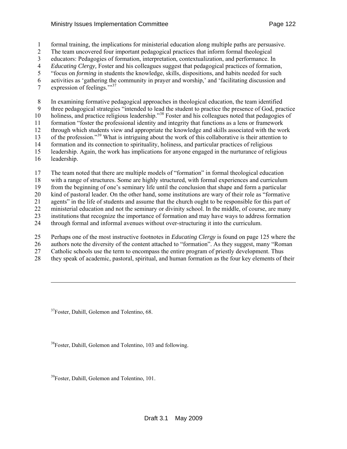#### <span id="page-121-0"></span>Ministry Issues Implementation Committee **Page 122**

1 formal training, the implications for ministerial education along multiple paths are persuasive.

2 The team uncovered four important pedagogical practices that inform formal theological

3 educators: Pedagogies of formation, interpretation, contextualization, and performance. In

4 *Educating Clergy,* Foster and his colleagues suggest that pedagogical practices of formation,

5 "focus on *forming* in students the knowledge, skills, dispositions, and habits needed for such

6 activities as 'gathering the community in prayer and worship,' and 'facilitating discussion and

7 expression of feelings."<sup>[37](#page-121-0)</sup>

8 In examining formative pedagogical approaches in theological education, the team identified 9 three pedagogical strategies "intended to lead the student to practice the presence of God, practice

10 holiness, and practice religious leadership."<sup>[38](#page-121-0)</sup> Foster and his colleagues noted that pedagogies of

11 formation "foster the professional identity and integrity that functions as a lens or framework

12 through which students view and appropriate the knowledge and skills associated with the work

13 of the profession."<sup>[39](#page-121-0)</sup> What is intriguing about the work of this collaborative is their attention to

14 formation and its connection to spirituality, holiness, and particular practices of religious

15 leadership. Again, the work has implications for anyone engaged in the nurturance of religious

16 leadership.

 $\overline{\phantom{a}}$ 

17 The team noted that there are multiple models of "formation" in formal theological education

18 with a range of structures. Some are highly structured, with formal experiences and curriculum

19 from the beginning of one's seminary life until the conclusion that shape and form a particular

20 kind of pastoral leader. On the other hand, some institutions are wary of their role as "formative

21 agents" in the life of students and assume that the church ought to be responsible for this part of

22 ministerial education and not the seminary or divinity school. In the middle, of course, are many 23 institutions that recognize the importance of formation and may have ways to address formation

24 through formal and informal avenues without over-structuring it into the curriculum.

25 Perhaps one of the most instructive footnotes in *Educating Clergy* is found on page 125 where the

26 authors note the diversity of the content attached to "formation". As they suggest, many "Roman

27 Catholic schools use the term to encompass the entire program of priestly development. Thus

28 they speak of academic, pastoral, spiritual, and human formation as the four key elements of their

<sup>37</sup>Foster, Dahill, Golemon and Tolentino, 68.

<sup>38</sup>Foster, Dahill, Golemon and Tolentino, 103 and following.

<sup>39</sup>Foster, Dahill, Golemon and Tolentino, 101.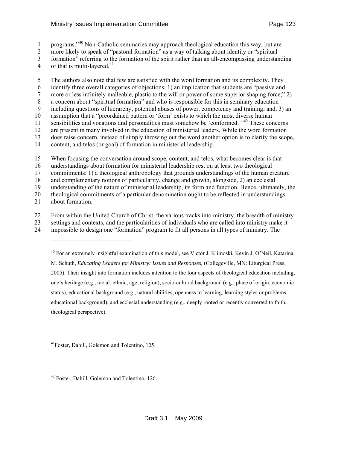- <span id="page-122-0"></span>1 programs."<sup>[4](#page-122-0)0</sup> Non-Catholic seminaries may approach theological education this way; but are
- 2 more likely to speak of "pastoral formation" as a way of talking about identity or "spiritual
- 3 formation" referring to the formation of the spirit rather than an all-encompassing understanding
- [4](#page-122-0) of that is multi-layered. $41$

5 The authors also note that few are satisfied with the word formation and its complexity. They 6 identify three overall categories of objections: 1) an implication that students are "passive and 7 more or less infinitely malleable, plastic to the will or power of some superior shaping force;" 2) 8 a concern about "spiritual formation" and who is responsible for this in seminary education 9 including questions of hierarchy, potential abuses of power, competency and training; and, 3) an 10 assumption that a "preordained pattern or 'form' exists to which the most diverse human 11 sensibilities and vocations and personalities must somehow be 'conformed. $1^{3/42}$  $1^{3/42}$  $1^{3/42}$  These concerns 12 are present in many involved in the education of ministerial leaders. While the word formation 13 does raise concern, instead of simply throwing out the word another option is to clarify the scope, 14 content, and telos (or goal) of formation in ministerial leadership.

15 When focusing the conversation around scope, content, and telos, what becomes clear is that

16 understandings about formation for ministerial leadership rest on at least two theological

17 commitments: 1) a theological anthropology that grounds understandings of the human creature

18 and complementary notions of particularity, change and growth, alongside, 2) an ecclesial 19 understanding of the nature of ministerial leadership, its form and function. Hence, ultimately, the

20 theological commitments of a particular denomination ought to be reflected in understandings

21 about formation.

22 From within the United Church of Christ, the various tracks into ministry, the breadth of ministry

23 settings and contexts, and the particularities of individuals who are called into ministry make it 24 impossible to design one "formation" program to fit all persons in all types of ministry. The

 $\overline{a}$ 

40 For an extremely insightful examination of this model, see Victor J. Klimoski, Kevin J. O'Neil, Katarina M. Schuth, *Educating Leaders for Ministry: Issues and Responses,* (Collegeville, MN: Liturgical Press, 2005). Their insight into formation includes attention to the four aspects of theological education including, one's heritage (e.g., racial, ethnic, age, religion), socio-cultural background (e.g., place of origin, economic status), educational background (e.g., natural abilities, openness to learning, learning styles or problems, educational background), and ecclesial understanding (e.g., deeply rooted or recently converted to faith, theological perspective).

41Foster, Dahill, Golemon and Tolentino, 125.

42 Foster, Dahill, Golemon and Tolentino*,* 126.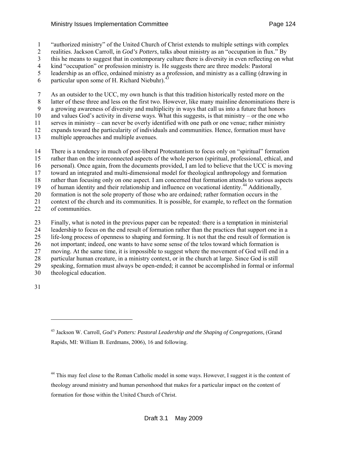#### <span id="page-123-0"></span>Ministry Issues Implementation Committee **Page 124** Page 124

1 "authorized ministry" of the United Church of Christ extends to multiple settings with complex

2 realities. Jackson Carroll, in *God's Potters*, talks about ministry as an "occupation in flux." By

3 this he means to suggest that in contemporary culture there is diversity in even reflecting on what

4 kind "occupation" or profession ministry is. He suggests there are three models: Pastoral

5 leadership as an office, ordained ministry as a profession, and ministry as a calling (drawing in

6 particular upon some of H. Richard Niebuhr). $<sup>4</sup>$  $<sup>4</sup>$  $<sup>4</sup>$ </sup>

7 As an outsider to the UCC, my own hunch is that this tradition historically rested more on the 8 latter of these three and less on the first two. However, like many mainline denominations there is 9 a growing awareness of diversity and multiplicity in ways that call us into a future that honors 10 and values God's activity in diverse ways. What this suggests, is that ministry – or the one who 11 serves in ministry – can never be overly identified with one path or one venue; rather ministry 12 expands toward the particularity of individuals and communities. Hence, formation must have 13 multiple approaches and multiple avenues.

14 There is a tendency in much of post-liberal Protestantism to focus only on "spiritual" formation 15 rather than on the interconnected aspects of the whole person (spiritual, professional, ethical, and 16 personal). Once again, from the documents provided, I am led to believe that the UCC is moving 17 toward an integrated and multi-dimensional model for theological anthropology and formation 18 rather than focusing only on one aspect. I am concerned that formation attends to various aspects 19 of human identity and their relationship and influence on vocational identity.<sup>[4](#page-123-0)4</sup> Additionally, 20 formation is not the sole property of those who are ordained; rather formation occurs in the 21 context of the church and its communities. It is possible, for example, to reflect on the formation

22 of communities.

23 Finally, what is noted in the previous paper can be repeated: there is a temptation in ministerial 24 leadership to focus on the end result of formation rather than the practices that support one in a 25 life-long process of openness to shaping and forming. It is not that the end result of formation is 26 not important; indeed, one wants to have some sense of the telos toward which formation is 27 moving. At the same time, it is impossible to suggest where the movement of God will end in a 28 particular human creature, in a ministry context, or in the church at large. Since God is still 29 speaking, formation must always be open-ended; it cannot be accomplished in formal or informal 30 theological education.

31

l

<sup>44</sup> This may feel close to the Roman Catholic model in some ways. However, I suggest it is the content of theology around ministry and human personhood that makes for a particular impact on the content of formation for those within the United Church of Christ.

<sup>43</sup> Jackson W. Carroll, *God's Potters: Pastoral Leadership and the Shaping of Congregations,* (Grand Rapids, MI: William B. Eerdmans, 2006), 16 and following.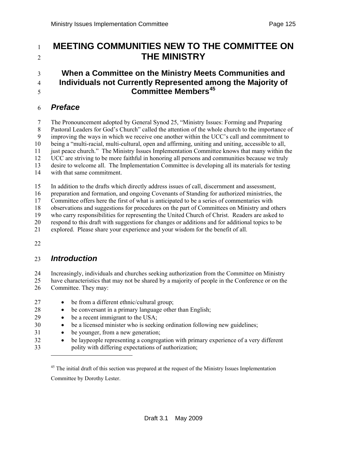# <span id="page-124-0"></span><sup>1</sup>**MEETING COMMUNITIES NEW TO THE COMMITTEE ON**  <sup>2</sup>**THE MINISTRY**

#### 3 **When a Committee on the Ministry Meets Communities and**  4 **Individuals not Currently Represented among the Majority of Committee Members[4](#page-124-0)5** <sup>5</sup>

#### 6 *Preface*

7 The Pronouncement adopted by General Synod 25, "Ministry Issues: Forming and Preparing 8 Pastoral Leaders for God's Church" called the attention of the whole church to the importance of 9 improving the ways in which we receive one another within the UCC's call and commitment to 10 being a "multi-racial, multi-cultural, open and affirming, uniting and uniting, accessible to all, 11 just peace church." The Ministry Issues Implementation Committee knows that many within the 12 UCC are striving to be more faithful in honoring all persons and communities because we truly 13 desire to welcome all. The Implementation Committee is developing all its materials for testing 14 with that same commitment.

15 In addition to the drafts which directly address issues of call, discernment and assessment,

16 preparation and formation, and ongoing Covenants of Standing for authorized ministries, the

17 Committee offers here the first of what is anticipated to be a series of commentaries with

18 observations and suggestions for procedures on the part of Committees on Ministry and others

19 who carry responsibilities for representing the United Church of Christ. Readers are asked to

20 respond to this draft with suggestions for changes or additions and for additional topics to be

21 explored. Please share your experience and your wisdom for the benefit of all.

22

#### 23 *Introduction*

24 Increasingly, individuals and churches seeking authorization from the Committee on Ministry 25 have characteristics that may not be shared by a majority of people in the Conference or on the

26 Committee. They may:

-

27 • be from a different ethnic/cultural group; 28 • be conversant in a primary language other than English; 29 • be a recent immigrant to the USA; 30 • be a licensed minister who is seeking ordination following new guidelines; 31 • be younger, from a new generation; 32 • be laypeople representing a congregation with primary experience of a very different 33 polity with differing expectations of authorization;

<sup>45</sup> The initial draft of this section was prepared at the request of the Ministry Issues Implementation Committee by Dorothy Lester.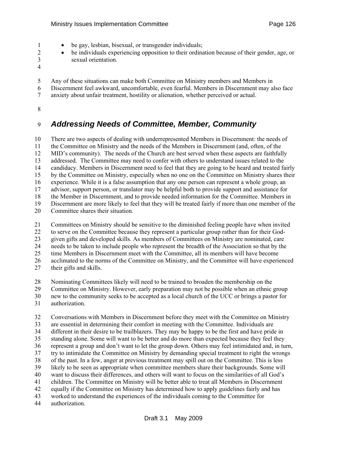- 1 be gay, lesbian, bisexual, or transgender individuals;
- 2 be individuals experiencing opposition to their ordination because of their gender, age, or 3 sexual orientation.
- 4
- 5 Any of these situations can make both Committee on Ministry members and Members in
- 6 Discernment feel awkward, uncomfortable, even fearful. Members in Discernment may also face
- 7 anxiety about unfair treatment, hostility or alienation, whether perceived or actual.
- 8

# 9 *Addressing Needs of Committee, Member, Community*

10 There are two aspects of dealing with underrepresented Members in Discernment: the needs of 11 the Committee on Ministry and the needs of the Members in Discernment (and, often, of the 12 MID's community). The needs of the Church are best served when these aspects are faithfully 13 addressed. The Committee may need to confer with others to understand issues related to the 14 candidacy. Members in Discernment need to feel that they are going to be heard and treated fairly 15 by the Committee on Ministry, especially when no one on the Committee on Ministry shares their 16 experience. While it is a false assumption that any one person can represent a whole group, an 17 advisor, support person, or translator may be helpful both to provide support and assistance for 18 the Member in Discernment, and to provide needed information for the Committee. Members in 19 Discernment are more likely to feel that they will be treated fairly if more than one member of the 20 Committee shares their situation.

21 Committees on Ministry should be sensitive to the diminished feeling people have when invited 22 to serve on the Committee because they represent a particular group rather than for their God-23 given gifts and developed skills. As members of Committees on Ministry are nominated, care 24 needs to be taken to include people who represent the breadth of the Association so that by the 25 time Members in Discernment meet with the Committee, all its members will have become 26 acclimated to the norms of the Committee on Ministry, and the Committee will have experienced 27 their gifts and skills.

28 Nominating Committees likely will need to be trained to broaden the membership on the

29 Committee on Ministry. However, early preparation may not be possible when an ethnic group

- 30 new to the community seeks to be accepted as a local church of the UCC or brings a pastor for
- 31 authorization.

32 Conversations with Members in Discernment before they meet with the Committee on Ministry 33 are essential in determining their comfort in meeting with the Committee. Individuals are 34 different in their desire to be trailblazers. They may be happy to be the first and have pride in 35 standing alone. Some will want to be better and do more than expected because they feel they 36 represent a group and don't want to let the group down. Others may feel intimidated and, in turn, 37 try to intimidate the Committee on Ministry by demanding special treatment to right the wrongs 38 of the past. In a few, anger at previous treatment may spill out on the Committee. This is less 39 likely to be seen as appropriate when committee members share their backgrounds. Some will 40 want to discuss their differences, and others will want to focus on the similarities of all God's 41 children. The Committee on Ministry will be better able to treat all Members in Discernment 42 equally if the Committee on Ministry has determined how to apply guidelines fairly and has 43 worked to understand the experiences of the individuals coming to the Committee for 44 authorization.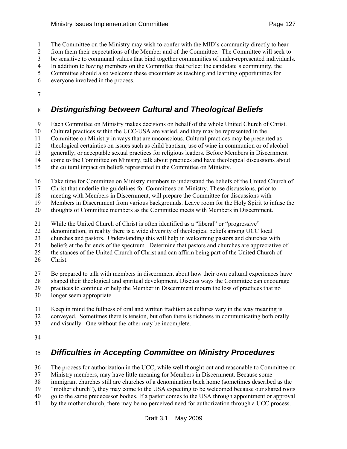1 The Committee on the Ministry may wish to confer with the MID's community directly to hear

2 from them their expectations of the Member and of the Committee. The Committee will seek to

3 be sensitive to communal values that bind together communities of under-represented individuals.

- 4 In addition to having members on the Committee that reflect the candidate's community, the 5 Committee should also welcome these encounters as teaching and learning opportunities for
- 
- 6 everyone involved in the process.
- 7

# 8 *Distinguishing between Cultural and Theological Beliefs*

9 Each Committee on Ministry makes decisions on behalf of the whole United Church of Christ.

10 Cultural practices within the UCC-USA are varied, and they may be represented in the

11 Committee on Ministry in ways that are unconscious. Cultural practices may be presented as

12 theological certainties on issues such as child baptism, use of wine in communion or of alcohol

13 generally, or acceptable sexual practices for religious leaders. Before Members in Discernment

14 come to the Committee on Ministry, talk about practices and have theological discussions about

15 the cultural impact on beliefs represented in the Committee on Ministry.

16 Take time for Committee on Ministry members to understand the beliefs of the United Church of

17 Christ that underlie the guidelines for Committees on Ministry. These discussions, prior to

18 meeting with Members in Discernment, will prepare the Committee for discussions with

19 Members in Discernment from various backgrounds. Leave room for the Holy Spirit to infuse the

20 thoughts of Committee members as the Committee meets with Members in Discernment.

21 While the United Church of Christ is often identified as a "liberal" or "progressive"

22 denomination, in reality there is a wide diversity of theological beliefs among UCC local

23 churches and pastors. Understanding this will help in welcoming pastors and churches with

24 beliefs at the far ends of the spectrum. Determine that pastors and churches are appreciative of

25 the stances of the United Church of Christ and can affirm being part of the United Church of

26 Christ.

27 Be prepared to talk with members in discernment about how their own cultural experiences have

28 shaped their theological and spiritual development. Discuss ways the Committee can encourage

29 practices to continue or help the Member in Discernment mourn the loss of practices that no

30 longer seem appropriate.

31 Keep in mind the fullness of oral and written tradition as cultures vary in the way meaning is

32 conveyed. Sometimes there is tension, but often there is richness in communicating both orally

33 and visually. One without the other may be incomplete.

34

# 35 *Difficulties in Accepting Committee on Ministry Procedures*

36 The process for authorization in the UCC, while well thought out and reasonable to Committee on

37 Ministry members, may have little meaning for Members in Discernment. Because some

38 immigrant churches still are churches of a denomination back home (sometimes described as the

39 "mother church"), they may come to the USA expecting to be welcomed because our shared roots

- 40 go to the same predecessor bodies. If a pastor comes to the USA through appointment or approval
- 41 by the mother church, there may be no perceived need for authorization through a UCC process.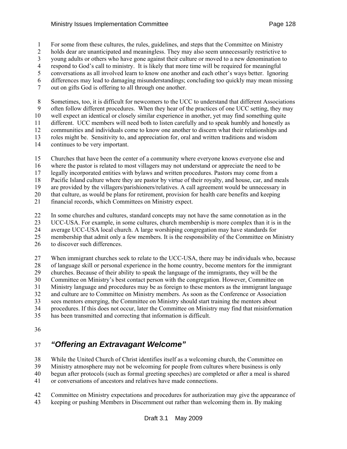1 For some from these cultures, the rules, guidelines, and steps that the Committee on Ministry

2 holds dear are unanticipated and meaningless. They may also seem unnecessarily restrictive to

3 young adults or others who have gone against their culture or moved to a new denomination to

4 respond to God's call to ministry. It is likely that more time will be required for meaningful 5 conversations as all involved learn to know one another and each other's ways better. Ignoring

6 differences may lead to damaging misunderstandings; concluding too quickly may mean missing

7 out on gifts God is offering to all through one another.

8 Sometimes, too, it is difficult for newcomers to the UCC to understand that different Associations 9 often follow different procedures. When they hear of the practices of one UCC setting, they may 10 well expect an identical or closely similar experience in another, yet may find something quite 11 different. UCC members will need both to listen carefully and to speak humbly and honestly as 12 communities and individuals come to know one another to discern what their relationships and 13 roles might be. Sensitivity to, and appreciation for, oral and written traditions and wisdom 14 continues to be very important.

15 Churches that have been the center of a community where everyone knows everyone else and

16 where the pastor is related to most villagers may not understand or appreciate the need to be

17 legally incorporated entities with bylaws and written procedures. Pastors may come from a

18 Pacific Island culture where they are pastor by virtue of their royalty, and house, car, and meals 19 are provided by the villagers/parishioners/relatives. A call agreement would be unnecessary in

20 that culture, as would be plans for retirement, provision for health care benefits and keeping

21 financial records, which Committees on Ministry expect.

22 In some churches and cultures, standard concepts may not have the same connotation as in the

23 UCC-USA. For example, in some cultures, church membership is more complex than it is in the

24 average UCC-USA local church. A large worshiping congregation may have standards for

25 membership that admit only a few members. It is the responsibility of the Committee on Ministry

26 to discover such differences.

27 When immigrant churches seek to relate to the UCC-USA, there may be individuals who, because

28 of language skill or personal experience in the home country, become mentors for the immigrant

29 churches. Because of their ability to speak the language of the immigrants, they will be the

30 Committee on Ministry's best contact person with the congregation. However, Committee on

31 Ministry language and procedures may be as foreign to these mentors as the immigrant language

32 and culture are to Committee on Ministry members. As soon as the Conference or Association

33 sees mentors emerging, the Committee on Ministry should start training the mentors about

34 procedures. If this does not occur, later the Committee on Ministry may find that misinformation

35 has been transmitted and correcting that information is difficult.

36

# 37 *"Offering an Extravagant Welcome"*

38 While the United Church of Christ identifies itself as a welcoming church, the Committee on

39 Ministry atmosphere may not be welcoming for people from cultures where business is only

40 begun after protocols (such as formal greeting speeches) are completed or after a meal is shared

41 or conversations of ancestors and relatives have made connections.

42 Committee on Ministry expectations and procedures for authorization may give the appearance of

43 keeping or pushing Members in Discernment out rather than welcoming them in. By making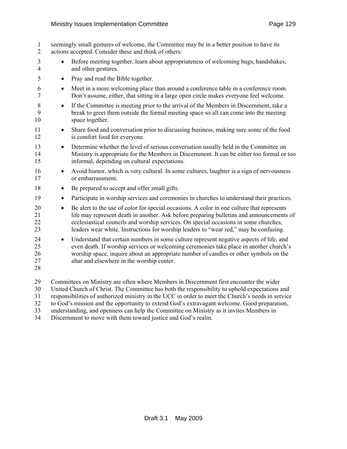- 1 seemingly small gestures of welcome, the Committee may be in a better position to have its 2 actions accepted. Consider these and think of others: 3 • Before meeting together, learn about appropriateness of welcoming hugs, handshakes, 4 and other gestures. 5 • Pray and read the Bible together. 6 • Meet in a more welcoming place than around a conference table in a conference room. 7 Don't assume, either, that sitting in a large open circle makes everyone feel welcome. 8 • If the Committee is meeting prior to the arrival of the Members in Discernment, take a 9 break to greet them outside the formal meeting space so all can come into the meeting 10 space together. 11 • Share food and conversation prior to discussing business, making sure some of the food 12 is comfort food for everyone. 13 • Determine whether the level of serious conversation usually held in the Committee on 14 Ministry is appropriate for the Members in Discernment. It can be either too formal or too 15 informal, depending on cultural expectations. 16 • Avoid humor, which is very cultural. In some cultures, laughter is a sign of nervousness 17 or embarrassment. 18 • Be prepared to accept and offer small gifts. 19 • Participate in worship services and ceremonies in churches to understand their practices. 20 • Be alert to the use of color for special occasions. A color in one culture that represents 21 life may represent death in another. Ask before preparing bulletins and announcements of 22 ecclesiastical councils and worship services. On special occasions in some churches, 23 leaders wear white. Instructions for worship leaders to "wear red," may be confusing. 24 • Understand that certain numbers in some culture represent negative aspects of life, and 25 even death. If worship services or welcoming ceremonies take place in another church's 26 worship space, inquire about an appropriate number of candles or other symbols on the 27 altar and elsewhere in the worship center. 28 29 Committees on Ministry are often where Members in Discernment first encounter the wider 30 United Church of Christ. The Committee has both the responsibility to uphold expectations and 31 responsibilities of authorized ministry in the UCC in order to meet the Church's needs in service
- 32 to God's mission and the opportunity to extend God's extravagant welcome. Good preparation,
- 33 understanding, and openness can help the Committee on Ministry as it invites Members in
- 34 Discernment to move with them toward justice and God's realm.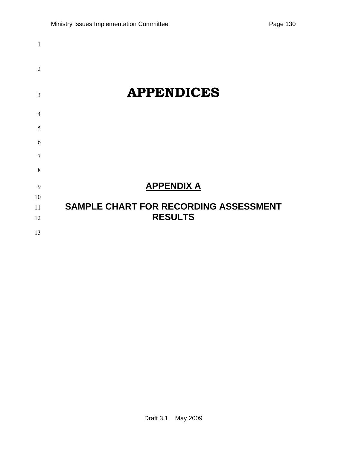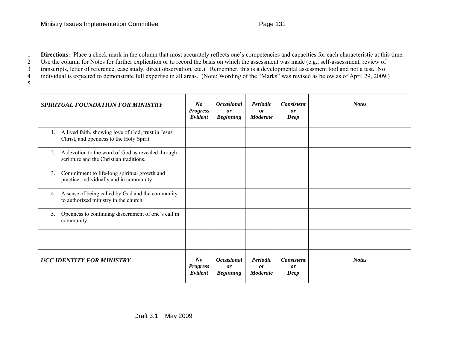1 **Directions:** Place a check mark in the column that most accurately reflects one's competencies and capacities for each characteristic at this time.

2 Use the column for Notes for further explication or to record the basis on which the assessment was made (e.g., self-assessment, review of

3 transcripts, letter of reference, case study, direct observation, etc.). Remember, this is a developmental assessment tool and not a test. No

4 individual is expected to demonstrate full expertise in all areas. (Note: Wording of the "Marks" was revised as below as of April 29, 2009.)

5

| <b>SPIRITUAL FOUNDATION FOR MINISTRY</b>                                                             | $N_{0}$<br><b>Progress</b><br>Evident | <b>Occasional</b><br>or<br><b>Beginning</b> | Periodic<br>or<br><b>Moderate</b> | <b>Consistent</b><br>or<br>Deep        | <b>Notes</b> |
|------------------------------------------------------------------------------------------------------|---------------------------------------|---------------------------------------------|-----------------------------------|----------------------------------------|--------------|
| A lived faith, showing love of God, trust in Jesus<br>1.<br>Christ, and openness to the Holy Spirit. |                                       |                                             |                                   |                                        |              |
| A devotion to the word of God as revealed through<br>2.<br>scripture and the Christian traditions.   |                                       |                                             |                                   |                                        |              |
| Commitment to life-long spiritual growth and<br>3.<br>practice, individually and in community        |                                       |                                             |                                   |                                        |              |
| A sense of being called by God and the community<br>4.<br>to authorized ministry in the church.      |                                       |                                             |                                   |                                        |              |
| Openness to continuing discernment of one's call in<br>5.<br>community.                              |                                       |                                             |                                   |                                        |              |
|                                                                                                      |                                       |                                             |                                   |                                        |              |
| <b>UCC IDENTITY FOR MINISTRY</b>                                                                     | No<br><b>Progress</b><br>Evident      | <b>Occasional</b><br>or<br><b>Beginning</b> | Periodic<br>or<br><b>Moderate</b> | <b>Consistent</b><br><b>or</b><br>Deep | <b>Notes</b> |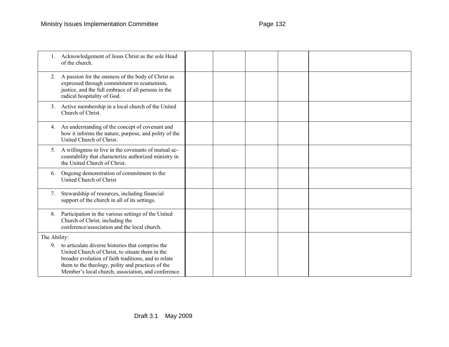|              | Acknowledgement of Jesus Christ as the sole Head<br>of the church.                                                                                                                                                                                                       |  |  |  |
|--------------|--------------------------------------------------------------------------------------------------------------------------------------------------------------------------------------------------------------------------------------------------------------------------|--|--|--|
|              | A passion for the oneness of the body of Christ as<br>expressed through commitment to ecumenism,<br>justice, and the full embrace of all persons in the<br>radical hospitality of God.                                                                                   |  |  |  |
| 3.           | Active membership in a local church of the United<br>Church of Christ.                                                                                                                                                                                                   |  |  |  |
| 4.           | An understanding of the concept of covenant and<br>how it informs the nature, purpose, and polity of the<br>United Church of Christ.                                                                                                                                     |  |  |  |
| 5.           | A willingness to live in the covenants of mutual ac-<br>countability that characterize authorized ministry in<br>the United Church of Christ.                                                                                                                            |  |  |  |
| 6.           | Ongoing demonstration of commitment to the<br>United Church of Christ                                                                                                                                                                                                    |  |  |  |
| 7.           | Stewardship of resources, including financial<br>support of the church in all of its settings.                                                                                                                                                                           |  |  |  |
| 8.           | Participation in the various settings of the United<br>Church of Christ, including the<br>conference/association and the local church.                                                                                                                                   |  |  |  |
| The Ability: |                                                                                                                                                                                                                                                                          |  |  |  |
| 9.           | to articulate diverse histories that comprise the<br>United Church of Christ, to situate them in the<br>broader evolution of faith traditions, and to relate<br>them to the theology, polity and practices of the<br>Member's local church, association, and conference. |  |  |  |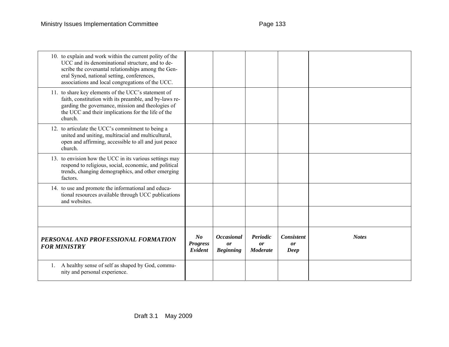| 10. to explain and work within the current polity of the<br>UCC and its denominational structure, and to de-<br>scribe the covenantal relationships among the Gen-<br>eral Synod, national setting, conferences,<br>associations and local congregations of the UCC. |                                       |                                             |                                   |                                                |              |
|----------------------------------------------------------------------------------------------------------------------------------------------------------------------------------------------------------------------------------------------------------------------|---------------------------------------|---------------------------------------------|-----------------------------------|------------------------------------------------|--------------|
| 11. to share key elements of the UCC's statement of<br>faith, constitution with its preamble, and by-laws re-<br>garding the governance, mission and theologies of<br>the UCC and their implications for the life of the<br>church.                                  |                                       |                                             |                                   |                                                |              |
| 12. to articulate the UCC's commitment to being a<br>united and uniting, multiracial and multicultural,<br>open and affirming, accessible to all and just peace<br>church.                                                                                           |                                       |                                             |                                   |                                                |              |
| 13. to envision how the UCC in its various settings may<br>respond to religious, social, economic, and political<br>trends, changing demographics, and other emerging<br>factors.                                                                                    |                                       |                                             |                                   |                                                |              |
| 14. to use and promote the informational and educa-<br>tional resources available through UCC publications<br>and websites.                                                                                                                                          |                                       |                                             |                                   |                                                |              |
|                                                                                                                                                                                                                                                                      |                                       |                                             |                                   |                                                |              |
| PERSONAL AND PROFESSIONAL FORMATION<br><b>FOR MINISTRY</b>                                                                                                                                                                                                           | $N_{0}$<br><b>Progress</b><br>Evident | <b>Occasional</b><br>or<br><b>Beginning</b> | Periodic<br>or<br><b>Moderate</b> | <b>Consistent</b><br>$\boldsymbol{or}$<br>Deep | <b>Notes</b> |
| A healthy sense of self as shaped by God, commu-<br>1.<br>nity and personal experience.                                                                                                                                                                              |                                       |                                             |                                   |                                                |              |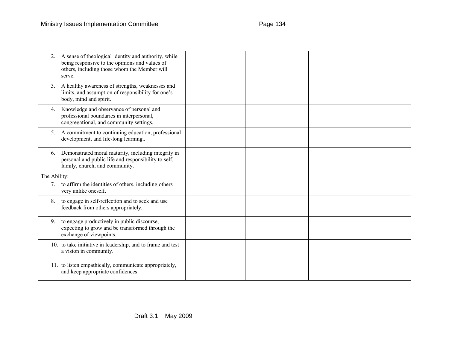| 2.             | A sense of theological identity and authority, while<br>being responsive to the opinions and values of<br>others, including those whom the Member will<br>serve. |  |  |  |
|----------------|------------------------------------------------------------------------------------------------------------------------------------------------------------------|--|--|--|
| 3 <sub>1</sub> | A healthy awareness of strengths, weaknesses and<br>limits, and assumption of responsibility for one's<br>body, mind and spirit.                                 |  |  |  |
| 4.             | Knowledge and observance of personal and<br>professional boundaries in interpersonal,<br>congregational, and community settings.                                 |  |  |  |
| 5.             | A commitment to continuing education, professional<br>development, and life-long learning                                                                        |  |  |  |
| 6.             | Demonstrated moral maturity, including integrity in<br>personal and public life and responsibility to self,<br>family, church, and community.                    |  |  |  |
| The Ability:   |                                                                                                                                                                  |  |  |  |
|                | 7. to affirm the identities of others, including others<br>very unlike oneself.                                                                                  |  |  |  |
| 8.             | to engage in self-reflection and to seek and use<br>feedback from others appropriately.                                                                          |  |  |  |
| 9 <sub>1</sub> | to engage productively in public discourse,<br>expecting to grow and be transformed through the<br>exchange of viewpoints.                                       |  |  |  |
|                | 10. to take initiative in leadership, and to frame and test<br>a vision in community.                                                                            |  |  |  |
|                | 11. to listen empathically, communicate appropriately,<br>and keep appropriate confidences.                                                                      |  |  |  |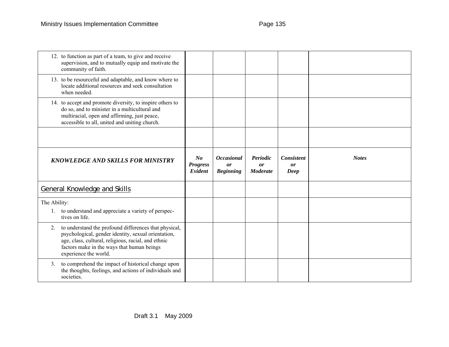| 12. to function as part of a team, to give and receive<br>supervision, and to mutually equip and motivate the<br>community of faith.                                                                                                             |                                   |                                             |                                   |                                 |              |
|--------------------------------------------------------------------------------------------------------------------------------------------------------------------------------------------------------------------------------------------------|-----------------------------------|---------------------------------------------|-----------------------------------|---------------------------------|--------------|
| 13. to be resourceful and adaptable, and know where to<br>locate additional resources and seek consultation<br>when needed.                                                                                                                      |                                   |                                             |                                   |                                 |              |
| 14. to accept and promote diversity, to inspire others to<br>do so, and to minister in a multicultural and<br>multiracial, open and affirming, just peace,<br>accessible to all, united and uniting church.                                      |                                   |                                             |                                   |                                 |              |
|                                                                                                                                                                                                                                                  |                                   |                                             |                                   |                                 |              |
| <b>KNOWLEDGE AND SKILLS FOR MINISTRY</b>                                                                                                                                                                                                         | N o<br><b>Progress</b><br>Evident | <b>Occasional</b><br>or<br><b>Beginning</b> | Periodic<br>or<br><b>Moderate</b> | <b>Consistent</b><br>or<br>Deep | <b>Notes</b> |
| General Knowledge and Skills                                                                                                                                                                                                                     |                                   |                                             |                                   |                                 |              |
| The Ability:<br>1. to understand and appreciate a variety of perspec-<br>tives on life.                                                                                                                                                          |                                   |                                             |                                   |                                 |              |
| to understand the profound differences that physical,<br>2.<br>psychological, gender identity, sexual orientation,<br>age, class, cultural, religious, racial, and ethnic<br>factors make in the ways that human beings<br>experience the world. |                                   |                                             |                                   |                                 |              |
| to comprehend the impact of historical change upon<br>3 <sub>1</sub><br>the thoughts, feelings, and actions of individuals and                                                                                                                   |                                   |                                             |                                   |                                 |              |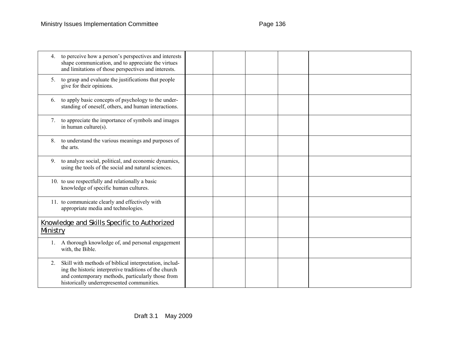| 4.                               | to perceive how a person's perspectives and interests<br>shape communication, and to appreciate the virtues<br>and limitations of those perspectives and interests.                                                 |  |  |  |
|----------------------------------|---------------------------------------------------------------------------------------------------------------------------------------------------------------------------------------------------------------------|--|--|--|
| 5.                               | to grasp and evaluate the justifications that people<br>give for their opinions.                                                                                                                                    |  |  |  |
| 6.                               | to apply basic concepts of psychology to the under-<br>standing of oneself, others, and human interactions.                                                                                                         |  |  |  |
| $7_{\scriptscriptstyle{\ddots}}$ | to appreciate the importance of symbols and images<br>in human culture(s).                                                                                                                                          |  |  |  |
| 8.                               | to understand the various meanings and purposes of<br>the arts.                                                                                                                                                     |  |  |  |
| 9.                               | to analyze social, political, and economic dynamics,<br>using the tools of the social and natural sciences.                                                                                                         |  |  |  |
|                                  | 10. to use respectfully and relationally a basic<br>knowledge of specific human cultures.                                                                                                                           |  |  |  |
|                                  | 11. to communicate clearly and effectively with<br>appropriate media and technologies.                                                                                                                              |  |  |  |
| Ministry                         | Knowledge and Skills Specific to Authorized                                                                                                                                                                         |  |  |  |
| 1.                               | A thorough knowledge of, and personal engagement<br>with, the Bible.                                                                                                                                                |  |  |  |
| 2.                               | Skill with methods of biblical interpretation, includ-<br>ing the historic interpretive traditions of the church<br>and contemporary methods, particularly those from<br>historically underrepresented communities. |  |  |  |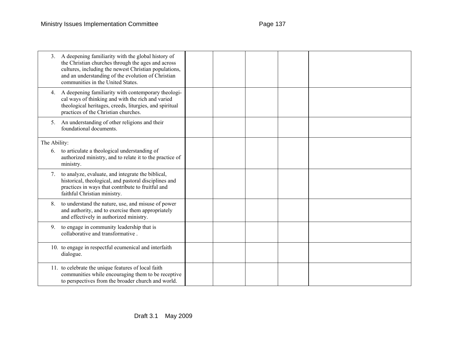| 3.           | A deepening familiarity with the global history of<br>the Christian churches through the ages and across<br>cultures, including the newest Christian populations,<br>and an understanding of the evolution of Christian<br>communities in the United States. |  |  |  |
|--------------|--------------------------------------------------------------------------------------------------------------------------------------------------------------------------------------------------------------------------------------------------------------|--|--|--|
| 4.           | A deepening familiarity with contemporary theologi-<br>cal ways of thinking and with the rich and varied<br>theological heritages, creeds, liturgies, and spiritual<br>practices of the Christian churches.                                                  |  |  |  |
| 5.           | An understanding of other religions and their<br>foundational documents.                                                                                                                                                                                     |  |  |  |
| The Ability: |                                                                                                                                                                                                                                                              |  |  |  |
|              | 6. to articulate a theological understanding of<br>authorized ministry, and to relate it to the practice of<br>ministry.                                                                                                                                     |  |  |  |
| 7.           | to analyze, evaluate, and integrate the biblical,<br>historical, theological, and pastoral disciplines and<br>practices in ways that contribute to fruitful and<br>faithful Christian ministry.                                                              |  |  |  |
| 8.           | to understand the nature, use, and misuse of power<br>and authority, and to exercise them appropriately<br>and effectively in authorized ministry.                                                                                                           |  |  |  |
| 9.           | to engage in community leadership that is<br>collaborative and transformative.                                                                                                                                                                               |  |  |  |
|              | 10. to engage in respectful ecumenical and interfaith<br>dialogue.                                                                                                                                                                                           |  |  |  |
|              | 11. to celebrate the unique features of local faith<br>communities while encouraging them to be receptive<br>to perspectives from the broader church and world.                                                                                              |  |  |  |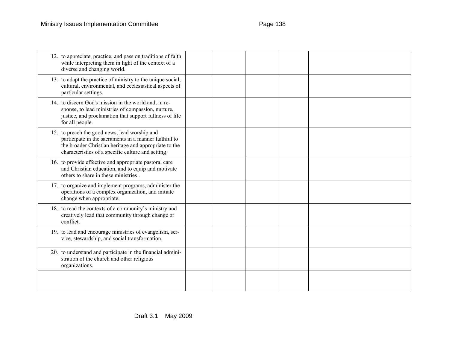| 12. to appreciate, practice, and pass on traditions of faith<br>while interpreting them in light of the context of a<br>diverse and changing world.                                                                  |  |  |  |
|----------------------------------------------------------------------------------------------------------------------------------------------------------------------------------------------------------------------|--|--|--|
| 13. to adapt the practice of ministry to the unique social,<br>cultural, environmental, and ecclesiastical aspects of<br>particular settings.                                                                        |  |  |  |
| 14. to discern God's mission in the world and, in re-<br>sponse, to lead ministries of compassion, nurture,<br>justice, and proclamation that support fullness of life<br>for all people.                            |  |  |  |
| 15. to preach the good news, lead worship and<br>participate in the sacraments in a manner faithful to<br>the broader Christian heritage and appropriate to the<br>characteristics of a specific culture and setting |  |  |  |
| 16. to provide effective and appropriate pastoral care<br>and Christian education, and to equip and motivate<br>others to share in these ministries.                                                                 |  |  |  |
| 17. to organize and implement programs, administer the<br>operations of a complex organization, and initiate<br>change when appropriate.                                                                             |  |  |  |
| 18. to read the contexts of a community's ministry and<br>creatively lead that community through change or<br>conflict.                                                                                              |  |  |  |
| 19. to lead and encourage ministries of evangelism, ser-<br>vice, stewardship, and social transformation.                                                                                                            |  |  |  |
| 20. to understand and participate in the financial admini-<br>stration of the church and other religious<br>organizations.                                                                                           |  |  |  |
|                                                                                                                                                                                                                      |  |  |  |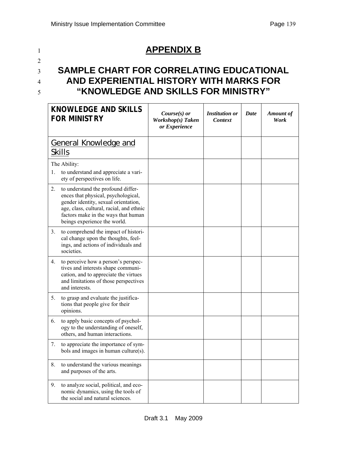# <sup>1</sup>**APPENDIX B**

# 2

# <sup>3</sup>**SAMPLE CHART FOR CORRELATING EDUCATIONAL**  <sup>4</sup>**AND EXPERIENTIAL HISTORY WITH MARKS FOR**  <sup>5</sup>**"KNOWLEDGE AND SKILLS FOR MINISTRY"**

|    | <b>KNOWLEDGE AND SKILLS</b><br><b>FOR MINISTRY</b>                                                                                                                                                                                   | Course $(s)$ or<br>Workshop(s) Taken<br>or Experience | <b>Institution or</b><br>Context | Date | <b>Amount of</b><br>Work |
|----|--------------------------------------------------------------------------------------------------------------------------------------------------------------------------------------------------------------------------------------|-------------------------------------------------------|----------------------------------|------|--------------------------|
|    | <b>General Knowledge and</b><br><b>Skills</b>                                                                                                                                                                                        |                                                       |                                  |      |                          |
|    | The Ability:                                                                                                                                                                                                                         |                                                       |                                  |      |                          |
| 1. | to understand and appreciate a vari-<br>ety of perspectives on life.                                                                                                                                                                 |                                                       |                                  |      |                          |
| 2. | to understand the profound differ-<br>ences that physical, psychological,<br>gender identity, sexual orientation,<br>age, class, cultural, racial, and ethnic<br>factors make in the ways that human<br>beings experience the world. |                                                       |                                  |      |                          |
| 3. | to comprehend the impact of histori-<br>cal change upon the thoughts, feel-<br>ings, and actions of individuals and<br>societies.                                                                                                    |                                                       |                                  |      |                          |
| 4. | to perceive how a person's perspec-<br>tives and interests shape communi-<br>cation, and to appreciate the virtues<br>and limitations of those perspectives<br>and interests.                                                        |                                                       |                                  |      |                          |
| 5. | to grasp and evaluate the justifica-<br>tions that people give for their<br>opinions.                                                                                                                                                |                                                       |                                  |      |                          |
| 6. | to apply basic concepts of psychol-<br>ogy to the understanding of oneself,<br>others, and human interactions.                                                                                                                       |                                                       |                                  |      |                          |
| 7. | to appreciate the importance of sym-<br>bols and images in human culture(s).                                                                                                                                                         |                                                       |                                  |      |                          |
| 8. | to understand the various meanings<br>and purposes of the arts.                                                                                                                                                                      |                                                       |                                  |      |                          |
| 9. | to analyze social, political, and eco-<br>nomic dynamics, using the tools of<br>the social and natural sciences.                                                                                                                     |                                                       |                                  |      |                          |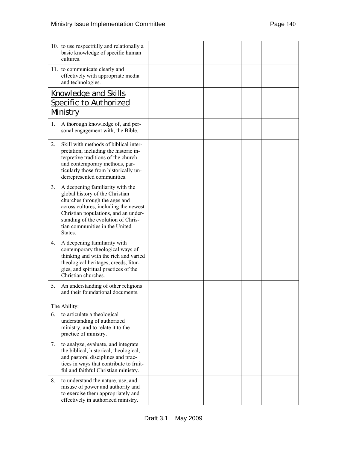| 10. to use respectfully and relationally a<br>basic knowledge of specific human<br>cultures.                                                                                                                                                                                    |  |  |
|---------------------------------------------------------------------------------------------------------------------------------------------------------------------------------------------------------------------------------------------------------------------------------|--|--|
| 11. to communicate clearly and<br>effectively with appropriate media<br>and technologies.                                                                                                                                                                                       |  |  |
| <b>Knowledge and Skills</b><br>Specific to Authorized<br>Ministry                                                                                                                                                                                                               |  |  |
| A thorough knowledge of, and per-<br>$1_{\cdot}$<br>sonal engagement with, the Bible.                                                                                                                                                                                           |  |  |
| Skill with methods of biblical inter-<br>2.<br>pretation, including the historic in-<br>terpretive traditions of the church<br>and contemporary methods, par-<br>ticularly those from historically un-<br>derrepresented communities.                                           |  |  |
| A deepening familiarity with the<br>3.<br>global history of the Christian<br>churches through the ages and<br>across cultures, including the newest<br>Christian populations, and an under-<br>standing of the evolution of Chris-<br>tian communities in the United<br>States. |  |  |
| A deepening familiarity with<br>4.<br>contemporary theological ways of<br>thinking and with the rich and varied<br>theological heritages, creeds, litur-<br>gies, and spiritual practices of the<br>Christian churches.                                                         |  |  |
| An understanding of other religions<br>5.<br>and their foundational documents.                                                                                                                                                                                                  |  |  |
| The Ability:                                                                                                                                                                                                                                                                    |  |  |
| to articulate a theological<br>6.<br>understanding of authorized<br>ministry, and to relate it to the<br>practice of ministry.                                                                                                                                                  |  |  |
| to analyze, evaluate, and integrate<br>7.<br>the biblical, historical, theological,<br>and pastoral disciplines and prac-<br>tices in ways that contribute to fruit-<br>ful and faithful Christian ministry.                                                                    |  |  |
| 8.<br>to understand the nature, use, and<br>misuse of power and authority and<br>to exercise them appropriately and<br>effectively in authorized ministry.                                                                                                                      |  |  |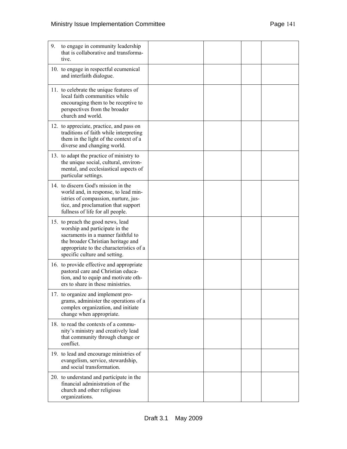| 9.<br>to engage in community leadership<br>that is collaborative and transforma-<br>tive.                                                                                                                                   |  |  |
|-----------------------------------------------------------------------------------------------------------------------------------------------------------------------------------------------------------------------------|--|--|
| 10. to engage in respectful ecumenical<br>and interfaith dialogue.                                                                                                                                                          |  |  |
| 11. to celebrate the unique features of<br>local faith communities while<br>encouraging them to be receptive to<br>perspectives from the broader<br>church and world.                                                       |  |  |
| 12. to appreciate, practice, and pass on<br>traditions of faith while interpreting<br>them in the light of the context of a<br>diverse and changing world.                                                                  |  |  |
| 13. to adapt the practice of ministry to<br>the unique social, cultural, environ-<br>mental, and ecclesiastical aspects of<br>particular settings.                                                                          |  |  |
| 14. to discern God's mission in the<br>world and, in response, to lead min-<br>istries of compassion, nurture, jus-<br>tice, and proclamation that support<br>fullness of life for all people.                              |  |  |
| 15. to preach the good news, lead<br>worship and participate in the<br>sacraments in a manner faithful to<br>the broader Christian heritage and<br>appropriate to the characteristics of a<br>specific culture and setting. |  |  |
| 16. to provide effective and appropriate<br>pastoral care and Christian educa-<br>tion, and to equip and motivate oth-<br>ers to share in these ministries.                                                                 |  |  |
| 17. to organize and implement pro-<br>grams, administer the operations of a<br>complex organization, and initiate<br>change when appropriate.                                                                               |  |  |
| 18. to read the contexts of a commu-<br>nity's ministry and creatively lead<br>that community through change or<br>conflict.                                                                                                |  |  |
| 19. to lead and encourage ministries of<br>evangelism, service, stewardship,<br>and social transformation.                                                                                                                  |  |  |
| 20. to understand and participate in the<br>financial administration of the<br>church and other religious<br>organizations.                                                                                                 |  |  |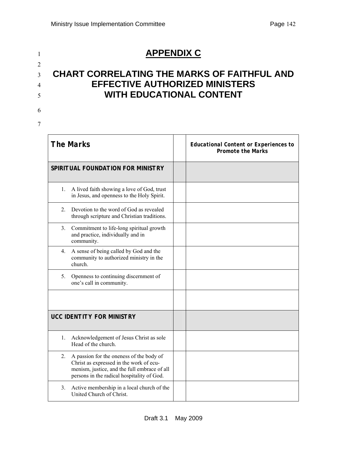# <sup>1</sup>**APPENDIX C**

# <sup>3</sup>**CHART CORRELATING THE MARKS OF FAITHFUL AND**  <sup>4</sup>**EFFECTIVE AUTHORIZED MINISTERS**  <sup>5</sup>**WITH EDUCATIONAL CONTENT**

# 6

2

7

| <b>The Marks</b>                                                                                                                                                                        | <b>Educational Content or Experiences to</b><br><b>Promote the Marks</b> |
|-----------------------------------------------------------------------------------------------------------------------------------------------------------------------------------------|--------------------------------------------------------------------------|
| SPIRITUAL FOUNDATION FOR MINISTRY                                                                                                                                                       |                                                                          |
| A lived faith showing a love of God, trust<br>1.<br>in Jesus, and openness to the Holy Spirit.                                                                                          |                                                                          |
| $2_{1}$<br>Devotion to the word of God as revealed<br>through scripture and Christian traditions.                                                                                       |                                                                          |
| 3.<br>Commitment to life-long spiritual growth<br>and practice, individually and in<br>community.                                                                                       |                                                                          |
| A sense of being called by God and the<br>4.<br>community to authorized ministry in the<br>church.                                                                                      |                                                                          |
| Openness to continuing discernment of<br>5.<br>one's call in community.                                                                                                                 |                                                                          |
|                                                                                                                                                                                         |                                                                          |
| <b>UCC IDENTITY FOR MINISTRY</b>                                                                                                                                                        |                                                                          |
| Acknowledgement of Jesus Christ as sole<br>1.<br>Head of the church.                                                                                                                    |                                                                          |
| A passion for the oneness of the body of<br>2.<br>Christ as expressed in the work of ecu-<br>menism, justice, and the full embrace of all<br>persons in the radical hospitality of God. |                                                                          |
| Active membership in a local church of the<br>3.<br>United Church of Christ.                                                                                                            |                                                                          |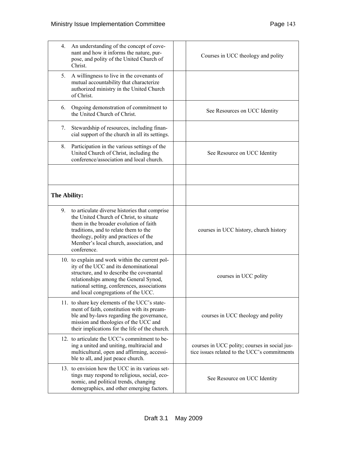| 4.             | An understanding of the concept of cove-<br>nant and how it informs the nature, pur-<br>pose, and polity of the United Church of<br>Christ.                                                                                                                                    | Courses in UCC theology and polity                                                            |
|----------------|--------------------------------------------------------------------------------------------------------------------------------------------------------------------------------------------------------------------------------------------------------------------------------|-----------------------------------------------------------------------------------------------|
| 5 <sub>1</sub> | A willingness to live in the covenants of<br>mutual accountability that characterize<br>authorized ministry in the United Church<br>of Christ.                                                                                                                                 |                                                                                               |
| 6.             | Ongoing demonstration of commitment to<br>the United Church of Christ.                                                                                                                                                                                                         | See Resources on UCC Identity                                                                 |
| 7.             | Stewardship of resources, including finan-<br>cial support of the church in all its settings.                                                                                                                                                                                  |                                                                                               |
| 8.             | Participation in the various settings of the<br>United Church of Christ, including the<br>conference/association and local church.                                                                                                                                             | See Resource on UCC Identity                                                                  |
| The Ability:   |                                                                                                                                                                                                                                                                                |                                                                                               |
| 9.             | to articulate diverse histories that comprise<br>the United Church of Christ, to situate<br>them in the broader evolution of faith<br>traditions, and to relate them to the<br>theology, polity and practices of the<br>Member's local church, association, and<br>conference. | courses in UCC history, church history                                                        |
|                | 10. to explain and work within the current pol-<br>ity of the UCC and its denominational<br>structure, and to describe the covenantal<br>relationships among the General Synod,<br>national setting, conferences, associations<br>and local congregations of the UCC.          | courses in UCC polity                                                                         |
|                | 11. to share key elements of the UCC's state-<br>ment of faith, constitution with its pream-<br>ble and by-laws regarding the governance,<br>mission and theologies of the UCC and<br>their implications for the life of the church.                                           | courses in UCC theology and polity                                                            |
|                | 12. to articulate the UCC's commitment to be-<br>ing a united and uniting, multiracial and<br>multicultural, open and affirming, accessi-<br>ble to all, and just peace church.                                                                                                | courses in UCC polity; courses in social jus-<br>tice issues related to the UCC's commitments |
|                | 13. to envision how the UCC in its various set-<br>tings may respond to religious, social, eco-<br>nomic, and political trends, changing<br>demographics, and other emerging factors.                                                                                          | See Resource on UCC Identity                                                                  |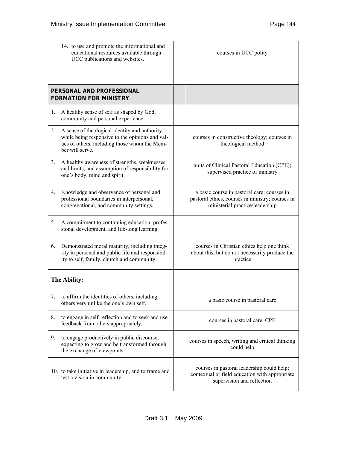| 14. to use and promote the informational and<br>educational resources available through<br>UCC publications and websites. |                                                                                                                                                                      | courses in UCC polity                                                                                                              |
|---------------------------------------------------------------------------------------------------------------------------|----------------------------------------------------------------------------------------------------------------------------------------------------------------------|------------------------------------------------------------------------------------------------------------------------------------|
|                                                                                                                           |                                                                                                                                                                      |                                                                                                                                    |
|                                                                                                                           | PERSONAL AND PROFESSIONAL<br><b>FORMATION FOR MINISTRY</b>                                                                                                           |                                                                                                                                    |
| 1.                                                                                                                        | A healthy sense of self as shaped by God,<br>community and personal experience.                                                                                      |                                                                                                                                    |
| 2.                                                                                                                        | A sense of theological identity and authority,<br>while being responsive to the opinions and val-<br>ues of others, including those whom the Mem-<br>ber will serve. | courses in constructive theology; courses in<br>theological method                                                                 |
| 3.                                                                                                                        | A healthy awareness of strengths, weaknesses<br>and limits, and assumption of responsibility for<br>one's body, mind and spirit.                                     | units of Clinical Pastoral Education (CPE);<br>supervised practice of ministry                                                     |
| 4.                                                                                                                        | Knowledge and observance of personal and<br>professional boundaries in interpersonal,<br>congregational, and community settings.                                     | a basic course in pastoral care; courses in<br>pastoral ethics, courses in ministry; courses in<br>ministerial practice/leadership |
| 5.                                                                                                                        | A commitment to continuing education, profes-<br>sional development, and life-long learning.                                                                         |                                                                                                                                    |
| 6.                                                                                                                        | Demonstrated moral maturity, including integ-<br>rity in personal and public life and responsibil-<br>ity to self, family, church and community.                     | courses in Christian ethics help one think<br>about this, but do not necessarily produce the<br>practice                           |
|                                                                                                                           | The Ability:                                                                                                                                                         |                                                                                                                                    |
|                                                                                                                           | to affirm the identities of others, including<br>others very unlike the one's own self.                                                                              | a basic course in pastoral care                                                                                                    |
| 8.                                                                                                                        | to engage in self-reflection and to seek and use<br>feedback from others appropriately.                                                                              | courses in pastoral care, CPE                                                                                                      |
| 9.                                                                                                                        | to engage productively in public discourse,<br>expecting to grow and be transformed through<br>the exchange of viewpoints.                                           | courses in speech, writing and critical thinking<br>could help                                                                     |
|                                                                                                                           | 10. to take initiative in leadership, and to frame and<br>test a vision in community.                                                                                | courses in pastoral leadership could help;<br>contextual or field education with appropriate<br>supervision and reflection         |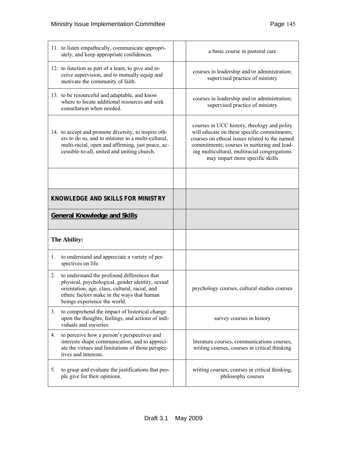| 11. to listen empathically, communicate appropri-<br>ately, and keep appropriate confidences.                                                                                                                                         | a basic course in pastoral care                                                                                                                                                                                                                                                |
|---------------------------------------------------------------------------------------------------------------------------------------------------------------------------------------------------------------------------------------|--------------------------------------------------------------------------------------------------------------------------------------------------------------------------------------------------------------------------------------------------------------------------------|
| 12. to function as part of a team, to give and re-<br>ceive supervision, and to mutually equip and<br>motivate the community of faith.                                                                                                | courses in leadership and/or administration;<br>supervised practice of ministry                                                                                                                                                                                                |
| 13. to be resourceful and adaptable, and know<br>where to locate additional resources and seek<br>consultation when needed.                                                                                                           | courses in leadership and/or administration;<br>supervised practice of ministry                                                                                                                                                                                                |
| 14. to accept and promote diversity, to inspire oth-<br>ers to do so, and to minister in a multi-cultural,<br>multi-racial, open and affirming, just peace, ac-<br>cessible-to-all, united and uniting church.                        | courses in UCC history, theology and polity<br>will educate on these specific commitments;<br>courses on ethical issues related to the named<br>commitments; courses in nurturing and lead-<br>ing multicultural, multiracial congregations<br>may impart more specific skills |
|                                                                                                                                                                                                                                       |                                                                                                                                                                                                                                                                                |
| <b>KNOWLEDGE AND SKILLS FOR MINISTRY</b>                                                                                                                                                                                              |                                                                                                                                                                                                                                                                                |
| <b>General Knowledge and Skills</b>                                                                                                                                                                                                   |                                                                                                                                                                                                                                                                                |
|                                                                                                                                                                                                                                       |                                                                                                                                                                                                                                                                                |
| The Ability:                                                                                                                                                                                                                          |                                                                                                                                                                                                                                                                                |
| 1.<br>to understand and appreciate a variety of per-<br>spectives on life.                                                                                                                                                            |                                                                                                                                                                                                                                                                                |
| to understand the profound differences that<br>2.<br>physical, psychological, gender identity, sexual<br>orientation, age, class, cultural, racial, and<br>ethnic factors make in the ways that human<br>beings experience the world. | psychology courses, cultural studies courses                                                                                                                                                                                                                                   |
| to comprehend the impact of historical change<br>3.<br>upon the thoughts, feelings, and actions of indi-<br>viduals and societies.                                                                                                    | survey courses in history                                                                                                                                                                                                                                                      |
| to perceive how a person's perspectives and<br>4.<br>interests shape communication, and to appreci-<br>ate the virtues and limitations of those perspec-<br>tives and interests.                                                      | literature courses, communications courses,<br>writing courses, courses in critical thinking                                                                                                                                                                                   |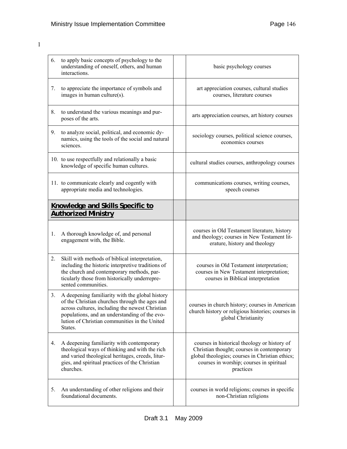| 6. | to apply basic concepts of psychology to the<br>understanding of oneself, others, and human<br>interactions.                                                                                                                                                      | basic psychology courses                                                                                                                                                                               |
|----|-------------------------------------------------------------------------------------------------------------------------------------------------------------------------------------------------------------------------------------------------------------------|--------------------------------------------------------------------------------------------------------------------------------------------------------------------------------------------------------|
| 7. | to appreciate the importance of symbols and<br>images in human culture(s).                                                                                                                                                                                        | art appreciation courses, cultural studies<br>courses, literature courses                                                                                                                              |
| 8. | to understand the various meanings and pur-<br>poses of the arts.                                                                                                                                                                                                 | arts appreciation courses, art history courses                                                                                                                                                         |
| 9. | to analyze social, political, and economic dy-<br>namics, using the tools of the social and natural<br>sciences.                                                                                                                                                  | sociology courses, political science courses,<br>economics courses                                                                                                                                     |
|    | 10. to use respectfully and relationally a basic<br>knowledge of specific human cultures.                                                                                                                                                                         | cultural studies courses, anthropology courses                                                                                                                                                         |
|    | 11. to communicate clearly and cogently with<br>appropriate media and technologies.                                                                                                                                                                               | communications courses, writing courses,<br>speech courses                                                                                                                                             |
|    | <b>Knowledge and Skills Specific to</b><br><b>Authorized Ministry</b>                                                                                                                                                                                             |                                                                                                                                                                                                        |
| 1. | A thorough knowledge of, and personal<br>engagement with, the Bible.                                                                                                                                                                                              | courses in Old Testament literature, history<br>and theology; courses in New Testament lit-<br>erature, history and theology                                                                           |
| 2. | Skill with methods of biblical interpretation,<br>including the historic interpretive traditions of<br>the church and contemporary methods, par-<br>ticularly those from historically underrepre-<br>sented communities.                                          | courses in Old Testament interpretation;<br>courses in New Testament interpretation;<br>courses in Biblical interpretation                                                                             |
| 3. | A deepening familiarity with the global history<br>of the Christian churches through the ages and<br>across cultures, including the newest Christian<br>populations, and an understanding of the evo-<br>lution of Christian communities in the United<br>States. | courses in church history; courses in American<br>church history or religious histories; courses in<br>global Christianity                                                                             |
| 4. | A deepening familiarity with contemporary<br>theological ways of thinking and with the rich<br>and varied theological heritages, creeds, litur-<br>gies, and spiritual practices of the Christian<br>churches.                                                    | courses in historical theology or history of<br>Christian thought; courses in contemporary<br>global theologies; courses in Christian ethics;<br>courses in worship; courses in spiritual<br>practices |
| 5. | An understanding of other religions and their<br>foundational documents.                                                                                                                                                                                          | courses in world religions; courses in specific<br>non-Christian religions                                                                                                                             |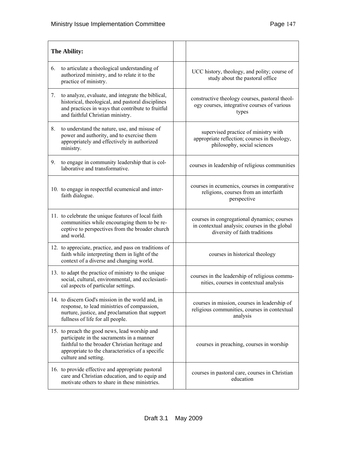| The Ability:                                                                                                                                                                                                             |                                                                                                                               |
|--------------------------------------------------------------------------------------------------------------------------------------------------------------------------------------------------------------------------|-------------------------------------------------------------------------------------------------------------------------------|
| to articulate a theological understanding of<br>6.<br>authorized ministry, and to relate it to the<br>practice of ministry.                                                                                              | UCC history, theology, and polity; course of<br>study about the pastoral office                                               |
| to analyze, evaluate, and integrate the biblical,<br>7.<br>historical, theological, and pastoral disciplines<br>and practices in ways that contribute to fruitful<br>and faithful Christian ministry.                    | constructive theology courses, pastoral theol-<br>ogy courses, integrative courses of various<br>types                        |
| to understand the nature, use, and misuse of<br>8.<br>power and authority, and to exercise them<br>appropriately and effectively in authorized<br>ministry.                                                              | supervised practice of ministry with<br>appropriate reflection; courses in theology,<br>philosophy, social sciences           |
| to engage in community leadership that is col-<br>9.<br>laborative and transformative.                                                                                                                                   | courses in leadership of religious communities                                                                                |
| 10. to engage in respectful ecumenical and inter-<br>faith dialogue.                                                                                                                                                     | courses in ecumenics, courses in comparative<br>religions, courses from an interfaith<br>perspective                          |
| 11. to celebrate the unique features of local faith<br>communities while encouraging them to be re-<br>ceptive to perspectives from the broader church<br>and world.                                                     | courses in congregational dynamics; courses<br>in contextual analysis; courses in the global<br>diversity of faith traditions |
| 12. to appreciate, practice, and pass on traditions of<br>faith while interpreting them in light of the<br>context of a diverse and changing world.                                                                      | courses in historical theology                                                                                                |
| 13. to adapt the practice of ministry to the unique<br>social, cultural, environmental, and ecclesiasti-<br>cal aspects of particular settings.                                                                          | courses in the leadership of religious commu-<br>nities, courses in contextual analysis                                       |
| 14. to discern God's mission in the world and, in<br>response, to lead ministries of compassion,<br>nurture, justice, and proclamation that support<br>fullness of life for all people.                                  | courses in mission, courses in leadership of<br>religious communities, courses in contextual<br>analysis                      |
| 15. to preach the good news, lead worship and<br>participate in the sacraments in a manner<br>faithful to the broader Christian heritage and<br>appropriate to the characteristics of a specific<br>culture and setting. | courses in preaching, courses in worship                                                                                      |
| 16. to provide effective and appropriate pastoral<br>care and Christian education, and to equip and<br>motivate others to share in these ministries.                                                                     | courses in pastoral care, courses in Christian<br>education                                                                   |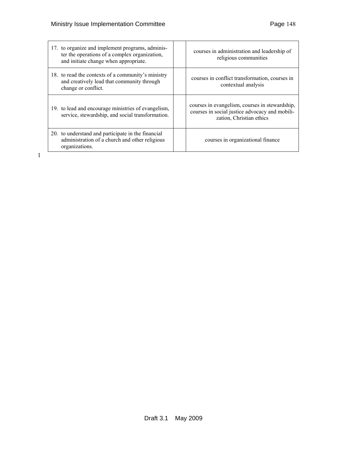| 17. to organize and implement programs, adminis-<br>ter the operations of a complex organization,<br>and initiate change when appropriate. | courses in administration and leadership of<br>religious communities                                                         |
|--------------------------------------------------------------------------------------------------------------------------------------------|------------------------------------------------------------------------------------------------------------------------------|
| 18. to read the contexts of a community's ministry<br>and creatively lead that community through<br>change or conflict.                    | courses in conflict transformation, courses in<br>contextual analysis                                                        |
| 19. to lead and encourage ministries of evangelism,<br>service, stewardship, and social transformation.                                    | courses in evangelism, courses in stewardship,<br>courses in social justice advocacy and mobili-<br>zation, Christian ethics |
| 20. to understand and participate in the financial<br>administration of a church and other religious<br>organizations.                     | courses in organizational finance                                                                                            |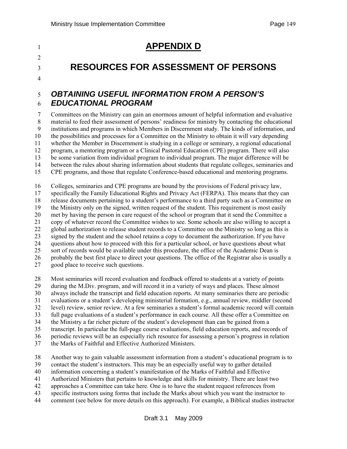# <sup>1</sup>**APPENDIX D**

# $\mathfrak{D}$

<sup>3</sup>**RESOURCES FOR ASSESSMENT OF PERSONS** 

#### 4

## 5 *OBTAINING USEFUL INFORMATION FROM A PERSON'S*  6 *EDUCATIONAL PROGRAM*

7 Committees on the Ministry can gain an enormous amount of helpful information and evaluative 8 material to feed their assessment of persons' readiness for ministry by contacting the educational 9 institutions and programs in which Members in Discernment study. The kinds of information, and 10 the possibilities and processes for a Committee on the Ministry to obtain it will vary depending 11 whether the Member in Discernment is studying in a college or seminary, a regional educational 12 program, a mentoring program or a Clinical Pastoral Education (CPE) program. There will also 13 be some variation from individual program to individual program. The major difference will be 14 between the rules about sharing information about students that regulate colleges, seminaries and 15 CPE programs, and those that regulate Conference-based educational and mentoring programs.

16 Colleges, seminaries and CPE programs are bound by the provisions of Federal privacy law,

17 specifically the Family Educational Rights and Privacy Act (FERPA). This means that they can

18 release documents pertaining to a student's performance to a third party such as a Committee on

19 the Ministry only on the signed, written request of the student. This requirement is most easily

20 met by having the person in care request of the school or program that it send the Committee a

21 copy of whatever record the Committee wishes to see. Some schools are also willing to accept a 22 global authorization to release student records to a Committee on the Ministry so long as this is

23 signed by the student and the school retains a copy to document the authorization. If you have

24 questions about how to proceed with this for a particular school, or have questions about what

25 sort of records would be available under this procedure, the office of the Academic Dean is

26 probably the best first place to direct your questions. The office of the Registrar also is usually a

- 27 good place to receive such questions.
- 28 Most seminaries will record evaluation and feedback offered to students at a variety of points

29 during the M.Div. program, and will record it in a variety of ways and places. These almost

- 30 always include the transcript and field education reports. At many seminaries there are periodic
- 31 evaluations or a student's developing ministerial formation, e.g., annual review, middler (second
- 32 level) review, senior review. At a few seminaries a student's formal academic record will contain
- 33 full page evaluations of a student's performance in each course. All these offer a Committee on

34 the Ministry a far richer picture of the student's development than can be gained from a

35 transcript. In particular the full-page course evaluations, field education reports, and records of

36 periodic reviews will be an especially rich resource for assessing a person's progress in relation

37 the Marks of Faithful and Effective Authorized Ministers.

38 Another way to gain valuable assessment information from a student's educational program is to

39 contact the student's instructors. This may be an especially useful way to gather detailed

40 information concerning a student's manifestation of the Marks of Faithful and Effective

41 Authorized Ministers that pertains to knowledge and skills for ministry. There are least two

- 42 approaches a Committee can take here. One is to have the student request references from
- 43 specific instructors using forms that include the Marks about which you want the instructor to
- 44 comment (see below for more details on this approach). For example, a Biblical studies instructor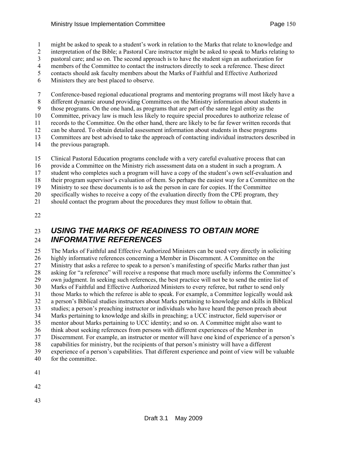1 might be asked to speak to a student's work in relation to the Marks that relate to knowledge and

2 interpretation of the Bible; a Pastoral Care instructor might be asked to speak to Marks relating to

3 pastoral care; and so on. The second approach is to have the student sign an authorization for

- 4 members of the Committee to contact the instructors directly to seek a reference. These direct
- 5 contacts should ask faculty members about the Marks of Faithful and Effective Authorized
- 6 Ministers they are best placed to observe.

7 Conference-based regional educational programs and mentoring programs will most likely have a

8 different dynamic around providing Committees on the Ministry information about students in

9 those programs. On the one hand, as programs that are part of the same legal entity as the 10 Committee, privacy law is much less likely to require special procedures to authorize release of

11 records to the Committee. On the other hand, there are likely to be far fewer written records that

12 can be shared. To obtain detailed assessment information about students in these programs

13 Committees are best advised to take the approach of contacting individual instructors described in

- 14 the previous paragraph.
- 15 Clinical Pastoral Education programs conclude with a very careful evaluative process that can
- 16 provide a Committee on the Ministry rich assessment data on a student in such a program. A

17 student who completes such a program will have a copy of the student's own self-evaluation and

18 their program supervisor's evaluation of them. So perhaps the easiest way for a Committee on the

19 Ministry to see these documents is to ask the person in care for copies. If the Committee

20 specifically wishes to receive a copy of the evaluation directly from the CPE program, they

21 should contact the program about the procedures they must follow to obtain that.

22

# 23 *USING THE MARKS OF READINESS TO OBTAIN MORE*  24 *INFORMATIVE REFERENCES*

25 The Marks of Faithful and Effective Authorized Ministers can be used very directly in soliciting 26 highly informative references concerning a Member in Discernment. A Committee on the 27 Ministry that asks a referee to speak to a person's manifesting of specific Marks rather than just 28 asking for "a reference" will receive a response that much more usefully informs the Committee's 29 own judgment. In seeking such references, the best practice will not be to send the entire list of 30 Marks of Faithful and Effective Authorized Ministers to every referee, but rather to send only 31 those Marks to which the referee is able to speak. For example, a Committee logically would ask 32 a person's Biblical studies instructors about Marks pertaining to knowledge and skills in Biblical studies; a person's preaching instructor or individuals who have heard the person preach about 34 Marks pertaining to knowledge and skills in preaching; a UCC instructor, field supervisor or 35 mentor about Marks pertaining to UCC identity; and so on. A Committee might also want to 36 think about seeking references from persons with different experiences of the Member in 37 Discernment. For example, an instructor or mentor will have one kind of experience of a person's 38 capabilities for ministry, but the recipients of that person's ministry will have a different 39 experience of a person's capabilities. That different experience and point of view will be valuable 40 for the committee.

41

42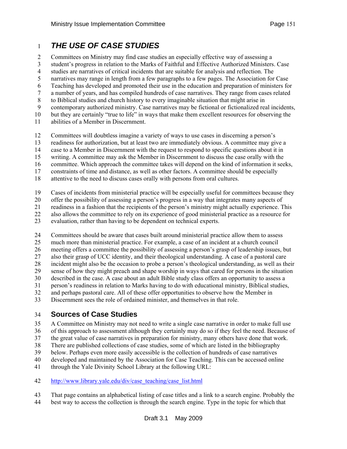## 1 *THE USE OF CASE STUDIES*

2 Committees on Ministry may find case studies an especially effective way of assessing a

3 student's progress in relation to the Marks of Faithful and Effective Authorized Ministers. Case

4 studies are narratives of critical incidents that are suitable for analysis and reflection. The

5 narratives may range in length from a few paragraphs to a few pages. The Association for Case

6 Teaching has developed and promoted their use in the education and preparation of ministers for

7 a number of years, and has compiled hundreds of case narratives. They range from cases related 8 to Biblical studies and church history to every imaginable situation that might arise in

9 contemporary authorized ministry. Case narratives may be fictional or fictionalized real incidents,

10 but they are certainly "true to life" in ways that make them excellent resources for observing the

11 abilities of a Member in Discernment.

12 Committees will doubtless imagine a variety of ways to use cases in discerning a person's

13 readiness for authorization, but at least two are immediately obvious. A committee may give a

14 case to a Member in Discernment with the request to respond to specific questions about it in

15 writing. A committee may ask the Member in Discernment to discuss the case orally with the

16 committee. Which approach the committee takes will depend on the kind of information it seeks,

17 constraints of time and distance, as well as other factors. A committee should be especially

18 attentive to the need to discuss cases orally with persons from oral cultures.

19 Cases of incidents from ministerial practice will be especially useful for committees because they

20 offer the possibility of assessing a person's progress in a way that integrates many aspects of readiness in a fashion that the recipients of the person's ministry might actually experience. T

21 readiness in a fashion that the recipients of the person's ministry might actually experience. This

22 also allows the committee to rely on its experience of good ministerial practice as a resource for

23 evaluation, rather than having to be dependent on technical experts.

24 Committees should be aware that cases built around ministerial practice allow them to assess

25 much more than ministerial practice. For example, a case of an incident at a church council

26 meeting offers a committee the possibility of assessing a person's grasp of leadership issues, but

27 also their grasp of UCC identity, and their theological understanding. A case of a pastoral care

28 incident might also be the occasion to probe a person's theological understanding, as well as their

29 sense of how they might preach and shape worship in ways that cared for persons in the situation

30 described in the case. A case about an adult Bible study class offers an opportunity to assess a

31 person's readiness in relation to Marks having to do with educational ministry, Biblical studies,

32 and perhaps pastoral care. All of these offer opportunities to observe how the Member in

33 Discernment sees the role of ordained minister, and themselves in that role.

## 34 **Sources of Case Studies**

35 A Committee on Ministry may not need to write a single case narrative in order to make full use

36 of this approach to assessment although they certainly may do so if they feel the need. Because of

37 the great value of case narratives in preparation for ministry, many others have done that work.

38 There are published collections of case studies, some of which are listed in the bibliography

39 below. Perhaps even more easily accessible is the collection of hundreds of case narratives

40 developed and maintained by the Association for Case Teaching. This can be accessed online

41 through the Yale Divinity School Library at the following URL:

42 [http://www.library.yale.edu/div/case\\_teaching/case\\_list.html](http://www.library.yale.edu/div/case_teaching/case_list.html)

- 43 That page contains an alphabetical listing of case titles and a link to a search engine. Probably the
- 44 best way to access the collection is through the search engine. Type in the topic for which that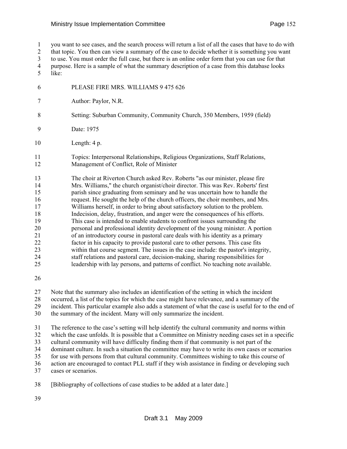1 you want to see cases, and the search process will return a list of all the cases that have to do with 2 that topic. You then can view a summary of the case to decide whether it is something you want 3 to use. You must order the full case, but there is an online order form that you can use for that 4 purpose. Here is a sample of what the summary description of a case from this database looks 5 like: 6 PLEASE FIRE MRS. WILLIAMS 9 475 626 7 Author: Paylor, N.R. 8 Setting: Suburban Community, Community Church, 350 Members, 1959 (field) 9 Date: 1975 10 Length: 4 p. 11 Topics: Interpersonal Relationships, Religious Organizations, Staff Relations, 12 Management of Conflict, Role of Minister 13 The choir at Riverton Church asked Rev. Roberts "as our minister, please fire 14 Mrs. Williams," the church organist/choir director. This was Rev. Roberts' first 15 parish since graduating from seminary and he was uncertain how to handle the 16 request. He sought the help of the church officers, the choir members, and Mrs. 17 Williams herself, in order to bring about satisfactory solution to the problem. 18 Indecision, delay, frustration, and anger were the consequences of his efforts. 19 This case is intended to enable students to confront issues surrounding the 20 personal and professional identity development of the young minister. A portion 21 of an introductory course in pastoral care deals with his identity as a primary 22 factor in his capacity to provide pastoral care to other persons. This case fits 23 within that course segment. The issues in the case include: the pastor's integrity, 24 staff relations and pastoral care, decision-making, sharing responsibilities for 25 leadership with lay persons, and patterns of conflict. No teaching note available. 26 27 Note that the summary also includes an identification of the setting in which the incident 28 occurred, a list of the topics for which the case might have relevance, and a summary of the 29 incident. This particular example also adds a statement of what the case is useful for to the end of 30 the summary of the incident. Many will only summarize the incident. 31 The reference to the case's setting will help identify the cultural community and norms within 32 which the case unfolds. It is possible that a Committee on Ministry needing cases set in a specific 33 cultural community will have difficulty finding them if that community is not part of the

34 dominant culture. In such a situation the committee may have to write its own cases or scenarios

- 35 for use with persons from that cultural community. Committees wishing to take this course of
- 36 action are encouraged to contact PLL staff if they wish assistance in finding or developing such 37 cases or scenarios.
- 38 [Bibliography of collections of case studies to be added at a later date.]
- 39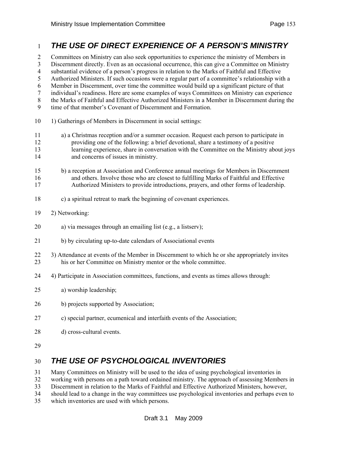## 1 *THE USE OF DIRECT EXPERIENCE OF A PERSON'S MINISTRY*

2 Committees on Ministry can also seek opportunities to experience the ministry of Members in 3 Discernment directly. Even as an occasional occurrence, this can give a Committee on Ministry 4 substantial evidence of a person's progress in relation to the Marks of Faithful and Effective 5 Authorized Ministers. If such occasions were a regular part of a committee's relationship with a 6 Member in Discernment, over time the committee would build up a significant picture of that 7 individual's readiness. Here are some examples of ways Committees on Ministry can experience 8 the Marks of Faithful and Effective Authorized Ministers in a Member in Discernment during the 9 time of that member's Covenant of Discernment and Formation. 10 1) Gatherings of Members in Discernment in social settings: 11 a) a Christmas reception and/or a summer occasion. Request each person to participate in

- 12 providing one of the following: a brief devotional, share a testimony of a positive 13 learning experience, share in conversation with the Committee on the Ministry about joys 14 and concerns of issues in ministry.
- 15 b) a reception at Association and Conference annual meetings for Members in Discernment 16 and others. Involve those who are closest to fulfilling Marks of Faithful and Effective 17 Authorized Ministers to provide introductions, prayers, and other forms of leadership.
- 18 c) a spiritual retreat to mark the beginning of covenant experiences.
- 19 2) Networking:
- 20 a) via messages through an emailing list (e.g., a listserv);
- 21 b) by circulating up-to-date calendars of Associational events
- 22 3) Attendance at events of the Member in Discernment to which he or she appropriately invites 23 his or her Committee on Ministry mentor or the whole committee.
- 24 4) Participate in Association committees, functions, and events as times allows through:
- 25 a) worship leadership;
- 26 b) projects supported by Association;
- 27 c) special partner, ecumenical and interfaith events of the Association;
- 28 d) cross-cultural events.
- 29

## 30 *THE USE OF PSYCHOLOGICAL INVENTORIES*

31 Many Committees on Ministry will be used to the idea of using psychological inventories in

32 working with persons on a path toward ordained ministry. The approach of assessing Members in

33 Discernment in relation to the Marks of Faithful and Effective Authorized Ministers, however,

34 should lead to a change in the way committees use psychological inventories and perhaps even to

35 which inventories are used with which persons.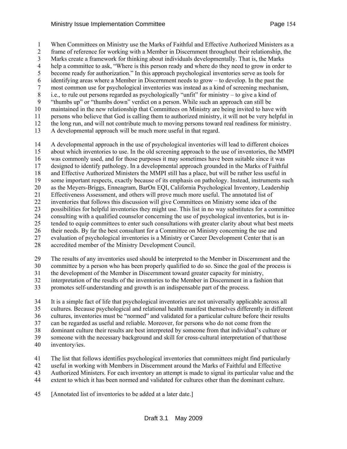1 When Committees on Ministry use the Marks of Faithful and Effective Authorized Ministers as a 2 frame of reference for working with a Member in Discernment throughout their relationship, the 3 Marks create a framework for thinking about individuals developmentally. That is, the Marks 4 help a committee to ask, "Where is this person ready and where do they need to grow in order to 5 become ready for authorization." In this approach psychological inventories serve as tools for 6 identifying areas where a Member in Discernment needs to grow – to develop. In the past the 7 most common use for psychological inventories was instead as a kind of screening mechanism, 8 i.e., to rule out persons regarded as psychologically "unfit" for ministry – to give a kind of 9 "thumbs up" or "thumbs down" verdict on a person. While such an approach can still be 10 maintained in the new relationship that Committees on Ministry are being invited to have with 11 persons who believe that God is calling them to authorized ministry, it will not be very helpful in 12 the long run, and will not contribute much to moving persons toward real readiness for ministry. 13 A developmental approach will be much more useful in that regard.

14 A developmental approach in the use of psychological inventories will lead to different choices 15 about which inventories to use. In the old screening approach to the use of inventories, the MMPI 16 was commonly used, and for those purposes it may sometimes have been suitable since it was 17 designed to identify pathology. In a developmental approach grounded in the Marks of Faithful 18 and Effective Authorized Ministers the MMPI still has a place, but will be rather less useful in 19 some important respects, exactly because of its emphasis on pathology. Instead, instruments such 20 as the Meyers-Briggs, Enneagram, BarOn EQI, California Psychological Inventory, Leadership 21 Effectiveness Assessment, and others will prove much more useful. The annotated list of 22 inventories that follows this discussion will give Committees on Ministry some idea of the 23 possibilities for helpful inventories they might use. This list in no way substitutes for a committee 24 consulting with a qualified counselor concerning the use of psychological inventories, but is in-25 tended to equip committees to enter such consultations with greater clarity about what best meets 26 their needs. By far the best consultant for a Committee on Ministry concerning the use and 27 evaluation of psychological inventories is a Ministry or Career Development Center that is an 28 accredited member of the Ministry Development Council.

- 
- 29 The results of any inventories used should be interpreted to the Member in Discernment and the
- 30 committee by a person who has been properly qualified to do so. Since the goal of the process is
- 31 the development of the Member in Discernment toward greater capacity for ministry,
- 32 interpretation of the results of the inventories to the Member in Discernment in a fashion that
- 33 promotes self-understanding and growth is an indispensable part of the process.
- 34 It is a simple fact of life that psychological inventories are not universally applicable across all 35 cultures. Because psychological and relational health manifest themselves differently in different 36 cultures, inventories must be "normed" and validated for a particular culture before their results 37 can be regarded as useful and reliable. Moreover, for persons who do not come from the 38 dominant culture their results are best interpreted by someone from that individual's culture or 39 someone with the necessary background and skill for cross-cultural interpretation of that/those
- 40 inventory/ies.
- 41 The list that follows identifies psychological inventories that committees might find particularly
- 42 useful in working with Members in Discernment around the Marks of Faithful and Effective
- 43 Authorized Ministers. For each inventory an attempt is made to signal its particular value and the
- 44 extent to which it has been normed and validated for cultures other than the dominant culture.
- 45 [Annotated list of inventories to be added at a later date.]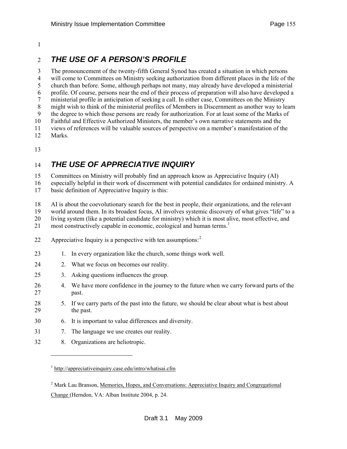#### <span id="page-154-0"></span>1

## 2 *THE USE OF A PERSON'S PROFILE*

3 The pronouncement of the twenty-fifth General Synod has created a situation in which persons 4 will come to Committees on Ministry seeking authorization from different places in the life of the 5 church than before. Some, although perhaps not many, may already have developed a ministerial 6 profile. Of course, persons near the end of their process of preparation will also have developed a 7 ministerial profile in anticipation of seeking a call. In either case, Committees on the Ministry 8 might wish to think of the ministerial profiles of Members in Discernment as another way to learn 9 the degree to which those persons are ready for authorization. For at least some of the Marks of 10 Faithful and Effective Authorized Ministers, the member's own narrative statements and the 11 views of references will be valuable sources of perspective on a member's manifestation of the 12 Marks.

13

## 14 *THE USE OF APPRECIATIVE INQUIRY*

15 Committees on Ministry will probably find an approach know as Appreciative Inquiry (AI)

16 especially helpful in their work of discernment with potential candidates for ordained ministry. A 17 basic definition of Appreciative Inquiry is this:

18 AI is about the coevolutionary search for the best in people, their organizations, and the relevant

19 world around them. In its broadest focus, AI involves systemic discovery of what gives "life" to a<br>20 living system (like a potential candidate for ministry) which it is most alive, most effective, and

living system (like a potential candidate for ministry) which it is most alive, most effective, and

2[1](#page-154-0) most constructively capable in economic, ecological and human terms.<sup>1</sup>

- [2](#page-154-0)2 Appreciative Inquiry is a perspective with ten assumptions:  $2^2$
- 23 1. In every organization like the church, some things work well.
- 24 2. What we focus on becomes our reality.
- 25 3. Asking questions influences the group.
- 26 4. We have more confidence in the journey to the future when we carry forward parts of the 27 past.
- 28 5. If we carry parts of the past into the future, we should be clear about what is best about 29 the past.
- 30 6. It is important to value differences and diversity.
- 31 7. The language we use creates our reality.
- 32 8. Organizations are heliotropic.

-

<sup>&</sup>lt;sup>1</sup> http://appreciativeinquiry.case.edu/intro/whatisai.cfm

<sup>&</sup>lt;sup>2</sup> Mark Lau Branson, Memories, Hopes, and Conversations: Appreciative Inquiry and Congregational Change (Herndon, VA: Alban Institute 2004, p. 24.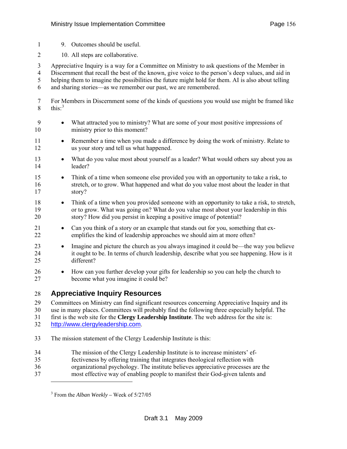- <span id="page-155-0"></span>1 9. Outcomes should be useful.
- 2 10. All steps are collaborative.

3 Appreciative Inquiry is a way for a Committee on Ministry to ask questions of the Member in 4 Discernment that recall the best of the known, give voice to the person's deep values, and aid in 5 helping them to imagine the possibilities the future might hold for them. AI is also about telling

6 and sharing stories—as we remember our past, we are remembered.

7 For Members in Discernment some of the kinds of questions you would use might be framed like 8 this: $3^3$  $3^3$ 

- 9 What attracted you to ministry? What are some of your most positive impressions of 10 ministry prior to this moment?
- 11 Remember a time when you made a difference by doing the work of ministry. Relate to 12 us your story and tell us what happened.
- 13 What do you value most about yourself as a leader? What would others say about you as 14 leader?
- 15 Think of a time when someone else provided you with an opportunity to take a risk, to 16 stretch, or to grow. What happened and what do you value most about the leader in that 17 story?
- 18 Think of a time when you provided someone with an opportunity to take a risk, to stretch, 19 or to grow. What was going on? What do you value most about your leadership in this 20 story? How did you persist in keeping a positive image of potential?
- 21 Can you think of a story or an example that stands out for you, something that ex-22 emplifies the kind of leadership approaches we should aim at more often?
- 23 Imagine and picture the church as you always imagined it could be—the way you believe 24 it ought to be. In terms of church leadership, describe what you see happening. How is it 25 different?
- 26 How can you further develop your gifts for leadership so you can help the church to 27 become what you imagine it could be?

#### 28 **Appreciative Inquiry Resources**

29 Committees on Ministry can find significant resources concerning Appreciative Inquiry and its

30 use in many places. Committees will probably find the following three especially helpful. The 31 first is the web site for the **Clergy Leadership Institute**. The web address for the site is:

32 http://www.clergyleadership.com.

l

- 33 The mission statement of the Clergy Leadership Institute is this:
- 34 The mission of the Clergy Leadership Institute is to increase ministers' ef-
- 35 fectiveness by offering training that integrates theological reflection with
- 36 organizational psychology. The institute believes appreciative processes are the
- 37 most effective way of enabling people to manifest their God-given talents and

<sup>3</sup> From the *Alban Weekly –* Week of 5/27/05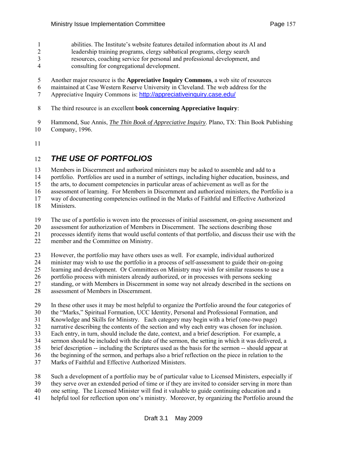- 1 abilities. The Institute's website features detailed information about its AI and
- 2 leadership training programs, clergy sabbatical programs, clergy search
- 3 resources, coaching service for personal and professional development, and
- 4 consulting for congregational development.
- 5 Another major resource is the **Appreciative Inquiry Commons**, a web site of resources
- 6 maintained at Case Western Reserve University in Cleveland. The web address for the
- 7 Appreciative Inquiry Commons is: http://appreciativeinquiry.case.edu/
- 8 The third resource is an excellent **book concerning Appreciative Inquiry**:
- 9 Hammond, Sue Annis, *The Thin Book of Appreciative Inquiry*. Plano, TX: Thin Book Publishing
- 10 Company, 1996.
- 11

# 12 *THE USE OF PORTFOLIOS*

- 13 Members in Discernment and authorized ministers may be asked to assemble and add to a
- 14 portfolio. Portfolios are used in a number of settings, including higher education, business, and
- 15 the arts, to document competencies in particular areas of achievement as well as for the
- 16 assessment of learning. For Members in Discernment and authorized ministers, the Portfolio is a
- 17 way of documenting competencies outlined in the Marks of Faithful and Effective Authorized
- 18 Ministers.
- 19 The use of a portfolio is woven into the processes of initial assessment, on-going assessment and
- 20 assessment for authorization of Members in Discernment. The sections describing those
- 21 processes identify items that would useful contents of that portfolio, and discuss their use with the
- 22 member and the Committee on Ministry.
- 23 However, the portfolio may have others uses as well. For example, individual authorized
- 24 minister may wish to use the portfolio in a process of self-assessment to guide their on-going
- 25 learning and development. Or Committees on Ministry may wish for similar reasons to use a
- 26 portfolio process with ministers already authorized, or in processes with persons seeking
- 27 standing, or with Members in Discernment in some way not already described in the sections on
- 28 assessment of Members in Discernment.
- 29 In these other uses it may be most helpful to organize the Portfolio around the four categories of
- 30 the "Marks," Spiritual Formation, UCC Identity, Personal and Professional Formation, and
- 31 Knowledge and Skills for Ministry. Each category may begin with a brief (one-two page)
- 32 narrative describing the contents of the section and why each entry was chosen for inclusion.
- 33 Each entry, in turn, should include the date, context, and a brief description. For example, a
- 34 sermon should be included with the date of the sermon, the setting in which it was delivered, a
- 35 brief description -- including the Scriptures used as the basis for the sermon -- should appear at
- 36 the beginning of the sermon, and perhaps also a brief reflection on the piece in relation to the
- 37 Marks of Faithful and Effective Authorized Ministers.
- 38 Such a development of a portfolio may be of particular value to Licensed Ministers, especially if
- 39 they serve over an extended period of time or if they are invited to consider serving in more than
- 40 one setting. The Licensed Minister will find it valuable to guide continuing education and a
- 41 helpful tool for reflection upon one's ministry. Moreover, by organizing the Portfolio around the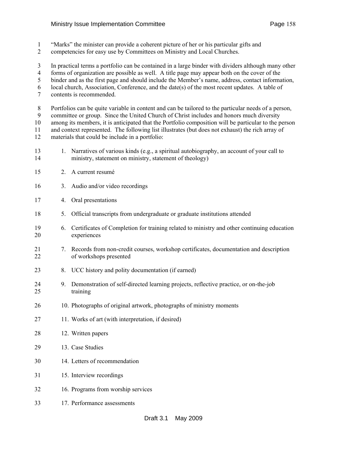- 1 "Marks" the minister can provide a coherent picture of her or his particular gifts and
- 2 competencies for easy use by Committees on Ministry and Local Churches.
- 3 In practical terms a portfolio can be contained in a large binder with dividers although many other
- 4 forms of organization are possible as well. A title page may appear both on the cover of the
- 5 binder and as the first page and should include the Member's name, address, contact information,
- 6 local church, Association, Conference, and the date(s) of the most recent updates. A table of
- 7 contents is recommended.
- 8 Portfolios can be quite variable in content and can be tailored to the particular needs of a person,
- 9 committee or group. Since the United Church of Christ includes and honors much diversity
- 10 among its members, it is anticipated that the Portfolio composition will be particular to the person
- 11 and context represented. The following list illustrates (but does not exhaust) the rich array of 12 materials that could be include in a portfolio:
- 13 1. Narratives of various kinds (e.g., a spiritual autobiography, an account of your call to 14 ministry, statement on ministry, statement of theology)
- 15 2. A current resumé
- 16 3. Audio and/or video recordings
- 17 4. Oral presentations
- 18 5. Official transcripts from undergraduate or graduate institutions attended
- 19 6. Certificates of Completion for training related to ministry and other continuing education 20 experiences
- 21 7. Records from non-credit courses, workshop certificates, documentation and description 22 of workshops presented
- 23 8. UCC history and polity documentation (if earned)
- 24 9. Demonstration of self-directed learning projects, reflective practice, or on-the-job 25 training
- 26 10. Photographs of original artwork, photographs of ministry moments
- 27 11. Works of art (with interpretation, if desired)
- 28 12. Written papers
- 29 13. Case Studies
- 30 14. Letters of recommendation
- 31 15. Interview recordings
- 32 16. Programs from worship services
- 33 17. Performance assessments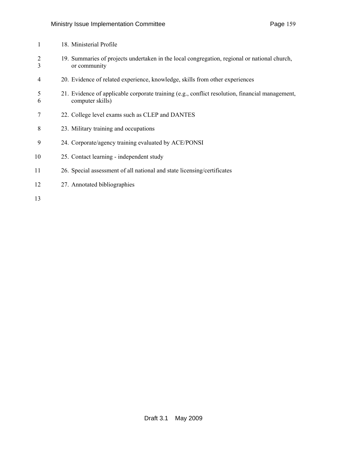| 1                   | 18. Ministerial Profile                                                                                             |
|---------------------|---------------------------------------------------------------------------------------------------------------------|
| $\overline{2}$<br>3 | 19. Summaries of projects undertaken in the local congregation, regional or national church,<br>or community        |
| 4                   | 20. Evidence of related experience, knowledge, skills from other experiences                                        |
| 5<br>6              | 21. Evidence of applicable corporate training (e.g., conflict resolution, financial management,<br>computer skills) |
| 7                   | 22. College level exams such as CLEP and DANTES                                                                     |
| 8                   | 23. Military training and occupations                                                                               |
| 9                   | 24. Corporate/agency training evaluated by ACE/PONSI                                                                |
| 10                  | 25. Contact learning - independent study                                                                            |
| 11                  | 26. Special assessment of all national and state licensing/certificates                                             |
| 12                  | 27. Annotated bibliographies                                                                                        |
|                     |                                                                                                                     |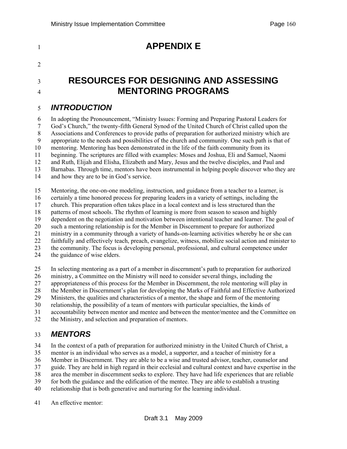# <sup>1</sup>**APPENDIX E**  2 <sup>3</sup>**RESOURCES FOR DESIGNING AND ASSESSING**  <sup>4</sup>**MENTORING PROGRAMS**  5 *INTRODUCTION*  6 In adopting the Pronouncement, "Ministry Issues: Forming and Preparing Pastoral Leaders for 7 God's Church," the twenty-fifth General Synod of the United Church of Christ called upon the 8 Associations and Conferences to provide paths of preparation for authorized ministry which are 9 appropriate to the needs and possibilities of the church and community. One such path is that of 10 mentoring. Mentoring has been demonstrated in the life of the faith community from its 11 beginning. The scriptures are filled with examples: Moses and Joshua, Eli and Samuel, Naomi 12 and Ruth, Elijah and Elisha, Elizabeth and Mary, Jesus and the twelve disciples, and Paul and 13 Barnabas. Through time, mentors have been instrumental in helping people discover who they are

14 and how they are to be in God's service.

15 Mentoring, the one-on-one modeling, instruction, and guidance from a teacher to a learner, is 16 certainly a time honored process for preparing leaders in a variety of settings, including the 17 church. This preparation often takes place in a local context and is less structured than the 18 patterns of most schools. The rhythm of learning is more from season to season and highly 19 dependent on the negotiation and motivation between intentional teacher and learner. The goal of 20 such a mentoring relationship is for the Member in Discernment to prepare for authorized 21 ministry in a community through a variety of hands-on-learning activities whereby he or she can 22 faithfully and effectively teach, preach, evangelize, witness, mobilize social action and minister to 23 the community. The focus is developing personal, professional, and cultural competence under 24 the guidance of wise elders.

25 In selecting mentoring as a part of a member in discernment's path to preparation for authorized 26 ministry, a Committee on the Ministry will need to consider several things, including the 27 appropriateness of this process for the Member in Discernment, the role mentoring will play in 28 the Member in Discernment's plan for developing the Marks of Faithful and Effective Authorized 29 Ministers, the qualities and characteristics of a mentor, the shape and form of the mentoring 30 relationship, the possibility of a team of mentors with particular specialties, the kinds of 31 accountability between mentor and mentee and between the mentor/mentee and the Committee on

32 the Ministry, and selection and preparation of mentors.

# 33 *MENTORS*

34 In the context of a path of preparation for authorized ministry in the United Church of Christ, a

35 mentor is an individual who serves as a model, a supporter, and a teacher of ministry for a

36 Member in Discernment. They are able to be a wise and trusted advisor, teacher, counselor and

37 guide. They are held in high regard in their ecclesial and cultural context and have expertise in the

38 area the member in discernment seeks to explore. They have had life experiences that are reliable 39 for both the guidance and the edification of the mentee. They are able to establish a trusting

40 relationship that is both generative and nurturing for the learning individual.

41 An effective mentor: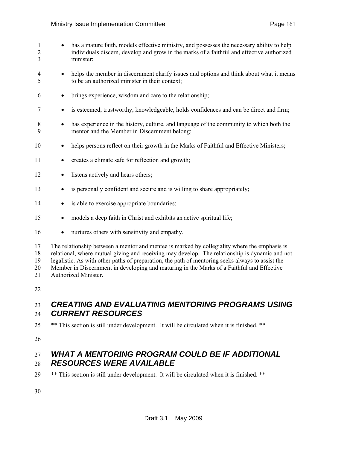- 1 has a mature faith, models effective ministry, and possesses the necessary ability to help 2 individuals discern, develop and grow in the marks of a faithful and effective authorized 3 minister; 4 • helps the member in discernment clarify issues and options and think about what it means 5 to be an authorized minister in their context; 6 • brings experience, wisdom and care to the relationship; 7 • is esteemed, trustworthy, knowledgeable, holds confidences and can be direct and firm; 8 • has experience in the history, culture, and language of the community to which both the 9 mentor and the Member in Discernment belong; 10 • helps persons reflect on their growth in the Marks of Faithful and Effective Ministers; 11 • creates a climate safe for reflection and growth; 12 • listens actively and hears others; 13 • is personally confident and secure and is willing to share appropriately; 14 • is able to exercise appropriate boundaries; 15 • models a deep faith in Christ and exhibits an active spiritual life; 16 • nurtures others with sensitivity and empathy. 17 The relationship between a mentor and mentee is marked by collegiality where the emphasis is 18 relational, where mutual giving and receiving may develop. The relationship is dynamic and not 19 legalistic. As with other paths of preparation, the path of mentoring seeks always to assist the 20 Member in Discernment in developing and maturing in the Marks of a Faithful and Effective 21 Authorized Minister. 22 23 *CREATING AND EVALUATING MENTORING PROGRAMS USING*  24 *CURRENT RESOURCES*
- 25 \*\* This section is still under development. It will be circulated when it is finished. \*\*

26

## 27 *WHAT A MENTORING PROGRAM COULD BE IF ADDITIONAL*  28 *RESOURCES WERE AVAILABLE*

 $29$  \*\* This section is still under development. It will be circulated when it is finished. \*\*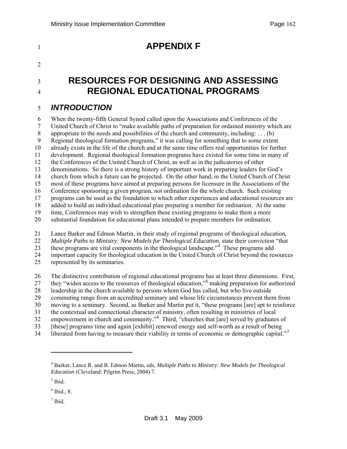# <span id="page-161-0"></span>1 **APPENDIX F** <sup>3</sup>**RESOURCES FOR DESIGNING AND ASSESSING**  <sup>4</sup>**REGIONAL EDUCATIONAL PROGRAMS**  6 When the twenty-fifth General Synod called upon the Associations and Conferences of the

### 5 *INTRODUCTION*

2

7 United Church of Christ to "make available paths of preparation for ordained ministry which are 8 appropriate to the needs and possibilities of the church and community, including: . . . (b) 9 Regional theological formation programs," it was calling for something that to some extent 10 already exists in the life of the church and at the same time offers real opportunities for further 11 development. Regional theological formation programs have existed for some time in many of 12 the Conferences of the United Church of Christ, as well as in the judicatories of other 13 denominations. So there is a strong history of important work in preparing leaders for God's 14 church from which a future can be projected. On the other hand, in the United Church of Christ 15 most of these programs have aimed at preparing persons for licensure in the Associations of the 16 Conference sponsoring a given program, not ordination for the whole church. Such existing 17 programs can be used as the foundation to which other experiences and educational resources are 18 added to build an individual educational plan preparing a member for ordination. At the same 19 time, Conferences may wish to strengthen these existing programs to make them a more 20 substantial foundation for educational plans intended to prepare members for ordination.

- 21 Lance Barker and Edmon Martin, in their study of regional programs of theological education, 22 *Multiple Paths to Ministry: New Models for Theological Education*, state their conviction "that 23 these programs are vital components in the theological landscape.<sup>"[4](#page-161-0)</sup> These programs add 24 important capacity for theological education in the United Church of Christ beyond the resources 25 represented by its seminaries.
- 26 The distinctive contribution of regional educational programs has at least three dimensions. First, 27 they "widen access to the resources of theological education,"<sup>[5](#page-161-0)</sup> making preparation for authorized 28 leadership in the church available to persons whom God has called, but who live outside 29 commuting range from an accredited seminary and whose life circumstances prevent them from 30 moving to a seminary. Second, as Barker and Martin put it, "these programs [are] apt to reinforce 31 the contextual and connectional character of ministry, often resulting in ministries of local 32 empowerment in church and community."<sup>[6](#page-161-0)</sup> Third, "churches that [are] served by graduates of 33 [these] programs time and again [exhibit] renewed energy and self-worth as a result of being
- 34 liberated from having to measure their viability in terms of economic or demographic capital."<sup>[7](#page-161-0)</sup>

l

 $<sup>7</sup>$  Ibid.</sup>

<sup>4</sup> Barker, Lance R. and B. Edmon Martin, eds, *Multiple Paths to Ministry: New Models for Theological Education* (Cleveland: Pilgrim Press, 2004) 7.

<sup>5</sup> Ibid.

 $<sup>6</sup>$  Ibid., 8.</sup>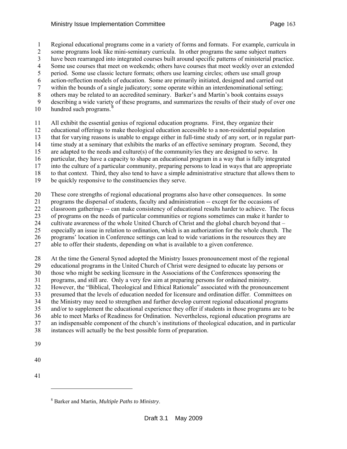<span id="page-162-0"></span>1 Regional educational programs come in a variety of forms and formats. For example, curricula in

2 some programs look like mini-seminary curricula. In other programs the same subject matters

3 have been rearranged into integrated courses built around specific patterns of ministerial practice.

4 Some use courses that meet on weekends; others have courses that meet weekly over an extended 5 period. Some use classic lecture formats; others use learning circles; others use small group

6 action-reflection models of education. Some are primarily initiated, designed and carried out

7 within the bounds of a single judicatory; some operate within an interdenominational setting;

8 others may be related to an accredited seminary. Barker's and Martin's book contains essays

9 describing a wide variety of these programs, and summarizes the results of their study of over one

10 hundred such programs. $\frac{8}{3}$  $\frac{8}{3}$  $\frac{8}{3}$ 

11 All exhibit the essential genius of regional education programs. First, they organize their

12 educational offerings to make theological education accessible to a non-residential population

13 that for varying reasons is unable to engage either in full-time study of any sort, or in regular part-

14 time study at a seminary that exhibits the marks of an effective seminary program. Second, they

15 are adapted to the needs and culture(s) of the community/ies they are designed to serve. In

16 particular, they have a capacity to shape an educational program in a way that is fully integrated

17 into the culture of a particular community, preparing persons to lead in ways that are appropriate 18 to that context. Third, they also tend to have a simple administrative structure that allows them to

19 be quickly responsive to the constituencies they serve.

20 These core strengths of regional educational programs also have other consequences. In some

21 programs the dispersal of students, faculty and administration -- except for the occasions of

22 classroom gatherings -- can make consistency of educational results harder to achieve. The focus

23 of programs on the needs of particular communities or regions sometimes can make it harder to 24 cultivate awareness of the whole United Church of Christ and the global church beyond that –

25 especially an issue in relation to ordination, which is an authorization for the whole church. The

26 programs' location in Conference settings can lead to wide variations in the resources they are

27 able to offer their students, depending on what is available to a given conference.

28 At the time the General Synod adopted the Ministry Issues pronouncement most of the regional 29 educational programs in the United Church of Christ were designed to educate lay persons or 30 those who might be seeking licensure in the Associations of the Conferences sponsoring the 31 programs, and still are. Only a very few aim at preparing persons for ordained ministry. 32 However, the "Biblical, Theological and Ethical Rationale" associated with the pronouncement 33 presumed that the levels of education needed for licensure and ordination differ. Committees on 34 the Ministry may need to strengthen and further develop current regional educational programs 35 and/or to supplement the educational experience they offer if students in those programs are to be 36 able to meet Marks of Readiness for Ordination. Nevertheless, regional education programs are 37 an indispensable component of the church's institutions of theological education, and in particular

38 instances will actually be the best possible form of preparation.

- 40
- 41

l

<sup>39</sup> 

<sup>8</sup> Barker and Martin, *Multiple Paths to Ministry*.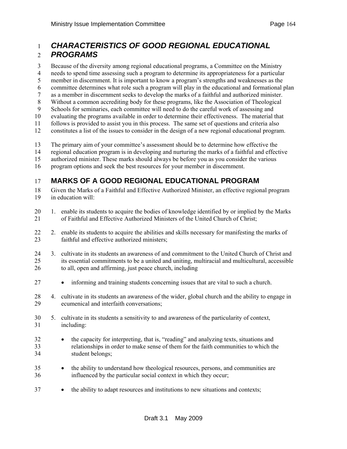## 1 *CHARACTERISTICS OF GOOD REGIONAL EDUCATIONAL*  2 *PROGRAMS*

3 Because of the diversity among regional educational programs, a Committee on the Ministry

4 needs to spend time assessing such a program to determine its appropriateness for a particular

- 5 member in discernment. It is important to know a program's strengths and weaknesses as the
- 6 committee determines what role such a program will play in the educational and formational plan
- 7 as a member in discernment seeks to develop the marks of a faithful and authorized minister.
- 8 Without a common accrediting body for these programs, like the Association of Theological
- 9 Schools for seminaries, each committee will need to do the careful work of assessing and
- 10 evaluating the programs available in order to determine their effectiveness. The material that
- 11 follows is provided to assist you in this process. The same set of questions and criteria also
- 12 constitutes a list of the issues to consider in the design of a new regional educational program.
- 13 The primary aim of your committee's assessment should be to determine how effective the
- 14 regional education program is in developing and nurturing the marks of a faithful and effective
- 15 authorized minister. These marks should always be before you as you consider the various
- 16 program options and seek the best resources for your member in discernment.

## 17 **MARKS OF A GOOD REGIONAL EDUCATIONAL PROGRAM**

- 18 Given the Marks of a Faithful and Effective Authorized Minister, an effective regional program 19 in education will:
- 20 1. enable its students to acquire the bodies of knowledge identified by or implied by the Marks<br>21 of Faithful and Effective Authorized Ministers of the United Church of Christ: of Faithful and Effective Authorized Ministers of the United Church of Christ;
- 22 2. enable its students to acquire the abilities and skills necessary for manifesting the marks of 23 faithful and effective authorized ministers;
- 24 3. cultivate in its students an awareness of and commitment to the United Church of Christ and 25 its essential commitments to be a united and uniting, multiracial and multicultural, accessible 26 to all, open and affirming, just peace church, including
- 27 informing and training students concerning issues that are vital to such a church.
- 28 4. cultivate in its students an awareness of the wider, global church and the ability to engage in 29 ecumenical and interfaith conversations;
- 30 5. cultivate in its students a sensitivity to and awareness of the particularity of context, 31 including:
- 32 the capacity for interpreting, that is, "reading" and analyzing texts, situations and 33 relationships in order to make sense of them for the faith communities to which the 34 student belongs;
- <sup>35</sup> the ability to understand how theological resources, persons, and communities are 36 influenced by the particular social context in which they occur;
- <sup>37</sup> the ability to adapt resources and institutions to new situations and contexts;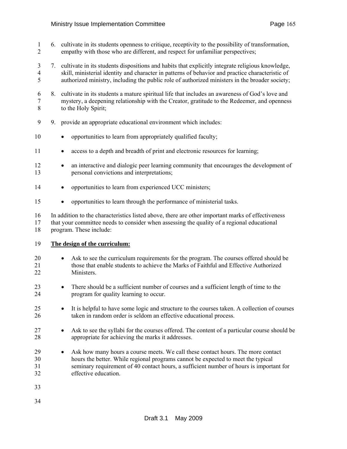- 1 6. cultivate in its students openness to critique, receptivity to the possibility of transformation, 2 empathy with those who are different, and respect for unfamiliar perspectives;
- 3 7. cultivate in its students dispositions and habits that explicitly integrate religious knowledge, 4 skill, ministerial identity and character in patterns of behavior and practice characteristic of 5 authorized ministry, including the public role of authorized ministers in the broader society;
- 6 8. cultivate in its students a mature spiritual life that includes an awareness of God's love and 7 mystery, a deepening relationship with the Creator, gratitude to the Redeemer, and openness 8 to the Holy Spirit;
- 9 9. provide an appropriate educational environment which includes:
- 10 opportunities to learn from appropriately qualified faculty;
- 11 access to a depth and breadth of print and electronic resources for learning;
- 12 an interactive and dialogic peer learning community that encourages the development of 13 personal convictions and interpretations;
- 14 opportunities to learn from experienced UCC ministers;
- 15 opportunities to learn through the performance of ministerial tasks.

16 In addition to the characteristics listed above, there are other important marks of effectiveness 17 that your committee needs to consider when assessing the quality of a regional educational 18 program. These include:

#### 19 **The design of the curriculum:**

- 20 Ask to see the curriculum requirements for the program. The courses offered should be 21 those that enable students to achieve the Marks of Faithful and Effective Authorized 22 Ministers.
- 23 There should be a sufficient number of courses and a sufficient length of time to the 24 program for quality learning to occur.
- <sup>25</sup> It is helpful to have some logic and structure to the courses taken. A collection of courses 26 taken in random order is seldom an effective educational process.
- 27 Ask to see the syllabi for the courses offered. The content of a particular course should be 28 appropriate for achieving the marks it addresses.
- 29 Ask how many hours a course meets. We call these contact hours. The more contact 30 hours the better. While regional programs cannot be expected to meet the typical 31 seminary requirement of 40 contact hours, a sufficient number of hours is important for 32 effective education.
- 33
- 34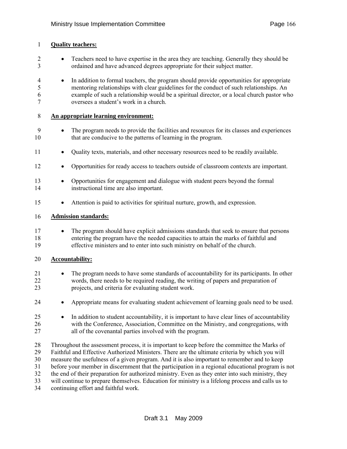#### 1 **Quality teachers:**

- 2 Teachers need to have expertise in the area they are teaching. Generally they should be 3 ordained and have advanced degrees appropriate for their subject matter.
- 4 In addition to formal teachers, the program should provide opportunities for appropriate 5 mentoring relationships with clear guidelines for the conduct of such relationships. An 6 example of such a relationship would be a spiritual director, or a local church pastor who 7 oversees a student's work in a church.

#### 8 **An appropriate learning environment:**

- 9 The program needs to provide the facilities and resources for its classes and experiences 10 that are conducive to the patterns of learning in the program.
- 11 Quality texts, materials, and other necessary resources need to be readily available.
- 12 Opportunities for ready access to teachers outside of classroom contexts are important.
- 13 Opportunities for engagement and dialogue with student peers beyond the formal 14 instructional time are also important.
- 15 Attention is paid to activities for spiritual nurture, growth, and expression.

#### 16 **Admission standards:**

**17** • The program should have explicit admissions standards that seek to ensure that persons 18 entering the program have the needed capacities to attain the marks of faithful and 19 effective ministers and to enter into such ministry on behalf of the church.

#### 20 **Accountability:**

- 21 The program needs to have some standards of accountability for its participants. In other 22 words, there needs to be required reading, the writing of papers and preparation of 23 projects, and criteria for evaluating student work.
- 24 Appropriate means for evaluating student achievement of learning goals need to be used.
- 25 In addition to student accountability, it is important to have clear lines of accountability 26 with the Conference, Association, Committee on the Ministry, and congregations, with 27 all of the covenantal parties involved with the program.
- 28 Throughout the assessment process, it is important to keep before the committee the Marks of 29 Faithful and Effective Authorized Ministers. There are the ultimate criteria by which you will 30 measure the usefulness of a given program. And it is also important to remember and to keep 31 before your member in discernment that the participation in a regional educational program is not 32 the end of their preparation for authorized ministry. Even as they enter into such ministry, they 33 will continue to prepare themselves. Education for ministry is a lifelong process and calls us to 34 continuing effort and faithful work.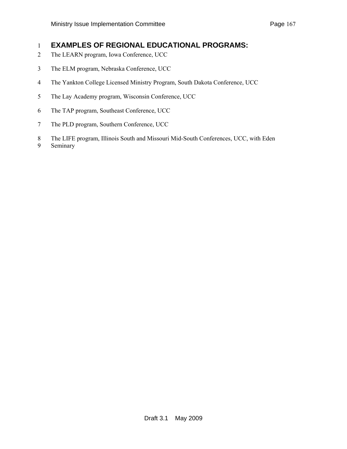## 1 **EXAMPLES OF REGIONAL EDUCATIONAL PROGRAMS:**

- 2 The LEARN program, Iowa Conference, UCC
- 3 The ELM program, Nebraska Conference, UCC
- 4 The Yankton College Licensed Ministry Program, South Dakota Conference, UCC
- 5 The Lay Academy program, Wisconsin Conference, UCC
- 6 The TAP program, Southeast Conference, UCC
- 7 The PLD program, Southern Conference, UCC
- 8 The LIFE program, Illinois South and Missouri Mid-South Conferences, UCC, with Eden
- 9 Seminary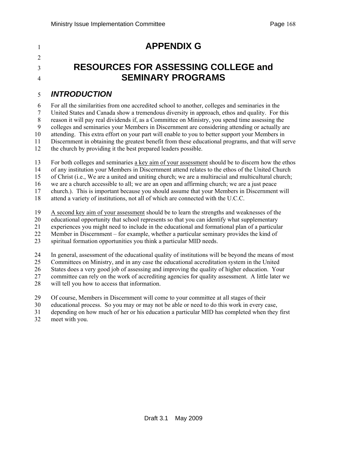# <sup>1</sup>**APPENDIX G**

 $\mathcal{L}$ 

# <sup>3</sup>**RESOURCES FOR ASSESSING COLLEGE and**  <sup>4</sup>**SEMINARY PROGRAMS**

## 5 *INTRODUCTION*

6 For all the similarities from one accredited school to another, colleges and seminaries in the 7 United States and Canada show a tremendous diversity in approach, ethos and quality. For this 8 reason it will pay real dividends if, as a Committee on Ministry, you spend time assessing the 9 colleges and seminaries your Members in Discernment are considering attending or actually are 10 attending. This extra effort on your part will enable to you to better support your Members in 11 Discernment in obtaining the greatest benefit from these educational programs, and that will serve 12 the church by providing it the best prepared leaders possible.

13 For both colleges and seminaries a key aim of your assessment should be to discern how the ethos

14 of any institution your Members in Discernment attend relates to the ethos of the United Church

15 of Christ (i.e., We are a united and uniting church; we are a multiracial and multicultural church;

16 we are a church accessible to all; we are an open and affirming church; we are a just peace

17 church.). This is important because you should assume that your Members in Discernment will

18 attend a variety of institutions, not all of which are connected with the U.C.C.

19 A second key aim of your assessment should be to learn the strengths and weaknesses of the

20 educational opportunity that school represents so that you can identify what supplementary

21 experiences you might need to include in the educational and formational plan of a particular

22 Member in Discernment – for example, whether a particular seminary provides the kind of

23 spiritual formation opportunities you think a particular MID needs.

24 In general, assessment of the educational quality of institutions will be beyond the means of most

25 Committees on Ministry, and in any case the educational accreditation system in the United

26 States does a very good job of assessing and improving the quality of higher education. Your

27 committee can rely on the work of accrediting agencies for quality assessment. A little later we

28 will tell you how to access that information.

29 Of course, Members in Discernment will come to your committee at all stages of their

30 educational process. So you may or may not be able or need to do this work in every case,

31 depending on how much of her or his education a particular MID has completed when they first

32 meet with you.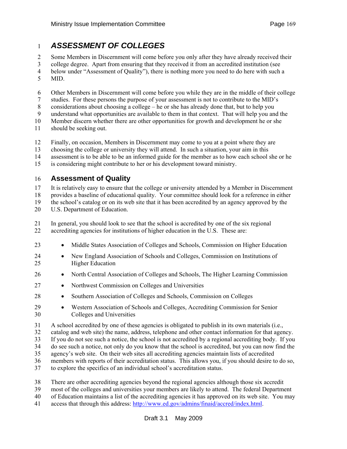## 1 *ASSESSMENT OF COLLEGES*

2 Some Members in Discernment will come before you only after they have already received their

3 college degree. Apart from ensuring that they received it from an accredited institution (see

- 4 below under "Assessment of Quality"), there is nothing more you need to do here with such a
- 5 MID.
- 6 Other Members in Discernment will come before you while they are in the middle of their college
- 7 studies. For these persons the purpose of your assessment is not to contribute to the MID's
- 8 considerations about choosing a college he or she has already done that, but to help you
- 9 understand what opportunities are available to them in that context. That will help you and the
- 10 Member discern whether there are other opportunities for growth and development he or she
- 11 should be seeking out.
- 12 Finally, on occasion, Members in Discernment may come to you at a point where they are
- 13 choosing the college or university they will attend. In such a situation, your aim in this
- 14 assessment is to be able to be an informed guide for the member as to how each school she or he
- 15 is considering might contribute to her or his development toward ministry.

## 16 **Assessment of Quality**

17 It is relatively easy to ensure that the college or university attended by a Member in Discernment

18 provides a baseline of educational quality. Your committee should look for a reference in either

19 the school's catalog or on its web site that it has been accredited by an agency approved by the

20 U.S. Department of Education.

21 In general, you should look to see that the school is accredited by one of the six regional 22 accrediting agencies for institutions of higher education in the U.S. These are:

- 23 Middle States Association of Colleges and Schools, Commission on Higher Education
- 24 New England Association of Schools and Colleges, Commission on Institutions of 25 Higher Education
- 26 North Central Association of Colleges and Schools, The Higher Learning Commission
- 27 Northwest Commission on Colleges and Universities
- 28 Southern Association of Colleges and Schools, Commission on Colleges
- 29 Western Association of Schools and Colleges, Accrediting Commission for Senior 30 Colleges and Universities
- 31 A school accredited by one of these agencies is obligated to publish in its own materials (i.e.,
- 32 catalog and web site) the name, address, telephone and other contact information for that agency.
- 33 If you do not see such a notice, the school is not accredited by a regional accrediting body. If you
- 34 do see such a notice, not only do you know that the school is accredited, but you can now find the
- 35 agency's web site. On their web sites all accrediting agencies maintain lists of accredited
- 36 members with reports of their accreditation status. This allows you, if you should desire to do so,
- 37 to explore the specifics of an individual school's accreditation status.
- 38 There are other accrediting agencies beyond the regional agencies although those six accredit
- 39 most of the colleges and universities your members are likely to attend. The federal Department
- 40 of Education maintains a list of the accrediting agencies it has approved on its web site. You may
- 41 access that through this address: [http://www.ed.gov/admins/finaid/accred/index.html.](http://www.ed.gov/admins/finaid/accred/index.html)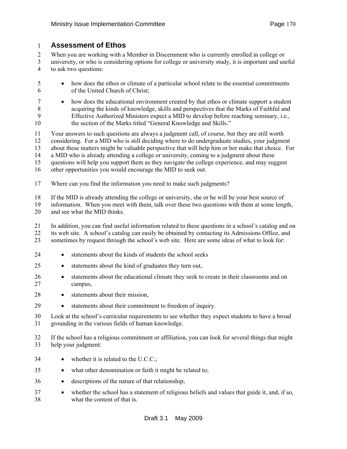#### 1 **Assessment of Ethos**

2 When you are working with a Member in Discernment who is currently enrolled in college or

- 3 university, or who is considering options for college or university study, it is important and useful 4 to ask two questions:
- 5 how does the ethos or climate of a particular school relate to the essential commitments 6 of the United Church of Christ;
- 7 how does the educational environment created by that ethos or climate support a student 8 acquiring the kinds of knowledge, skills and perspectives that the Marks of Faithful and 9 Effective Authorized Ministers expect a MID to develop before reaching seminary, i.e., 10 the section of the Marks titled "General Knowledge and Skills."
- 11 Your answers to such questions are always a judgment call, of course, but they are still worth 12 considering. For a MID who is still deciding where to do undergraduate studies, your judgment 13 about these matters might be valuable perspective that will help him or her make that choice. For 14 a MID who is already attending a college or university, coming to a judgment about these 15 questions will help you support them as they navigate the college experience, and may suggest

16 other opportunities you would encourage the MID to seek out.

17 Where can you find the information you need to make such judgments?

18 If the MID is already attending the college or university, she or he will be your best source of

19 information. When you meet with them, talk over these two questions with them at some length, 20 and see what the MID thinks.

21 In addition, you can find useful information related to these questions in a school's catalog and on 22 its web site. A school's catalog can easily be obtained by contacting its Admissions Office, and 23 sometimes by request through the school's web site. Here are some ideas of what to look for:

- 24 statements about the kinds of students the school seeks
- 25 statements about the kind of graduates they turn out,
- 26 statements about the educational climate they seek to create in their classrooms and on 27 campus,
- 28 statements about their mission,
- 29 statements about their commitment to freedom of inquiry.

30 Look at the school's curricular requirements to see whether they expect students to have a broad 31 grounding in the various fields of human knowledge.

- 32 If the school has a religious commitment or affiliation, you can look for several things that might 33 help your judgment:
- 34 whether it is related to the U.C.C.;
- 35 what other denomination or faith it might be related to;
- 36 descriptions of the nature of that relationship;
- 37 whether the school has a statement of religious beliefs and values that guide it, and, if so, 38 what the content of that is.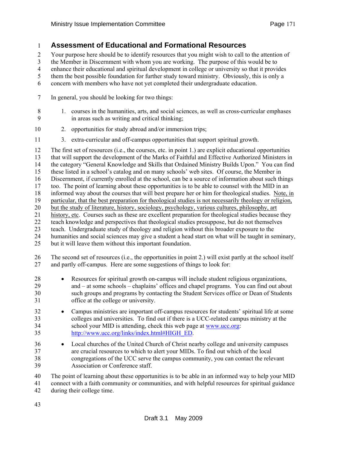## 1 **Assessment of Educational and Formational Resources**

2 Your purpose here should be to identify resources that you might wish to call to the attention of

3 the Member in Discernment with whom you are working. The purpose of this would be to

4 enhance their educational and spiritual development in college or university so that it provides

5 them the best possible foundation for further study toward ministry. Obviously, this is only a

6 concern with members who have not yet completed their undergraduate education.

7 In general, you should be looking for two things:

- 10 2. opportunities for study abroad and/or immersion trips;
- 11 3. extra-curricular and off-campus opportunities that support spiritual growth.

12 The first set of resources (i.e., the courses, etc. in point 1.) are explicit educational opportunities 13 that will support the development of the Marks of Faithful and Effective Authorized Ministers in 14 the category "General Knowledge and Skills that Ordained Ministry Builds Upon." You can find 15 these listed in a school's catalog and on many schools' web sites. Of course, the Member in 16 Discernment, if currently enrolled at the school, can be a source of information about such things 17 too. The point of learning about these opportunities is to be able to counsel with the MID in an 18 informed way about the courses that will best prepare her or him for theological studies. Note, in 19 particular, that the best preparation for theological studies is not necessarily theology or religion, 20 but the study of literature, history, sociology, psychology, various cultures, philosophy, art 21 history, etc. Courses such as these are excellent preparation for theological studies because they 22 teach knowledge and perspectives that theological studies presuppose, but do not themselves 23 teach. Undergraduate study of theology and religion without this broader exposure to the 24 humanities and social sciences may give a student a head start on what will be taught in seminary, 25 but it will leave them without this important foundation. 26 The second set of resources (i.e., the opportunities in point 2.) will exist partly at the school itself

27 and partly off-campus. Here are some suggestions of things to look for:

- 28 Resources for spiritual growth on-campus will include student religious organizations,
- 29 and at some schools chaplains' offices and chapel programs. You can find out about 30 such groups and programs by contacting the Student Services office or Dean of Students 31 office at the college or university.
- 32 Campus ministries are important off-campus resources for students' spiritual life at some 33 colleges and universities. To find out if there is a UCC-related campus ministry at the school your MID is attending, check this web page at www.ucc.org: school your MID is attending, check this web page at [www.ucc.org:](http://www.ucc.org/) 35 [http://www.ucc.org/links/index.html#HIGH\\_ED.](http://www.ucc.org/links/index.html#HIGH_ED)
- 36 Local churches of the United Church of Christ nearby college and university campuses 37 are crucial resources to which to alert your MIDs. To find out which of the local 38 congregations of the UCC serve the campus community, you can contact the relevant 39 Association or Conference staff.

40 The point of learning about these opportunities is to be able in an informed way to help your MID

41 connect with a faith community or communities, and with helpful resources for spiritual guidance 42 during their college time.

<sup>8 1.</sup> courses in the humanities, arts, and social sciences, as well as cross-curricular emphases 9 in areas such as writing and critical thinking;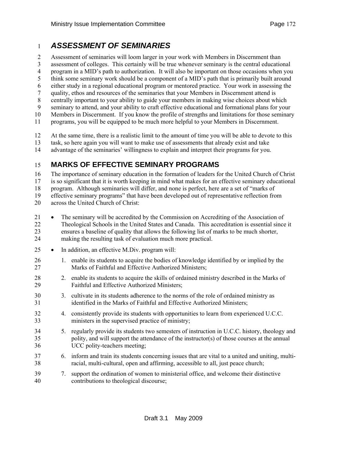## 1 *ASSESSMENT OF SEMINARIES*

2 Assessment of seminaries will loom larger in your work with Members in Discernment than

3 assessment of colleges. This certainly will be true whenever seminary is the central educational

4 program in a MID's path to authorization. It will also be important on those occasions when you

5 think some seminary work should be a component of a MID's path that is primarily built around

- 6 either study in a regional educational program or mentored practice. Your work in assessing the
- 7 quality, ethos and resources of the seminaries that your Members in Discernment attend is
- 8 centrally important to your ability to guide your members in making wise choices about which 9 seminary to attend, and your ability to craft effective educational and formational plans for your
- 10 Members in Discernment. If you know the profile of strengths and limitations for those seminary

11 programs, you will be equipped to be much more helpful to your Members in Discernment.

12 At the same time, there is a realistic limit to the amount of time you will be able to devote to this

- 13 task, so here again you will want to make use of assessments that already exist and take
- 14 advantage of the seminaries' willingness to explain and interpret their programs for you.

## 15 **MARKS OF EFFECTIVE SEMINARY PROGRAMS**

16 The importance of seminary education in the formation of leaders for the United Church of Christ

17 is so significant that it is worth keeping in mind what makes for an effective seminary educational 18 program. Although seminaries will differ, and none is perfect, here are a set of "marks of

19 effective seminary programs" that have been developed out of representative reflection from

- 20 across the United Church of Christ:
- 21 The seminary will be accredited by the Commission on Accrediting of the Association of 22 Theological Schools in the United States and Canada. This accreditation is essential since it 23 ensures a baseline of quality that allows the following list of marks to be much shorter, 24 making the resulting task of evaluation much more practical.
- 25 In addition, an effective M.Div. program will:
- 26 1. enable its students to acquire the bodies of knowledge identified by or implied by the 27 Marks of Faithful and Effective Authorized Ministers;
- 28 2. enable its students to acquire the skills of ordained ministry described in the Marks of 29 Faithful and Effective Authorized Ministers;
- 30 3. cultivate in its students adherence to the norms of the role of ordained ministry as 31 identified in the Marks of Faithful and Effective Authorized Ministers;
- 32 4. consistently provide its students with opportunities to learn from experienced U.C.C. 33 ministers in the supervised practice of ministry;
- 34 5. regularly provide its students two semesters of instruction in U.C.C. history, theology and 35 polity, and will support the attendance of the instructor(s) of those courses at the annual 36 UCC polity-teachers meeting;
- 37 6. inform and train its students concerning issues that are vital to a united and uniting, multi-38 racial, multi-cultural, open and affirming, accessible to all, just peace church;
- 39 7. support the ordination of women to ministerial office, and welcome their distinctive 40 contributions to theological discourse;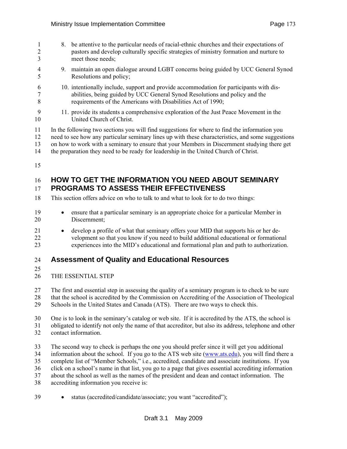- 1 8. be attentive to the particular needs of racial-ethnic churches and their expectations of 2 pastors and develop culturally specific strategies of ministry formation and nurture to 3 meet those needs; 4 9. maintain an open dialogue around LGBT concerns being guided by UCC General Synod 5 Resolutions and policy; 6 10. intentionally include, support and provide accommodation for participants with dis-7 abilities, being guided by UCC General Synod Resolutions and policy and the 8 requirements of the Americans with Disabilities Act of 1990; 9 11. provide its students a comprehensive exploration of the Just Peace Movement in the 10 United Church of Christ. 11 In the following two sections you will find suggestions for where to find the information you 12 need to see how any particular seminary lines up with these characteristics, and some suggestions 13 on how to work with a seminary to ensure that your Members in Discernment studying there get 14 the preparation they need to be ready for leadership in the United Church of Christ.
- 15

#### 16 **HOW TO GET THE INFORMATION YOU NEED ABOUT SEMINARY**  17 **PROGRAMS TO ASSESS THEIR EFFECTIVENESS**

- 18 This section offers advice on who to talk to and what to look for to do two things:
- 19 ensure that a particular seminary is an appropriate choice for a particular Member in 20 Discernment;
- 21 develop a profile of what that seminary offers your MID that supports his or her de-22 velopment so that you know if you need to build additional educational or formational 23 experiences into the MID's educational and formational plan and path to authorization.

## 24 **Assessment of Quality and Educational Resources**

- 25
- 26 THE ESSENTIAL STEP
- 27 The first and essential step in assessing the quality of a seminary program is to check to be sure
- 28 that the school is accredited by the Commission on Accrediting of the Association of Theological 29 Schools in the United States and Canada (ATS). There are two ways to check this.
- 30 One is to look in the seminary's catalog or web site. If it is accredited by the ATS, the school is
- 31 obligated to identify not only the name of that accreditor, but also its address, telephone and other 32 contact information.
- 33 The second way to check is perhaps the one you should prefer since it will get you additional 34 information about the school. If you go to the ATS web site ([www.ats.edu](http://www.ats.edu/)), you will find there a 35 complete list of "Member Schools," i.e., accredited, candidate and associate institutions. If you 36 click on a school's name in that list, you go to a page that gives essential accrediting information 37 about the school as well as the names of the president and dean and contact information. The 38 accrediting information you receive is:
- 39 status (accredited/candidate/associate; you want "accredited");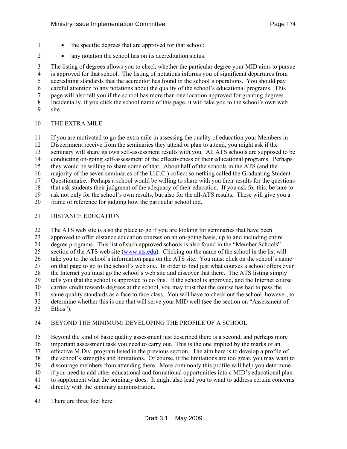- 1 the specific degrees that are approved for that school;
- 2 any notation the school has on its accreditation status.

3 The listing of degrees allows you to check whether the particular degree your MID aims to pursue 4 is approved for that school. The listing of notations informs you of significant departures from 5 accrediting standards that the accreditor has found in the school's operations. You should pay 6 careful attention to any notations about the quality of the school's educational programs. This 7 page will also tell you if the school has more than one location approved for granting degrees. 8 Incidentally, if you click the school name of this page, it will take you to the school's own web 9 site.

#### 10 THE EXTRA MILE

11 If you are motivated to go the extra mile in assessing the quality of education your Members in 12 Discernment receive from the seminaries they attend or plan to attend, you might ask if the 13 seminary will share its own self-assessment results with you. All ATS schools are supposed to be 14 conducting on-going self-assessment of the effectiveness of their educational programs. Perhaps 15 they would be willing to share some of that. About half of the schools in the ATS (and the 16 majority of the seven seminaries of the U.C.C.) collect something called the Graduating Student 17 Questionnaire. Perhaps a school would be willing to share with you their results for the questions 18 that ask students their judgment of the adequacy of their education. If you ask for this, be sure to 19 ask not only for the school's own results, but also for the all-ATS results. These will give you a 20 frame of reference for judging how the particular school did.

#### 21 DISTANCE EDUCATION

22 The ATS web site is also the place to go if you are looking for seminaries that have been 23 approved to offer distance education courses on an on-going basis, up to and including entire 24 degree programs. This list of such approved schools is also found in the "Member Schools"<br>25 section of the ATS web site (www.ats.edu). Clicking on the name of the school in the list wi section of the ATS web site [\(www.ats.edu\)](http://www.ats.edu/). Clicking on the name of the school in the list will 26 take you to the school's information page on the ATS site. You must click on the school's name 27 on that page to go to the school's web site. In order to find just what courses a school offers over 28 the Internet you must go the school's web site and discover that there. The ATS listing simply 29 tells you that the school is approved to do this. If the school is approved, and the Internet course 30 carries credit towards degrees at the school, you may trust that the course has had to pass the 31 same quality standards as a face to face class. You will have to check out the school, however, to 32 determine whether this is one that will serve your MID well (see the section on "Assessment of 33 Ethos").

#### 34 BEYOND THE MINIMUM: DEVELOPING THE PROFILE OF A SCHOOL

35 Beyond the kind of basic quality assessment just described there is a second, and perhaps more 36 important assessment task you need to carry out. This is the one implied by the marks of an 37 effective M.Div. program listed in the previous section. The aim here is to develop a profile of 38 the school's strengths and limitations. Of course, if the limitations are too great, you may want to 39 discourage members from attending there. More commonly this profile will help you determine 40 if you need to add other educational and formational opportunities into a MID's educational plan 41 to supplement what the seminary does. It might also lead you to want to address certain concerns 42 directly with the seminary administration.

43 There are three foci here: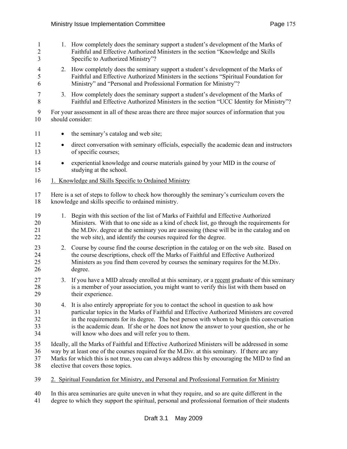| $\mathbf{1}$<br>$\overline{2}$<br>3 |           | 1. How completely does the seminary support a student's development of the Marks of<br>Faithful and Effective Authorized Ministers in the section "Knowledge and Skills"<br>Specific to Authorized Ministry"?                                                                                                                                                                                                              |
|-------------------------------------|-----------|----------------------------------------------------------------------------------------------------------------------------------------------------------------------------------------------------------------------------------------------------------------------------------------------------------------------------------------------------------------------------------------------------------------------------|
| 4<br>5<br>6                         |           | 2. How completely does the seminary support a student's development of the Marks of<br>Faithful and Effective Authorized Ministers in the sections "Spiritual Foundation for<br>Ministry" and "Personal and Professional Formation for Ministry"?                                                                                                                                                                          |
| 7<br>8                              | 3.        | How completely does the seminary support a student's development of the Marks of<br>Faithful and Effective Authorized Ministers in the section "UCC Identity for Ministry"?                                                                                                                                                                                                                                                |
| 9<br>10                             |           | For your assessment in all of these areas there are three major sources of information that you<br>should consider:                                                                                                                                                                                                                                                                                                        |
| 11                                  |           | the seminary's catalog and web site;                                                                                                                                                                                                                                                                                                                                                                                       |
| 12<br>13                            | $\bullet$ | direct conversation with seminary officials, especially the academic dean and instructors<br>of specific courses;                                                                                                                                                                                                                                                                                                          |
| 14<br>15                            |           | experiential knowledge and course materials gained by your MID in the course of<br>studying at the school.                                                                                                                                                                                                                                                                                                                 |
| 16                                  |           | 1. Knowledge and Skills Specific to Ordained Ministry                                                                                                                                                                                                                                                                                                                                                                      |
| 17<br>18                            |           | Here is a set of steps to follow to check how thoroughly the seminary's curriculum covers the<br>knowledge and skills specific to ordained ministry.                                                                                                                                                                                                                                                                       |
| 19<br>20<br>21<br>22                |           | 1. Begin with this section of the list of Marks of Faithful and Effective Authorized<br>Ministers. With that to one side as a kind of check list, go through the requirements for<br>the M.Div. degree at the seminary you are assessing (these will be in the catalog and on<br>the web site), and identify the courses required for the degree.                                                                          |
| 23<br>24<br>25<br>26                | 2.        | Course by course find the course description in the catalog or on the web site. Based on<br>the course descriptions, check off the Marks of Faithful and Effective Authorized<br>Ministers as you find them covered by courses the seminary requires for the M.Div.<br>degree.                                                                                                                                             |
| 27<br>28<br>29                      |           | 3. If you have a MID already enrolled at this seminary, or a recent graduate of this seminary<br>is a member of your association, you might want to verify this list with them based on<br>their experience.                                                                                                                                                                                                               |
| 30<br>31<br>32<br>33<br>34          | 4.        | It is also entirely appropriate for you to contact the school in question to ask how<br>particular topics in the Marks of Faithful and Effective Authorized Ministers are covered<br>in the requirements for its degree. The best person with whom to begin this conversation<br>is the academic dean. If she or he does not know the answer to your question, she or he<br>will know who does and will refer you to them. |
| 35<br>36<br>37<br>38                |           | Ideally, all the Marks of Faithful and Effective Authorized Ministers will be addressed in some<br>way by at least one of the courses required for the M.Div. at this seminary. If there are any<br>Marks for which this is not true, you can always address this by encouraging the MID to find an<br>elective that covers those topics.                                                                                  |
| 39                                  |           | 2. Spiritual Foundation for Ministry, and Personal and Professional Formation for Ministry                                                                                                                                                                                                                                                                                                                                 |

- 40 In this area seminaries are quite uneven in what they require, and so are quite different in the degree to which they support the spiritual, personal and professional formation of their studen
- degree to which they support the spiritual, personal and professional formation of their students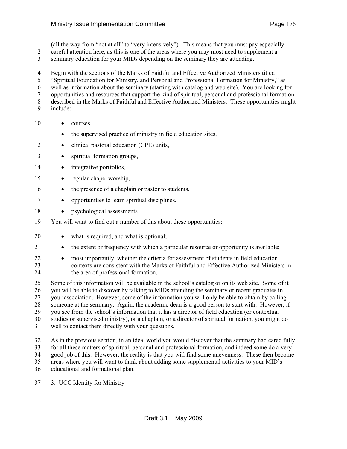- 1 (all the way from "not at all" to "very intensively"). This means that you must pay especially
- 2 careful attention here, as this is one of the areas where you may most need to supplement a
- 3 seminary education for your MIDs depending on the seminary they are attending.

4 Begin with the sections of the Marks of Faithful and Effective Authorized Ministers titled

- 5 "Spiritual Foundation for Ministry, and Personal and Professional Formation for Ministry," as
- 6 well as information about the seminary (starting with catalog and web site). You are looking for
- 7 opportunities and resources that support the kind of spiritual, personal and professional formation
- 8 described in the Marks of Faithful and Effective Authorized Ministers. These opportunities might
- 9 include:
- 10 courses,
- 11 the supervised practice of ministry in field education sites,
- 12 clinical pastoral education (CPE) units,
- 13 spiritual formation groups,
- 14 integrative portfolios,
- 15 regular chapel worship,
- 16 the presence of a chaplain or pastor to students,
- 17 opportunities to learn spiritual disciplines,
- 18 psychological assessments.
- 19 You will want to find out a number of this about these opportunities:
- 20 what is required, and what is optional;
- 21 the extent or frequency with which a particular resource or opportunity is available;
- 22 most importantly, whether the criteria for assessment of students in field education 23 contexts are consistent with the Marks of Faithful and Effective Authorized Ministers in 24 the area of professional formation.
- 25 Some of this information will be available in the school's catalog or on its web site. Some of it 26 you will be able to discover by talking to MIDs attending the seminary or recent graduates in 27 your association. However, some of the information you will only be able to obtain by calling 28 someone at the seminary. Again, the academic dean is a good person to start with. However, if 29 you see from the school's information that it has a director of field education (or contextual 30 studies or supervised ministry), or a chaplain, or a director of spiritual formation, you might do 31 well to contact them directly with your questions.
- 32 As in the previous section, in an ideal world you would discover that the seminary had cared fully 33 for all these matters of spiritual, personal and professional formation, and indeed some do a very 34 good job of this. However, the reality is that you will find some unevenness. These then become 35 areas where you will want to think about adding some supplemental activities to your MID's 36 educational and formational plan.
- 37 3. UCC Identity for Ministry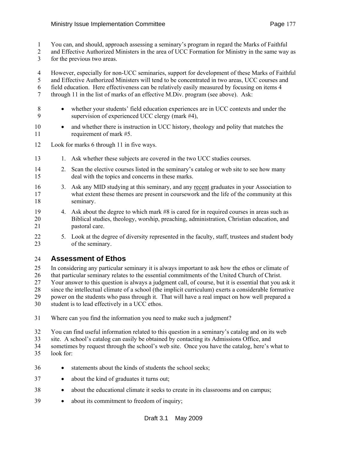- 1 You can, and should, approach assessing a seminary's program in regard the Marks of Faithful
- 2 and Effective Authorized Ministers in the area of UCC Formation for Ministry in the same way as
- 3 for the previous two areas.

4 However, especially for non-UCC seminaries, support for development of these Marks of Faithful

- 5 and Effective Authorized Ministers will tend to be concentrated in two areas, UCC courses and 6 field education. Here effectiveness can be relatively easily measured by focusing on items 4
- 7 through 11 in the list of marks of an effective M.Div. program (see above). Ask:
- 8 whether your students' field education experiences are in UCC contexts and under the 9 supervision of experienced UCC clergy (mark #4),
- 10 and whether there is instruction in UCC history, theology and polity that matches the 11 requirement of mark #5.
- 12 Look for marks 6 through 11 in five ways.
- 13 1. Ask whether these subjects are covered in the two UCC studies courses.
- 14 2. Scan the elective courses listed in the seminary's catalog or web site to see how many 15 deal with the topics and concerns in these marks.
- 16 3. Ask any MID studying at this seminary, and any recent graduates in your Association to 17 what extent these themes are present in coursework and the life of the community at this 18 seminary.
- 19 4. Ask about the degree to which mark #8 is cared for in required courses in areas such as 20 Biblical studies, theology, worship, preaching, administration, Christian education, and 21 pastoral care.
- 22 5. Look at the degree of diversity represented in the faculty, staff, trustees and student body 23 of the seminary.

## 24 **Assessment of Ethos**

25 In considering any particular seminary it is always important to ask how the ethos or climate of 26 that particular seminary relates to the essential commitments of the United Church of Christ. 27 Your answer to this question is always a judgment call, of course, but it is essential that you ask it 28 since the intellectual climate of a school (the implicit curriculum) exerts a considerable formative 29 power on the students who pass through it. That will have a real impact on how well prepared a 30 student is to lead effectively in a UCC ethos.

- 31 Where can you find the information you need to make such a judgment?
- 32 You can find useful information related to this question in a seminary's catalog and on its web
- 33 site. A school's catalog can easily be obtained by contacting its Admissions Office, and
- 34 sometimes by request through the school's web site. Once you have the catalog, here's what to 35 look for:
- 36 statements about the kinds of students the school seeks;
- 37 about the kind of graduates it turns out;
- 38 about the educational climate it seeks to create in its classrooms and on campus;
- 39 about its commitment to freedom of inquiry;